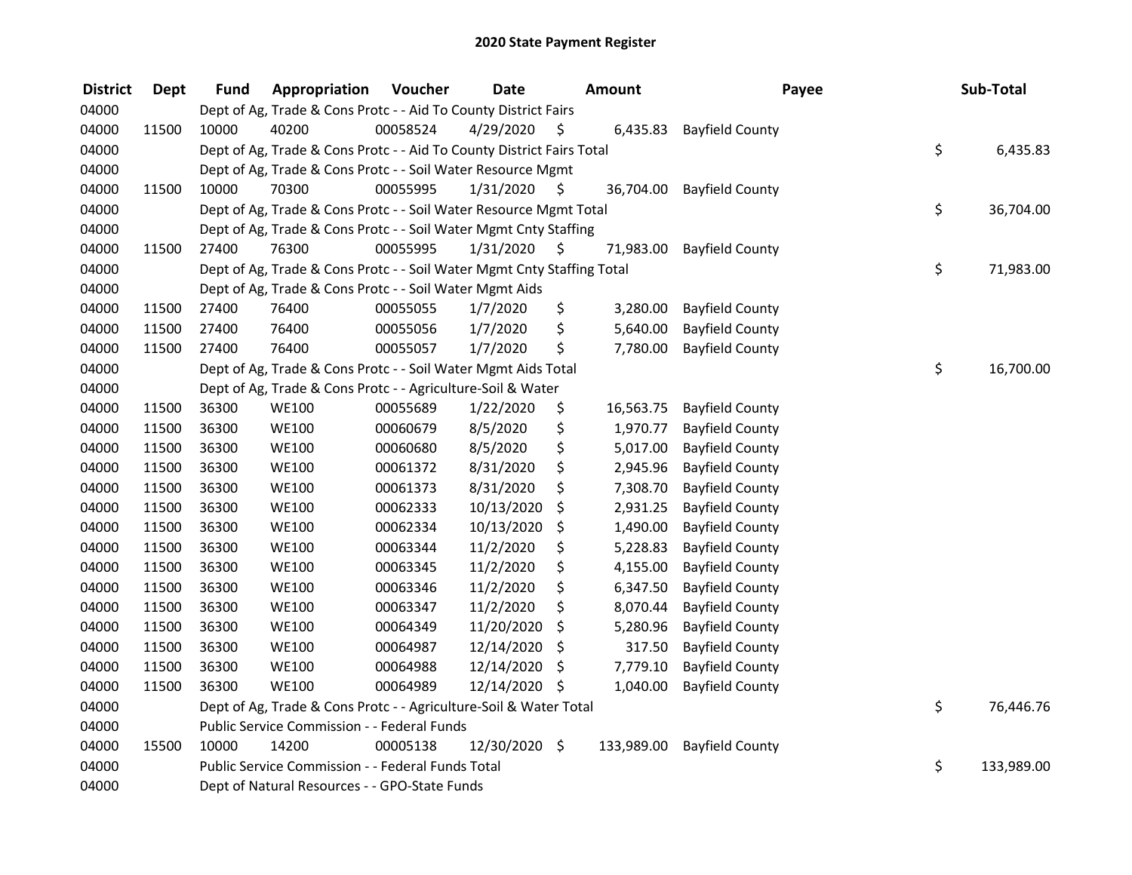| <b>District</b> | <b>Dept</b> | <b>Fund</b> | Appropriation                                                          | Voucher  | <b>Date</b>   |      | <b>Amount</b> | Payee                  | Sub-Total        |
|-----------------|-------------|-------------|------------------------------------------------------------------------|----------|---------------|------|---------------|------------------------|------------------|
| 04000           |             |             | Dept of Ag, Trade & Cons Protc - - Aid To County District Fairs        |          |               |      |               |                        |                  |
| 04000           | 11500       | 10000       | 40200                                                                  | 00058524 | 4/29/2020     | \$   | 6,435.83      | <b>Bayfield County</b> |                  |
| 04000           |             |             | Dept of Ag, Trade & Cons Protc - - Aid To County District Fairs Total  |          |               |      |               |                        | \$<br>6,435.83   |
| 04000           |             |             | Dept of Ag, Trade & Cons Protc - - Soil Water Resource Mgmt            |          |               |      |               |                        |                  |
| 04000           | 11500       | 10000       | 70300                                                                  | 00055995 | 1/31/2020     | \$   | 36,704.00     | <b>Bayfield County</b> |                  |
| 04000           |             |             | Dept of Ag, Trade & Cons Protc - - Soil Water Resource Mgmt Total      |          |               |      |               |                        | \$<br>36,704.00  |
| 04000           |             |             | Dept of Ag, Trade & Cons Protc - - Soil Water Mgmt Cnty Staffing       |          |               |      |               |                        |                  |
| 04000           | 11500       | 27400       | 76300                                                                  | 00055995 | 1/31/2020     | - \$ | 71,983.00     | <b>Bayfield County</b> |                  |
| 04000           |             |             | Dept of Ag, Trade & Cons Protc - - Soil Water Mgmt Cnty Staffing Total |          |               |      |               |                        | \$<br>71,983.00  |
| 04000           |             |             | Dept of Ag, Trade & Cons Protc - - Soil Water Mgmt Aids                |          |               |      |               |                        |                  |
| 04000           | 11500       | 27400       | 76400                                                                  | 00055055 | 1/7/2020      | \$   | 3,280.00      | <b>Bayfield County</b> |                  |
| 04000           | 11500       | 27400       | 76400                                                                  | 00055056 | 1/7/2020      | \$   | 5,640.00      | <b>Bayfield County</b> |                  |
| 04000           | 11500       | 27400       | 76400                                                                  | 00055057 | 1/7/2020      | \$   | 7,780.00      | <b>Bayfield County</b> |                  |
| 04000           |             |             | Dept of Ag, Trade & Cons Protc - - Soil Water Mgmt Aids Total          |          |               |      |               |                        | \$<br>16,700.00  |
| 04000           |             |             | Dept of Ag, Trade & Cons Protc - - Agriculture-Soil & Water            |          |               |      |               |                        |                  |
| 04000           | 11500       | 36300       | <b>WE100</b>                                                           | 00055689 | 1/22/2020     | \$   | 16,563.75     | <b>Bayfield County</b> |                  |
| 04000           | 11500       | 36300       | <b>WE100</b>                                                           | 00060679 | 8/5/2020      | \$   | 1,970.77      | <b>Bayfield County</b> |                  |
| 04000           | 11500       | 36300       | <b>WE100</b>                                                           | 00060680 | 8/5/2020      | \$   | 5,017.00      | <b>Bayfield County</b> |                  |
| 04000           | 11500       | 36300       | <b>WE100</b>                                                           | 00061372 | 8/31/2020     | \$   | 2,945.96      | <b>Bayfield County</b> |                  |
| 04000           | 11500       | 36300       | <b>WE100</b>                                                           | 00061373 | 8/31/2020     | \$   | 7,308.70      | <b>Bayfield County</b> |                  |
| 04000           | 11500       | 36300       | <b>WE100</b>                                                           | 00062333 | 10/13/2020    | \$   | 2,931.25      | <b>Bayfield County</b> |                  |
| 04000           | 11500       | 36300       | <b>WE100</b>                                                           | 00062334 | 10/13/2020    | \$   | 1,490.00      | <b>Bayfield County</b> |                  |
| 04000           | 11500       | 36300       | <b>WE100</b>                                                           | 00063344 | 11/2/2020     | \$   | 5,228.83      | <b>Bayfield County</b> |                  |
| 04000           | 11500       | 36300       | <b>WE100</b>                                                           | 00063345 | 11/2/2020     | \$   | 4,155.00      | <b>Bayfield County</b> |                  |
| 04000           | 11500       | 36300       | <b>WE100</b>                                                           | 00063346 | 11/2/2020     | \$   | 6,347.50      | <b>Bayfield County</b> |                  |
| 04000           | 11500       | 36300       | <b>WE100</b>                                                           | 00063347 | 11/2/2020     | \$   | 8,070.44      | <b>Bayfield County</b> |                  |
| 04000           | 11500       | 36300       | <b>WE100</b>                                                           | 00064349 | 11/20/2020    | \$   | 5,280.96      | <b>Bayfield County</b> |                  |
| 04000           | 11500       | 36300       | <b>WE100</b>                                                           | 00064987 | 12/14/2020    | \$.  | 317.50        | <b>Bayfield County</b> |                  |
| 04000           | 11500       | 36300       | <b>WE100</b>                                                           | 00064988 | 12/14/2020    | \$   | 7,779.10      | <b>Bayfield County</b> |                  |
| 04000           | 11500       | 36300       | <b>WE100</b>                                                           | 00064989 | 12/14/2020 \$ |      | 1,040.00      | <b>Bayfield County</b> |                  |
| 04000           |             |             | Dept of Ag, Trade & Cons Protc - - Agriculture-Soil & Water Total      |          |               |      |               |                        | \$<br>76,446.76  |
| 04000           |             |             | Public Service Commission - - Federal Funds                            |          |               |      |               |                        |                  |
| 04000           | 15500       | 10000       | 14200                                                                  | 00005138 | 12/30/2020 \$ |      | 133,989.00    | <b>Bayfield County</b> |                  |
| 04000           |             |             | Public Service Commission - - Federal Funds Total                      |          |               |      |               |                        | \$<br>133,989.00 |
| 04000           |             |             | Dept of Natural Resources - - GPO-State Funds                          |          |               |      |               |                        |                  |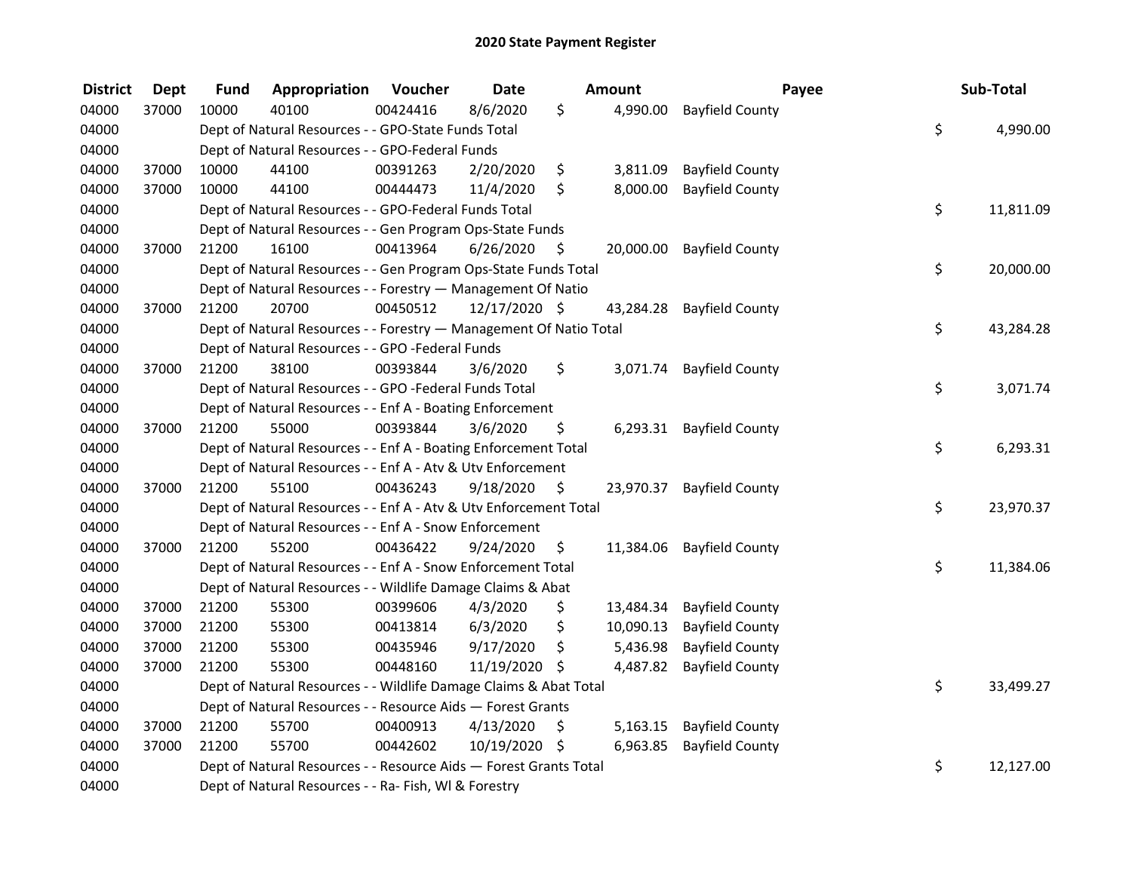| <b>District</b> | <b>Dept</b> | <b>Fund</b> | Appropriation                                                      | Voucher  | <b>Date</b>   |      | Amount    | Payee                     | Sub-Total       |
|-----------------|-------------|-------------|--------------------------------------------------------------------|----------|---------------|------|-----------|---------------------------|-----------------|
| 04000           | 37000       | 10000       | 40100                                                              | 00424416 | 8/6/2020      | \$   | 4,990.00  | <b>Bayfield County</b>    |                 |
| 04000           |             |             | Dept of Natural Resources - - GPO-State Funds Total                |          |               |      |           |                           | \$<br>4,990.00  |
| 04000           |             |             | Dept of Natural Resources - - GPO-Federal Funds                    |          |               |      |           |                           |                 |
| 04000           | 37000       | 10000       | 44100                                                              | 00391263 | 2/20/2020     | \$   | 3,811.09  | <b>Bayfield County</b>    |                 |
| 04000           | 37000       | 10000       | 44100                                                              | 00444473 | 11/4/2020     | \$   | 8,000.00  | <b>Bayfield County</b>    |                 |
| 04000           |             |             | Dept of Natural Resources - - GPO-Federal Funds Total              |          |               |      |           |                           | \$<br>11,811.09 |
| 04000           |             |             | Dept of Natural Resources - - Gen Program Ops-State Funds          |          |               |      |           |                           |                 |
| 04000           | 37000       | 21200       | 16100                                                              | 00413964 | 6/26/2020     | -\$  |           | 20,000.00 Bayfield County |                 |
| 04000           |             |             | Dept of Natural Resources - - Gen Program Ops-State Funds Total    |          |               |      |           |                           | \$<br>20,000.00 |
| 04000           |             |             | Dept of Natural Resources - - Forestry - Management Of Natio       |          |               |      |           |                           |                 |
| 04000           | 37000       | 21200       | 20700                                                              | 00450512 | 12/17/2020 \$ |      | 43,284.28 | <b>Bayfield County</b>    |                 |
| 04000           |             |             | Dept of Natural Resources - - Forestry - Management Of Natio Total |          |               |      |           |                           | \$<br>43,284.28 |
| 04000           |             |             | Dept of Natural Resources - - GPO -Federal Funds                   |          |               |      |           |                           |                 |
| 04000           | 37000       | 21200       | 38100                                                              | 00393844 | 3/6/2020      | \$   | 3,071.74  | <b>Bayfield County</b>    |                 |
| 04000           |             |             | Dept of Natural Resources - - GPO -Federal Funds Total             |          |               |      |           |                           | \$<br>3,071.74  |
| 04000           |             |             | Dept of Natural Resources - - Enf A - Boating Enforcement          |          |               |      |           |                           |                 |
| 04000           | 37000       | 21200       | 55000                                                              | 00393844 | 3/6/2020      | \$   | 6,293.31  | <b>Bayfield County</b>    |                 |
| 04000           |             |             | Dept of Natural Resources - - Enf A - Boating Enforcement Total    |          |               |      |           |                           | \$<br>6,293.31  |
| 04000           |             |             | Dept of Natural Resources - - Enf A - Atv & Utv Enforcement        |          |               |      |           |                           |                 |
| 04000           | 37000       | 21200       | 55100                                                              | 00436243 | 9/18/2020     | - \$ | 23,970.37 | <b>Bayfield County</b>    |                 |
| 04000           |             |             | Dept of Natural Resources - - Enf A - Atv & Utv Enforcement Total  |          |               |      |           |                           | \$<br>23,970.37 |
| 04000           |             |             | Dept of Natural Resources - - Enf A - Snow Enforcement             |          |               |      |           |                           |                 |
| 04000           | 37000       | 21200       | 55200                                                              | 00436422 | 9/24/2020     | \$.  | 11,384.06 | <b>Bayfield County</b>    |                 |
| 04000           |             |             | Dept of Natural Resources - - Enf A - Snow Enforcement Total       |          |               |      |           |                           | \$<br>11,384.06 |
| 04000           |             |             | Dept of Natural Resources - - Wildlife Damage Claims & Abat        |          |               |      |           |                           |                 |
| 04000           | 37000       | 21200       | 55300                                                              | 00399606 | 4/3/2020      | \$.  | 13,484.34 | <b>Bayfield County</b>    |                 |
| 04000           | 37000       | 21200       | 55300                                                              | 00413814 | 6/3/2020      | \$   | 10,090.13 | <b>Bayfield County</b>    |                 |
| 04000           | 37000       | 21200       | 55300                                                              | 00435946 | 9/17/2020     | \$   | 5,436.98  | <b>Bayfield County</b>    |                 |
| 04000           | 37000       | 21200       | 55300                                                              | 00448160 | 11/19/2020 \$ |      | 4,487.82  | <b>Bayfield County</b>    |                 |
| 04000           |             |             | Dept of Natural Resources - - Wildlife Damage Claims & Abat Total  |          |               |      |           |                           | \$<br>33,499.27 |
| 04000           |             |             | Dept of Natural Resources - - Resource Aids - Forest Grants        |          |               |      |           |                           |                 |
| 04000           | 37000       | 21200       | 55700                                                              | 00400913 | 4/13/2020     | \$   | 5,163.15  | <b>Bayfield County</b>    |                 |
| 04000           | 37000       | 21200       | 55700                                                              | 00442602 | 10/19/2020 \$ |      | 6,963.85  | <b>Bayfield County</b>    |                 |
| 04000           |             |             | Dept of Natural Resources - - Resource Aids - Forest Grants Total  |          |               |      |           |                           | \$<br>12,127.00 |
| 04000           |             |             | Dept of Natural Resources - - Ra- Fish, WI & Forestry              |          |               |      |           |                           |                 |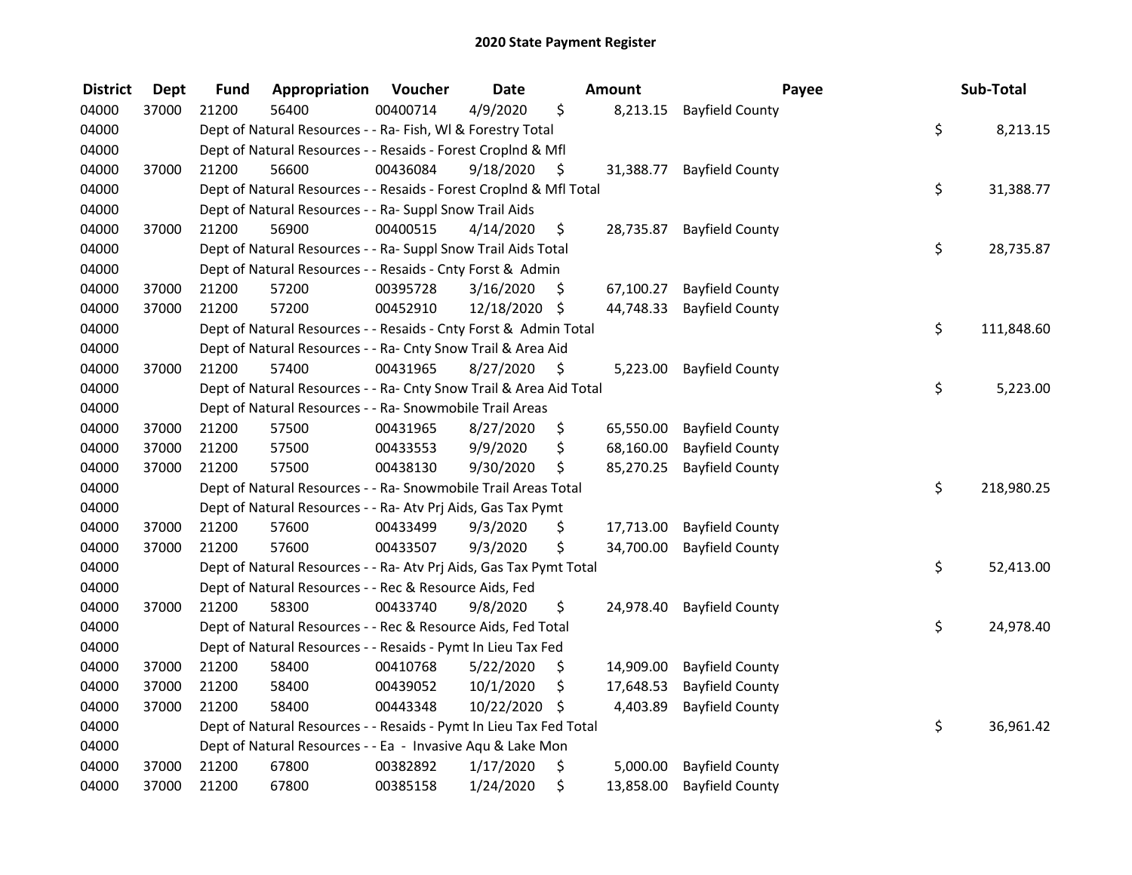| <b>District</b> | <b>Dept</b> | <b>Fund</b> | Appropriation                                                      | Voucher  | <b>Date</b>   |     | Amount    | Payee                  | Sub-Total        |
|-----------------|-------------|-------------|--------------------------------------------------------------------|----------|---------------|-----|-----------|------------------------|------------------|
| 04000           | 37000       | 21200       | 56400                                                              | 00400714 | 4/9/2020      | \$  | 8,213.15  | <b>Bayfield County</b> |                  |
| 04000           |             |             | Dept of Natural Resources - - Ra- Fish, WI & Forestry Total        |          |               |     |           |                        | \$<br>8,213.15   |
| 04000           |             |             | Dept of Natural Resources - - Resaids - Forest Croplnd & Mfl       |          |               |     |           |                        |                  |
| 04000           | 37000       | 21200       | 56600                                                              | 00436084 | 9/18/2020     | \$  | 31,388.77 | <b>Bayfield County</b> |                  |
| 04000           |             |             | Dept of Natural Resources - - Resaids - Forest CropInd & Mfl Total |          |               |     |           |                        | \$<br>31,388.77  |
| 04000           |             |             | Dept of Natural Resources - - Ra- Suppl Snow Trail Aids            |          |               |     |           |                        |                  |
| 04000           | 37000       | 21200       | 56900                                                              | 00400515 | 4/14/2020     | \$  | 28,735.87 | <b>Bayfield County</b> |                  |
| 04000           |             |             | Dept of Natural Resources - - Ra- Suppl Snow Trail Aids Total      |          |               |     |           |                        | \$<br>28,735.87  |
| 04000           |             |             | Dept of Natural Resources - - Resaids - Cnty Forst & Admin         |          |               |     |           |                        |                  |
| 04000           | 37000       | 21200       | 57200                                                              | 00395728 | 3/16/2020     | \$. | 67,100.27 | <b>Bayfield County</b> |                  |
| 04000           | 37000       | 21200       | 57200                                                              | 00452910 | 12/18/2020 \$ |     | 44,748.33 | <b>Bayfield County</b> |                  |
| 04000           |             |             | Dept of Natural Resources - - Resaids - Cnty Forst & Admin Total   |          |               |     |           |                        | \$<br>111,848.60 |
| 04000           |             |             | Dept of Natural Resources - - Ra- Cnty Snow Trail & Area Aid       |          |               |     |           |                        |                  |
| 04000           | 37000       | 21200       | 57400                                                              | 00431965 | 8/27/2020     | \$. | 5,223.00  | <b>Bayfield County</b> |                  |
| 04000           |             |             | Dept of Natural Resources - - Ra- Cnty Snow Trail & Area Aid Total |          |               |     |           |                        | \$<br>5,223.00   |
| 04000           |             |             | Dept of Natural Resources - - Ra- Snowmobile Trail Areas           |          |               |     |           |                        |                  |
| 04000           | 37000       | 21200       | 57500                                                              | 00431965 | 8/27/2020     | \$  | 65,550.00 | <b>Bayfield County</b> |                  |
| 04000           | 37000       | 21200       | 57500                                                              | 00433553 | 9/9/2020      | \$  | 68,160.00 | <b>Bayfield County</b> |                  |
| 04000           | 37000       | 21200       | 57500                                                              | 00438130 | 9/30/2020     | \$  | 85,270.25 | <b>Bayfield County</b> |                  |
| 04000           |             |             | Dept of Natural Resources - - Ra- Snowmobile Trail Areas Total     |          |               |     |           |                        | \$<br>218,980.25 |
| 04000           |             |             | Dept of Natural Resources - - Ra- Atv Prj Aids, Gas Tax Pymt       |          |               |     |           |                        |                  |
| 04000           | 37000       | 21200       | 57600                                                              | 00433499 | 9/3/2020      | \$  | 17,713.00 | <b>Bayfield County</b> |                  |
| 04000           | 37000       | 21200       | 57600                                                              | 00433507 | 9/3/2020      | \$  | 34,700.00 | <b>Bayfield County</b> |                  |
| 04000           |             |             | Dept of Natural Resources - - Ra- Atv Prj Aids, Gas Tax Pymt Total |          |               |     |           |                        | \$<br>52,413.00  |
| 04000           |             |             | Dept of Natural Resources - - Rec & Resource Aids, Fed             |          |               |     |           |                        |                  |
| 04000           | 37000       | 21200       | 58300                                                              | 00433740 | 9/8/2020      | \$  | 24,978.40 | <b>Bayfield County</b> |                  |
| 04000           |             |             | Dept of Natural Resources - - Rec & Resource Aids, Fed Total       |          |               |     |           |                        | \$<br>24,978.40  |
| 04000           |             |             | Dept of Natural Resources - - Resaids - Pymt In Lieu Tax Fed       |          |               |     |           |                        |                  |
| 04000           | 37000       | 21200       | 58400                                                              | 00410768 | 5/22/2020     | \$  | 14,909.00 | <b>Bayfield County</b> |                  |
| 04000           | 37000       | 21200       | 58400                                                              | 00439052 | 10/1/2020     | \$  | 17,648.53 | <b>Bayfield County</b> |                  |
| 04000           | 37000       | 21200       | 58400                                                              | 00443348 | 10/22/2020    | \$  | 4,403.89  | <b>Bayfield County</b> |                  |
| 04000           |             |             | Dept of Natural Resources - - Resaids - Pymt In Lieu Tax Fed Total |          |               |     |           |                        | \$<br>36,961.42  |
| 04000           |             |             | Dept of Natural Resources - - Ea - Invasive Aqu & Lake Mon         |          |               |     |           |                        |                  |
| 04000           | 37000       | 21200       | 67800                                                              | 00382892 | 1/17/2020     | \$  | 5,000.00  | <b>Bayfield County</b> |                  |
| 04000           | 37000       | 21200       | 67800                                                              | 00385158 | 1/24/2020     | \$  | 13,858.00 | <b>Bayfield County</b> |                  |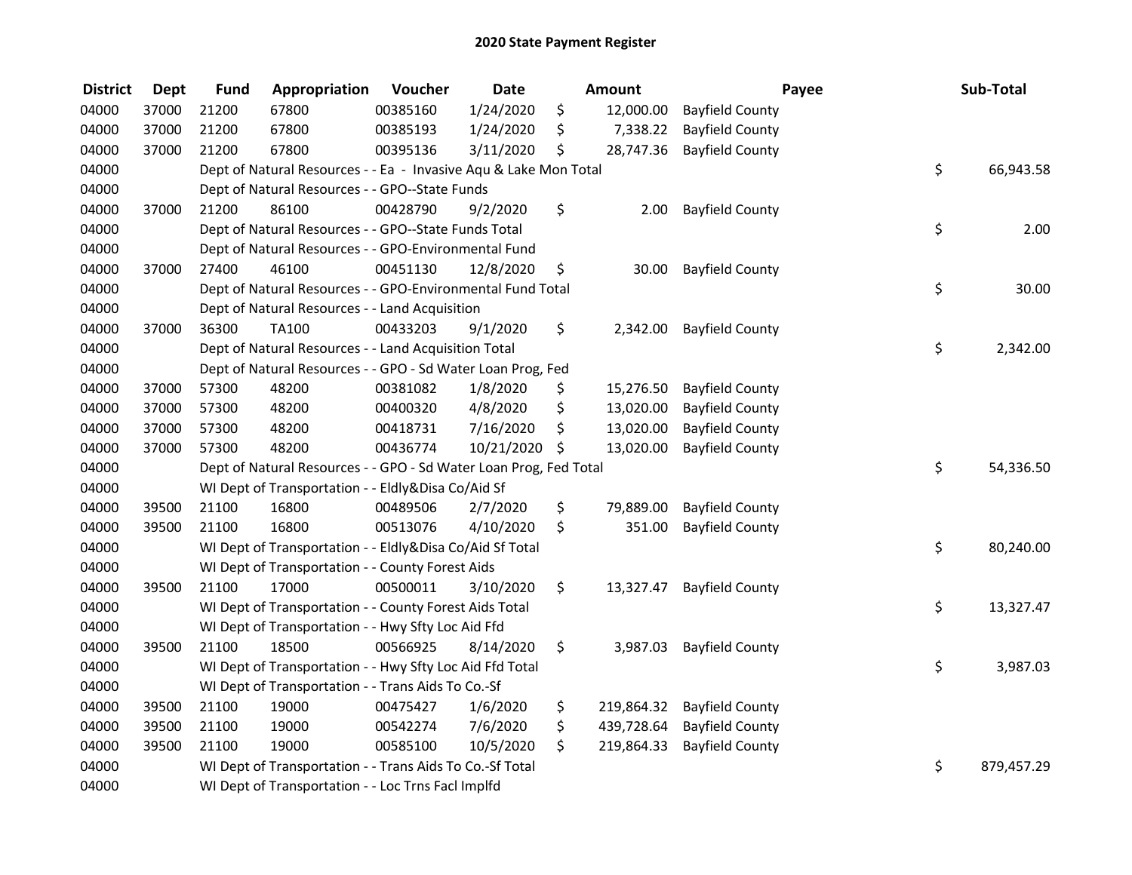| <b>District</b> | <b>Dept</b> | <b>Fund</b> | Appropriation                                                     | Voucher  | <b>Date</b> | Amount           |                        | Payee | Sub-Total        |
|-----------------|-------------|-------------|-------------------------------------------------------------------|----------|-------------|------------------|------------------------|-------|------------------|
| 04000           | 37000       | 21200       | 67800                                                             | 00385160 | 1/24/2020   | \$<br>12,000.00  | <b>Bayfield County</b> |       |                  |
| 04000           | 37000       | 21200       | 67800                                                             | 00385193 | 1/24/2020   | \$<br>7,338.22   | <b>Bayfield County</b> |       |                  |
| 04000           | 37000       | 21200       | 67800                                                             | 00395136 | 3/11/2020   | \$<br>28,747.36  | <b>Bayfield County</b> |       |                  |
| 04000           |             |             | Dept of Natural Resources - - Ea - Invasive Aqu & Lake Mon Total  |          |             |                  |                        |       | \$<br>66,943.58  |
| 04000           |             |             | Dept of Natural Resources - - GPO--State Funds                    |          |             |                  |                        |       |                  |
| 04000           | 37000       | 21200       | 86100                                                             | 00428790 | 9/2/2020    | \$<br>2.00       | <b>Bayfield County</b> |       |                  |
| 04000           |             |             | Dept of Natural Resources - - GPO--State Funds Total              |          |             |                  |                        |       | \$<br>2.00       |
| 04000           |             |             | Dept of Natural Resources - - GPO-Environmental Fund              |          |             |                  |                        |       |                  |
| 04000           | 37000       | 27400       | 46100                                                             | 00451130 | 12/8/2020   | \$<br>30.00      | <b>Bayfield County</b> |       |                  |
| 04000           |             |             | Dept of Natural Resources - - GPO-Environmental Fund Total        |          |             |                  |                        |       | \$<br>30.00      |
| 04000           |             |             | Dept of Natural Resources - - Land Acquisition                    |          |             |                  |                        |       |                  |
| 04000           | 37000       | 36300       | TA100                                                             | 00433203 | 9/1/2020    | \$<br>2,342.00   | <b>Bayfield County</b> |       |                  |
| 04000           |             |             | Dept of Natural Resources - - Land Acquisition Total              |          |             |                  |                        |       | \$<br>2,342.00   |
| 04000           |             |             | Dept of Natural Resources - - GPO - Sd Water Loan Prog, Fed       |          |             |                  |                        |       |                  |
| 04000           | 37000       | 57300       | 48200                                                             | 00381082 | 1/8/2020    | \$<br>15,276.50  | <b>Bayfield County</b> |       |                  |
| 04000           | 37000       | 57300       | 48200                                                             | 00400320 | 4/8/2020    | \$<br>13,020.00  | <b>Bayfield County</b> |       |                  |
| 04000           | 37000       | 57300       | 48200                                                             | 00418731 | 7/16/2020   | \$<br>13,020.00  | <b>Bayfield County</b> |       |                  |
| 04000           | 37000       | 57300       | 48200                                                             | 00436774 | 10/21/2020  | \$<br>13,020.00  | <b>Bayfield County</b> |       |                  |
| 04000           |             |             | Dept of Natural Resources - - GPO - Sd Water Loan Prog, Fed Total |          |             |                  |                        |       | \$<br>54,336.50  |
| 04000           |             |             | WI Dept of Transportation - - Eldly&Disa Co/Aid Sf                |          |             |                  |                        |       |                  |
| 04000           | 39500       | 21100       | 16800                                                             | 00489506 | 2/7/2020    | \$<br>79,889.00  | <b>Bayfield County</b> |       |                  |
| 04000           | 39500       | 21100       | 16800                                                             | 00513076 | 4/10/2020   | \$<br>351.00     | <b>Bayfield County</b> |       |                  |
| 04000           |             |             | WI Dept of Transportation - - Eldly&Disa Co/Aid Sf Total          |          |             |                  |                        |       | \$<br>80,240.00  |
| 04000           |             |             | WI Dept of Transportation - - County Forest Aids                  |          |             |                  |                        |       |                  |
| 04000           | 39500       | 21100       | 17000                                                             | 00500011 | 3/10/2020   | \$<br>13,327.47  | <b>Bayfield County</b> |       |                  |
| 04000           |             |             | WI Dept of Transportation - - County Forest Aids Total            |          |             |                  |                        |       | \$<br>13,327.47  |
| 04000           |             |             | WI Dept of Transportation - - Hwy Sfty Loc Aid Ffd                |          |             |                  |                        |       |                  |
| 04000           | 39500       | 21100       | 18500                                                             | 00566925 | 8/14/2020   | \$<br>3,987.03   | <b>Bayfield County</b> |       |                  |
| 04000           |             |             | WI Dept of Transportation - - Hwy Sfty Loc Aid Ffd Total          |          |             |                  |                        |       | \$<br>3,987.03   |
| 04000           |             |             | WI Dept of Transportation - - Trans Aids To Co.-Sf                |          |             |                  |                        |       |                  |
| 04000           | 39500       | 21100       | 19000                                                             | 00475427 | 1/6/2020    | \$<br>219,864.32 | <b>Bayfield County</b> |       |                  |
| 04000           | 39500       | 21100       | 19000                                                             | 00542274 | 7/6/2020    | \$<br>439,728.64 | <b>Bayfield County</b> |       |                  |
| 04000           | 39500       | 21100       | 19000                                                             | 00585100 | 10/5/2020   | \$<br>219,864.33 | <b>Bayfield County</b> |       |                  |
| 04000           |             |             | WI Dept of Transportation - - Trans Aids To Co.-Sf Total          |          |             |                  |                        |       | \$<br>879,457.29 |
| 04000           |             |             | WI Dept of Transportation - - Loc Trns FacI Implfd                |          |             |                  |                        |       |                  |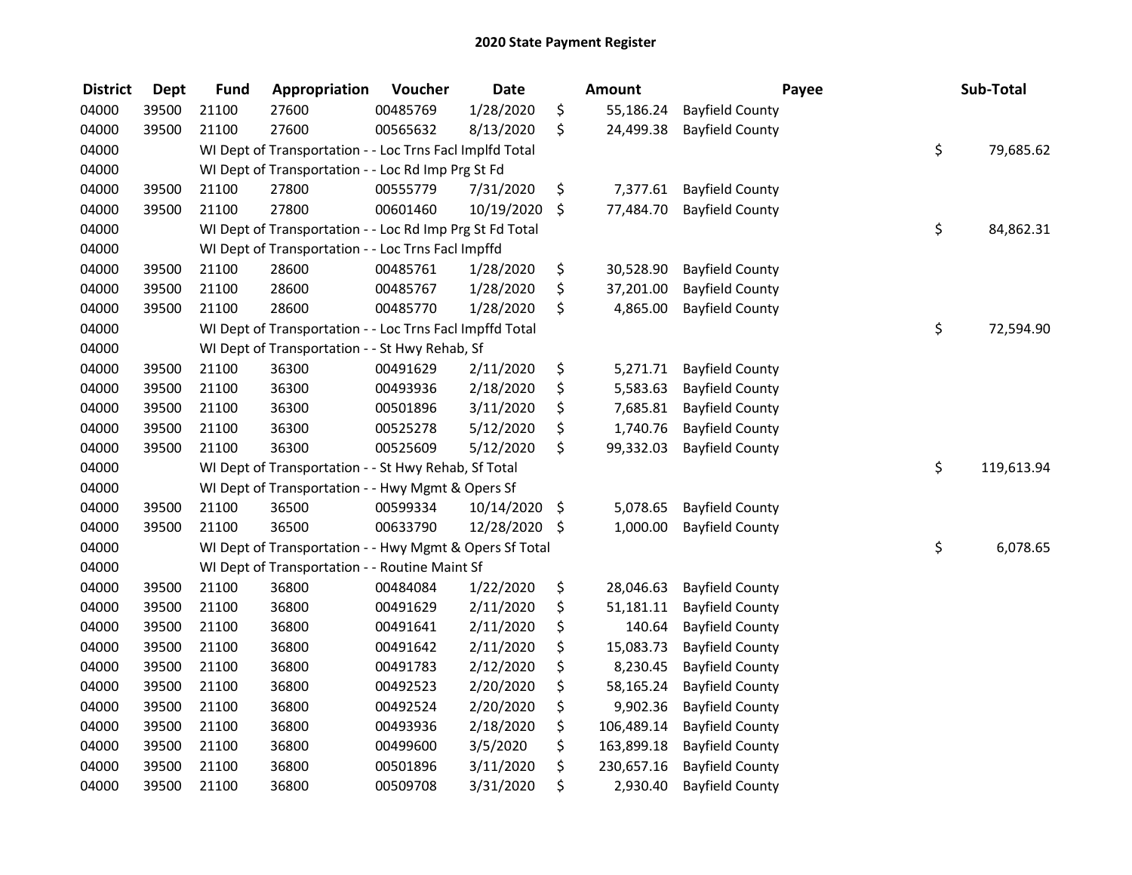| <b>District</b> | <b>Dept</b> | <b>Fund</b> | Appropriation                                            | Voucher  | <b>Date</b>   | <b>Amount</b>    | Payee                  | Sub-Total        |
|-----------------|-------------|-------------|----------------------------------------------------------|----------|---------------|------------------|------------------------|------------------|
| 04000           | 39500       | 21100       | 27600                                                    | 00485769 | 1/28/2020     | \$<br>55,186.24  | <b>Bayfield County</b> |                  |
| 04000           | 39500       | 21100       | 27600                                                    | 00565632 | 8/13/2020     | \$<br>24,499.38  | <b>Bayfield County</b> |                  |
| 04000           |             |             | WI Dept of Transportation - - Loc Trns Facl Implfd Total |          |               |                  |                        | \$<br>79,685.62  |
| 04000           |             |             | WI Dept of Transportation - - Loc Rd Imp Prg St Fd       |          |               |                  |                        |                  |
| 04000           | 39500       | 21100       | 27800                                                    | 00555779 | 7/31/2020     | \$<br>7,377.61   | <b>Bayfield County</b> |                  |
| 04000           | 39500       | 21100       | 27800                                                    | 00601460 | 10/19/2020    | \$<br>77,484.70  | <b>Bayfield County</b> |                  |
| 04000           |             |             | WI Dept of Transportation - - Loc Rd Imp Prg St Fd Total |          |               |                  |                        | \$<br>84,862.31  |
| 04000           |             |             | WI Dept of Transportation - - Loc Trns FacI Impffd       |          |               |                  |                        |                  |
| 04000           | 39500       | 21100       | 28600                                                    | 00485761 | 1/28/2020     | \$<br>30,528.90  | <b>Bayfield County</b> |                  |
| 04000           | 39500       | 21100       | 28600                                                    | 00485767 | 1/28/2020     | \$<br>37,201.00  | <b>Bayfield County</b> |                  |
| 04000           | 39500       | 21100       | 28600                                                    | 00485770 | 1/28/2020     | \$<br>4,865.00   | <b>Bayfield County</b> |                  |
| 04000           |             |             | WI Dept of Transportation - - Loc Trns Facl Impffd Total |          |               |                  |                        | \$<br>72,594.90  |
| 04000           |             |             | WI Dept of Transportation - - St Hwy Rehab, Sf           |          |               |                  |                        |                  |
| 04000           | 39500       | 21100       | 36300                                                    | 00491629 | 2/11/2020     | \$<br>5,271.71   | <b>Bayfield County</b> |                  |
| 04000           | 39500       | 21100       | 36300                                                    | 00493936 | 2/18/2020     | \$<br>5,583.63   | <b>Bayfield County</b> |                  |
| 04000           | 39500       | 21100       | 36300                                                    | 00501896 | 3/11/2020     | \$<br>7,685.81   | <b>Bayfield County</b> |                  |
| 04000           | 39500       | 21100       | 36300                                                    | 00525278 | 5/12/2020     | \$<br>1,740.76   | <b>Bayfield County</b> |                  |
| 04000           | 39500       | 21100       | 36300                                                    | 00525609 | 5/12/2020     | \$<br>99,332.03  | <b>Bayfield County</b> |                  |
| 04000           |             |             | WI Dept of Transportation - - St Hwy Rehab, Sf Total     |          |               |                  |                        | \$<br>119,613.94 |
| 04000           |             |             | WI Dept of Transportation - - Hwy Mgmt & Opers Sf        |          |               |                  |                        |                  |
| 04000           | 39500       | 21100       | 36500                                                    | 00599334 | 10/14/2020    | \$<br>5,078.65   | <b>Bayfield County</b> |                  |
| 04000           | 39500       | 21100       | 36500                                                    | 00633790 | 12/28/2020 \$ | 1,000.00         | <b>Bayfield County</b> |                  |
| 04000           |             |             | WI Dept of Transportation - - Hwy Mgmt & Opers Sf Total  |          |               |                  |                        | \$<br>6,078.65   |
| 04000           |             |             | WI Dept of Transportation - - Routine Maint Sf           |          |               |                  |                        |                  |
| 04000           | 39500       | 21100       | 36800                                                    | 00484084 | 1/22/2020     | \$<br>28,046.63  | <b>Bayfield County</b> |                  |
| 04000           | 39500       | 21100       | 36800                                                    | 00491629 | 2/11/2020     | \$<br>51,181.11  | <b>Bayfield County</b> |                  |
| 04000           | 39500       | 21100       | 36800                                                    | 00491641 | 2/11/2020     | \$<br>140.64     | <b>Bayfield County</b> |                  |
| 04000           | 39500       | 21100       | 36800                                                    | 00491642 | 2/11/2020     | \$<br>15,083.73  | <b>Bayfield County</b> |                  |
| 04000           | 39500       | 21100       | 36800                                                    | 00491783 | 2/12/2020     | \$<br>8,230.45   | <b>Bayfield County</b> |                  |
| 04000           | 39500       | 21100       | 36800                                                    | 00492523 | 2/20/2020     | \$<br>58,165.24  | <b>Bayfield County</b> |                  |
| 04000           | 39500       | 21100       | 36800                                                    | 00492524 | 2/20/2020     | \$<br>9,902.36   | <b>Bayfield County</b> |                  |
| 04000           | 39500       | 21100       | 36800                                                    | 00493936 | 2/18/2020     | \$<br>106,489.14 | <b>Bayfield County</b> |                  |
| 04000           | 39500       | 21100       | 36800                                                    | 00499600 | 3/5/2020      | \$<br>163,899.18 | <b>Bayfield County</b> |                  |
| 04000           | 39500       | 21100       | 36800                                                    | 00501896 | 3/11/2020     | \$<br>230,657.16 | <b>Bayfield County</b> |                  |
| 04000           | 39500       | 21100       | 36800                                                    | 00509708 | 3/31/2020     | \$<br>2,930.40   | <b>Bayfield County</b> |                  |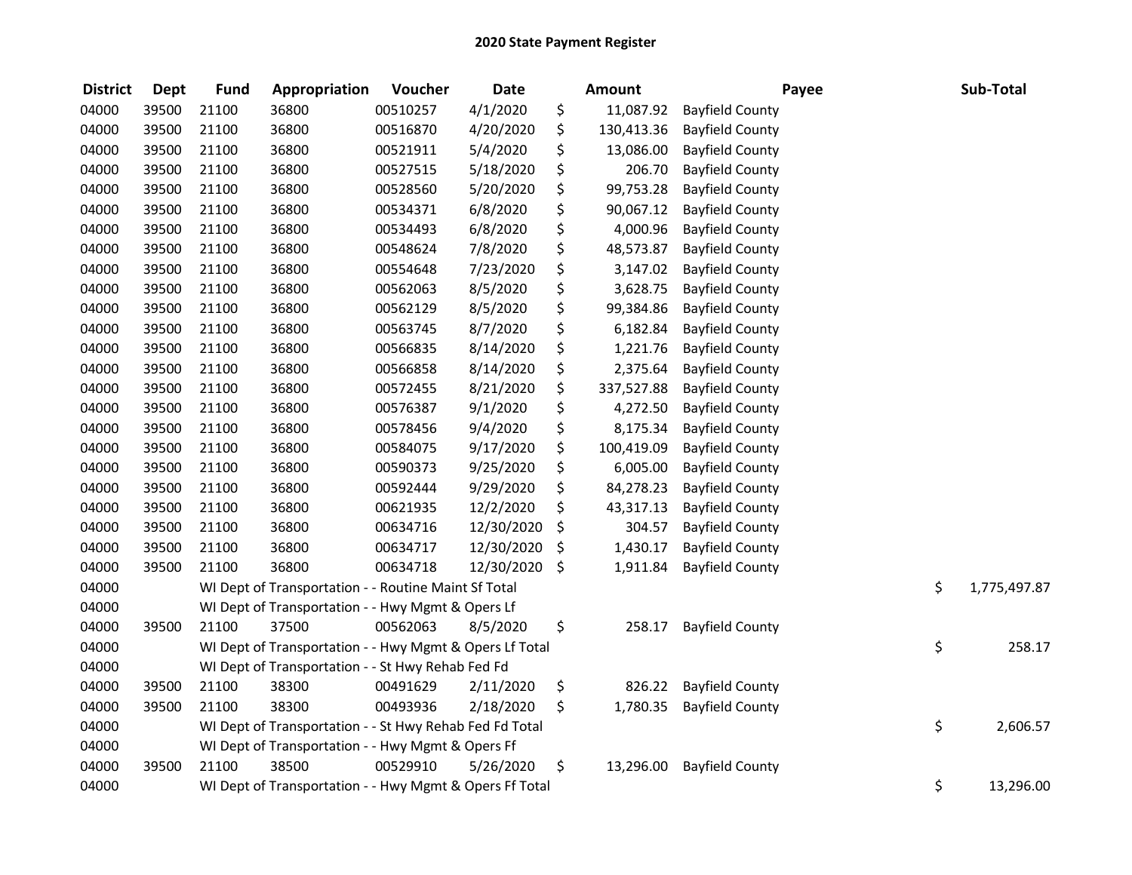| <b>District</b> | <b>Dept</b> | <b>Fund</b> | Appropriation                                           | Voucher  | <b>Date</b> | <b>Amount</b>    |                        | Payee | Sub-Total    |
|-----------------|-------------|-------------|---------------------------------------------------------|----------|-------------|------------------|------------------------|-------|--------------|
| 04000           | 39500       | 21100       | 36800                                                   | 00510257 | 4/1/2020    | \$<br>11,087.92  | <b>Bayfield County</b> |       |              |
| 04000           | 39500       | 21100       | 36800                                                   | 00516870 | 4/20/2020   | \$<br>130,413.36 | <b>Bayfield County</b> |       |              |
| 04000           | 39500       | 21100       | 36800                                                   | 00521911 | 5/4/2020    | \$<br>13,086.00  | <b>Bayfield County</b> |       |              |
| 04000           | 39500       | 21100       | 36800                                                   | 00527515 | 5/18/2020   | \$<br>206.70     | <b>Bayfield County</b> |       |              |
| 04000           | 39500       | 21100       | 36800                                                   | 00528560 | 5/20/2020   | \$<br>99,753.28  | <b>Bayfield County</b> |       |              |
| 04000           | 39500       | 21100       | 36800                                                   | 00534371 | 6/8/2020    | \$<br>90,067.12  | <b>Bayfield County</b> |       |              |
| 04000           | 39500       | 21100       | 36800                                                   | 00534493 | 6/8/2020    | \$<br>4,000.96   | <b>Bayfield County</b> |       |              |
| 04000           | 39500       | 21100       | 36800                                                   | 00548624 | 7/8/2020    | \$<br>48,573.87  | <b>Bayfield County</b> |       |              |
| 04000           | 39500       | 21100       | 36800                                                   | 00554648 | 7/23/2020   | \$<br>3,147.02   | <b>Bayfield County</b> |       |              |
| 04000           | 39500       | 21100       | 36800                                                   | 00562063 | 8/5/2020    | \$<br>3,628.75   | <b>Bayfield County</b> |       |              |
| 04000           | 39500       | 21100       | 36800                                                   | 00562129 | 8/5/2020    | \$<br>99,384.86  | <b>Bayfield County</b> |       |              |
| 04000           | 39500       | 21100       | 36800                                                   | 00563745 | 8/7/2020    | \$<br>6,182.84   | <b>Bayfield County</b> |       |              |
| 04000           | 39500       | 21100       | 36800                                                   | 00566835 | 8/14/2020   | \$<br>1,221.76   | <b>Bayfield County</b> |       |              |
| 04000           | 39500       | 21100       | 36800                                                   | 00566858 | 8/14/2020   | \$<br>2,375.64   | <b>Bayfield County</b> |       |              |
| 04000           | 39500       | 21100       | 36800                                                   | 00572455 | 8/21/2020   | \$<br>337,527.88 | <b>Bayfield County</b> |       |              |
| 04000           | 39500       | 21100       | 36800                                                   | 00576387 | 9/1/2020    | \$<br>4,272.50   | <b>Bayfield County</b> |       |              |
| 04000           | 39500       | 21100       | 36800                                                   | 00578456 | 9/4/2020    | \$<br>8,175.34   | <b>Bayfield County</b> |       |              |
| 04000           | 39500       | 21100       | 36800                                                   | 00584075 | 9/17/2020   | \$<br>100,419.09 | <b>Bayfield County</b> |       |              |
| 04000           | 39500       | 21100       | 36800                                                   | 00590373 | 9/25/2020   | \$<br>6,005.00   | <b>Bayfield County</b> |       |              |
| 04000           | 39500       | 21100       | 36800                                                   | 00592444 | 9/29/2020   | \$<br>84,278.23  | <b>Bayfield County</b> |       |              |
| 04000           | 39500       | 21100       | 36800                                                   | 00621935 | 12/2/2020   | \$<br>43,317.13  | <b>Bayfield County</b> |       |              |
| 04000           | 39500       | 21100       | 36800                                                   | 00634716 | 12/30/2020  | \$<br>304.57     | <b>Bayfield County</b> |       |              |
| 04000           | 39500       | 21100       | 36800                                                   | 00634717 | 12/30/2020  | \$<br>1,430.17   | <b>Bayfield County</b> |       |              |
| 04000           | 39500       | 21100       | 36800                                                   | 00634718 | 12/30/2020  | \$<br>1,911.84   | <b>Bayfield County</b> |       |              |
| 04000           |             |             | WI Dept of Transportation - - Routine Maint Sf Total    |          |             |                  |                        | \$    | 1,775,497.87 |
| 04000           |             |             | WI Dept of Transportation - - Hwy Mgmt & Opers Lf       |          |             |                  |                        |       |              |
| 04000           | 39500       | 21100       | 37500                                                   | 00562063 | 8/5/2020    | \$<br>258.17     | <b>Bayfield County</b> |       |              |
| 04000           |             |             | WI Dept of Transportation - - Hwy Mgmt & Opers Lf Total |          |             |                  |                        | \$    | 258.17       |
| 04000           |             |             | WI Dept of Transportation - - St Hwy Rehab Fed Fd       |          |             |                  |                        |       |              |
| 04000           | 39500       | 21100       | 38300                                                   | 00491629 | 2/11/2020   | \$<br>826.22     | <b>Bayfield County</b> |       |              |
| 04000           | 39500       | 21100       | 38300                                                   | 00493936 | 2/18/2020   | \$<br>1,780.35   | <b>Bayfield County</b> |       |              |
| 04000           |             |             | WI Dept of Transportation - - St Hwy Rehab Fed Fd Total |          |             |                  |                        | \$    | 2,606.57     |
| 04000           |             |             | WI Dept of Transportation - - Hwy Mgmt & Opers Ff       |          |             |                  |                        |       |              |
| 04000           | 39500       | 21100       | 38500                                                   | 00529910 | 5/26/2020   | \$<br>13,296.00  | <b>Bayfield County</b> |       |              |
| 04000           |             |             | WI Dept of Transportation - - Hwy Mgmt & Opers Ff Total |          |             |                  |                        | \$    | 13,296.00    |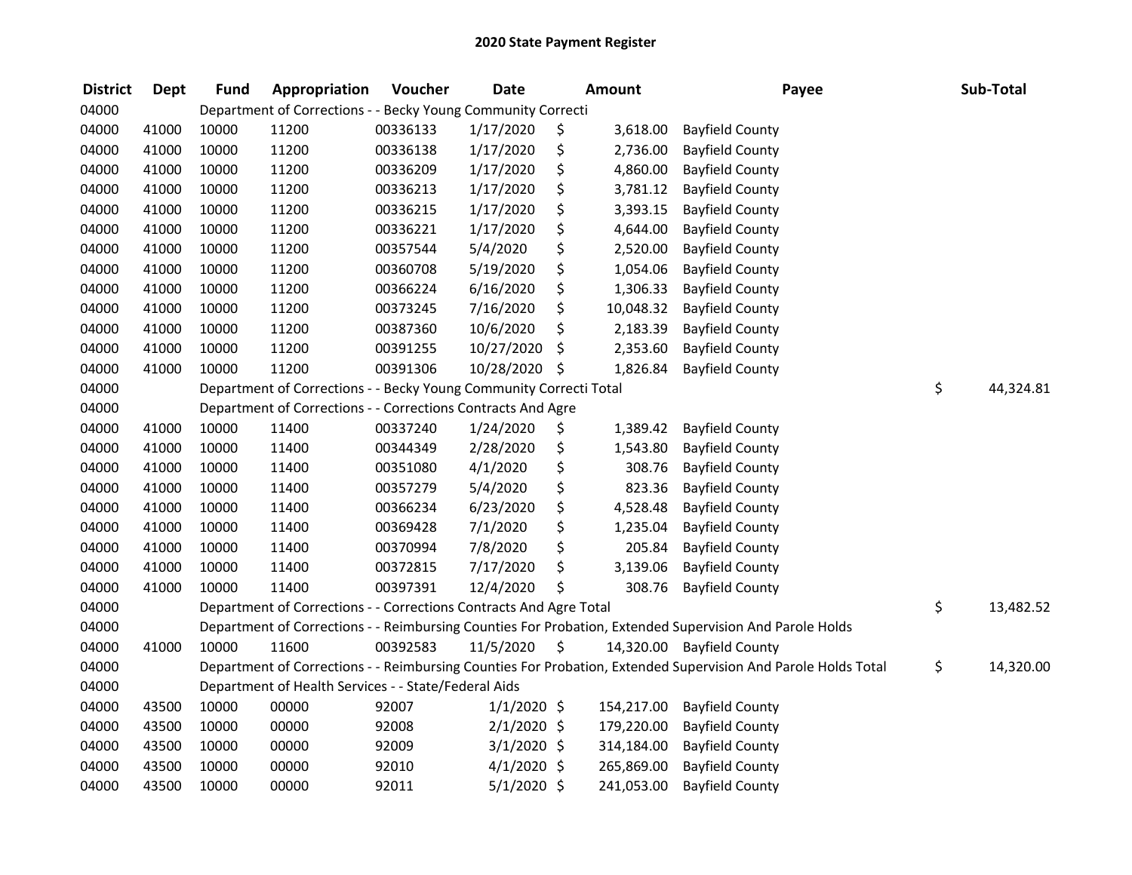| <b>District</b> | <b>Dept</b> | <b>Fund</b> | Appropriation                                                      | Voucher  | <b>Date</b>   | <b>Amount</b>   | Payee                                                                                                         | Sub-Total       |
|-----------------|-------------|-------------|--------------------------------------------------------------------|----------|---------------|-----------------|---------------------------------------------------------------------------------------------------------------|-----------------|
| 04000           |             |             | Department of Corrections - - Becky Young Community Correcti       |          |               |                 |                                                                                                               |                 |
| 04000           | 41000       | 10000       | 11200                                                              | 00336133 | 1/17/2020     | \$<br>3,618.00  | <b>Bayfield County</b>                                                                                        |                 |
| 04000           | 41000       | 10000       | 11200                                                              | 00336138 | 1/17/2020     | \$<br>2,736.00  | <b>Bayfield County</b>                                                                                        |                 |
| 04000           | 41000       | 10000       | 11200                                                              | 00336209 | 1/17/2020     | \$<br>4,860.00  | <b>Bayfield County</b>                                                                                        |                 |
| 04000           | 41000       | 10000       | 11200                                                              | 00336213 | 1/17/2020     | \$<br>3,781.12  | <b>Bayfield County</b>                                                                                        |                 |
| 04000           | 41000       | 10000       | 11200                                                              | 00336215 | 1/17/2020     | \$<br>3,393.15  | <b>Bayfield County</b>                                                                                        |                 |
| 04000           | 41000       | 10000       | 11200                                                              | 00336221 | 1/17/2020     | \$<br>4,644.00  | <b>Bayfield County</b>                                                                                        |                 |
| 04000           | 41000       | 10000       | 11200                                                              | 00357544 | 5/4/2020      | \$<br>2,520.00  | <b>Bayfield County</b>                                                                                        |                 |
| 04000           | 41000       | 10000       | 11200                                                              | 00360708 | 5/19/2020     | \$<br>1,054.06  | <b>Bayfield County</b>                                                                                        |                 |
| 04000           | 41000       | 10000       | 11200                                                              | 00366224 | 6/16/2020     | \$<br>1,306.33  | <b>Bayfield County</b>                                                                                        |                 |
| 04000           | 41000       | 10000       | 11200                                                              | 00373245 | 7/16/2020     | \$<br>10,048.32 | <b>Bayfield County</b>                                                                                        |                 |
| 04000           | 41000       | 10000       | 11200                                                              | 00387360 | 10/6/2020     | \$<br>2,183.39  | <b>Bayfield County</b>                                                                                        |                 |
| 04000           | 41000       | 10000       | 11200                                                              | 00391255 | 10/27/2020    | \$<br>2,353.60  | <b>Bayfield County</b>                                                                                        |                 |
| 04000           | 41000       | 10000       | 11200                                                              | 00391306 | 10/28/2020    | \$<br>1,826.84  | <b>Bayfield County</b>                                                                                        |                 |
| 04000           |             |             | Department of Corrections - - Becky Young Community Correcti Total |          |               |                 |                                                                                                               | \$<br>44,324.81 |
| 04000           |             |             | Department of Corrections - - Corrections Contracts And Agre       |          |               |                 |                                                                                                               |                 |
| 04000           | 41000       | 10000       | 11400                                                              | 00337240 | 1/24/2020     | \$<br>1,389.42  | <b>Bayfield County</b>                                                                                        |                 |
| 04000           | 41000       | 10000       | 11400                                                              | 00344349 | 2/28/2020     | \$<br>1,543.80  | <b>Bayfield County</b>                                                                                        |                 |
| 04000           | 41000       | 10000       | 11400                                                              | 00351080 | 4/1/2020      | \$<br>308.76    | <b>Bayfield County</b>                                                                                        |                 |
| 04000           | 41000       | 10000       | 11400                                                              | 00357279 | 5/4/2020      | \$<br>823.36    | <b>Bayfield County</b>                                                                                        |                 |
| 04000           | 41000       | 10000       | 11400                                                              | 00366234 | 6/23/2020     | \$<br>4,528.48  | <b>Bayfield County</b>                                                                                        |                 |
| 04000           | 41000       | 10000       | 11400                                                              | 00369428 | 7/1/2020      | \$<br>1,235.04  | <b>Bayfield County</b>                                                                                        |                 |
| 04000           | 41000       | 10000       | 11400                                                              | 00370994 | 7/8/2020      | \$<br>205.84    | <b>Bayfield County</b>                                                                                        |                 |
| 04000           | 41000       | 10000       | 11400                                                              | 00372815 | 7/17/2020     | \$<br>3,139.06  | <b>Bayfield County</b>                                                                                        |                 |
| 04000           | 41000       | 10000       | 11400                                                              | 00397391 | 12/4/2020     | \$<br>308.76    | <b>Bayfield County</b>                                                                                        |                 |
| 04000           |             |             | Department of Corrections - - Corrections Contracts And Agre Total |          |               |                 |                                                                                                               | \$<br>13,482.52 |
| 04000           |             |             |                                                                    |          |               |                 | Department of Corrections - - Reimbursing Counties For Probation, Extended Supervision And Parole Holds       |                 |
| 04000           | 41000       | 10000       | 11600                                                              | 00392583 | 11/5/2020     | \$              | 14,320.00 Bayfield County                                                                                     |                 |
| 04000           |             |             |                                                                    |          |               |                 | Department of Corrections - - Reimbursing Counties For Probation, Extended Supervision And Parole Holds Total | \$<br>14,320.00 |
| 04000           |             |             | Department of Health Services - - State/Federal Aids               |          |               |                 |                                                                                                               |                 |
| 04000           | 43500       | 10000       | 00000                                                              | 92007    | $1/1/2020$ \$ | 154,217.00      | <b>Bayfield County</b>                                                                                        |                 |
| 04000           | 43500       | 10000       | 00000                                                              | 92008    | $2/1/2020$ \$ | 179,220.00      | <b>Bayfield County</b>                                                                                        |                 |
| 04000           | 43500       | 10000       | 00000                                                              | 92009    | $3/1/2020$ \$ | 314,184.00      | <b>Bayfield County</b>                                                                                        |                 |
| 04000           | 43500       | 10000       | 00000                                                              | 92010    | $4/1/2020$ \$ | 265,869.00      | <b>Bayfield County</b>                                                                                        |                 |
| 04000           | 43500       | 10000       | 00000                                                              | 92011    | $5/1/2020$ \$ | 241,053.00      | <b>Bayfield County</b>                                                                                        |                 |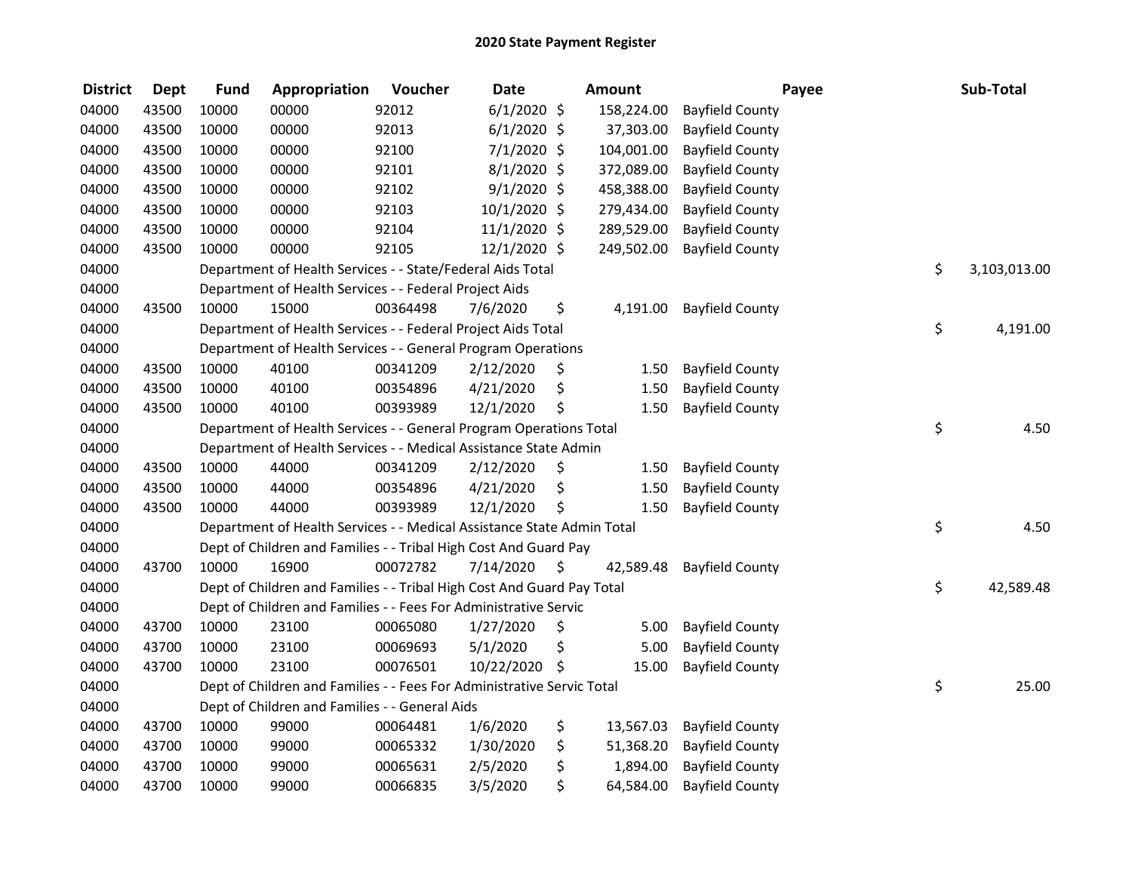| <b>District</b> | <b>Dept</b> | <b>Fund</b> | Appropriation                                                          | Voucher  | <b>Date</b>    | <b>Amount</b>   |                        | Payee | Sub-Total    |
|-----------------|-------------|-------------|------------------------------------------------------------------------|----------|----------------|-----------------|------------------------|-------|--------------|
| 04000           | 43500       | 10000       | 00000                                                                  | 92012    | $6/1/2020$ \$  | 158,224.00      | <b>Bayfield County</b> |       |              |
| 04000           | 43500       | 10000       | 00000                                                                  | 92013    | $6/1/2020$ \$  | 37,303.00       | <b>Bayfield County</b> |       |              |
| 04000           | 43500       | 10000       | 00000                                                                  | 92100    | $7/1/2020$ \$  | 104,001.00      | <b>Bayfield County</b> |       |              |
| 04000           | 43500       | 10000       | 00000                                                                  | 92101    | $8/1/2020$ \$  | 372,089.00      | <b>Bayfield County</b> |       |              |
| 04000           | 43500       | 10000       | 00000                                                                  | 92102    | $9/1/2020$ \$  | 458,388.00      | <b>Bayfield County</b> |       |              |
| 04000           | 43500       | 10000       | 00000                                                                  | 92103    | 10/1/2020 \$   | 279,434.00      | <b>Bayfield County</b> |       |              |
| 04000           | 43500       | 10000       | 00000                                                                  | 92104    | $11/1/2020$ \$ | 289,529.00      | <b>Bayfield County</b> |       |              |
| 04000           | 43500       | 10000       | 00000                                                                  | 92105    | 12/1/2020 \$   | 249,502.00      | <b>Bayfield County</b> |       |              |
| 04000           |             |             | Department of Health Services - - State/Federal Aids Total             |          |                |                 |                        | \$    | 3,103,013.00 |
| 04000           |             |             | Department of Health Services - - Federal Project Aids                 |          |                |                 |                        |       |              |
| 04000           | 43500       | 10000       | 15000                                                                  | 00364498 | 7/6/2020       | \$<br>4,191.00  | <b>Bayfield County</b> |       |              |
| 04000           |             |             | Department of Health Services - - Federal Project Aids Total           |          |                |                 |                        | \$    | 4,191.00     |
| 04000           |             |             | Department of Health Services - - General Program Operations           |          |                |                 |                        |       |              |
| 04000           | 43500       | 10000       | 40100                                                                  | 00341209 | 2/12/2020      | \$<br>1.50      | <b>Bayfield County</b> |       |              |
| 04000           | 43500       | 10000       | 40100                                                                  | 00354896 | 4/21/2020      | \$<br>1.50      | <b>Bayfield County</b> |       |              |
| 04000           | 43500       | 10000       | 40100                                                                  | 00393989 | 12/1/2020      | \$<br>1.50      | <b>Bayfield County</b> |       |              |
| 04000           |             |             | Department of Health Services - - General Program Operations Total     |          |                |                 |                        | \$    | 4.50         |
| 04000           |             |             | Department of Health Services - - Medical Assistance State Admin       |          |                |                 |                        |       |              |
| 04000           | 43500       | 10000       | 44000                                                                  | 00341209 | 2/12/2020      | \$<br>1.50      | <b>Bayfield County</b> |       |              |
| 04000           | 43500       | 10000       | 44000                                                                  | 00354896 | 4/21/2020      | \$<br>1.50      | <b>Bayfield County</b> |       |              |
| 04000           | 43500       | 10000       | 44000                                                                  | 00393989 | 12/1/2020      | \$<br>1.50      | <b>Bayfield County</b> |       |              |
| 04000           |             |             | Department of Health Services - - Medical Assistance State Admin Total |          |                |                 |                        | \$    | 4.50         |
| 04000           |             |             | Dept of Children and Families - - Tribal High Cost And Guard Pay       |          |                |                 |                        |       |              |
| 04000           | 43700       | 10000       | 16900                                                                  | 00072782 | 7/14/2020      | \$<br>42,589.48 | <b>Bayfield County</b> |       |              |
| 04000           |             |             | Dept of Children and Families - - Tribal High Cost And Guard Pay Total |          |                |                 |                        | \$    | 42,589.48    |
| 04000           |             |             | Dept of Children and Families - - Fees For Administrative Servic       |          |                |                 |                        |       |              |
| 04000           | 43700       | 10000       | 23100                                                                  | 00065080 | 1/27/2020      | \$<br>5.00      | <b>Bayfield County</b> |       |              |
| 04000           | 43700       | 10000       | 23100                                                                  | 00069693 | 5/1/2020       | \$<br>5.00      | <b>Bayfield County</b> |       |              |
| 04000           | 43700       | 10000       | 23100                                                                  | 00076501 | 10/22/2020 \$  | 15.00           | <b>Bayfield County</b> |       |              |
| 04000           |             |             | Dept of Children and Families - - Fees For Administrative Servic Total |          |                |                 |                        | \$    | 25.00        |
| 04000           |             |             | Dept of Children and Families - - General Aids                         |          |                |                 |                        |       |              |
| 04000           | 43700       | 10000       | 99000                                                                  | 00064481 | 1/6/2020       | \$<br>13,567.03 | <b>Bayfield County</b> |       |              |
| 04000           | 43700       | 10000       | 99000                                                                  | 00065332 | 1/30/2020      | \$<br>51,368.20 | <b>Bayfield County</b> |       |              |
| 04000           | 43700       | 10000       | 99000                                                                  | 00065631 | 2/5/2020       | \$<br>1,894.00  | <b>Bayfield County</b> |       |              |
| 04000           | 43700       | 10000       | 99000                                                                  | 00066835 | 3/5/2020       | \$<br>64,584.00 | <b>Bayfield County</b> |       |              |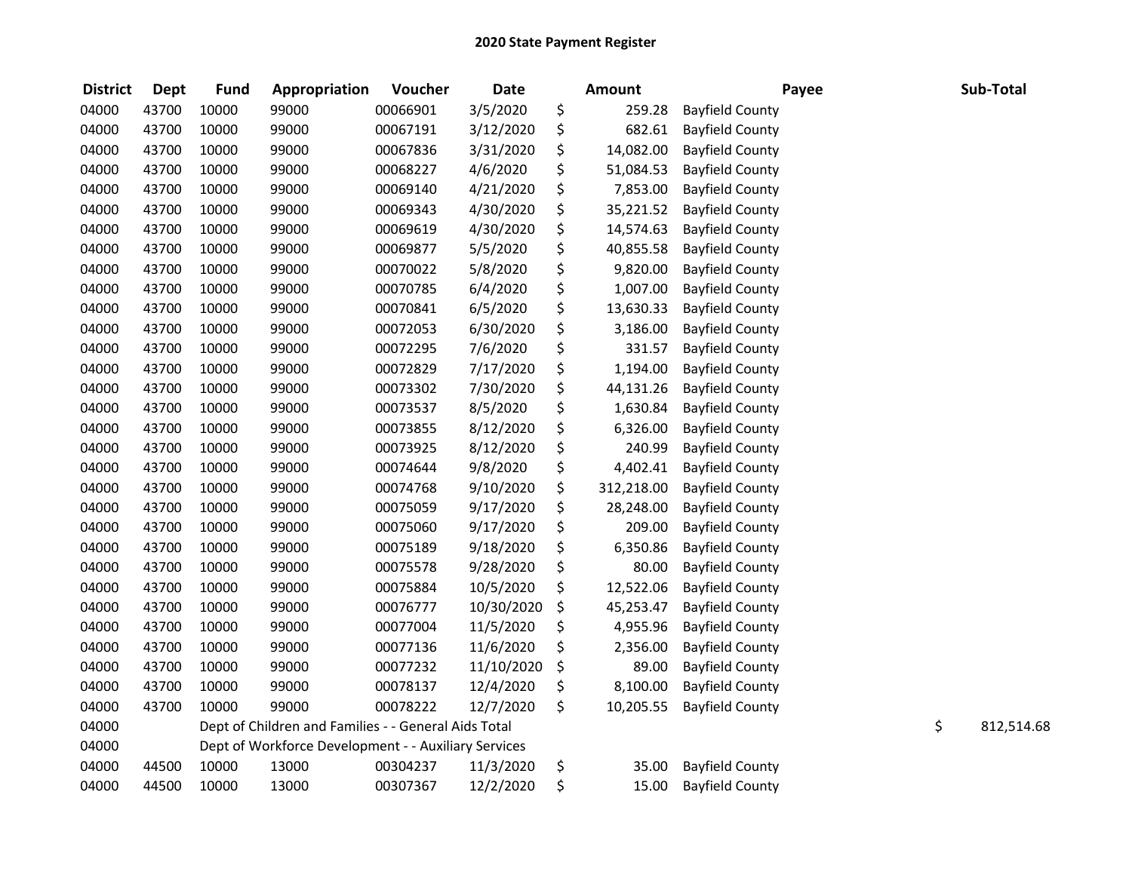| <b>District</b> | <b>Dept</b> | <b>Fund</b> | Appropriation                                        | Voucher  | <b>Date</b> | <b>Amount</b>    |                        | Payee | Sub-Total        |
|-----------------|-------------|-------------|------------------------------------------------------|----------|-------------|------------------|------------------------|-------|------------------|
| 04000           | 43700       | 10000       | 99000                                                | 00066901 | 3/5/2020    | \$<br>259.28     | <b>Bayfield County</b> |       |                  |
| 04000           | 43700       | 10000       | 99000                                                | 00067191 | 3/12/2020   | \$<br>682.61     | <b>Bayfield County</b> |       |                  |
| 04000           | 43700       | 10000       | 99000                                                | 00067836 | 3/31/2020   | \$<br>14,082.00  | <b>Bayfield County</b> |       |                  |
| 04000           | 43700       | 10000       | 99000                                                | 00068227 | 4/6/2020    | \$<br>51,084.53  | <b>Bayfield County</b> |       |                  |
| 04000           | 43700       | 10000       | 99000                                                | 00069140 | 4/21/2020   | \$<br>7,853.00   | <b>Bayfield County</b> |       |                  |
| 04000           | 43700       | 10000       | 99000                                                | 00069343 | 4/30/2020   | \$<br>35,221.52  | <b>Bayfield County</b> |       |                  |
| 04000           | 43700       | 10000       | 99000                                                | 00069619 | 4/30/2020   | \$<br>14,574.63  | <b>Bayfield County</b> |       |                  |
| 04000           | 43700       | 10000       | 99000                                                | 00069877 | 5/5/2020    | \$<br>40,855.58  | <b>Bayfield County</b> |       |                  |
| 04000           | 43700       | 10000       | 99000                                                | 00070022 | 5/8/2020    | \$<br>9,820.00   | <b>Bayfield County</b> |       |                  |
| 04000           | 43700       | 10000       | 99000                                                | 00070785 | 6/4/2020    | \$<br>1,007.00   | <b>Bayfield County</b> |       |                  |
| 04000           | 43700       | 10000       | 99000                                                | 00070841 | 6/5/2020    | \$<br>13,630.33  | <b>Bayfield County</b> |       |                  |
| 04000           | 43700       | 10000       | 99000                                                | 00072053 | 6/30/2020   | \$<br>3,186.00   | <b>Bayfield County</b> |       |                  |
| 04000           | 43700       | 10000       | 99000                                                | 00072295 | 7/6/2020    | \$<br>331.57     | <b>Bayfield County</b> |       |                  |
| 04000           | 43700       | 10000       | 99000                                                | 00072829 | 7/17/2020   | \$<br>1,194.00   | <b>Bayfield County</b> |       |                  |
| 04000           | 43700       | 10000       | 99000                                                | 00073302 | 7/30/2020   | \$<br>44,131.26  | <b>Bayfield County</b> |       |                  |
| 04000           | 43700       | 10000       | 99000                                                | 00073537 | 8/5/2020    | \$<br>1,630.84   | <b>Bayfield County</b> |       |                  |
| 04000           | 43700       | 10000       | 99000                                                | 00073855 | 8/12/2020   | \$<br>6,326.00   | <b>Bayfield County</b> |       |                  |
| 04000           | 43700       | 10000       | 99000                                                | 00073925 | 8/12/2020   | \$<br>240.99     | <b>Bayfield County</b> |       |                  |
| 04000           | 43700       | 10000       | 99000                                                | 00074644 | 9/8/2020    | \$<br>4,402.41   | <b>Bayfield County</b> |       |                  |
| 04000           | 43700       | 10000       | 99000                                                | 00074768 | 9/10/2020   | \$<br>312,218.00 | <b>Bayfield County</b> |       |                  |
| 04000           | 43700       | 10000       | 99000                                                | 00075059 | 9/17/2020   | \$<br>28,248.00  | <b>Bayfield County</b> |       |                  |
| 04000           | 43700       | 10000       | 99000                                                | 00075060 | 9/17/2020   | \$<br>209.00     | <b>Bayfield County</b> |       |                  |
| 04000           | 43700       | 10000       | 99000                                                | 00075189 | 9/18/2020   | \$<br>6,350.86   | <b>Bayfield County</b> |       |                  |
| 04000           | 43700       | 10000       | 99000                                                | 00075578 | 9/28/2020   | \$<br>80.00      | <b>Bayfield County</b> |       |                  |
| 04000           | 43700       | 10000       | 99000                                                | 00075884 | 10/5/2020   | \$<br>12,522.06  | <b>Bayfield County</b> |       |                  |
| 04000           | 43700       | 10000       | 99000                                                | 00076777 | 10/30/2020  | \$<br>45,253.47  | <b>Bayfield County</b> |       |                  |
| 04000           | 43700       | 10000       | 99000                                                | 00077004 | 11/5/2020   | \$<br>4,955.96   | <b>Bayfield County</b> |       |                  |
| 04000           | 43700       | 10000       | 99000                                                | 00077136 | 11/6/2020   | \$<br>2,356.00   | <b>Bayfield County</b> |       |                  |
| 04000           | 43700       | 10000       | 99000                                                | 00077232 | 11/10/2020  | \$<br>89.00      | <b>Bayfield County</b> |       |                  |
| 04000           | 43700       | 10000       | 99000                                                | 00078137 | 12/4/2020   | \$<br>8,100.00   | <b>Bayfield County</b> |       |                  |
| 04000           | 43700       | 10000       | 99000                                                | 00078222 | 12/7/2020   | \$<br>10,205.55  | <b>Bayfield County</b> |       |                  |
| 04000           |             |             | Dept of Children and Families - - General Aids Total |          |             |                  |                        |       | \$<br>812,514.68 |
| 04000           |             |             | Dept of Workforce Development - - Auxiliary Services |          |             |                  |                        |       |                  |
| 04000           | 44500       | 10000       | 13000                                                | 00304237 | 11/3/2020   | \$<br>35.00      | <b>Bayfield County</b> |       |                  |
| 04000           | 44500       | 10000       | 13000                                                | 00307367 | 12/2/2020   | \$<br>15.00      | <b>Bayfield County</b> |       |                  |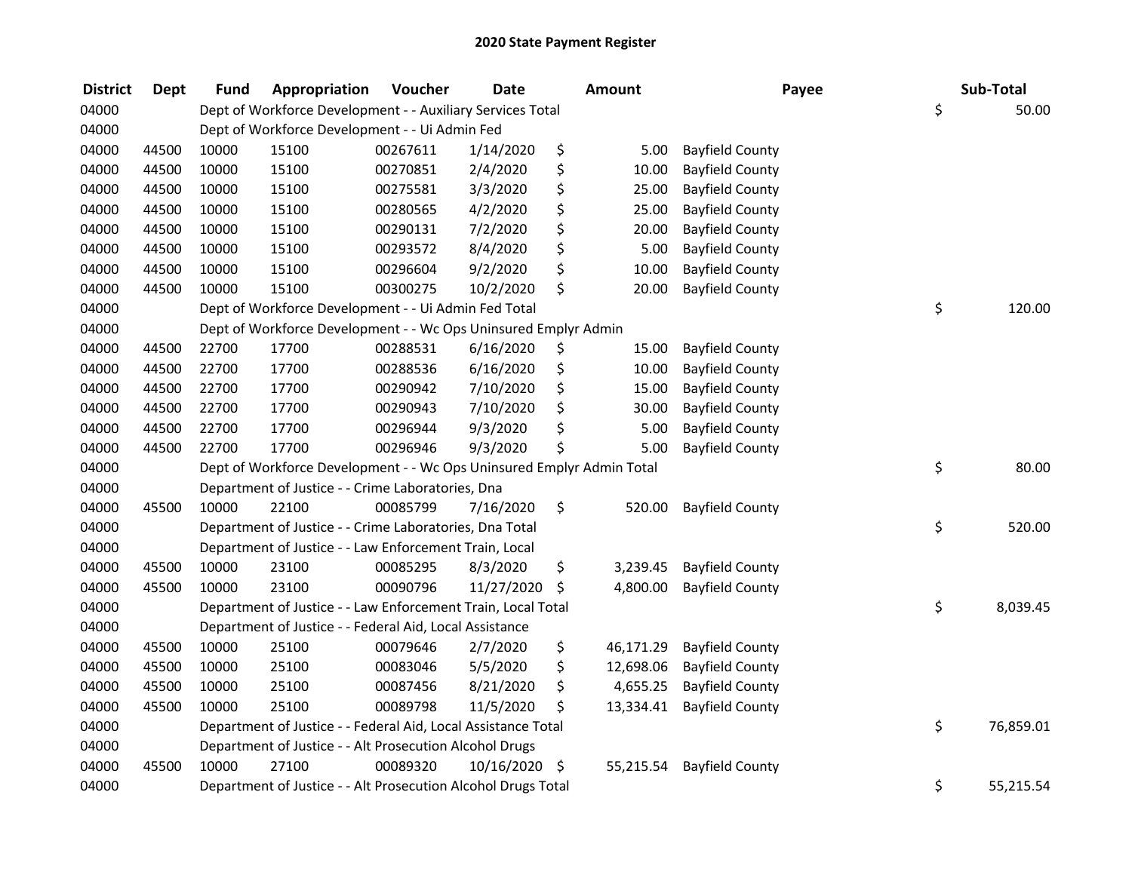| <b>District</b> | <b>Dept</b> | <b>Fund</b> | Appropriation                                                         | Voucher  | <b>Date</b>   | <b>Amount</b>   | Payee                  | Sub-Total       |
|-----------------|-------------|-------------|-----------------------------------------------------------------------|----------|---------------|-----------------|------------------------|-----------------|
| 04000           |             |             | Dept of Workforce Development - - Auxiliary Services Total            |          |               |                 |                        | \$<br>50.00     |
| 04000           |             |             | Dept of Workforce Development - - Ui Admin Fed                        |          |               |                 |                        |                 |
| 04000           | 44500       | 10000       | 15100                                                                 | 00267611 | 1/14/2020     | \$<br>5.00      | <b>Bayfield County</b> |                 |
| 04000           | 44500       | 10000       | 15100                                                                 | 00270851 | 2/4/2020      | \$<br>10.00     | <b>Bayfield County</b> |                 |
| 04000           | 44500       | 10000       | 15100                                                                 | 00275581 | 3/3/2020      | \$<br>25.00     | <b>Bayfield County</b> |                 |
| 04000           | 44500       | 10000       | 15100                                                                 | 00280565 | 4/2/2020      | \$<br>25.00     | <b>Bayfield County</b> |                 |
| 04000           | 44500       | 10000       | 15100                                                                 | 00290131 | 7/2/2020      | \$<br>20.00     | <b>Bayfield County</b> |                 |
| 04000           | 44500       | 10000       | 15100                                                                 | 00293572 | 8/4/2020      | \$<br>5.00      | <b>Bayfield County</b> |                 |
| 04000           | 44500       | 10000       | 15100                                                                 | 00296604 | 9/2/2020      | \$<br>10.00     | <b>Bayfield County</b> |                 |
| 04000           | 44500       | 10000       | 15100                                                                 | 00300275 | 10/2/2020     | \$<br>20.00     | <b>Bayfield County</b> |                 |
| 04000           |             |             | Dept of Workforce Development - - Ui Admin Fed Total                  |          |               |                 |                        | \$<br>120.00    |
| 04000           |             |             | Dept of Workforce Development - - Wc Ops Uninsured Emplyr Admin       |          |               |                 |                        |                 |
| 04000           | 44500       | 22700       | 17700                                                                 | 00288531 | 6/16/2020     | \$<br>15.00     | <b>Bayfield County</b> |                 |
| 04000           | 44500       | 22700       | 17700                                                                 | 00288536 | 6/16/2020     | \$<br>10.00     | <b>Bayfield County</b> |                 |
| 04000           | 44500       | 22700       | 17700                                                                 | 00290942 | 7/10/2020     | \$<br>15.00     | <b>Bayfield County</b> |                 |
| 04000           | 44500       | 22700       | 17700                                                                 | 00290943 | 7/10/2020     | \$<br>30.00     | <b>Bayfield County</b> |                 |
| 04000           | 44500       | 22700       | 17700                                                                 | 00296944 | 9/3/2020      | \$<br>5.00      | <b>Bayfield County</b> |                 |
| 04000           | 44500       | 22700       | 17700                                                                 | 00296946 | 9/3/2020      | \$<br>5.00      | <b>Bayfield County</b> |                 |
| 04000           |             |             | Dept of Workforce Development - - Wc Ops Uninsured Emplyr Admin Total |          |               |                 |                        | \$<br>80.00     |
| 04000           |             |             | Department of Justice - - Crime Laboratories, Dna                     |          |               |                 |                        |                 |
| 04000           | 45500       | 10000       | 22100                                                                 | 00085799 | 7/16/2020     | \$<br>520.00    | <b>Bayfield County</b> |                 |
| 04000           |             |             | Department of Justice - - Crime Laboratories, Dna Total               |          |               |                 |                        | \$<br>520.00    |
| 04000           |             |             | Department of Justice - - Law Enforcement Train, Local                |          |               |                 |                        |                 |
| 04000           | 45500       | 10000       | 23100                                                                 | 00085295 | 8/3/2020      | \$<br>3,239.45  | <b>Bayfield County</b> |                 |
| 04000           | 45500       | 10000       | 23100                                                                 | 00090796 | 11/27/2020    | \$<br>4,800.00  | <b>Bayfield County</b> |                 |
| 04000           |             |             | Department of Justice - - Law Enforcement Train, Local Total          |          |               |                 |                        | \$<br>8,039.45  |
| 04000           |             |             | Department of Justice - - Federal Aid, Local Assistance               |          |               |                 |                        |                 |
| 04000           | 45500       | 10000       | 25100                                                                 | 00079646 | 2/7/2020      | \$<br>46,171.29 | <b>Bayfield County</b> |                 |
| 04000           | 45500       | 10000       | 25100                                                                 | 00083046 | 5/5/2020      | \$<br>12,698.06 | <b>Bayfield County</b> |                 |
| 04000           | 45500       | 10000       | 25100                                                                 | 00087456 | 8/21/2020     | \$<br>4,655.25  | <b>Bayfield County</b> |                 |
| 04000           | 45500       | 10000       | 25100                                                                 | 00089798 | 11/5/2020     | \$<br>13,334.41 | <b>Bayfield County</b> |                 |
| 04000           |             |             | Department of Justice - - Federal Aid, Local Assistance Total         |          |               |                 |                        | \$<br>76,859.01 |
| 04000           |             |             | Department of Justice - - Alt Prosecution Alcohol Drugs               |          |               |                 |                        |                 |
| 04000           | 45500       | 10000       | 27100                                                                 | 00089320 | 10/16/2020 \$ | 55,215.54       | <b>Bayfield County</b> |                 |
| 04000           |             |             | Department of Justice - - Alt Prosecution Alcohol Drugs Total         |          |               |                 |                        | \$<br>55,215.54 |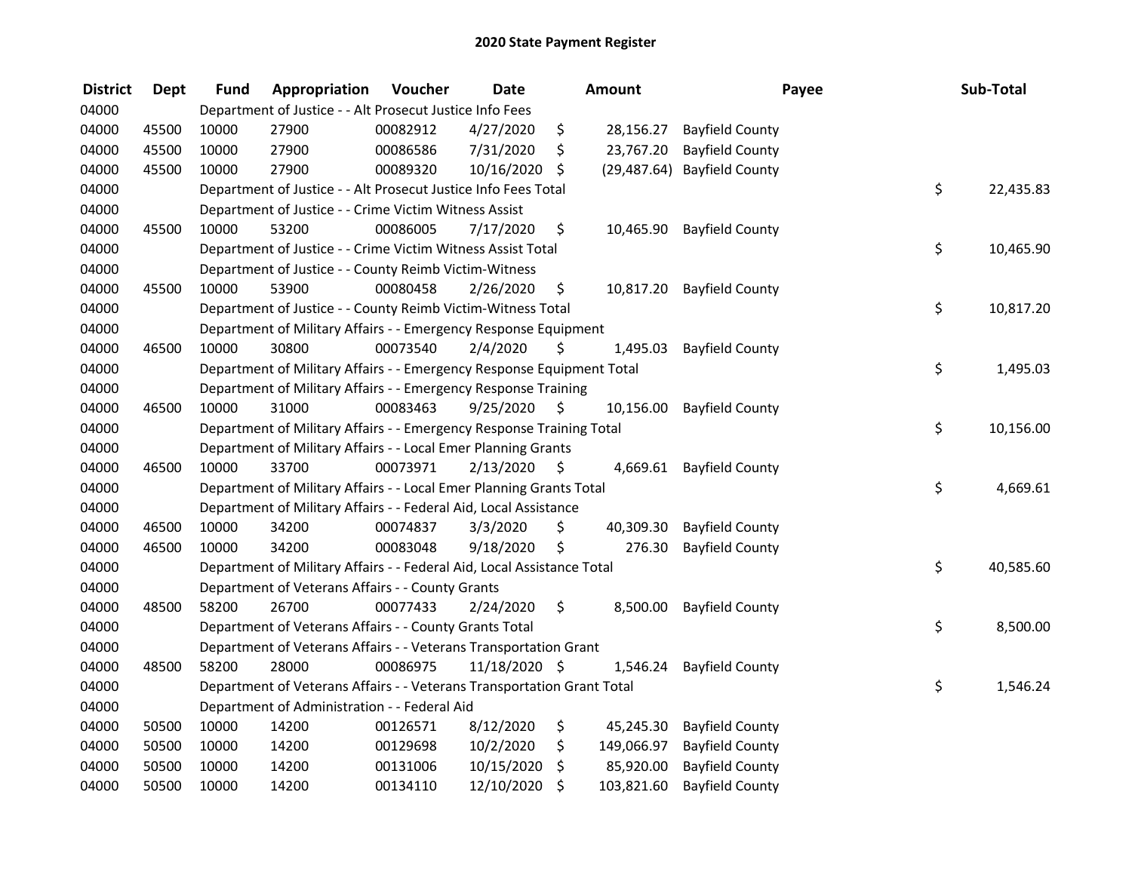| <b>District</b> | <b>Dept</b> | <b>Fund</b> | Appropriation                                                          | Voucher  | <b>Date</b>   | Amount           | Payee                       | Sub-Total       |
|-----------------|-------------|-------------|------------------------------------------------------------------------|----------|---------------|------------------|-----------------------------|-----------------|
| 04000           |             |             | Department of Justice - - Alt Prosecut Justice Info Fees               |          |               |                  |                             |                 |
| 04000           | 45500       | 10000       | 27900                                                                  | 00082912 | 4/27/2020     | \$<br>28,156.27  | <b>Bayfield County</b>      |                 |
| 04000           | 45500       | 10000       | 27900                                                                  | 00086586 | 7/31/2020     | \$<br>23,767.20  | <b>Bayfield County</b>      |                 |
| 04000           | 45500       | 10000       | 27900                                                                  | 00089320 | 10/16/2020    | \$               | (29,487.64) Bayfield County |                 |
| 04000           |             |             | Department of Justice - - Alt Prosecut Justice Info Fees Total         |          |               |                  |                             | \$<br>22,435.83 |
| 04000           |             |             | Department of Justice - - Crime Victim Witness Assist                  |          |               |                  |                             |                 |
| 04000           | 45500       | 10000       | 53200                                                                  | 00086005 | 7/17/2020     | \$               | 10,465.90 Bayfield County   |                 |
| 04000           |             |             | Department of Justice - - Crime Victim Witness Assist Total            |          |               |                  |                             | \$<br>10,465.90 |
| 04000           |             |             | Department of Justice - - County Reimb Victim-Witness                  |          |               |                  |                             |                 |
| 04000           | 45500       | 10000       | 53900                                                                  | 00080458 | 2/26/2020     | \$<br>10,817.20  | <b>Bayfield County</b>      |                 |
| 04000           |             |             | Department of Justice - - County Reimb Victim-Witness Total            |          |               |                  |                             | \$<br>10,817.20 |
| 04000           |             |             | Department of Military Affairs - - Emergency Response Equipment        |          |               |                  |                             |                 |
| 04000           | 46500       | 10000       | 30800                                                                  | 00073540 | 2/4/2020      | \$<br>1,495.03   | <b>Bayfield County</b>      |                 |
| 04000           |             |             | Department of Military Affairs - - Emergency Response Equipment Total  |          |               |                  |                             | \$<br>1,495.03  |
| 04000           |             |             | Department of Military Affairs - - Emergency Response Training         |          |               |                  |                             |                 |
| 04000           | 46500       | 10000       | 31000                                                                  | 00083463 | 9/25/2020     | \$<br>10,156.00  | <b>Bayfield County</b>      |                 |
| 04000           |             |             | Department of Military Affairs - - Emergency Response Training Total   |          |               |                  |                             | \$<br>10,156.00 |
| 04000           |             |             | Department of Military Affairs - - Local Emer Planning Grants          |          |               |                  |                             |                 |
| 04000           | 46500       | 10000       | 33700                                                                  | 00073971 | 2/13/2020     | \$<br>4,669.61   | <b>Bayfield County</b>      |                 |
| 04000           |             |             | Department of Military Affairs - - Local Emer Planning Grants Total    |          |               |                  |                             | \$<br>4,669.61  |
| 04000           |             |             | Department of Military Affairs - - Federal Aid, Local Assistance       |          |               |                  |                             |                 |
| 04000           | 46500       | 10000       | 34200                                                                  | 00074837 | 3/3/2020      | \$<br>40,309.30  | <b>Bayfield County</b>      |                 |
| 04000           | 46500       | 10000       | 34200                                                                  | 00083048 | 9/18/2020     | \$<br>276.30     | <b>Bayfield County</b>      |                 |
| 04000           |             |             | Department of Military Affairs - - Federal Aid, Local Assistance Total |          |               |                  |                             | \$<br>40,585.60 |
| 04000           |             |             | Department of Veterans Affairs - - County Grants                       |          |               |                  |                             |                 |
| 04000           | 48500       | 58200       | 26700                                                                  | 00077433 | 2/24/2020     | \$<br>8,500.00   | <b>Bayfield County</b>      |                 |
| 04000           |             |             | Department of Veterans Affairs - - County Grants Total                 |          |               |                  |                             | \$<br>8,500.00  |
| 04000           |             |             | Department of Veterans Affairs - - Veterans Transportation Grant       |          |               |                  |                             |                 |
| 04000           | 48500       | 58200       | 28000                                                                  | 00086975 | 11/18/2020 \$ | 1,546.24         | <b>Bayfield County</b>      |                 |
| 04000           |             |             | Department of Veterans Affairs - - Veterans Transportation Grant Total |          |               |                  |                             | \$<br>1,546.24  |
| 04000           |             |             | Department of Administration - - Federal Aid                           |          |               |                  |                             |                 |
| 04000           | 50500       | 10000       | 14200                                                                  | 00126571 | 8/12/2020     | \$<br>45,245.30  | <b>Bayfield County</b>      |                 |
| 04000           | 50500       | 10000       | 14200                                                                  | 00129698 | 10/2/2020     | \$<br>149,066.97 | <b>Bayfield County</b>      |                 |
| 04000           | 50500       | 10000       | 14200                                                                  | 00131006 | 10/15/2020    | \$<br>85,920.00  | <b>Bayfield County</b>      |                 |
| 04000           | 50500       | 10000       | 14200                                                                  | 00134110 | 12/10/2020    | \$<br>103,821.60 | <b>Bayfield County</b>      |                 |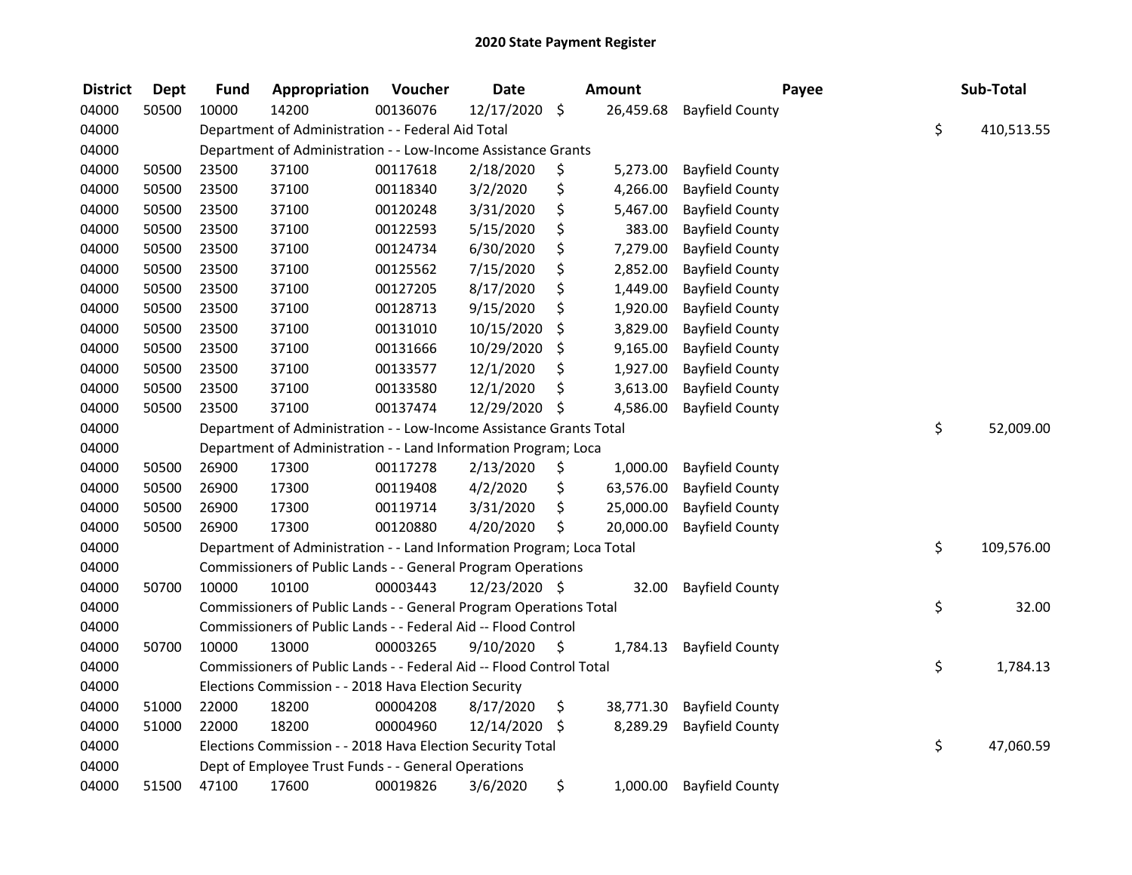| <b>District</b> | <b>Dept</b> | <b>Fund</b> | Appropriation                                                         | Voucher  | <b>Date</b>   |                    | <b>Amount</b> | Payee                  | Sub-Total        |
|-----------------|-------------|-------------|-----------------------------------------------------------------------|----------|---------------|--------------------|---------------|------------------------|------------------|
| 04000           | 50500       | 10000       | 14200                                                                 | 00136076 | 12/17/2020    | $\ddot{\varsigma}$ | 26,459.68     | <b>Bayfield County</b> |                  |
| 04000           |             |             | Department of Administration - - Federal Aid Total                    |          |               |                    |               |                        | \$<br>410,513.55 |
| 04000           |             |             | Department of Administration - - Low-Income Assistance Grants         |          |               |                    |               |                        |                  |
| 04000           | 50500       | 23500       | 37100                                                                 | 00117618 | 2/18/2020     | \$                 | 5,273.00      | <b>Bayfield County</b> |                  |
| 04000           | 50500       | 23500       | 37100                                                                 | 00118340 | 3/2/2020      | \$                 | 4,266.00      | <b>Bayfield County</b> |                  |
| 04000           | 50500       | 23500       | 37100                                                                 | 00120248 | 3/31/2020     | \$                 | 5,467.00      | <b>Bayfield County</b> |                  |
| 04000           | 50500       | 23500       | 37100                                                                 | 00122593 | 5/15/2020     | \$                 | 383.00        | <b>Bayfield County</b> |                  |
| 04000           | 50500       | 23500       | 37100                                                                 | 00124734 | 6/30/2020     | \$                 | 7,279.00      | <b>Bayfield County</b> |                  |
| 04000           | 50500       | 23500       | 37100                                                                 | 00125562 | 7/15/2020     | \$                 | 2,852.00      | <b>Bayfield County</b> |                  |
| 04000           | 50500       | 23500       | 37100                                                                 | 00127205 | 8/17/2020     | \$                 | 1,449.00      | <b>Bayfield County</b> |                  |
| 04000           | 50500       | 23500       | 37100                                                                 | 00128713 | 9/15/2020     | \$                 | 1,920.00      | <b>Bayfield County</b> |                  |
| 04000           | 50500       | 23500       | 37100                                                                 | 00131010 | 10/15/2020    | \$                 | 3,829.00      | <b>Bayfield County</b> |                  |
| 04000           | 50500       | 23500       | 37100                                                                 | 00131666 | 10/29/2020    | \$                 | 9,165.00      | <b>Bayfield County</b> |                  |
| 04000           | 50500       | 23500       | 37100                                                                 | 00133577 | 12/1/2020     | \$                 | 1,927.00      | <b>Bayfield County</b> |                  |
| 04000           | 50500       | 23500       | 37100                                                                 | 00133580 | 12/1/2020     | \$                 | 3,613.00      | <b>Bayfield County</b> |                  |
| 04000           | 50500       | 23500       | 37100                                                                 | 00137474 | 12/29/2020    | \$                 | 4,586.00      | <b>Bayfield County</b> |                  |
| 04000           |             |             | Department of Administration - - Low-Income Assistance Grants Total   |          |               |                    |               |                        | \$<br>52,009.00  |
| 04000           |             |             | Department of Administration - - Land Information Program; Loca       |          |               |                    |               |                        |                  |
| 04000           | 50500       | 26900       | 17300                                                                 | 00117278 | 2/13/2020     | \$                 | 1,000.00      | <b>Bayfield County</b> |                  |
| 04000           | 50500       | 26900       | 17300                                                                 | 00119408 | 4/2/2020      | \$                 | 63,576.00     | <b>Bayfield County</b> |                  |
| 04000           | 50500       | 26900       | 17300                                                                 | 00119714 | 3/31/2020     | \$                 | 25,000.00     | <b>Bayfield County</b> |                  |
| 04000           | 50500       | 26900       | 17300                                                                 | 00120880 | 4/20/2020     | \$                 | 20,000.00     | <b>Bayfield County</b> |                  |
| 04000           |             |             | Department of Administration - - Land Information Program; Loca Total |          |               |                    |               |                        | \$<br>109,576.00 |
| 04000           |             |             | Commissioners of Public Lands - - General Program Operations          |          |               |                    |               |                        |                  |
| 04000           | 50700       | 10000       | 10100                                                                 | 00003443 | 12/23/2020 \$ |                    | 32.00         | <b>Bayfield County</b> |                  |
| 04000           |             |             | Commissioners of Public Lands - - General Program Operations Total    |          |               |                    |               |                        | \$<br>32.00      |
| 04000           |             |             | Commissioners of Public Lands - - Federal Aid -- Flood Control        |          |               |                    |               |                        |                  |
| 04000           | 50700       | 10000       | 13000                                                                 | 00003265 | 9/10/2020     | \$                 | 1,784.13      | <b>Bayfield County</b> |                  |
| 04000           |             |             | Commissioners of Public Lands - - Federal Aid -- Flood Control Total  |          |               |                    |               |                        | \$<br>1,784.13   |
| 04000           |             |             | Elections Commission - - 2018 Hava Election Security                  |          |               |                    |               |                        |                  |
| 04000           | 51000       | 22000       | 18200                                                                 | 00004208 | 8/17/2020     | \$                 | 38,771.30     | <b>Bayfield County</b> |                  |
| 04000           | 51000       | 22000       | 18200                                                                 | 00004960 | 12/14/2020 \$ |                    | 8,289.29      | <b>Bayfield County</b> |                  |
| 04000           |             |             | Elections Commission - - 2018 Hava Election Security Total            |          |               |                    |               |                        | \$<br>47,060.59  |
| 04000           |             |             | Dept of Employee Trust Funds - - General Operations                   |          |               |                    |               |                        |                  |
| 04000           | 51500       | 47100       | 17600                                                                 | 00019826 | 3/6/2020      | \$                 | 1,000.00      | <b>Bayfield County</b> |                  |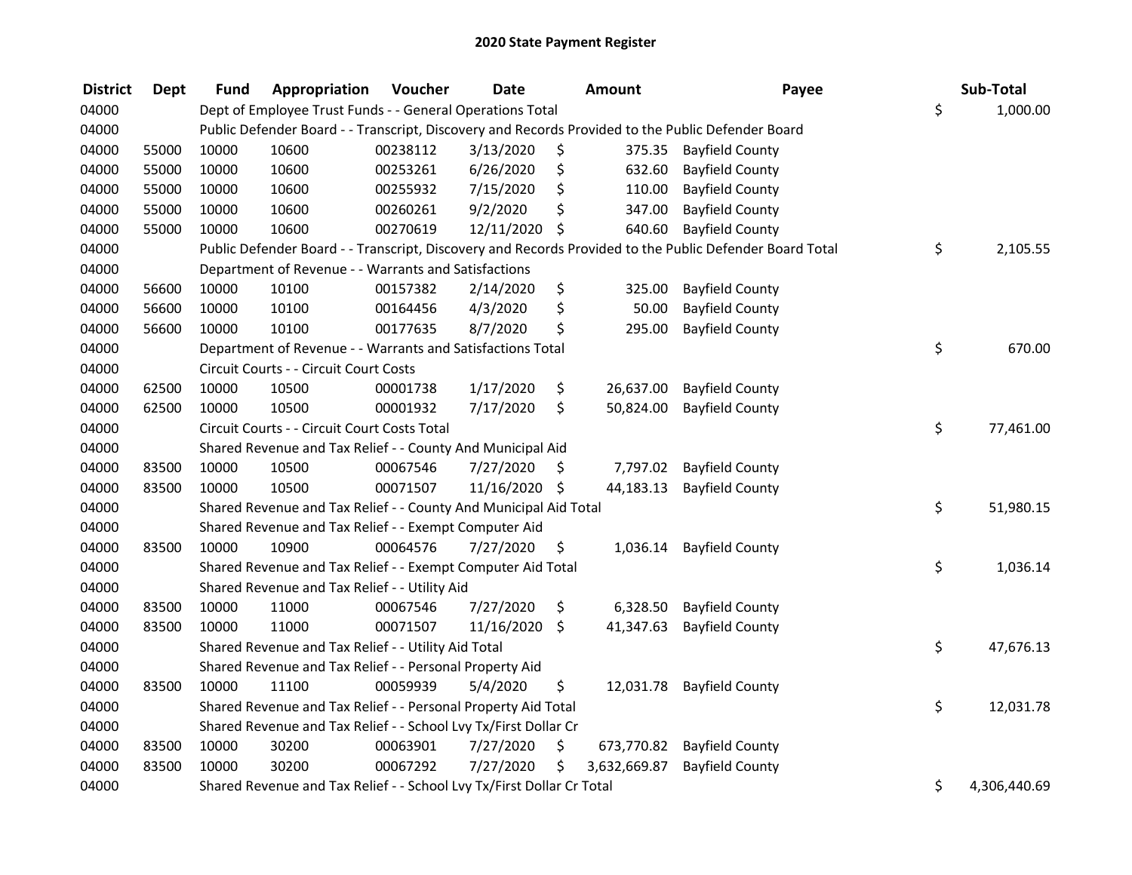| <b>District</b> | <b>Dept</b> | Fund  | Appropriation                                                         | Voucher  | <b>Date</b> |      | <b>Amount</b> | Payee                                                                                                   | Sub-Total          |
|-----------------|-------------|-------|-----------------------------------------------------------------------|----------|-------------|------|---------------|---------------------------------------------------------------------------------------------------------|--------------------|
| 04000           |             |       | Dept of Employee Trust Funds - - General Operations Total             |          |             |      |               |                                                                                                         | \$<br>1,000.00     |
| 04000           |             |       |                                                                       |          |             |      |               | Public Defender Board - - Transcript, Discovery and Records Provided to the Public Defender Board       |                    |
| 04000           | 55000       | 10000 | 10600                                                                 | 00238112 | 3/13/2020   | \$   | 375.35        | <b>Bayfield County</b>                                                                                  |                    |
| 04000           | 55000       | 10000 | 10600                                                                 | 00253261 | 6/26/2020   | \$   | 632.60        | <b>Bayfield County</b>                                                                                  |                    |
| 04000           | 55000       | 10000 | 10600                                                                 | 00255932 | 7/15/2020   | \$   | 110.00        | <b>Bayfield County</b>                                                                                  |                    |
| 04000           | 55000       | 10000 | 10600                                                                 | 00260261 | 9/2/2020    | \$   | 347.00        | <b>Bayfield County</b>                                                                                  |                    |
| 04000           | 55000       | 10000 | 10600                                                                 | 00270619 | 12/11/2020  | \$   | 640.60        | <b>Bayfield County</b>                                                                                  |                    |
| 04000           |             |       |                                                                       |          |             |      |               | Public Defender Board - - Transcript, Discovery and Records Provided to the Public Defender Board Total | \$<br>2,105.55     |
| 04000           |             |       | Department of Revenue - - Warrants and Satisfactions                  |          |             |      |               |                                                                                                         |                    |
| 04000           | 56600       | 10000 | 10100                                                                 | 00157382 | 2/14/2020   | \$   | 325.00        | <b>Bayfield County</b>                                                                                  |                    |
| 04000           | 56600       | 10000 | 10100                                                                 | 00164456 | 4/3/2020    | \$   | 50.00         | <b>Bayfield County</b>                                                                                  |                    |
| 04000           | 56600       | 10000 | 10100                                                                 | 00177635 | 8/7/2020    | \$   | 295.00        | <b>Bayfield County</b>                                                                                  |                    |
| 04000           |             |       | Department of Revenue - - Warrants and Satisfactions Total            |          |             |      |               |                                                                                                         | \$<br>670.00       |
| 04000           |             |       | Circuit Courts - - Circuit Court Costs                                |          |             |      |               |                                                                                                         |                    |
| 04000           | 62500       | 10000 | 10500                                                                 | 00001738 | 1/17/2020   | \$   | 26,637.00     | <b>Bayfield County</b>                                                                                  |                    |
| 04000           | 62500       | 10000 | 10500                                                                 | 00001932 | 7/17/2020   | \$   | 50,824.00     | <b>Bayfield County</b>                                                                                  |                    |
| 04000           |             |       | Circuit Courts - - Circuit Court Costs Total                          |          |             |      |               |                                                                                                         | \$<br>77,461.00    |
| 04000           |             |       | Shared Revenue and Tax Relief - - County And Municipal Aid            |          |             |      |               |                                                                                                         |                    |
| 04000           | 83500       | 10000 | 10500                                                                 | 00067546 | 7/27/2020   | \$   | 7,797.02      | <b>Bayfield County</b>                                                                                  |                    |
| 04000           | 83500       | 10000 | 10500                                                                 | 00071507 | 11/16/2020  | - \$ | 44,183.13     | <b>Bayfield County</b>                                                                                  |                    |
| 04000           |             |       | Shared Revenue and Tax Relief - - County And Municipal Aid Total      |          |             |      |               |                                                                                                         | \$<br>51,980.15    |
| 04000           |             |       | Shared Revenue and Tax Relief - - Exempt Computer Aid                 |          |             |      |               |                                                                                                         |                    |
| 04000           | 83500       | 10000 | 10900                                                                 | 00064576 | 7/27/2020   | \$   | 1,036.14      | <b>Bayfield County</b>                                                                                  |                    |
| 04000           |             |       | Shared Revenue and Tax Relief - - Exempt Computer Aid Total           |          |             |      |               |                                                                                                         | \$<br>1,036.14     |
| 04000           |             |       | Shared Revenue and Tax Relief - - Utility Aid                         |          |             |      |               |                                                                                                         |                    |
| 04000           | 83500       | 10000 | 11000                                                                 | 00067546 | 7/27/2020   | \$   | 6,328.50      | <b>Bayfield County</b>                                                                                  |                    |
| 04000           | 83500       | 10000 | 11000                                                                 | 00071507 | 11/16/2020  | \$   | 41,347.63     | <b>Bayfield County</b>                                                                                  |                    |
| 04000           |             |       | Shared Revenue and Tax Relief - - Utility Aid Total                   |          |             |      |               |                                                                                                         | \$<br>47,676.13    |
| 04000           |             |       | Shared Revenue and Tax Relief - - Personal Property Aid               |          |             |      |               |                                                                                                         |                    |
| 04000           | 83500       | 10000 | 11100                                                                 | 00059939 | 5/4/2020    | \$   | 12,031.78     | <b>Bayfield County</b>                                                                                  |                    |
| 04000           |             |       | Shared Revenue and Tax Relief - - Personal Property Aid Total         |          |             |      |               |                                                                                                         | \$<br>12,031.78    |
| 04000           |             |       | Shared Revenue and Tax Relief - - School Lvy Tx/First Dollar Cr       |          |             |      |               |                                                                                                         |                    |
| 04000           | 83500       | 10000 | 30200                                                                 | 00063901 | 7/27/2020   | \$   | 673,770.82    | <b>Bayfield County</b>                                                                                  |                    |
| 04000           | 83500       | 10000 | 30200                                                                 | 00067292 | 7/27/2020   | \$   | 3,632,669.87  | <b>Bayfield County</b>                                                                                  |                    |
| 04000           |             |       | Shared Revenue and Tax Relief - - School Lvy Tx/First Dollar Cr Total |          |             |      |               |                                                                                                         | \$<br>4,306,440.69 |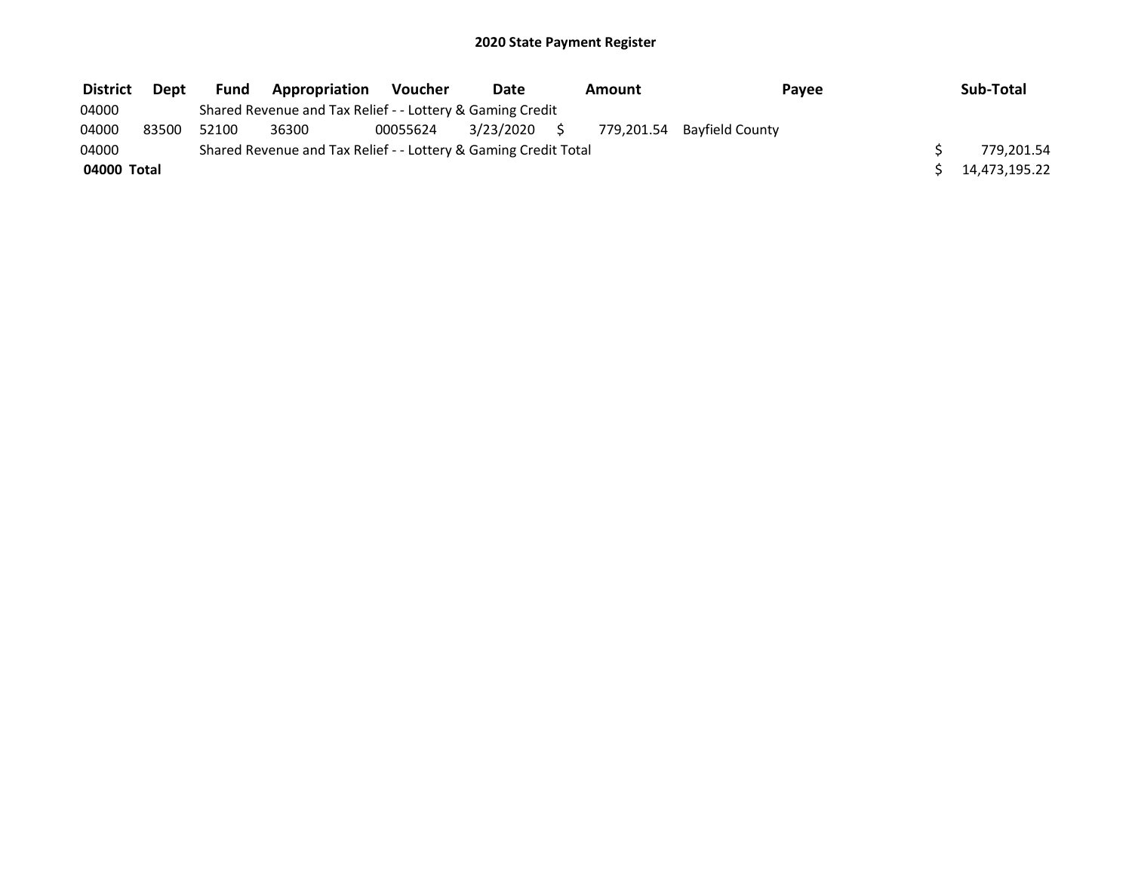| <b>District</b> | Dept  | <b>Fund</b> | <b>Appropriation</b>                                            | <b>Voucher</b> | Date         | Amount | Payee                      | Sub-Total     |
|-----------------|-------|-------------|-----------------------------------------------------------------|----------------|--------------|--------|----------------------------|---------------|
| 04000           |       |             | Shared Revenue and Tax Relief - - Lottery & Gaming Credit       |                |              |        |                            |               |
| 04000           | 83500 | 52100       | 36300                                                           | 00055624       | 3/23/2020 \$ |        | 779,201.54 Bayfield County |               |
| 04000           |       |             | Shared Revenue and Tax Relief - - Lottery & Gaming Credit Total |                |              |        |                            | 779.201.54    |
| 04000 Total     |       |             |                                                                 |                |              |        |                            | 14,473,195.22 |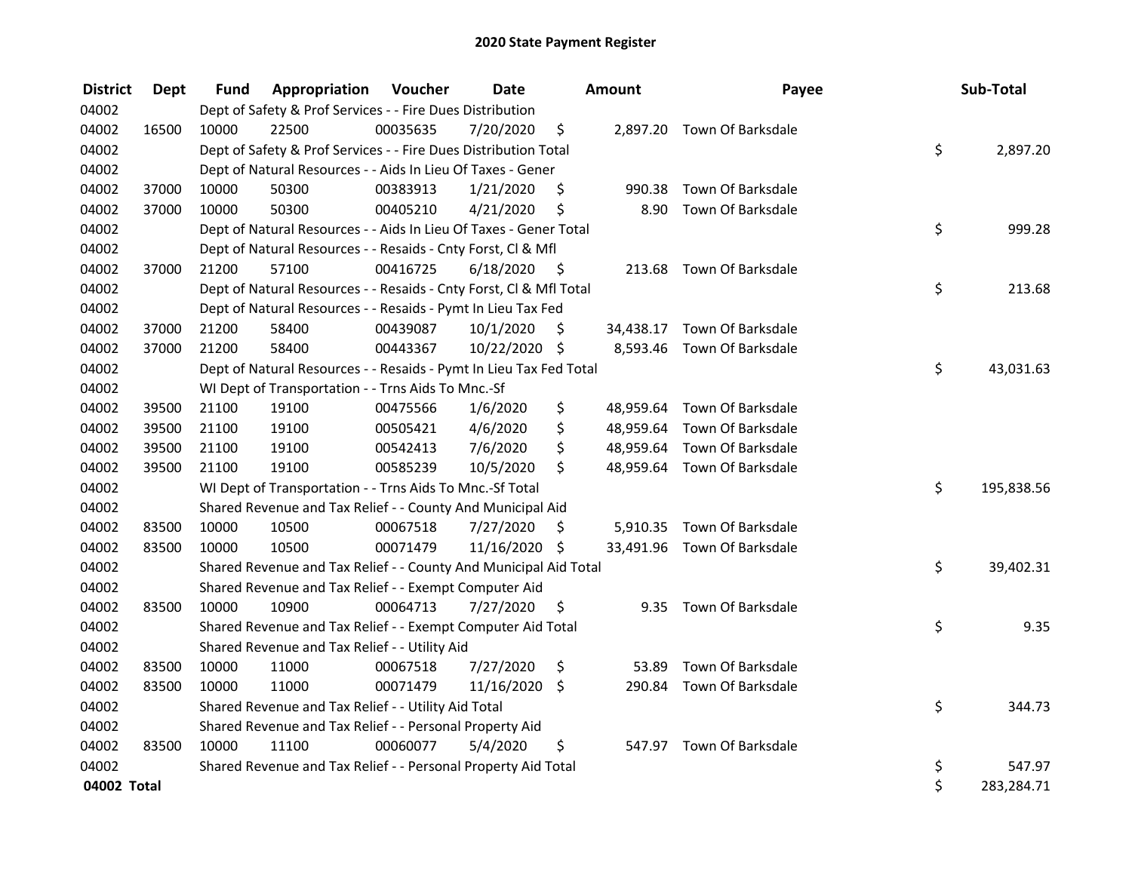| <b>District</b> | <b>Dept</b> | Fund  | Appropriation                                                      | Voucher  | <b>Date</b>   |      | Amount    | Payee                       | Sub-Total        |
|-----------------|-------------|-------|--------------------------------------------------------------------|----------|---------------|------|-----------|-----------------------------|------------------|
| 04002           |             |       | Dept of Safety & Prof Services - - Fire Dues Distribution          |          |               |      |           |                             |                  |
| 04002           | 16500       | 10000 | 22500                                                              | 00035635 | 7/20/2020     | \$   |           | 2,897.20 Town Of Barksdale  |                  |
| 04002           |             |       | Dept of Safety & Prof Services - - Fire Dues Distribution Total    |          |               |      |           |                             | \$<br>2,897.20   |
| 04002           |             |       | Dept of Natural Resources - - Aids In Lieu Of Taxes - Gener        |          |               |      |           |                             |                  |
| 04002           | 37000       | 10000 | 50300                                                              | 00383913 | 1/21/2020     | \$   | 990.38    | Town Of Barksdale           |                  |
| 04002           | 37000       | 10000 | 50300                                                              | 00405210 | 4/21/2020     | \$   | 8.90      | Town Of Barksdale           |                  |
| 04002           |             |       | Dept of Natural Resources - - Aids In Lieu Of Taxes - Gener Total  |          |               |      |           |                             | \$<br>999.28     |
| 04002           |             |       | Dept of Natural Resources - - Resaids - Cnty Forst, CI & Mfl       |          |               |      |           |                             |                  |
| 04002           | 37000       | 21200 | 57100                                                              | 00416725 | 6/18/2020     | - \$ |           | 213.68 Town Of Barksdale    |                  |
| 04002           |             |       | Dept of Natural Resources - - Resaids - Cnty Forst, Cl & Mfl Total |          |               |      |           |                             | \$<br>213.68     |
| 04002           |             |       | Dept of Natural Resources - - Resaids - Pymt In Lieu Tax Fed       |          |               |      |           |                             |                  |
| 04002           | 37000       | 21200 | 58400                                                              | 00439087 | 10/1/2020     | \$   |           | 34,438.17 Town Of Barksdale |                  |
| 04002           | 37000       | 21200 | 58400                                                              | 00443367 | 10/22/2020 \$ |      |           | 8,593.46 Town Of Barksdale  |                  |
| 04002           |             |       | Dept of Natural Resources - - Resaids - Pymt In Lieu Tax Fed Total |          |               |      |           |                             | \$<br>43,031.63  |
| 04002           |             |       | WI Dept of Transportation - - Trns Aids To Mnc.-Sf                 |          |               |      |           |                             |                  |
| 04002           | 39500       | 21100 | 19100                                                              | 00475566 | 1/6/2020      | \$   | 48,959.64 | Town Of Barksdale           |                  |
| 04002           | 39500       | 21100 | 19100                                                              | 00505421 | 4/6/2020      | \$   |           | 48,959.64 Town Of Barksdale |                  |
| 04002           | 39500       | 21100 | 19100                                                              | 00542413 | 7/6/2020      | \$   |           | 48,959.64 Town Of Barksdale |                  |
| 04002           | 39500       | 21100 | 19100                                                              | 00585239 | 10/5/2020     | \$   |           | 48,959.64 Town Of Barksdale |                  |
| 04002           |             |       | WI Dept of Transportation - - Trns Aids To Mnc.-Sf Total           |          |               |      |           |                             | \$<br>195,838.56 |
| 04002           |             |       | Shared Revenue and Tax Relief - - County And Municipal Aid         |          |               |      |           |                             |                  |
| 04002           | 83500       | 10000 | 10500                                                              | 00067518 | 7/27/2020     | \$   |           | 5,910.35 Town Of Barksdale  |                  |
| 04002           | 83500       | 10000 | 10500                                                              | 00071479 | 11/16/2020 \$ |      |           | 33,491.96 Town Of Barksdale |                  |
| 04002           |             |       | Shared Revenue and Tax Relief - - County And Municipal Aid Total   |          |               |      |           |                             | \$<br>39,402.31  |
| 04002           |             |       | Shared Revenue and Tax Relief - - Exempt Computer Aid              |          |               |      |           |                             |                  |
| 04002           | 83500       | 10000 | 10900                                                              | 00064713 | 7/27/2020     | \$   |           | 9.35 Town Of Barksdale      |                  |
| 04002           |             |       | Shared Revenue and Tax Relief - - Exempt Computer Aid Total        |          |               |      |           |                             | \$<br>9.35       |
| 04002           |             |       | Shared Revenue and Tax Relief - - Utility Aid                      |          |               |      |           |                             |                  |
| 04002           | 83500       | 10000 | 11000                                                              | 00067518 | 7/27/2020     | \$   | 53.89     | Town Of Barksdale           |                  |
| 04002           | 83500       | 10000 | 11000                                                              | 00071479 | 11/16/2020    | \$   | 290.84    | Town Of Barksdale           |                  |
| 04002           |             |       | Shared Revenue and Tax Relief - - Utility Aid Total                |          |               |      |           |                             | \$<br>344.73     |
| 04002           |             |       | Shared Revenue and Tax Relief - - Personal Property Aid            |          |               |      |           |                             |                  |
| 04002           | 83500       | 10000 | 11100                                                              | 00060077 | 5/4/2020      | \$   |           | 547.97 Town Of Barksdale    |                  |
| 04002           |             |       | Shared Revenue and Tax Relief - - Personal Property Aid Total      |          |               |      |           |                             | \$<br>547.97     |
| 04002 Total     |             |       |                                                                    |          |               |      |           |                             | \$<br>283,284.71 |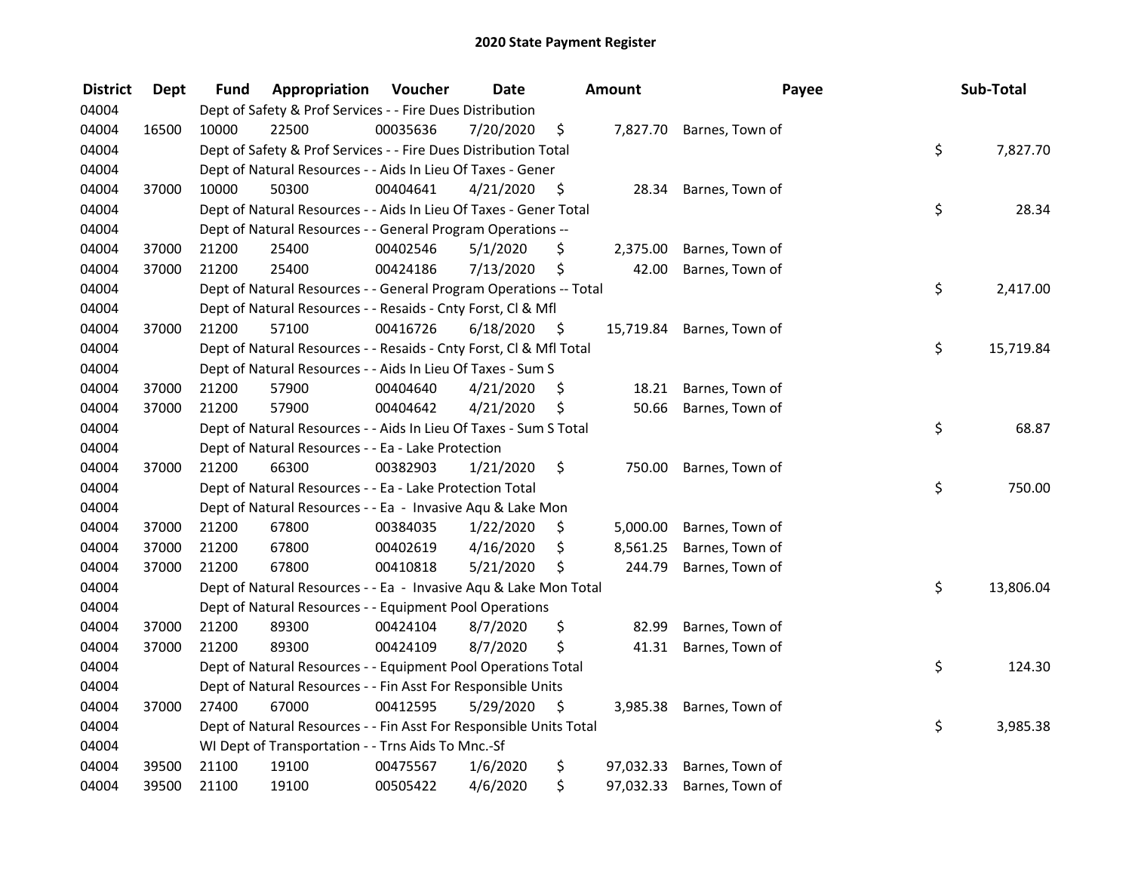| <b>District</b> | <b>Dept</b> | Fund  | Appropriation                                                      | Voucher  | <b>Date</b> |      | <b>Amount</b> | Payee                    | Sub-Total       |
|-----------------|-------------|-------|--------------------------------------------------------------------|----------|-------------|------|---------------|--------------------------|-----------------|
| 04004           |             |       | Dept of Safety & Prof Services - - Fire Dues Distribution          |          |             |      |               |                          |                 |
| 04004           | 16500       | 10000 | 22500                                                              | 00035636 | 7/20/2020   | \$   | 7,827.70      | Barnes, Town of          |                 |
| 04004           |             |       | Dept of Safety & Prof Services - - Fire Dues Distribution Total    |          |             |      |               |                          | \$<br>7,827.70  |
| 04004           |             |       | Dept of Natural Resources - - Aids In Lieu Of Taxes - Gener        |          |             |      |               |                          |                 |
| 04004           | 37000       | 10000 | 50300                                                              | 00404641 | 4/21/2020   | - \$ | 28.34         | Barnes, Town of          |                 |
| 04004           |             |       | Dept of Natural Resources - - Aids In Lieu Of Taxes - Gener Total  |          |             |      |               |                          | \$<br>28.34     |
| 04004           |             |       | Dept of Natural Resources - - General Program Operations --        |          |             |      |               |                          |                 |
| 04004           | 37000       | 21200 | 25400                                                              | 00402546 | 5/1/2020    | \$   | 2,375.00      | Barnes, Town of          |                 |
| 04004           | 37000       | 21200 | 25400                                                              | 00424186 | 7/13/2020   | \$   | 42.00         | Barnes, Town of          |                 |
| 04004           |             |       | Dept of Natural Resources - - General Program Operations -- Total  |          |             |      |               |                          | \$<br>2,417.00  |
| 04004           |             |       | Dept of Natural Resources - - Resaids - Cnty Forst, CI & Mfl       |          |             |      |               |                          |                 |
| 04004           | 37000       | 21200 | 57100                                                              | 00416726 | 6/18/2020   | - \$ | 15,719.84     | Barnes, Town of          |                 |
| 04004           |             |       | Dept of Natural Resources - - Resaids - Cnty Forst, Cl & Mfl Total |          |             |      |               |                          | \$<br>15,719.84 |
| 04004           |             |       | Dept of Natural Resources - - Aids In Lieu Of Taxes - Sum S        |          |             |      |               |                          |                 |
| 04004           | 37000       | 21200 | 57900                                                              | 00404640 | 4/21/2020   | S    | 18.21         | Barnes, Town of          |                 |
| 04004           | 37000       | 21200 | 57900                                                              | 00404642 | 4/21/2020   | \$   | 50.66         | Barnes, Town of          |                 |
| 04004           |             |       | Dept of Natural Resources - - Aids In Lieu Of Taxes - Sum S Total  |          |             |      |               |                          | \$<br>68.87     |
| 04004           |             |       | Dept of Natural Resources - - Ea - Lake Protection                 |          |             |      |               |                          |                 |
| 04004           | 37000       | 21200 | 66300                                                              | 00382903 | 1/21/2020   | \$   | 750.00        | Barnes, Town of          |                 |
| 04004           |             |       | Dept of Natural Resources - - Ea - Lake Protection Total           |          |             |      |               |                          | \$<br>750.00    |
| 04004           |             |       | Dept of Natural Resources - - Ea - Invasive Aqu & Lake Mon         |          |             |      |               |                          |                 |
| 04004           | 37000       | 21200 | 67800                                                              | 00384035 | 1/22/2020   | \$.  | 5,000.00      | Barnes, Town of          |                 |
| 04004           | 37000       | 21200 | 67800                                                              | 00402619 | 4/16/2020   | \$   | 8,561.25      | Barnes, Town of          |                 |
| 04004           | 37000       | 21200 | 67800                                                              | 00410818 | 5/21/2020   | \$   | 244.79        | Barnes, Town of          |                 |
| 04004           |             |       | Dept of Natural Resources - - Ea - Invasive Aqu & Lake Mon Total   |          |             |      |               |                          | \$<br>13,806.04 |
| 04004           |             |       | Dept of Natural Resources - - Equipment Pool Operations            |          |             |      |               |                          |                 |
| 04004           | 37000       | 21200 | 89300                                                              | 00424104 | 8/7/2020    | \$   | 82.99         | Barnes, Town of          |                 |
| 04004           | 37000       | 21200 | 89300                                                              | 00424109 | 8/7/2020    | \$   | 41.31         | Barnes, Town of          |                 |
| 04004           |             |       | Dept of Natural Resources - - Equipment Pool Operations Total      |          |             |      |               |                          | \$<br>124.30    |
| 04004           |             |       | Dept of Natural Resources - - Fin Asst For Responsible Units       |          |             |      |               |                          |                 |
| 04004           | 37000       | 27400 | 67000                                                              | 00412595 | 5/29/2020   | \$   |               | 3,985.38 Barnes, Town of |                 |
| 04004           |             |       | Dept of Natural Resources - - Fin Asst For Responsible Units Total |          |             |      |               |                          | \$<br>3,985.38  |
| 04004           |             |       | WI Dept of Transportation - - Trns Aids To Mnc.-Sf                 |          |             |      |               |                          |                 |
| 04004           | 39500       | 21100 | 19100                                                              | 00475567 | 1/6/2020    | \$   | 97,032.33     | Barnes, Town of          |                 |
| 04004           | 39500       | 21100 | 19100                                                              | 00505422 | 4/6/2020    | \$   | 97,032.33     | Barnes, Town of          |                 |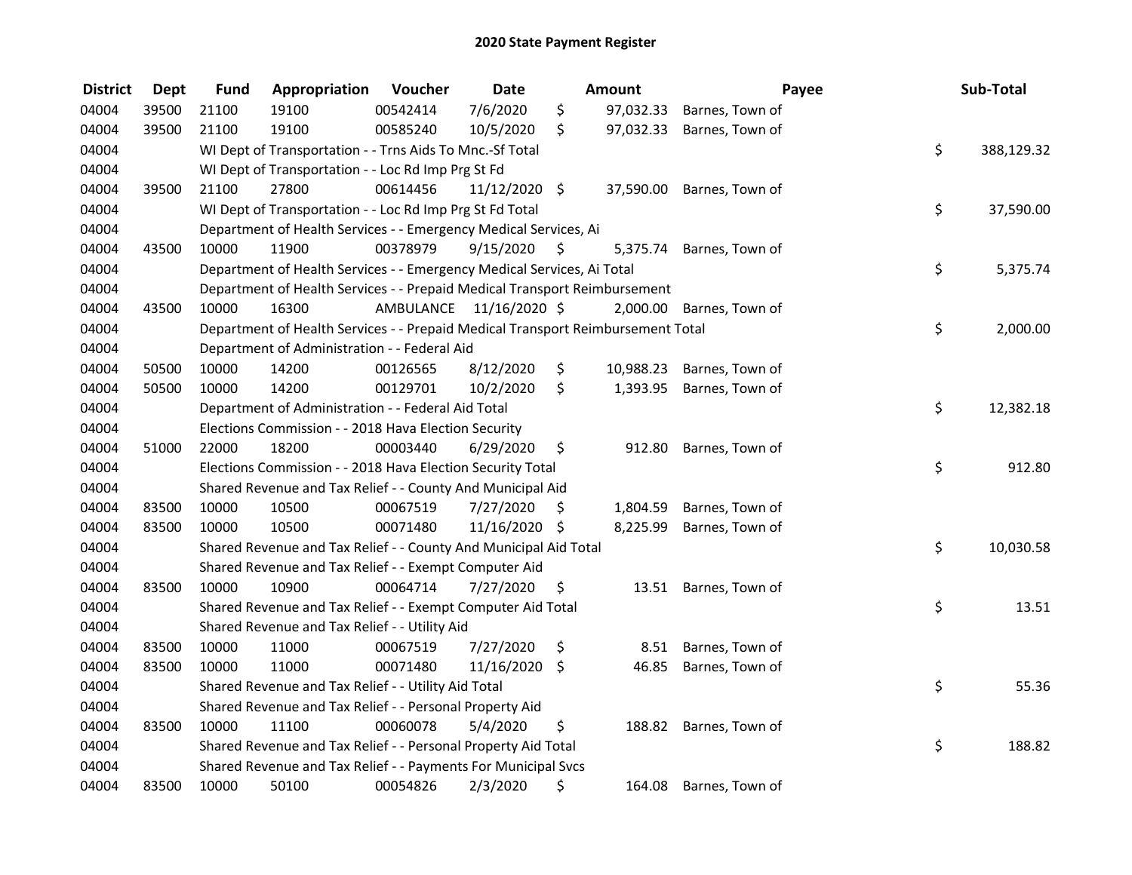| <b>District</b> | <b>Dept</b> | <b>Fund</b> | Appropriation                                                                   | Voucher                 | <b>Date</b>   |     | Amount    |                          | Payee | Sub-Total  |
|-----------------|-------------|-------------|---------------------------------------------------------------------------------|-------------------------|---------------|-----|-----------|--------------------------|-------|------------|
| 04004           | 39500       | 21100       | 19100                                                                           | 00542414                | 7/6/2020      | \$  | 97,032.33 | Barnes, Town of          |       |            |
| 04004           | 39500       | 21100       | 19100                                                                           | 00585240                | 10/5/2020     | \$  | 97,032.33 | Barnes, Town of          |       |            |
| 04004           |             |             | WI Dept of Transportation - - Trns Aids To Mnc.-Sf Total                        |                         |               |     |           |                          | \$    | 388,129.32 |
| 04004           |             |             | WI Dept of Transportation - - Loc Rd Imp Prg St Fd                              |                         |               |     |           |                          |       |            |
| 04004           | 39500       | 21100       | 27800                                                                           | 00614456                | 11/12/2020 \$ |     | 37,590.00 | Barnes, Town of          |       |            |
| 04004           |             |             | WI Dept of Transportation - - Loc Rd Imp Prg St Fd Total                        |                         |               |     |           |                          | \$    | 37,590.00  |
| 04004           |             |             | Department of Health Services - - Emergency Medical Services, Ai                |                         |               |     |           |                          |       |            |
| 04004           | 43500       | 10000       | 11900                                                                           | 00378979                | 9/15/2020     | -\$ |           | 5,375.74 Barnes, Town of |       |            |
| 04004           |             |             | Department of Health Services - - Emergency Medical Services, Ai Total          |                         |               |     |           |                          | \$    | 5,375.74   |
| 04004           |             |             | Department of Health Services - - Prepaid Medical Transport Reimbursement       |                         |               |     |           |                          |       |            |
| 04004           | 43500       | 10000       | 16300                                                                           | AMBULANCE 11/16/2020 \$ |               |     | 2,000.00  | Barnes, Town of          |       |            |
| 04004           |             |             | Department of Health Services - - Prepaid Medical Transport Reimbursement Total |                         |               |     |           |                          | \$    | 2,000.00   |
| 04004           |             |             | Department of Administration - - Federal Aid                                    |                         |               |     |           |                          |       |            |
| 04004           | 50500       | 10000       | 14200                                                                           | 00126565                | 8/12/2020     | \$  | 10,988.23 | Barnes, Town of          |       |            |
| 04004           | 50500       | 10000       | 14200                                                                           | 00129701                | 10/2/2020     | \$  | 1,393.95  | Barnes, Town of          |       |            |
| 04004           |             |             | Department of Administration - - Federal Aid Total                              |                         |               |     |           |                          | \$    | 12,382.18  |
| 04004           |             |             | Elections Commission - - 2018 Hava Election Security                            |                         |               |     |           |                          |       |            |
| 04004           | 51000       | 22000       | 18200                                                                           | 00003440                | 6/29/2020     | \$  | 912.80    | Barnes, Town of          |       |            |
| 04004           |             |             | Elections Commission - - 2018 Hava Election Security Total                      |                         |               |     |           |                          | \$    | 912.80     |
| 04004           |             |             | Shared Revenue and Tax Relief - - County And Municipal Aid                      |                         |               |     |           |                          |       |            |
| 04004           | 83500       | 10000       | 10500                                                                           | 00067519                | 7/27/2020     | \$  | 1,804.59  | Barnes, Town of          |       |            |
| 04004           | 83500       | 10000       | 10500                                                                           | 00071480                | 11/16/2020 \$ |     | 8,225.99  | Barnes, Town of          |       |            |
| 04004           |             |             | Shared Revenue and Tax Relief - - County And Municipal Aid Total                |                         |               |     |           |                          | \$    | 10,030.58  |
| 04004           |             |             | Shared Revenue and Tax Relief - - Exempt Computer Aid                           |                         |               |     |           |                          |       |            |
| 04004           | 83500       | 10000       | 10900                                                                           | 00064714                | 7/27/2020     | \$  |           | 13.51 Barnes, Town of    |       |            |
| 04004           |             |             | Shared Revenue and Tax Relief - - Exempt Computer Aid Total                     |                         |               |     |           |                          | \$    | 13.51      |
| 04004           |             |             | Shared Revenue and Tax Relief - - Utility Aid                                   |                         |               |     |           |                          |       |            |
| 04004           | 83500       | 10000       | 11000                                                                           | 00067519                | 7/27/2020     | \$  | 8.51      | Barnes, Town of          |       |            |
| 04004           | 83500       | 10000       | 11000                                                                           | 00071480                | 11/16/2020    | \$  | 46.85     | Barnes, Town of          |       |            |
| 04004           |             |             | Shared Revenue and Tax Relief - - Utility Aid Total                             |                         |               |     |           |                          | \$    | 55.36      |
| 04004           |             |             | Shared Revenue and Tax Relief - - Personal Property Aid                         |                         |               |     |           |                          |       |            |
| 04004           | 83500       | 10000       | 11100                                                                           | 00060078                | 5/4/2020      | \$  |           | 188.82 Barnes, Town of   |       |            |
| 04004           |             |             | Shared Revenue and Tax Relief - - Personal Property Aid Total                   |                         |               |     |           |                          | \$    | 188.82     |
| 04004           |             |             | Shared Revenue and Tax Relief - - Payments For Municipal Svcs                   |                         |               |     |           |                          |       |            |
| 04004           | 83500       | 10000       | 50100                                                                           | 00054826                | 2/3/2020      | \$  |           | 164.08 Barnes, Town of   |       |            |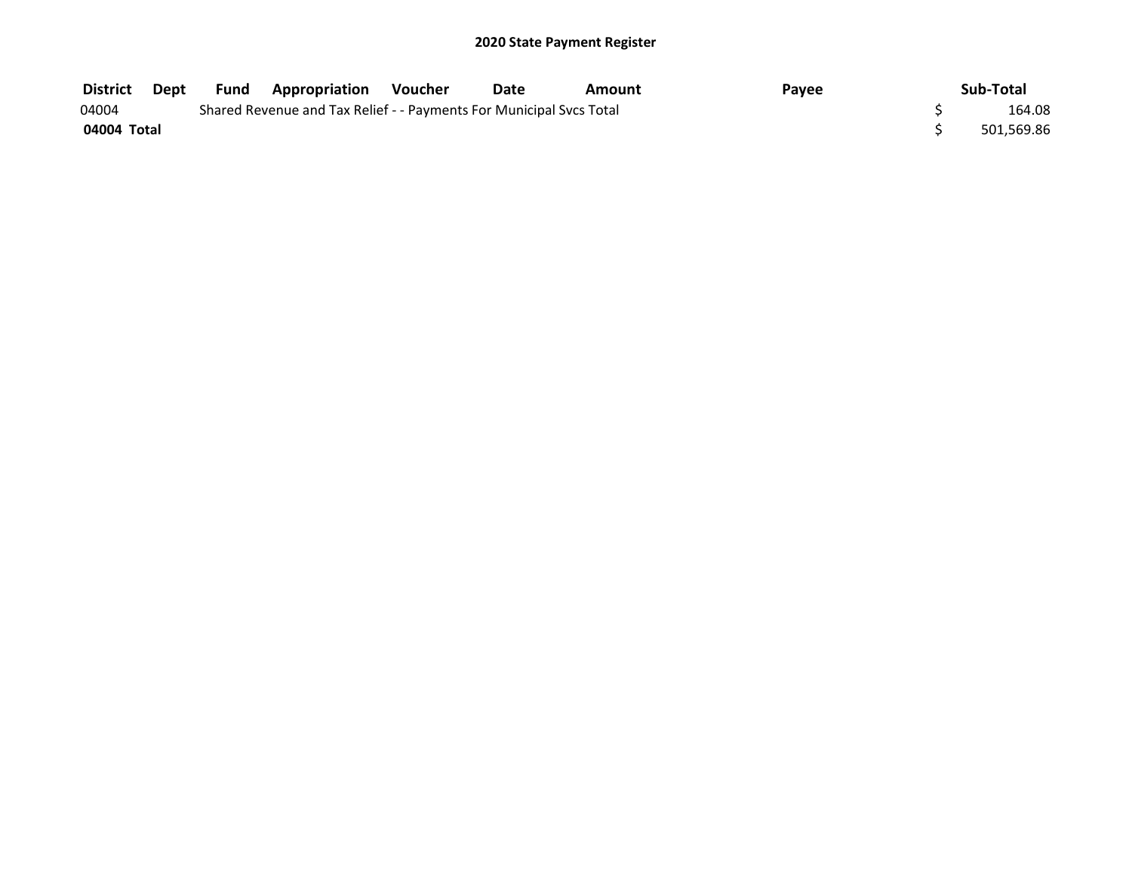| <b>District</b> | Dept | <b>Fund</b> | <b>Appropriation</b>                                                | Voucher | Date | Amount | Payee | Sub-Total  |
|-----------------|------|-------------|---------------------------------------------------------------------|---------|------|--------|-------|------------|
| 04004           |      |             | Shared Revenue and Tax Relief - - Payments For Municipal Svcs Total |         |      |        |       | 164.08     |
| 04004 Total     |      |             |                                                                     |         |      |        |       | 501,569.86 |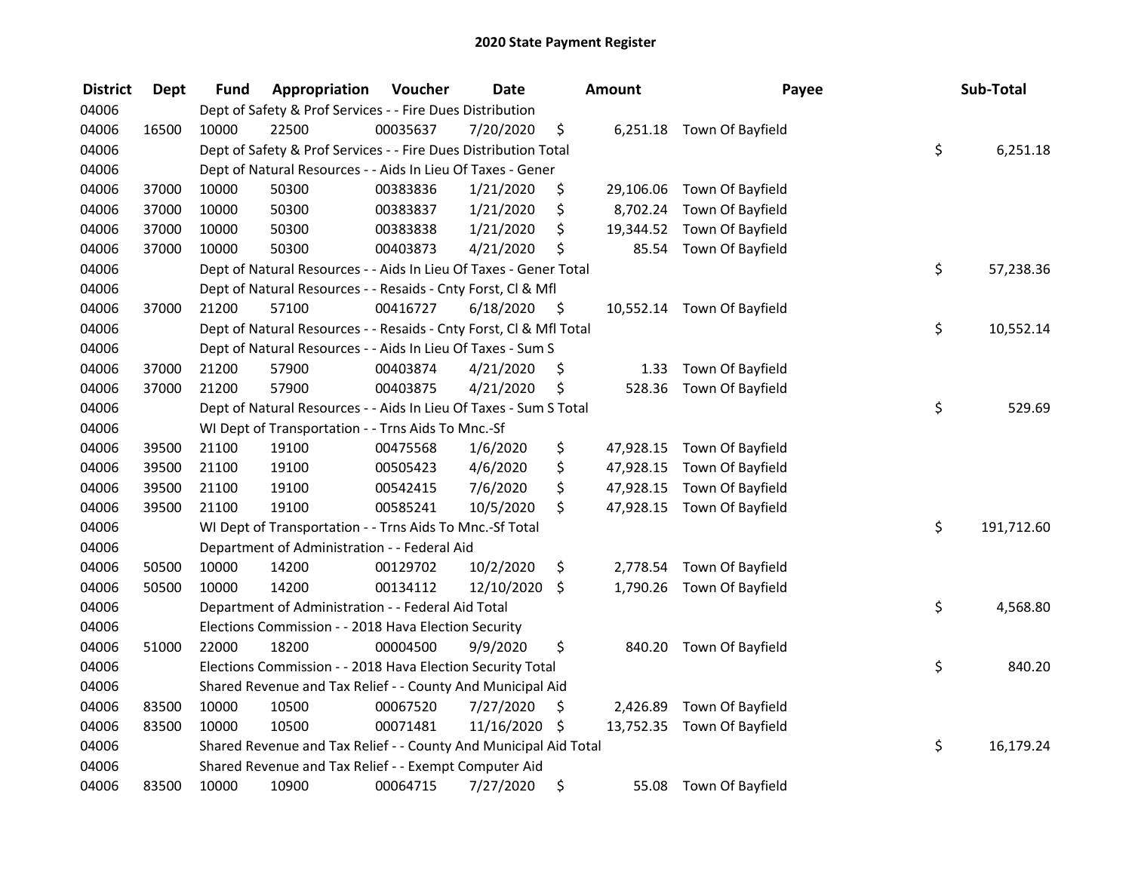| <b>District</b> | <b>Dept</b> | Fund  | Appropriation                                                      | Voucher  | <b>Date</b> |      | <b>Amount</b> | Payee                      | Sub-Total        |
|-----------------|-------------|-------|--------------------------------------------------------------------|----------|-------------|------|---------------|----------------------------|------------------|
| 04006           |             |       | Dept of Safety & Prof Services - - Fire Dues Distribution          |          |             |      |               |                            |                  |
| 04006           | 16500       | 10000 | 22500                                                              | 00035637 | 7/20/2020   | \$   |               | 6,251.18 Town Of Bayfield  |                  |
| 04006           |             |       | Dept of Safety & Prof Services - - Fire Dues Distribution Total    |          |             |      |               |                            | \$<br>6,251.18   |
| 04006           |             |       | Dept of Natural Resources - - Aids In Lieu Of Taxes - Gener        |          |             |      |               |                            |                  |
| 04006           | 37000       | 10000 | 50300                                                              | 00383836 | 1/21/2020   | \$   | 29,106.06     | Town Of Bayfield           |                  |
| 04006           | 37000       | 10000 | 50300                                                              | 00383837 | 1/21/2020   | \$   | 8,702.24      | Town Of Bayfield           |                  |
| 04006           | 37000       | 10000 | 50300                                                              | 00383838 | 1/21/2020   | \$   | 19,344.52     | Town Of Bayfield           |                  |
| 04006           | 37000       | 10000 | 50300                                                              | 00403873 | 4/21/2020   | \$   | 85.54         | Town Of Bayfield           |                  |
| 04006           |             |       | Dept of Natural Resources - - Aids In Lieu Of Taxes - Gener Total  |          |             |      |               |                            | \$<br>57,238.36  |
| 04006           |             |       | Dept of Natural Resources - - Resaids - Cnty Forst, Cl & Mfl       |          |             |      |               |                            |                  |
| 04006           | 37000       | 21200 | 57100                                                              | 00416727 | 6/18/2020   | -\$  |               | 10,552.14 Town Of Bayfield |                  |
| 04006           |             |       | Dept of Natural Resources - - Resaids - Cnty Forst, Cl & Mfl Total |          |             |      |               |                            | \$<br>10,552.14  |
| 04006           |             |       | Dept of Natural Resources - - Aids In Lieu Of Taxes - Sum S        |          |             |      |               |                            |                  |
| 04006           | 37000       | 21200 | 57900                                                              | 00403874 | 4/21/2020   | \$   | 1.33          | Town Of Bayfield           |                  |
| 04006           | 37000       | 21200 | 57900                                                              | 00403875 | 4/21/2020   | \$   | 528.36        | Town Of Bayfield           |                  |
| 04006           |             |       | Dept of Natural Resources - - Aids In Lieu Of Taxes - Sum S Total  |          |             |      |               |                            | \$<br>529.69     |
| 04006           |             |       | WI Dept of Transportation - - Trns Aids To Mnc.-Sf                 |          |             |      |               |                            |                  |
| 04006           | 39500       | 21100 | 19100                                                              | 00475568 | 1/6/2020    | \$   | 47,928.15     | Town Of Bayfield           |                  |
| 04006           | 39500       | 21100 | 19100                                                              | 00505423 | 4/6/2020    | \$   | 47,928.15     | Town Of Bayfield           |                  |
| 04006           | 39500       | 21100 | 19100                                                              | 00542415 | 7/6/2020    | \$   | 47,928.15     | Town Of Bayfield           |                  |
| 04006           | 39500       | 21100 | 19100                                                              | 00585241 | 10/5/2020   | \$   |               | 47,928.15 Town Of Bayfield |                  |
| 04006           |             |       | WI Dept of Transportation - - Trns Aids To Mnc.-Sf Total           |          |             |      |               |                            | \$<br>191,712.60 |
| 04006           |             |       | Department of Administration - - Federal Aid                       |          |             |      |               |                            |                  |
| 04006           | 50500       | 10000 | 14200                                                              | 00129702 | 10/2/2020   | \$   | 2,778.54      | Town Of Bayfield           |                  |
| 04006           | 50500       | 10000 | 14200                                                              | 00134112 | 12/10/2020  | \$   | 1,790.26      | Town Of Bayfield           |                  |
| 04006           |             |       | Department of Administration - - Federal Aid Total                 |          |             |      |               |                            | \$<br>4,568.80   |
| 04006           |             |       | Elections Commission - - 2018 Hava Election Security               |          |             |      |               |                            |                  |
| 04006           | 51000       | 22000 | 18200                                                              | 00004500 | 9/9/2020    | \$   |               | 840.20 Town Of Bayfield    |                  |
| 04006           |             |       | Elections Commission - - 2018 Hava Election Security Total         |          |             |      |               |                            | \$<br>840.20     |
| 04006           |             |       | Shared Revenue and Tax Relief - - County And Municipal Aid         |          |             |      |               |                            |                  |
| 04006           | 83500       | 10000 | 10500                                                              | 00067520 | 7/27/2020   | \$   | 2,426.89      | Town Of Bayfield           |                  |
| 04006           | 83500       | 10000 | 10500                                                              | 00071481 | 11/16/2020  | - \$ |               | 13,752.35 Town Of Bayfield |                  |
| 04006           |             |       | Shared Revenue and Tax Relief - - County And Municipal Aid Total   |          |             |      |               |                            | \$<br>16,179.24  |
| 04006           |             |       | Shared Revenue and Tax Relief - - Exempt Computer Aid              |          |             |      |               |                            |                  |
| 04006           | 83500       | 10000 | 10900                                                              | 00064715 | 7/27/2020   | \$   | 55.08         | Town Of Bayfield           |                  |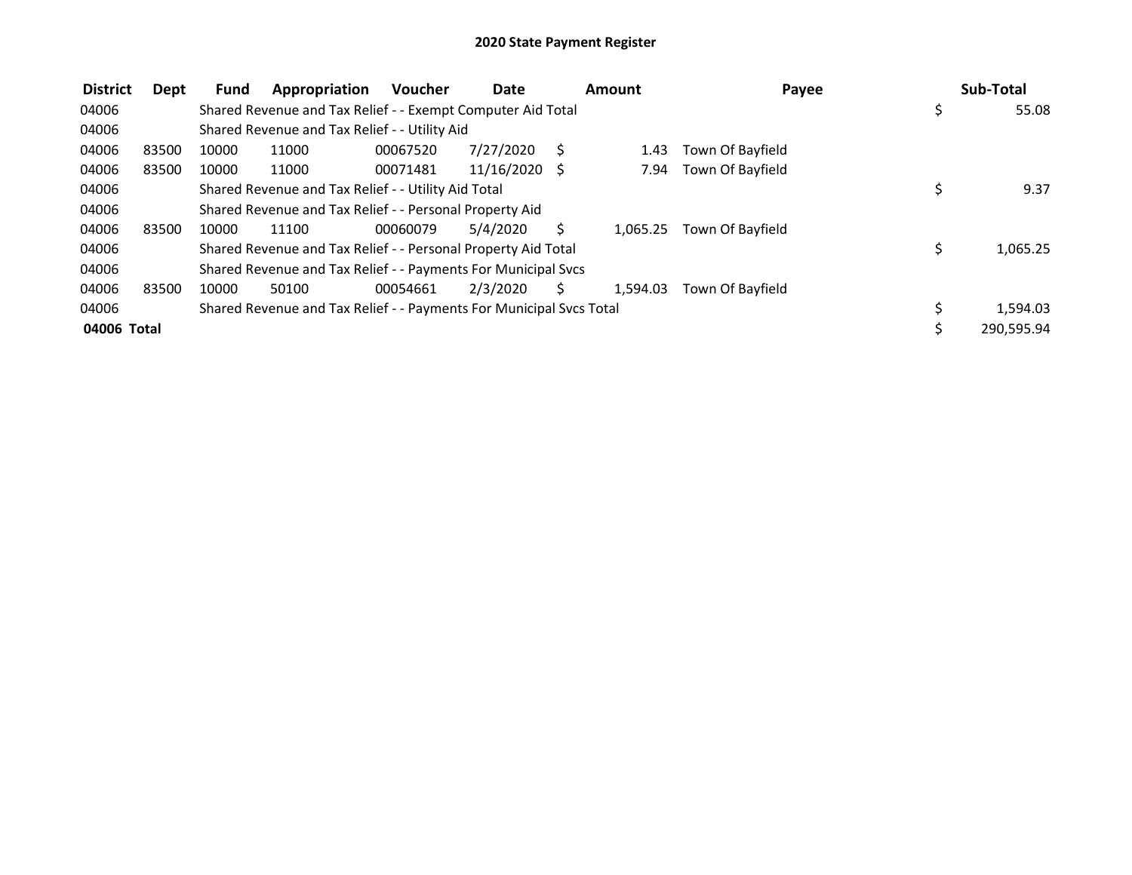| <b>District</b> | Dept  | <b>Fund</b> | Appropriation                                                       | <b>Voucher</b> | Date            |    | Amount   | Payee            |     | Sub-Total  |
|-----------------|-------|-------------|---------------------------------------------------------------------|----------------|-----------------|----|----------|------------------|-----|------------|
| 04006           |       |             | Shared Revenue and Tax Relief - - Exempt Computer Aid Total         |                |                 |    |          |                  | \$. | 55.08      |
| 04006           |       |             | Shared Revenue and Tax Relief - - Utility Aid                       |                |                 |    |          |                  |     |            |
| 04006           | 83500 | 10000       | 11000                                                               | 00067520       | 7/27/2020       | S. | 1.43     | Town Of Bayfield |     |            |
| 04006           | 83500 | 10000       | 11000                                                               | 00071481       | $11/16/2020$ \$ |    | 7.94     | Town Of Bayfield |     |            |
| 04006           |       |             | Shared Revenue and Tax Relief - - Utility Aid Total                 |                |                 |    |          |                  |     | 9.37       |
| 04006           |       |             | Shared Revenue and Tax Relief - - Personal Property Aid             |                |                 |    |          |                  |     |            |
| 04006           | 83500 | 10000       | 11100                                                               | 00060079       | 5/4/2020        | Ś. | 1.065.25 | Town Of Bayfield |     |            |
| 04006           |       |             | Shared Revenue and Tax Relief - - Personal Property Aid Total       |                |                 |    |          |                  | \$  | 1,065.25   |
| 04006           |       |             | Shared Revenue and Tax Relief - - Payments For Municipal Svcs       |                |                 |    |          |                  |     |            |
| 04006           | 83500 | 10000       | 50100                                                               | 00054661       | 2/3/2020        | S. | 1.594.03 | Town Of Bayfield |     |            |
| 04006           |       |             | Shared Revenue and Tax Relief - - Payments For Municipal Svcs Total |                |                 |    |          |                  |     | 1,594.03   |
| 04006 Total     |       |             |                                                                     |                |                 |    |          |                  |     | 290,595.94 |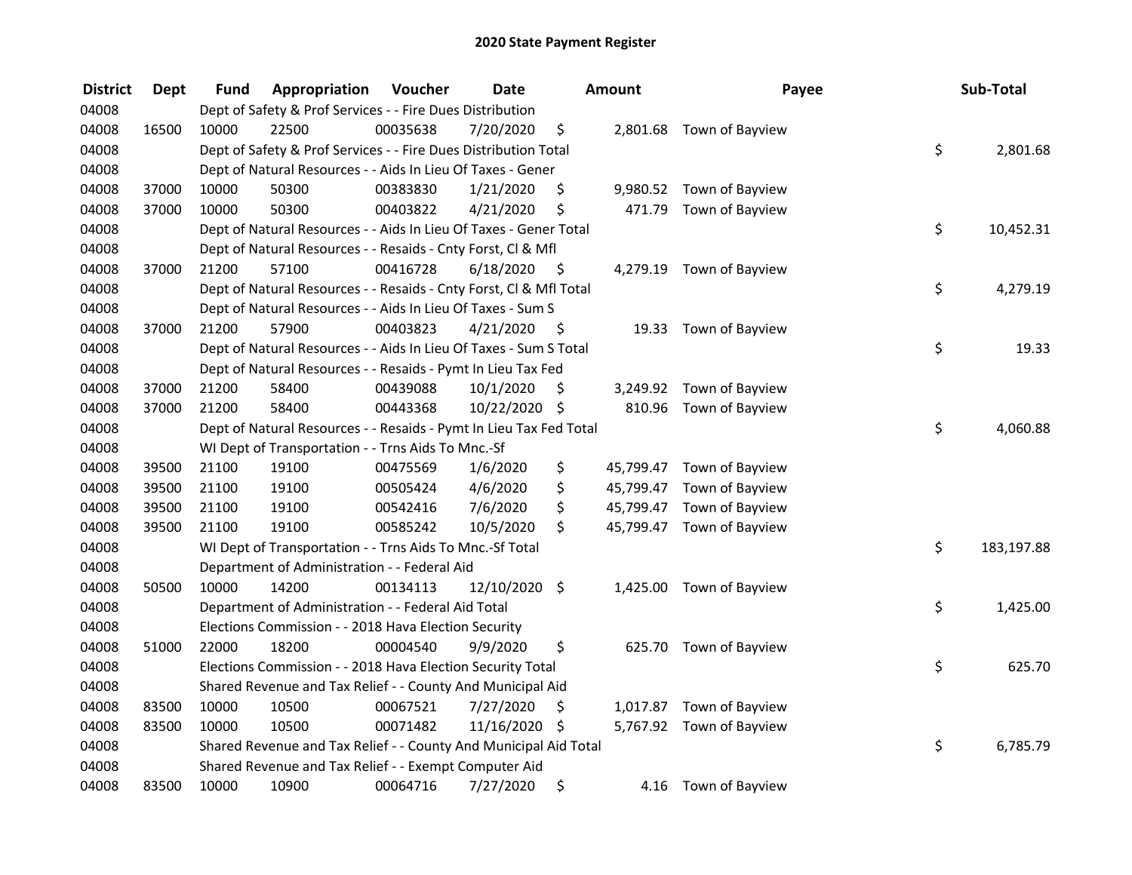| <b>District</b> | <b>Dept</b> | Fund  | Appropriation                                                      | Voucher  | <b>Date</b>   |      | <b>Amount</b> | Payee                     | Sub-Total        |
|-----------------|-------------|-------|--------------------------------------------------------------------|----------|---------------|------|---------------|---------------------------|------------------|
| 04008           |             |       | Dept of Safety & Prof Services - - Fire Dues Distribution          |          |               |      |               |                           |                  |
| 04008           | 16500       | 10000 | 22500                                                              | 00035638 | 7/20/2020     | \$   |               | 2,801.68 Town of Bayview  |                  |
| 04008           |             |       | Dept of Safety & Prof Services - - Fire Dues Distribution Total    |          |               |      |               |                           | \$<br>2,801.68   |
| 04008           |             |       | Dept of Natural Resources - - Aids In Lieu Of Taxes - Gener        |          |               |      |               |                           |                  |
| 04008           | 37000       | 10000 | 50300                                                              | 00383830 | 1/21/2020     | \$   |               | 9,980.52 Town of Bayview  |                  |
| 04008           | 37000       | 10000 | 50300                                                              | 00403822 | 4/21/2020     | \$   | 471.79        | Town of Bayview           |                  |
| 04008           |             |       | Dept of Natural Resources - - Aids In Lieu Of Taxes - Gener Total  |          |               |      |               |                           | \$<br>10,452.31  |
| 04008           |             |       | Dept of Natural Resources - - Resaids - Cnty Forst, Cl & Mfl       |          |               |      |               |                           |                  |
| 04008           | 37000       | 21200 | 57100                                                              | 00416728 | 6/18/2020     | - \$ |               | 4,279.19 Town of Bayview  |                  |
| 04008           |             |       | Dept of Natural Resources - - Resaids - Cnty Forst, Cl & Mfl Total |          |               |      |               |                           | \$<br>4,279.19   |
| 04008           |             |       | Dept of Natural Resources - - Aids In Lieu Of Taxes - Sum S        |          |               |      |               |                           |                  |
| 04008           | 37000       | 21200 | 57900                                                              | 00403823 | 4/21/2020     | - \$ |               | 19.33 Town of Bayview     |                  |
| 04008           |             |       | Dept of Natural Resources - - Aids In Lieu Of Taxes - Sum S Total  |          |               |      |               |                           | \$<br>19.33      |
| 04008           |             |       | Dept of Natural Resources - - Resaids - Pymt In Lieu Tax Fed       |          |               |      |               |                           |                  |
| 04008           | 37000       | 21200 | 58400                                                              | 00439088 | 10/1/2020     | \$   |               | 3,249.92 Town of Bayview  |                  |
| 04008           | 37000       | 21200 | 58400                                                              | 00443368 | 10/22/2020 \$ |      |               | 810.96 Town of Bayview    |                  |
| 04008           |             |       | Dept of Natural Resources - - Resaids - Pymt In Lieu Tax Fed Total |          |               |      |               |                           | \$<br>4,060.88   |
| 04008           |             |       | WI Dept of Transportation - - Trns Aids To Mnc.-Sf                 |          |               |      |               |                           |                  |
| 04008           | 39500       | 21100 | 19100                                                              | 00475569 | 1/6/2020      | \$   |               | 45,799.47 Town of Bayview |                  |
| 04008           | 39500       | 21100 | 19100                                                              | 00505424 | 4/6/2020      | \$   |               | 45,799.47 Town of Bayview |                  |
| 04008           | 39500       | 21100 | 19100                                                              | 00542416 | 7/6/2020      | \$   |               | 45,799.47 Town of Bayview |                  |
| 04008           | 39500       | 21100 | 19100                                                              | 00585242 | 10/5/2020     | \$   |               | 45,799.47 Town of Bayview |                  |
| 04008           |             |       | WI Dept of Transportation - - Trns Aids To Mnc.-Sf Total           |          |               |      |               |                           | \$<br>183,197.88 |
| 04008           |             |       | Department of Administration - - Federal Aid                       |          |               |      |               |                           |                  |
| 04008           | 50500       | 10000 | 14200                                                              | 00134113 | 12/10/2020 \$ |      |               | 1,425.00 Town of Bayview  |                  |
| 04008           |             |       | Department of Administration - - Federal Aid Total                 |          |               |      |               |                           | \$<br>1,425.00   |
| 04008           |             |       | Elections Commission - - 2018 Hava Election Security               |          |               |      |               |                           |                  |
| 04008           | 51000       | 22000 | 18200                                                              | 00004540 | 9/9/2020      | \$   |               | 625.70 Town of Bayview    |                  |
| 04008           |             |       | Elections Commission - - 2018 Hava Election Security Total         |          |               |      |               |                           | \$<br>625.70     |
| 04008           |             |       | Shared Revenue and Tax Relief - - County And Municipal Aid         |          |               |      |               |                           |                  |
| 04008           | 83500       | 10000 | 10500                                                              | 00067521 | 7/27/2020     | \$.  |               | 1,017.87 Town of Bayview  |                  |
| 04008           | 83500       | 10000 | 10500                                                              | 00071482 | 11/16/2020 \$ |      |               | 5,767.92 Town of Bayview  |                  |
| 04008           |             |       | Shared Revenue and Tax Relief - - County And Municipal Aid Total   |          |               |      |               |                           | \$<br>6,785.79   |
| 04008           |             |       | Shared Revenue and Tax Relief - - Exempt Computer Aid              |          |               |      |               |                           |                  |
| 04008           | 83500       | 10000 | 10900                                                              | 00064716 | 7/27/2020     | \$   |               | 4.16 Town of Bayview      |                  |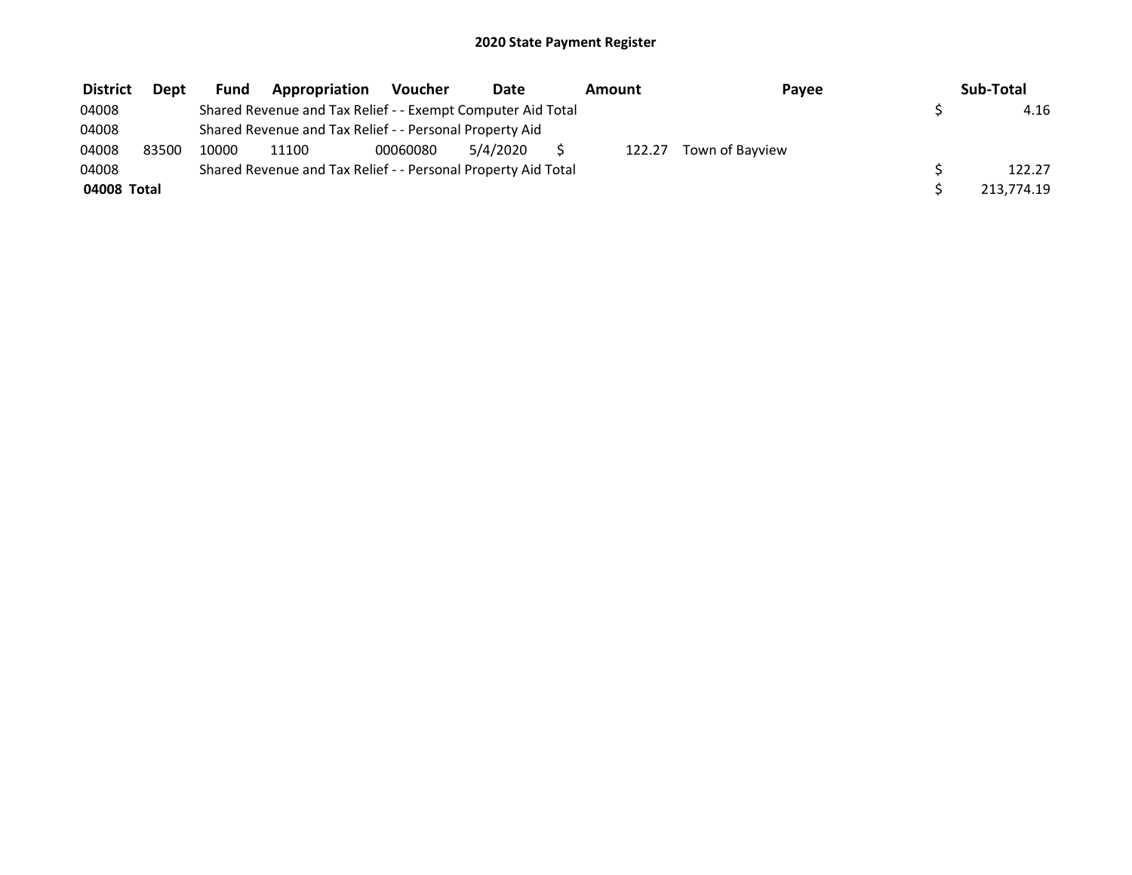| <b>District</b> | Dept  | <b>Fund</b> | Appropriation                                                 | <b>Voucher</b> | Date     | Amount | Payee           | Sub-Total  |
|-----------------|-------|-------------|---------------------------------------------------------------|----------------|----------|--------|-----------------|------------|
| 04008           |       |             | Shared Revenue and Tax Relief - - Exempt Computer Aid Total   |                |          |        |                 | 4.16       |
| 04008           |       |             | Shared Revenue and Tax Relief - - Personal Property Aid       |                |          |        |                 |            |
| 04008           | 83500 | 10000       | 11100                                                         | 00060080       | 5/4/2020 | 122.27 | Town of Bayview |            |
| 04008           |       |             | Shared Revenue and Tax Relief - - Personal Property Aid Total |                |          |        |                 | 122.27     |
| 04008 Total     |       |             |                                                               |                |          |        |                 | 213.774.19 |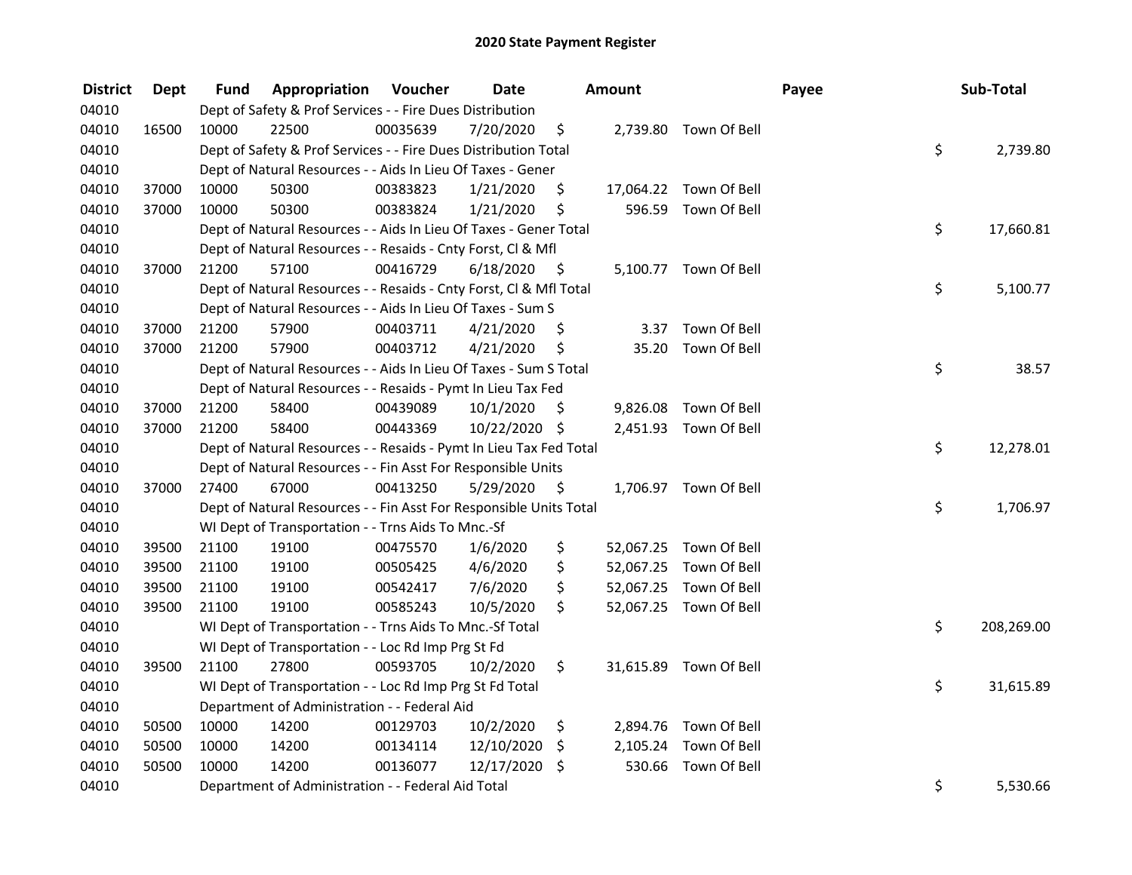| <b>District</b> | <b>Dept</b> | Fund  | Appropriation                                                      | Voucher  | <b>Date</b>   |         | Amount   |                        | Payee | Sub-Total        |
|-----------------|-------------|-------|--------------------------------------------------------------------|----------|---------------|---------|----------|------------------------|-------|------------------|
| 04010           |             |       | Dept of Safety & Prof Services - - Fire Dues Distribution          |          |               |         |          |                        |       |                  |
| 04010           | 16500       | 10000 | 22500                                                              | 00035639 | 7/20/2020     | \$      |          | 2,739.80 Town Of Bell  |       |                  |
| 04010           |             |       | Dept of Safety & Prof Services - - Fire Dues Distribution Total    |          |               |         |          |                        |       | \$<br>2,739.80   |
| 04010           |             |       | Dept of Natural Resources - - Aids In Lieu Of Taxes - Gener        |          |               |         |          |                        |       |                  |
| 04010           | 37000       | 10000 | 50300                                                              | 00383823 | 1/21/2020     | \$      |          | 17,064.22 Town Of Bell |       |                  |
| 04010           | 37000       | 10000 | 50300                                                              | 00383824 | 1/21/2020     | \$      |          | 596.59 Town Of Bell    |       |                  |
| 04010           |             |       | Dept of Natural Resources - - Aids In Lieu Of Taxes - Gener Total  |          |               |         |          |                        |       | \$<br>17,660.81  |
| 04010           |             |       | Dept of Natural Resources - - Resaids - Cnty Forst, Cl & Mfl       |          |               |         |          |                        |       |                  |
| 04010           | 37000       | 21200 | 57100                                                              | 00416729 | 6/18/2020     | - \$    |          | 5,100.77 Town Of Bell  |       |                  |
| 04010           |             |       | Dept of Natural Resources - - Resaids - Cnty Forst, Cl & Mfl Total |          |               |         |          |                        |       | \$<br>5,100.77   |
| 04010           |             |       | Dept of Natural Resources - - Aids In Lieu Of Taxes - Sum S        |          |               |         |          |                        |       |                  |
| 04010           | 37000       | 21200 | 57900                                                              | 00403711 | 4/21/2020     | \$,     |          | 3.37 Town Of Bell      |       |                  |
| 04010           | 37000       | 21200 | 57900                                                              | 00403712 | 4/21/2020     | \$      |          | 35.20 Town Of Bell     |       |                  |
| 04010           |             |       | Dept of Natural Resources - - Aids In Lieu Of Taxes - Sum S Total  |          |               |         |          |                        |       | \$<br>38.57      |
| 04010           |             |       | Dept of Natural Resources - - Resaids - Pymt In Lieu Tax Fed       |          |               |         |          |                        |       |                  |
| 04010           | 37000       | 21200 | 58400                                                              | 00439089 | 10/1/2020     | \$      | 9,826.08 | Town Of Bell           |       |                  |
| 04010           | 37000       | 21200 | 58400                                                              | 00443369 | 10/22/2020 \$ |         |          | 2,451.93 Town Of Bell  |       |                  |
| 04010           |             |       | Dept of Natural Resources - - Resaids - Pymt In Lieu Tax Fed Total |          |               |         |          |                        |       | \$<br>12,278.01  |
| 04010           |             |       | Dept of Natural Resources - - Fin Asst For Responsible Units       |          |               |         |          |                        |       |                  |
| 04010           | 37000       | 27400 | 67000                                                              | 00413250 | 5/29/2020     | - \$    |          | 1,706.97 Town Of Bell  |       |                  |
| 04010           |             |       | Dept of Natural Resources - - Fin Asst For Responsible Units Total |          |               |         |          |                        |       | \$<br>1,706.97   |
| 04010           |             |       | WI Dept of Transportation - - Trns Aids To Mnc.-Sf                 |          |               |         |          |                        |       |                  |
| 04010           | 39500       | 21100 | 19100                                                              | 00475570 | 1/6/2020      | \$      |          | 52,067.25 Town Of Bell |       |                  |
| 04010           | 39500       | 21100 | 19100                                                              | 00505425 | 4/6/2020      | \$      |          | 52,067.25 Town Of Bell |       |                  |
| 04010           | 39500       | 21100 | 19100                                                              | 00542417 | 7/6/2020      | \$      |          | 52,067.25 Town Of Bell |       |                  |
| 04010           | 39500       | 21100 | 19100                                                              | 00585243 | 10/5/2020     | \$      |          | 52,067.25 Town Of Bell |       |                  |
| 04010           |             |       | WI Dept of Transportation - - Trns Aids To Mnc.-Sf Total           |          |               |         |          |                        |       | \$<br>208,269.00 |
| 04010           |             |       | WI Dept of Transportation - - Loc Rd Imp Prg St Fd                 |          |               |         |          |                        |       |                  |
| 04010           | 39500       | 21100 | 27800                                                              | 00593705 | 10/2/2020     | \$.     |          | 31,615.89 Town Of Bell |       |                  |
| 04010           |             |       | WI Dept of Transportation - - Loc Rd Imp Prg St Fd Total           |          |               |         |          |                        |       | \$<br>31,615.89  |
| 04010           |             |       | Department of Administration - - Federal Aid                       |          |               |         |          |                        |       |                  |
| 04010           | 50500       | 10000 | 14200                                                              | 00129703 | 10/2/2020     | \$      |          | 2,894.76 Town Of Bell  |       |                  |
| 04010           | 50500       | 10000 | 14200                                                              | 00134114 | 12/10/2020    | $\zeta$ |          | 2,105.24 Town Of Bell  |       |                  |
| 04010           | 50500       | 10000 | 14200                                                              | 00136077 | 12/17/2020    | \$      | 530.66   | Town Of Bell           |       |                  |
| 04010           |             |       | Department of Administration - - Federal Aid Total                 |          |               |         |          |                        |       | \$<br>5,530.66   |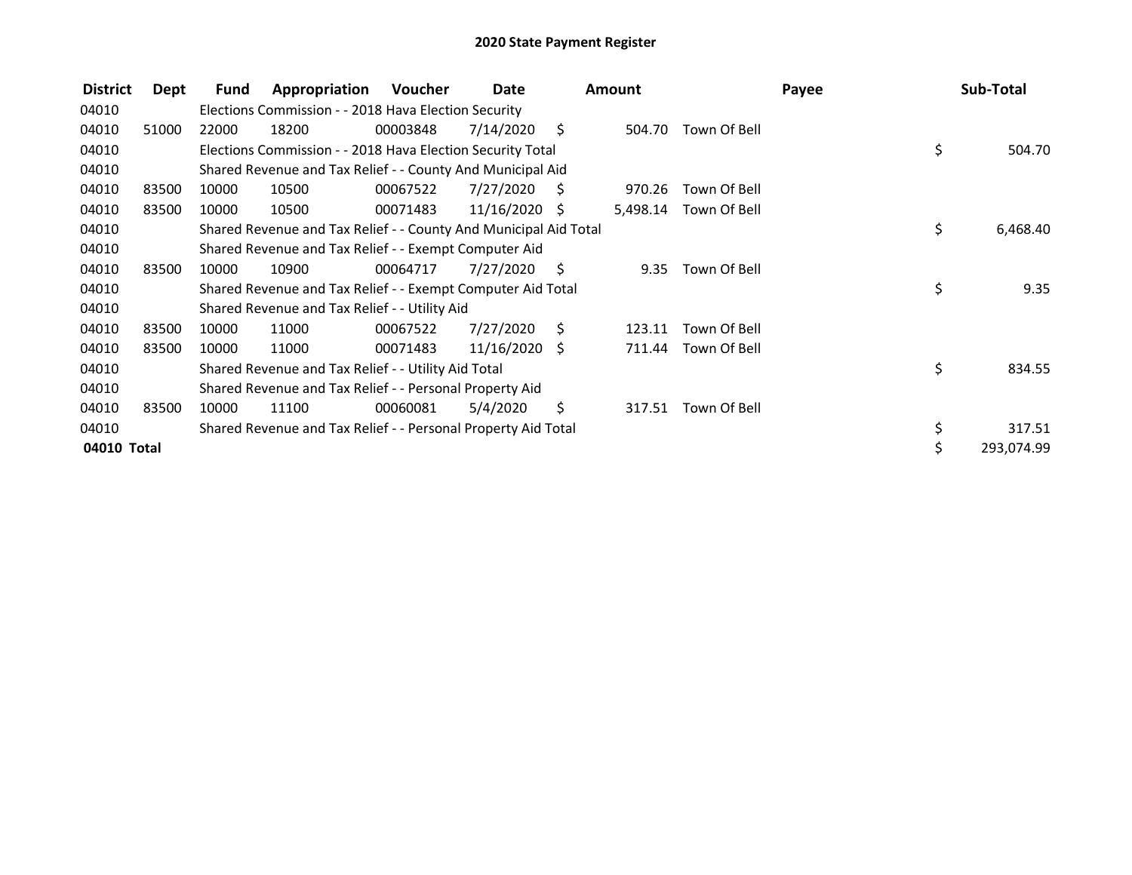| <b>District</b> | Dept  | Fund  | Appropriation                                                    | Voucher  | Date            |      | Amount   |              | Payee | Sub-Total      |
|-----------------|-------|-------|------------------------------------------------------------------|----------|-----------------|------|----------|--------------|-------|----------------|
| 04010           |       |       | Elections Commission - - 2018 Hava Election Security             |          |                 |      |          |              |       |                |
| 04010           | 51000 | 22000 | 18200                                                            | 00003848 | 7/14/2020       | - \$ | 504.70   | Town Of Bell |       |                |
| 04010           |       |       | Elections Commission - - 2018 Hava Election Security Total       |          |                 |      |          |              |       | \$<br>504.70   |
| 04010           |       |       | Shared Revenue and Tax Relief - - County And Municipal Aid       |          |                 |      |          |              |       |                |
| 04010           | 83500 | 10000 | 10500                                                            | 00067522 | 7/27/2020       | - \$ | 970.26   | Town Of Bell |       |                |
| 04010           | 83500 | 10000 | 10500                                                            | 00071483 | $11/16/2020$ \$ |      | 5,498.14 | Town Of Bell |       |                |
| 04010           |       |       | Shared Revenue and Tax Relief - - County And Municipal Aid Total |          |                 |      |          |              |       | \$<br>6,468.40 |
| 04010           |       |       | Shared Revenue and Tax Relief - - Exempt Computer Aid            |          |                 |      |          |              |       |                |
| 04010           | 83500 | 10000 | 10900                                                            | 00064717 | 7/27/2020       | - S  | 9.35     | Town Of Bell |       |                |
| 04010           |       |       | Shared Revenue and Tax Relief - - Exempt Computer Aid Total      |          |                 |      |          |              |       | \$<br>9.35     |
| 04010           |       |       | Shared Revenue and Tax Relief - - Utility Aid                    |          |                 |      |          |              |       |                |
| 04010           | 83500 | 10000 | 11000                                                            | 00067522 | 7/27/2020       | - S  | 123.11   | Town Of Bell |       |                |
| 04010           | 83500 | 10000 | 11000                                                            | 00071483 | $11/16/2020$ \$ |      | 711.44   | Town Of Bell |       |                |
| 04010           |       |       | Shared Revenue and Tax Relief - - Utility Aid Total              |          |                 |      |          |              |       | \$<br>834.55   |
| 04010           |       |       | Shared Revenue and Tax Relief - - Personal Property Aid          |          |                 |      |          |              |       |                |
| 04010           | 83500 | 10000 | 11100                                                            | 00060081 | 5/4/2020        | \$   | 317.51   | Town Of Bell |       |                |
| 04010           |       |       | Shared Revenue and Tax Relief - - Personal Property Aid Total    |          |                 |      |          |              |       | \$<br>317.51   |
| 04010 Total     |       |       |                                                                  |          |                 |      |          |              |       | 293,074.99     |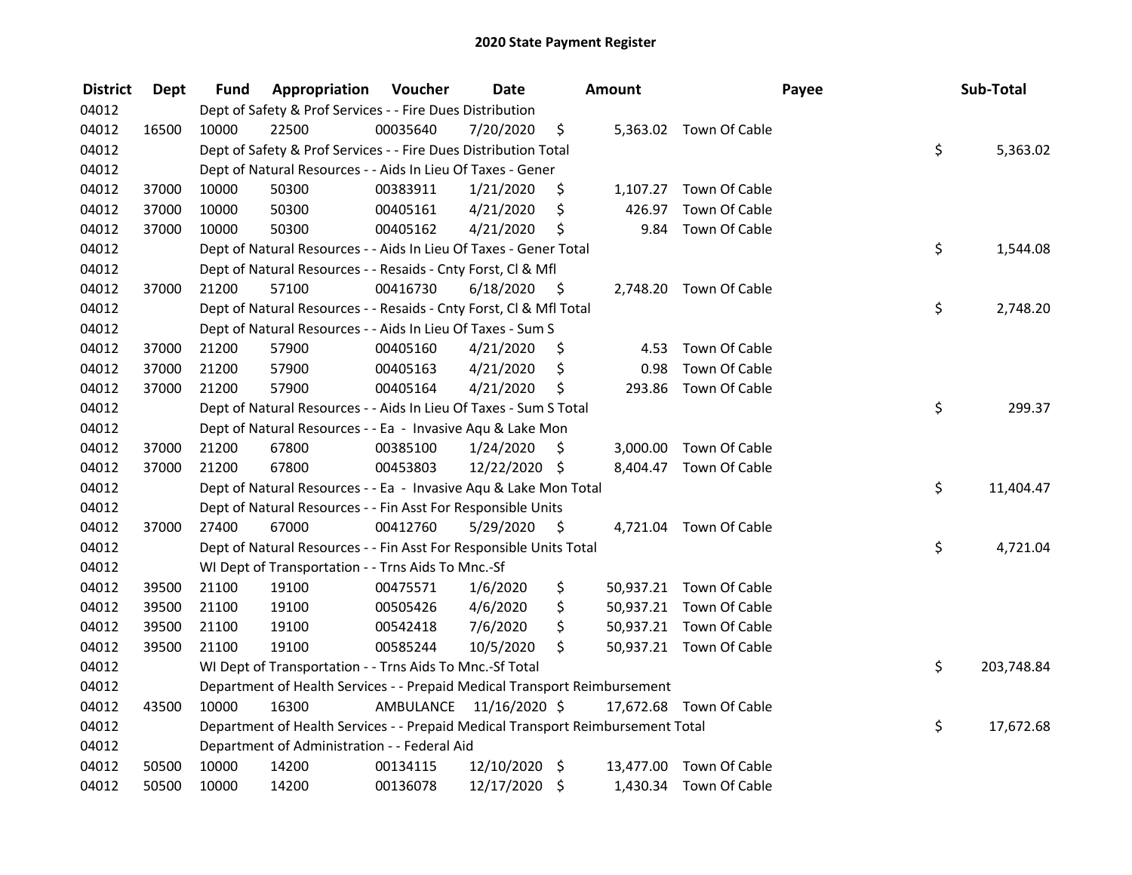| <b>District</b> | Dept  | Fund  | Appropriation                                                                   | Voucher   | <b>Date</b>     |      | Amount |                         | Payee | Sub-Total        |
|-----------------|-------|-------|---------------------------------------------------------------------------------|-----------|-----------------|------|--------|-------------------------|-------|------------------|
| 04012           |       |       | Dept of Safety & Prof Services - - Fire Dues Distribution                       |           |                 |      |        |                         |       |                  |
| 04012           | 16500 | 10000 | 22500                                                                           | 00035640  | 7/20/2020       | \$   |        | 5,363.02 Town Of Cable  |       |                  |
| 04012           |       |       | Dept of Safety & Prof Services - - Fire Dues Distribution Total                 |           |                 |      |        |                         |       | \$<br>5,363.02   |
| 04012           |       |       | Dept of Natural Resources - - Aids In Lieu Of Taxes - Gener                     |           |                 |      |        |                         |       |                  |
| 04012           | 37000 | 10000 | 50300                                                                           | 00383911  | 1/21/2020       | \$   |        | 1,107.27 Town Of Cable  |       |                  |
| 04012           | 37000 | 10000 | 50300                                                                           | 00405161  | 4/21/2020       | \$   | 426.97 | Town Of Cable           |       |                  |
| 04012           | 37000 | 10000 | 50300                                                                           | 00405162  | 4/21/2020       | \$   |        | 9.84 Town Of Cable      |       |                  |
| 04012           |       |       | Dept of Natural Resources - - Aids In Lieu Of Taxes - Gener Total               |           |                 |      |        |                         |       | \$<br>1,544.08   |
| 04012           |       |       | Dept of Natural Resources - - Resaids - Cnty Forst, Cl & Mfl                    |           |                 |      |        |                         |       |                  |
| 04012           | 37000 | 21200 | 57100                                                                           | 00416730  | 6/18/2020       | - \$ |        | 2,748.20 Town Of Cable  |       |                  |
| 04012           |       |       | Dept of Natural Resources - - Resaids - Cnty Forst, Cl & Mfl Total              |           |                 |      |        |                         |       | \$<br>2,748.20   |
| 04012           |       |       | Dept of Natural Resources - - Aids In Lieu Of Taxes - Sum S                     |           |                 |      |        |                         |       |                  |
| 04012           | 37000 | 21200 | 57900                                                                           | 00405160  | 4/21/2020       | \$,  | 4.53   | Town Of Cable           |       |                  |
| 04012           | 37000 | 21200 | 57900                                                                           | 00405163  | 4/21/2020       | \$   | 0.98   | Town Of Cable           |       |                  |
| 04012           | 37000 | 21200 | 57900                                                                           | 00405164  | 4/21/2020       | \$   | 293.86 | Town Of Cable           |       |                  |
| 04012           |       |       | Dept of Natural Resources - - Aids In Lieu Of Taxes - Sum S Total               |           |                 |      |        |                         |       | \$<br>299.37     |
| 04012           |       |       | Dept of Natural Resources - - Ea - Invasive Aqu & Lake Mon                      |           |                 |      |        |                         |       |                  |
| 04012           | 37000 | 21200 | 67800                                                                           | 00385100  | 1/24/2020       | \$   |        | 3,000.00 Town Of Cable  |       |                  |
| 04012           | 37000 | 21200 | 67800                                                                           | 00453803  | 12/22/2020 \$   |      |        | 8,404.47 Town Of Cable  |       |                  |
| 04012           |       |       | Dept of Natural Resources - - Ea - Invasive Aqu & Lake Mon Total                |           |                 |      |        |                         |       | \$<br>11,404.47  |
| 04012           |       |       | Dept of Natural Resources - - Fin Asst For Responsible Units                    |           |                 |      |        |                         |       |                  |
| 04012           | 37000 | 27400 | 67000                                                                           | 00412760  | 5/29/2020       | - \$ |        | 4,721.04 Town Of Cable  |       |                  |
| 04012           |       |       | Dept of Natural Resources - - Fin Asst For Responsible Units Total              |           |                 |      |        |                         |       | \$<br>4,721.04   |
| 04012           |       |       | WI Dept of Transportation - - Trns Aids To Mnc.-Sf                              |           |                 |      |        |                         |       |                  |
| 04012           | 39500 | 21100 | 19100                                                                           | 00475571  | 1/6/2020        | \$   |        | 50,937.21 Town Of Cable |       |                  |
| 04012           | 39500 | 21100 | 19100                                                                           | 00505426  | 4/6/2020        | \$   |        | 50,937.21 Town Of Cable |       |                  |
| 04012           | 39500 | 21100 | 19100                                                                           | 00542418  | 7/6/2020        | \$   |        | 50,937.21 Town Of Cable |       |                  |
| 04012           | 39500 | 21100 | 19100                                                                           | 00585244  | 10/5/2020       | \$   |        | 50,937.21 Town Of Cable |       |                  |
| 04012           |       |       | WI Dept of Transportation - - Trns Aids To Mnc.-Sf Total                        |           |                 |      |        |                         |       | \$<br>203,748.84 |
| 04012           |       |       | Department of Health Services - - Prepaid Medical Transport Reimbursement       |           |                 |      |        |                         |       |                  |
| 04012           | 43500 | 10000 | 16300                                                                           | AMBULANCE | 11/16/2020 \$   |      |        | 17,672.68 Town Of Cable |       |                  |
| 04012           |       |       | Department of Health Services - - Prepaid Medical Transport Reimbursement Total |           |                 |      |        |                         |       | \$<br>17,672.68  |
| 04012           |       |       | Department of Administration - - Federal Aid                                    |           |                 |      |        |                         |       |                  |
| 04012           | 50500 | 10000 | 14200                                                                           | 00134115  | $12/10/2020$ \$ |      |        | 13,477.00 Town Of Cable |       |                  |
| 04012           | 50500 | 10000 | 14200                                                                           | 00136078  | 12/17/2020 \$   |      |        | 1,430.34 Town Of Cable  |       |                  |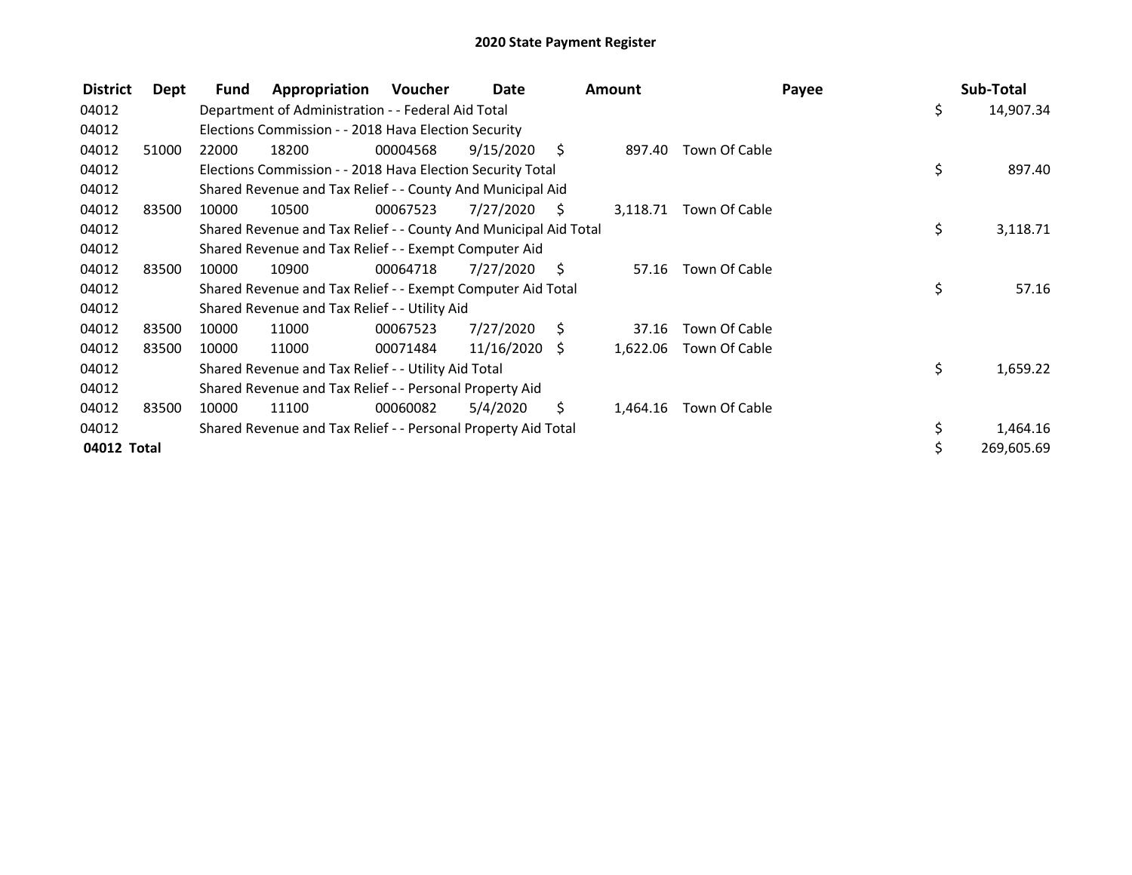| <b>District</b> | Dept  | <b>Fund</b> | Appropriation                                                    | Voucher  | Date            |      | <b>Amount</b> |               | Payee |     | Sub-Total  |
|-----------------|-------|-------------|------------------------------------------------------------------|----------|-----------------|------|---------------|---------------|-------|-----|------------|
| 04012           |       |             | Department of Administration - - Federal Aid Total               |          |                 |      |               |               |       | \$  | 14,907.34  |
| 04012           |       |             | Elections Commission - - 2018 Hava Election Security             |          |                 |      |               |               |       |     |            |
| 04012           | 51000 | 22000       | 18200                                                            | 00004568 | 9/15/2020       | - S  | 897.40        | Town Of Cable |       |     |            |
| 04012           |       |             | Elections Commission - - 2018 Hava Election Security Total       |          |                 |      |               |               |       | \$  | 897.40     |
| 04012           |       |             | Shared Revenue and Tax Relief - - County And Municipal Aid       |          |                 |      |               |               |       |     |            |
| 04012           | 83500 | 10000       | 10500                                                            | 00067523 | 7/27/2020       | S    | 3,118.71      | Town Of Cable |       |     |            |
| 04012           |       |             | Shared Revenue and Tax Relief - - County And Municipal Aid Total |          |                 |      |               |               |       | \$  | 3,118.71   |
| 04012           |       |             | Shared Revenue and Tax Relief - - Exempt Computer Aid            |          |                 |      |               |               |       |     |            |
| 04012           | 83500 | 10000       | 10900                                                            | 00064718 | 7/27/2020       | - \$ | 57.16         | Town Of Cable |       |     |            |
| 04012           |       |             | Shared Revenue and Tax Relief - - Exempt Computer Aid Total      |          |                 |      |               |               |       | \$  | 57.16      |
| 04012           |       |             | Shared Revenue and Tax Relief - - Utility Aid                    |          |                 |      |               |               |       |     |            |
| 04012           | 83500 | 10000       | 11000                                                            | 00067523 | 7/27/2020       | - S  | 37.16         | Town Of Cable |       |     |            |
| 04012           | 83500 | 10000       | 11000                                                            | 00071484 | $11/16/2020$ \$ |      | 1,622.06      | Town Of Cable |       |     |            |
| 04012           |       |             | Shared Revenue and Tax Relief - - Utility Aid Total              |          |                 |      |               |               |       | \$. | 1,659.22   |
| 04012           |       |             | Shared Revenue and Tax Relief - - Personal Property Aid          |          |                 |      |               |               |       |     |            |
| 04012           | 83500 | 10000       | 11100                                                            | 00060082 | 5/4/2020        | Ś.   | 1,464.16      | Town Of Cable |       |     |            |
| 04012           |       |             | Shared Revenue and Tax Relief - - Personal Property Aid Total    |          |                 |      |               |               |       | \$  | 1,464.16   |
| 04012 Total     |       |             |                                                                  |          |                 |      |               |               |       |     | 269,605.69 |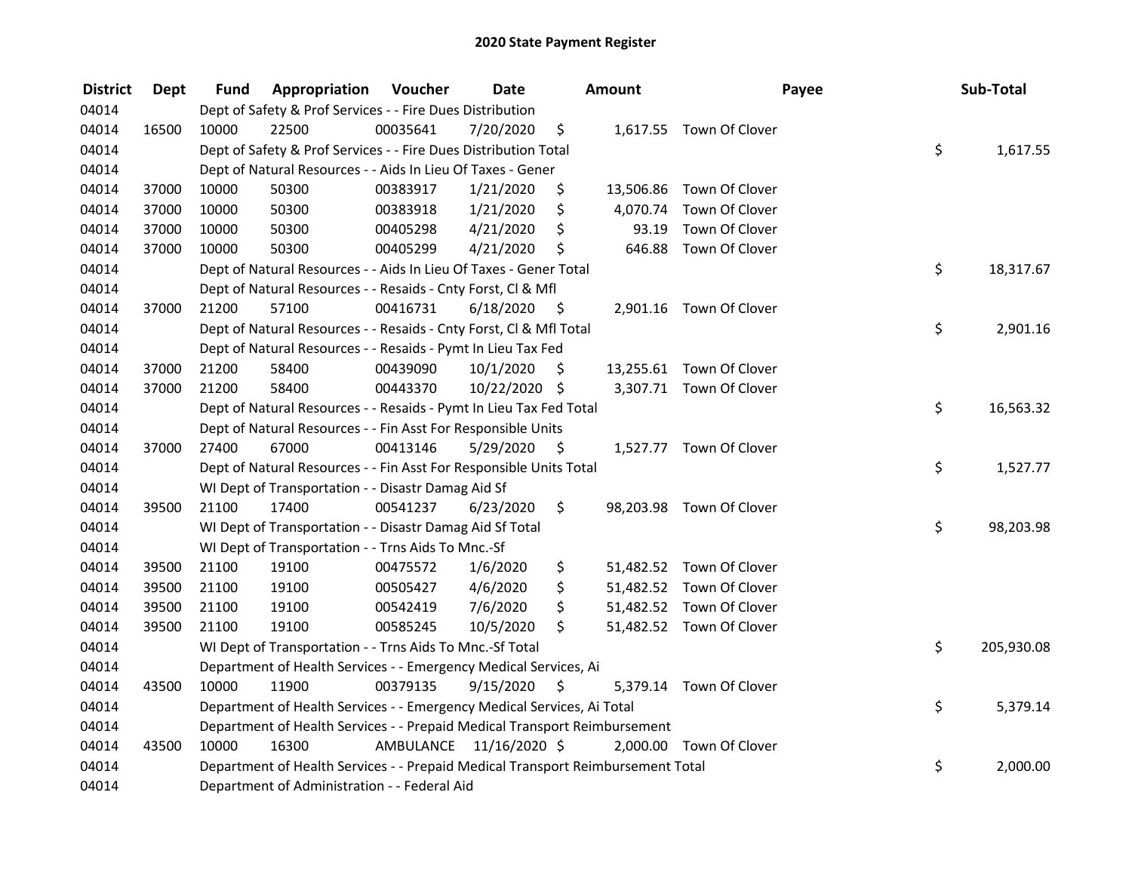| <b>District</b> | <b>Dept</b> | Fund  | Appropriation                                                                   | Voucher  | <b>Date</b>             |                    | Amount   |                          | Payee | Sub-Total |            |
|-----------------|-------------|-------|---------------------------------------------------------------------------------|----------|-------------------------|--------------------|----------|--------------------------|-------|-----------|------------|
| 04014           |             |       | Dept of Safety & Prof Services - - Fire Dues Distribution                       |          |                         |                    |          |                          |       |           |            |
| 04014           | 16500       | 10000 | 22500                                                                           | 00035641 | 7/20/2020               | \$                 |          | 1,617.55 Town Of Clover  |       |           |            |
| 04014           |             |       | Dept of Safety & Prof Services - - Fire Dues Distribution Total                 |          |                         |                    |          |                          | \$    |           | 1,617.55   |
| 04014           |             |       | Dept of Natural Resources - - Aids In Lieu Of Taxes - Gener                     |          |                         |                    |          |                          |       |           |            |
| 04014           | 37000       | 10000 | 50300                                                                           | 00383917 | 1/21/2020               | \$                 |          | 13,506.86 Town Of Clover |       |           |            |
| 04014           | 37000       | 10000 | 50300                                                                           | 00383918 | 1/21/2020               | \$                 | 4,070.74 | Town Of Clover           |       |           |            |
| 04014           | 37000       | 10000 | 50300                                                                           | 00405298 | 4/21/2020               | \$                 | 93.19    | Town Of Clover           |       |           |            |
| 04014           | 37000       | 10000 | 50300                                                                           | 00405299 | 4/21/2020               | \$                 |          | 646.88 Town Of Clover    |       |           |            |
| 04014           |             |       | Dept of Natural Resources - - Aids In Lieu Of Taxes - Gener Total               |          |                         |                    |          |                          | \$    |           | 18,317.67  |
| 04014           |             |       | Dept of Natural Resources - - Resaids - Cnty Forst, CI & Mfl                    |          |                         |                    |          |                          |       |           |            |
| 04014           | 37000       | 21200 | 57100                                                                           | 00416731 | 6/18/2020               | - \$               |          | 2,901.16 Town Of Clover  |       |           |            |
| 04014           |             |       | Dept of Natural Resources - - Resaids - Cnty Forst, Cl & Mfl Total              |          |                         |                    |          |                          | \$    |           | 2,901.16   |
| 04014           |             |       | Dept of Natural Resources - - Resaids - Pymt In Lieu Tax Fed                    |          |                         |                    |          |                          |       |           |            |
| 04014           | 37000       | 21200 | 58400                                                                           | 00439090 | 10/1/2020               | S.                 |          | 13,255.61 Town Of Clover |       |           |            |
| 04014           | 37000       | 21200 | 58400                                                                           | 00443370 | 10/22/2020 \$           |                    |          | 3,307.71 Town Of Clover  |       |           |            |
| 04014           |             |       | Dept of Natural Resources - - Resaids - Pymt In Lieu Tax Fed Total              |          |                         |                    |          |                          | \$    |           | 16,563.32  |
| 04014           |             |       | Dept of Natural Resources - - Fin Asst For Responsible Units                    |          |                         |                    |          |                          |       |           |            |
| 04014           | 37000       | 27400 | 67000                                                                           | 00413146 | 5/29/2020               | $\ddot{\varsigma}$ |          | 1,527.77 Town Of Clover  |       |           |            |
| 04014           |             |       | Dept of Natural Resources - - Fin Asst For Responsible Units Total              |          |                         |                    |          |                          | \$    |           | 1,527.77   |
| 04014           |             |       | WI Dept of Transportation - - Disastr Damag Aid Sf                              |          |                         |                    |          |                          |       |           |            |
| 04014           | 39500       | 21100 | 17400                                                                           | 00541237 | 6/23/2020               | \$                 |          | 98,203.98 Town Of Clover |       |           |            |
| 04014           |             |       | WI Dept of Transportation - - Disastr Damag Aid Sf Total                        |          |                         |                    |          |                          | \$    |           | 98,203.98  |
| 04014           |             |       | WI Dept of Transportation - - Trns Aids To Mnc.-Sf                              |          |                         |                    |          |                          |       |           |            |
| 04014           | 39500       | 21100 | 19100                                                                           | 00475572 | 1/6/2020                | \$                 |          | 51,482.52 Town Of Clover |       |           |            |
| 04014           | 39500       | 21100 | 19100                                                                           | 00505427 | 4/6/2020                | \$                 |          | 51,482.52 Town Of Clover |       |           |            |
| 04014           | 39500       | 21100 | 19100                                                                           | 00542419 | 7/6/2020                | \$                 |          | 51,482.52 Town Of Clover |       |           |            |
| 04014           | 39500       | 21100 | 19100                                                                           | 00585245 | 10/5/2020               | \$                 |          | 51,482.52 Town Of Clover |       |           |            |
| 04014           |             |       | WI Dept of Transportation - - Trns Aids To Mnc.-Sf Total                        |          |                         |                    |          |                          | \$    |           | 205,930.08 |
| 04014           |             |       | Department of Health Services - - Emergency Medical Services, Ai                |          |                         |                    |          |                          |       |           |            |
| 04014           | 43500       | 10000 | 11900                                                                           | 00379135 | 9/15/2020               | \$                 |          | 5,379.14 Town Of Clover  |       |           |            |
| 04014           |             |       | Department of Health Services - - Emergency Medical Services, Ai Total          |          |                         |                    |          |                          | \$    |           | 5,379.14   |
| 04014           |             |       | Department of Health Services - - Prepaid Medical Transport Reimbursement       |          |                         |                    |          |                          |       |           |            |
| 04014           | 43500       | 10000 | 16300                                                                           |          | AMBULANCE 11/16/2020 \$ |                    |          | 2,000.00 Town Of Clover  |       |           |            |
| 04014           |             |       | Department of Health Services - - Prepaid Medical Transport Reimbursement Total |          |                         |                    |          |                          | \$    |           | 2,000.00   |
| 04014           |             |       | Department of Administration - - Federal Aid                                    |          |                         |                    |          |                          |       |           |            |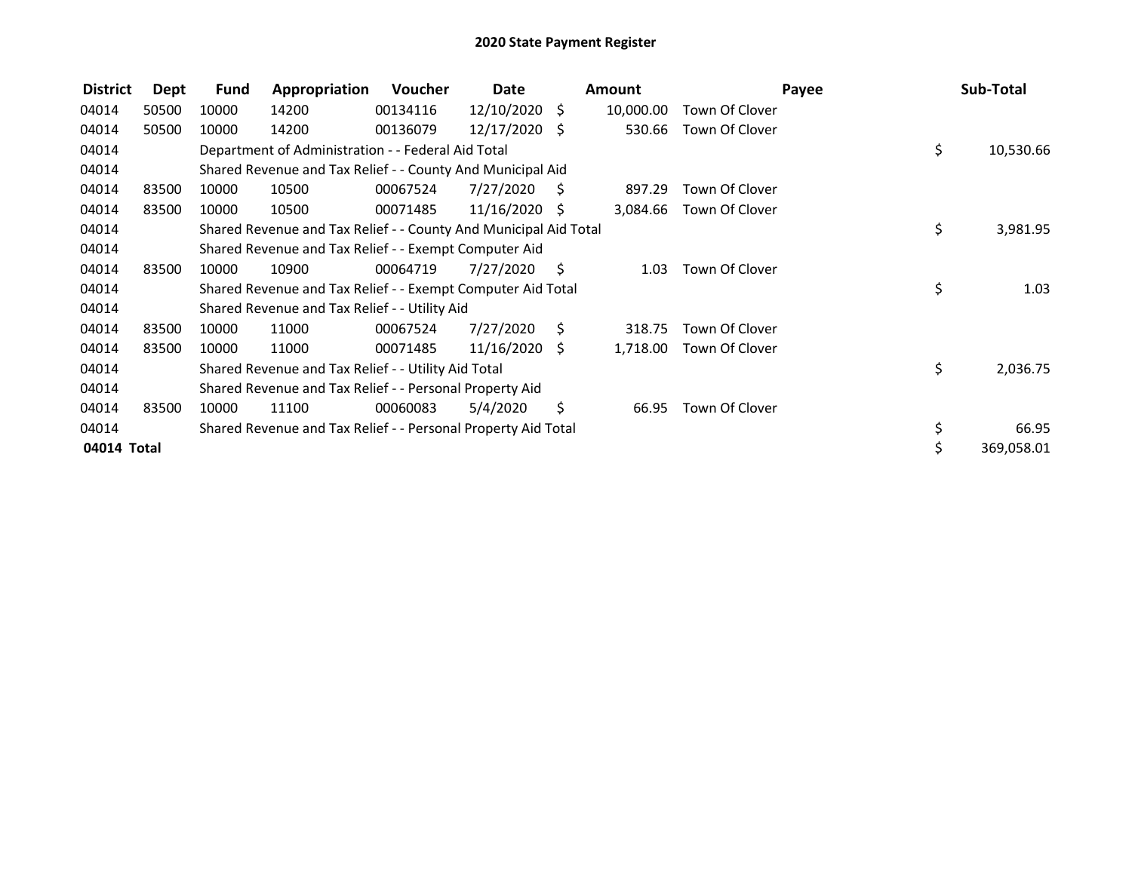| <b>District</b> | Dept  | Fund  | Appropriation                                                    | <b>Voucher</b> | Date            |      | <b>Amount</b> | Payee          | Sub-Total        |
|-----------------|-------|-------|------------------------------------------------------------------|----------------|-----------------|------|---------------|----------------|------------------|
| 04014           | 50500 | 10000 | 14200                                                            | 00134116       | 12/10/2020      | \$   | 10,000.00     | Town Of Clover |                  |
| 04014           | 50500 | 10000 | 14200                                                            | 00136079       | 12/17/2020 \$   |      | 530.66        | Town Of Clover |                  |
| 04014           |       |       | Department of Administration - - Federal Aid Total               |                |                 |      |               |                | \$<br>10,530.66  |
| 04014           |       |       | Shared Revenue and Tax Relief - - County And Municipal Aid       |                |                 |      |               |                |                  |
| 04014           | 83500 | 10000 | 10500                                                            | 00067524       | 7/27/2020       | - S  | 897.29        | Town Of Clover |                  |
| 04014           | 83500 | 10000 | 10500                                                            | 00071485       | $11/16/2020$ \$ |      | 3,084.66      | Town Of Clover |                  |
| 04014           |       |       | Shared Revenue and Tax Relief - - County And Municipal Aid Total |                |                 |      |               |                | \$<br>3,981.95   |
| 04014           |       |       | Shared Revenue and Tax Relief - - Exempt Computer Aid            |                |                 |      |               |                |                  |
| 04014           | 83500 | 10000 | 10900                                                            | 00064719       | 7/27/2020       | - \$ | 1.03          | Town Of Clover |                  |
| 04014           |       |       | Shared Revenue and Tax Relief - - Exempt Computer Aid Total      |                |                 |      |               |                | \$<br>1.03       |
| 04014           |       |       | Shared Revenue and Tax Relief - - Utility Aid                    |                |                 |      |               |                |                  |
| 04014           | 83500 | 10000 | 11000                                                            | 00067524       | 7/27/2020       | - S  | 318.75        | Town Of Clover |                  |
| 04014           | 83500 | 10000 | 11000                                                            | 00071485       | $11/16/2020$ \$ |      | 1,718.00      | Town Of Clover |                  |
| 04014           |       |       | Shared Revenue and Tax Relief - - Utility Aid Total              |                |                 |      |               |                | \$<br>2,036.75   |
| 04014           |       |       | Shared Revenue and Tax Relief - - Personal Property Aid          |                |                 |      |               |                |                  |
| 04014           | 83500 | 10000 | 11100                                                            | 00060083       | 5/4/2020        | \$   | 66.95         | Town Of Clover |                  |
| 04014           |       |       | Shared Revenue and Tax Relief - - Personal Property Aid Total    |                |                 |      |               |                | \$<br>66.95      |
| 04014 Total     |       |       |                                                                  |                |                 |      |               |                | \$<br>369,058.01 |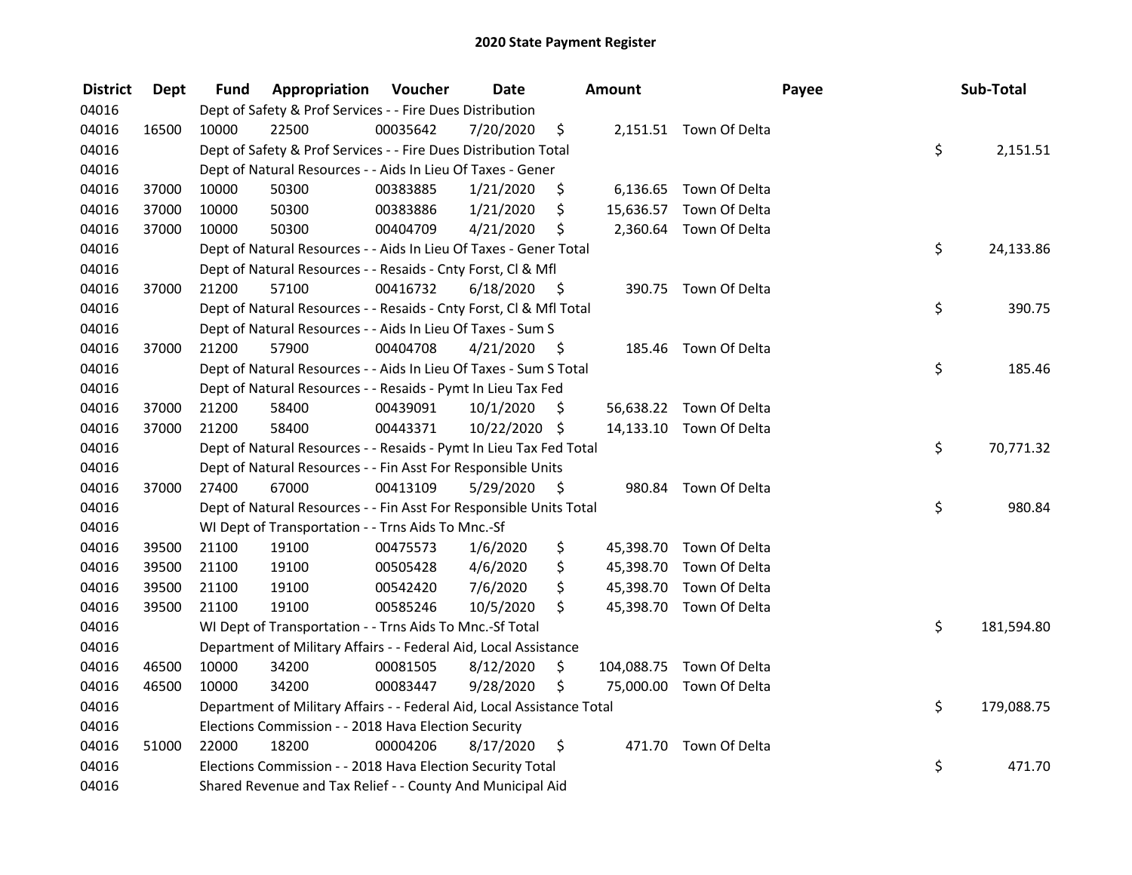| <b>District</b> | <b>Dept</b> | Fund  | Appropriation                                                          | Voucher  | <b>Date</b>   |      | <b>Amount</b> |                          | Payee | Sub-Total        |
|-----------------|-------------|-------|------------------------------------------------------------------------|----------|---------------|------|---------------|--------------------------|-------|------------------|
| 04016           |             |       | Dept of Safety & Prof Services - - Fire Dues Distribution              |          |               |      |               |                          |       |                  |
| 04016           | 16500       | 10000 | 22500                                                                  | 00035642 | 7/20/2020     | \$   |               | 2,151.51 Town Of Delta   |       |                  |
| 04016           |             |       | Dept of Safety & Prof Services - - Fire Dues Distribution Total        |          |               |      |               |                          |       | \$<br>2,151.51   |
| 04016           |             |       | Dept of Natural Resources - - Aids In Lieu Of Taxes - Gener            |          |               |      |               |                          |       |                  |
| 04016           | 37000       | 10000 | 50300                                                                  | 00383885 | 1/21/2020     | \$   |               | 6,136.65 Town Of Delta   |       |                  |
| 04016           | 37000       | 10000 | 50300                                                                  | 00383886 | 1/21/2020     | \$   |               | 15,636.57 Town Of Delta  |       |                  |
| 04016           | 37000       | 10000 | 50300                                                                  | 00404709 | 4/21/2020     | \$   |               | 2,360.64 Town Of Delta   |       |                  |
| 04016           |             |       | Dept of Natural Resources - - Aids In Lieu Of Taxes - Gener Total      |          |               |      |               |                          |       | \$<br>24,133.86  |
| 04016           |             |       | Dept of Natural Resources - - Resaids - Cnty Forst, Cl & Mfl           |          |               |      |               |                          |       |                  |
| 04016           | 37000       | 21200 | 57100                                                                  | 00416732 | 6/18/2020     | - \$ |               | 390.75 Town Of Delta     |       |                  |
| 04016           |             |       | Dept of Natural Resources - - Resaids - Cnty Forst, Cl & Mfl Total     |          |               |      |               |                          |       | \$<br>390.75     |
| 04016           |             |       | Dept of Natural Resources - - Aids In Lieu Of Taxes - Sum S            |          |               |      |               |                          |       |                  |
| 04016           | 37000       | 21200 | 57900                                                                  | 00404708 | 4/21/2020     | - Ş  |               | 185.46 Town Of Delta     |       |                  |
| 04016           |             |       | Dept of Natural Resources - - Aids In Lieu Of Taxes - Sum S Total      |          |               |      |               |                          | \$    | 185.46           |
| 04016           |             |       | Dept of Natural Resources - - Resaids - Pymt In Lieu Tax Fed           |          |               |      |               |                          |       |                  |
| 04016           | 37000       | 21200 | 58400                                                                  | 00439091 | 10/1/2020     | \$   |               | 56,638.22 Town Of Delta  |       |                  |
| 04016           | 37000       | 21200 | 58400                                                                  | 00443371 | 10/22/2020 \$ |      |               | 14,133.10 Town Of Delta  |       |                  |
| 04016           |             |       | Dept of Natural Resources - - Resaids - Pymt In Lieu Tax Fed Total     |          |               |      |               |                          |       | \$<br>70,771.32  |
| 04016           |             |       | Dept of Natural Resources - - Fin Asst For Responsible Units           |          |               |      |               |                          |       |                  |
| 04016           | 37000       | 27400 | 67000                                                                  | 00413109 | 5/29/2020     | - \$ |               | 980.84 Town Of Delta     |       |                  |
| 04016           |             |       | Dept of Natural Resources - - Fin Asst For Responsible Units Total     |          |               |      |               |                          | \$    | 980.84           |
| 04016           |             |       | WI Dept of Transportation - - Trns Aids To Mnc.-Sf                     |          |               |      |               |                          |       |                  |
| 04016           | 39500       | 21100 | 19100                                                                  | 00475573 | 1/6/2020      | \$   |               | 45,398.70 Town Of Delta  |       |                  |
| 04016           | 39500       | 21100 | 19100                                                                  | 00505428 | 4/6/2020      | \$   |               | 45,398.70 Town Of Delta  |       |                  |
| 04016           | 39500       | 21100 | 19100                                                                  | 00542420 | 7/6/2020      | \$   |               | 45,398.70 Town Of Delta  |       |                  |
| 04016           | 39500       | 21100 | 19100                                                                  | 00585246 | 10/5/2020     | \$   |               | 45,398.70 Town Of Delta  |       |                  |
| 04016           |             |       | WI Dept of Transportation - - Trns Aids To Mnc.-Sf Total               |          |               |      |               |                          |       | \$<br>181,594.80 |
| 04016           |             |       | Department of Military Affairs - - Federal Aid, Local Assistance       |          |               |      |               |                          |       |                  |
| 04016           | 46500       | 10000 | 34200                                                                  | 00081505 | 8/12/2020     | \$   |               | 104,088.75 Town Of Delta |       |                  |
| 04016           | 46500       | 10000 | 34200                                                                  | 00083447 | 9/28/2020     | \$   |               | 75,000.00 Town Of Delta  |       |                  |
| 04016           |             |       | Department of Military Affairs - - Federal Aid, Local Assistance Total |          |               |      |               |                          |       | \$<br>179,088.75 |
| 04016           |             |       | Elections Commission - - 2018 Hava Election Security                   |          |               |      |               |                          |       |                  |
| 04016           | 51000       | 22000 | 18200                                                                  | 00004206 | 8/17/2020     | \$   |               | 471.70 Town Of Delta     |       |                  |
| 04016           |             |       | Elections Commission - - 2018 Hava Election Security Total             |          |               |      |               |                          | \$    | 471.70           |
| 04016           |             |       | Shared Revenue and Tax Relief - - County And Municipal Aid             |          |               |      |               |                          |       |                  |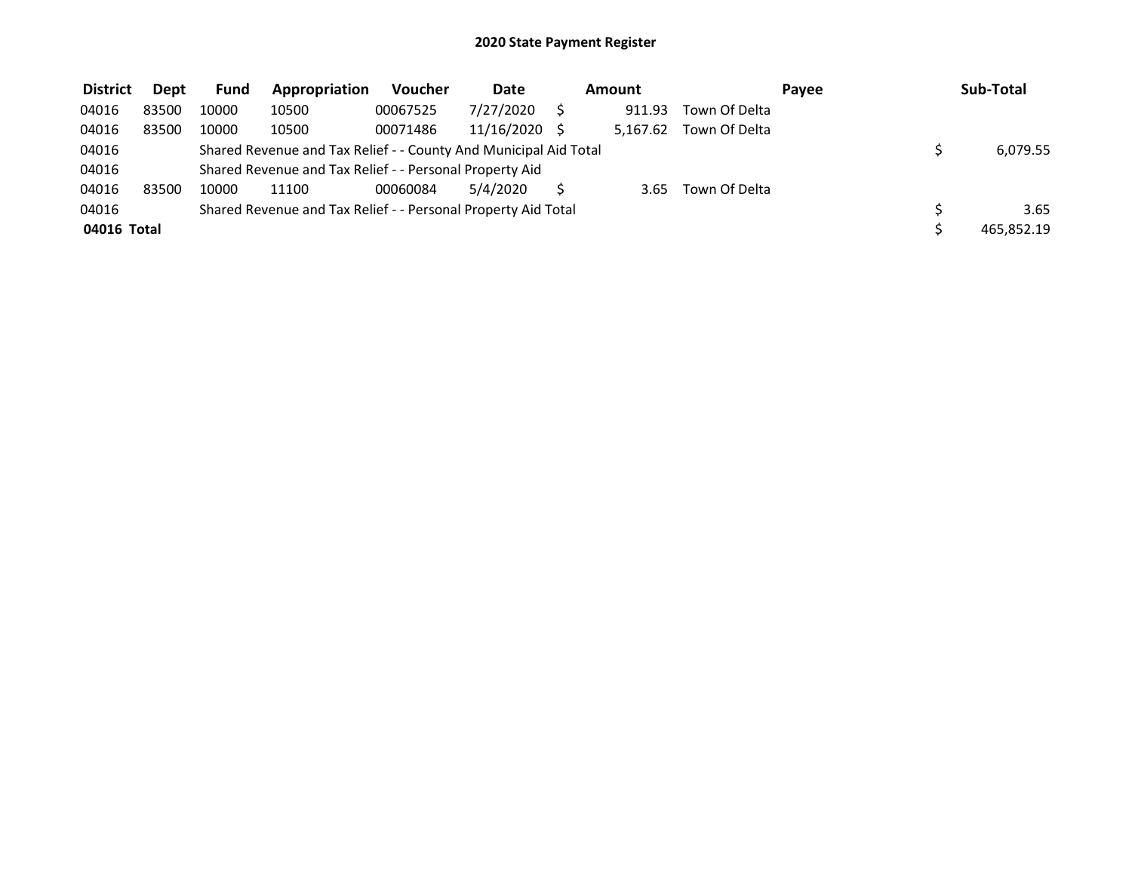| <b>District</b> | <b>Dept</b> | <b>Fund</b> | Appropriation                                                    | <b>Voucher</b> | <b>Date</b> | Amount   |               | Pavee | Sub-Total  |
|-----------------|-------------|-------------|------------------------------------------------------------------|----------------|-------------|----------|---------------|-------|------------|
| 04016           | 83500       | 10000       | 10500                                                            | 00067525       | 7/27/2020   | 911.93   | Town Of Delta |       |            |
| 04016           | 83500       | 10000       | 10500                                                            | 00071486       | 11/16/2020  | 5.167.62 | Town Of Delta |       |            |
| 04016           |             |             | Shared Revenue and Tax Relief - - County And Municipal Aid Total |                |             |          |               |       | 6,079.55   |
| 04016           |             |             | Shared Revenue and Tax Relief - - Personal Property Aid          |                |             |          |               |       |            |
| 04016           | 83500       | 10000       | 11100                                                            | 00060084       | 5/4/2020    | 3.65     | Town Of Delta |       |            |
| 04016           |             |             | Shared Revenue and Tax Relief - - Personal Property Aid Total    |                |             |          |               |       | 3.65       |
| 04016 Total     |             |             |                                                                  |                |             |          |               |       | 465.852.19 |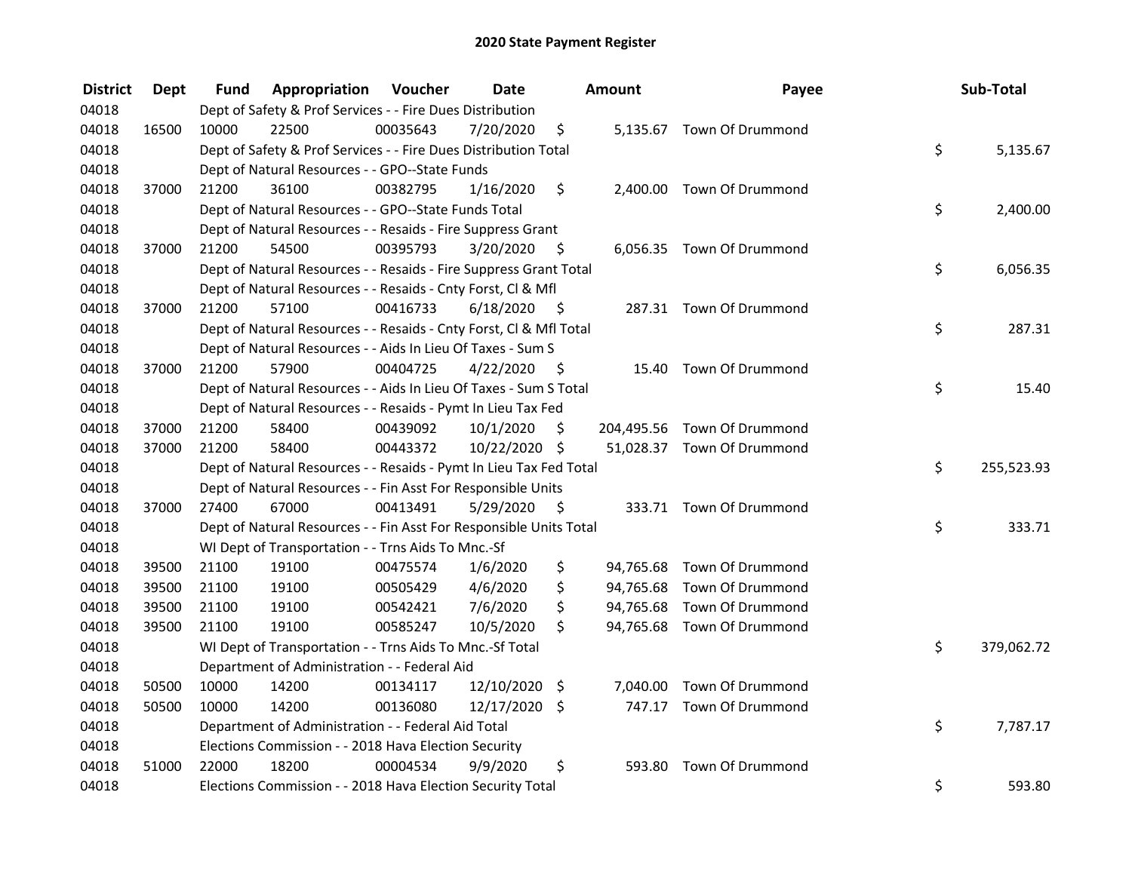| <b>District</b> | <b>Dept</b> | Fund  | Appropriation                                                      | Voucher  | <b>Date</b>   |      | Amount | Payee                       | Sub-Total        |
|-----------------|-------------|-------|--------------------------------------------------------------------|----------|---------------|------|--------|-----------------------------|------------------|
| 04018           |             |       | Dept of Safety & Prof Services - - Fire Dues Distribution          |          |               |      |        |                             |                  |
| 04018           | 16500       | 10000 | 22500                                                              | 00035643 | 7/20/2020     | \$   |        | 5,135.67 Town Of Drummond   |                  |
| 04018           |             |       | Dept of Safety & Prof Services - - Fire Dues Distribution Total    |          |               |      |        |                             | \$<br>5,135.67   |
| 04018           |             |       | Dept of Natural Resources - - GPO--State Funds                     |          |               |      |        |                             |                  |
| 04018           | 37000       | 21200 | 36100                                                              | 00382795 | 1/16/2020     | \$   |        | 2,400.00 Town Of Drummond   |                  |
| 04018           |             |       | Dept of Natural Resources - - GPO--State Funds Total               |          |               |      |        |                             | \$<br>2,400.00   |
| 04018           |             |       | Dept of Natural Resources - - Resaids - Fire Suppress Grant        |          |               |      |        |                             |                  |
| 04018           | 37000       | 21200 | 54500                                                              | 00395793 | 3/20/2020     | - \$ |        | 6,056.35 Town Of Drummond   |                  |
| 04018           |             |       | Dept of Natural Resources - - Resaids - Fire Suppress Grant Total  |          |               |      |        |                             | \$<br>6,056.35   |
| 04018           |             |       | Dept of Natural Resources - - Resaids - Cnty Forst, Cl & Mfl       |          |               |      |        |                             |                  |
| 04018           | 37000       | 21200 | 57100                                                              | 00416733 | 6/18/2020     | - \$ |        | 287.31 Town Of Drummond     |                  |
| 04018           |             |       | Dept of Natural Resources - - Resaids - Cnty Forst, Cl & Mfl Total |          |               |      |        |                             | \$<br>287.31     |
| 04018           |             |       | Dept of Natural Resources - - Aids In Lieu Of Taxes - Sum S        |          |               |      |        |                             |                  |
| 04018           | 37000       | 21200 | 57900                                                              | 00404725 | 4/22/2020     | - \$ | 15.40  | <b>Town Of Drummond</b>     |                  |
| 04018           |             |       | Dept of Natural Resources - - Aids In Lieu Of Taxes - Sum S Total  |          |               |      |        |                             | \$<br>15.40      |
| 04018           |             |       | Dept of Natural Resources - - Resaids - Pymt In Lieu Tax Fed       |          |               |      |        |                             |                  |
| 04018           | 37000       | 21200 | 58400                                                              | 00439092 | 10/1/2020     | \$   |        | 204,495.56 Town Of Drummond |                  |
| 04018           | 37000       | 21200 | 58400                                                              | 00443372 | 10/22/2020 \$ |      |        | 51,028.37 Town Of Drummond  |                  |
| 04018           |             |       | Dept of Natural Resources - - Resaids - Pymt In Lieu Tax Fed Total |          |               |      |        |                             | \$<br>255,523.93 |
| 04018           |             |       | Dept of Natural Resources - - Fin Asst For Responsible Units       |          |               |      |        |                             |                  |
| 04018           | 37000       | 27400 | 67000                                                              | 00413491 | 5/29/2020     | - \$ |        | 333.71 Town Of Drummond     |                  |
| 04018           |             |       | Dept of Natural Resources - - Fin Asst For Responsible Units Total |          |               |      |        |                             | \$<br>333.71     |
| 04018           |             |       | WI Dept of Transportation - - Trns Aids To Mnc.-Sf                 |          |               |      |        |                             |                  |
| 04018           | 39500       | 21100 | 19100                                                              | 00475574 | 1/6/2020      | \$   |        | 94,765.68 Town Of Drummond  |                  |
| 04018           | 39500       | 21100 | 19100                                                              | 00505429 | 4/6/2020      | \$   |        | 94,765.68 Town Of Drummond  |                  |
| 04018           | 39500       | 21100 | 19100                                                              | 00542421 | 7/6/2020      | \$   |        | 94,765.68 Town Of Drummond  |                  |
| 04018           | 39500       | 21100 | 19100                                                              | 00585247 | 10/5/2020     | \$   |        | 94,765.68 Town Of Drummond  |                  |
| 04018           |             |       | WI Dept of Transportation - - Trns Aids To Mnc.-Sf Total           |          |               |      |        |                             | \$<br>379,062.72 |
| 04018           |             |       | Department of Administration - - Federal Aid                       |          |               |      |        |                             |                  |
| 04018           | 50500       | 10000 | 14200                                                              | 00134117 | 12/10/2020 \$ |      |        | 7,040.00 Town Of Drummond   |                  |
| 04018           | 50500       | 10000 | 14200                                                              | 00136080 | 12/17/2020 \$ |      |        | 747.17 Town Of Drummond     |                  |
| 04018           |             |       | Department of Administration - - Federal Aid Total                 |          |               |      |        |                             | \$<br>7,787.17   |
| 04018           |             |       | Elections Commission - - 2018 Hava Election Security               |          |               |      |        |                             |                  |
| 04018           | 51000       | 22000 | 18200                                                              | 00004534 | 9/9/2020      | \$   | 593.80 | Town Of Drummond            |                  |
| 04018           |             |       | Elections Commission - - 2018 Hava Election Security Total         |          |               |      |        |                             | \$<br>593.80     |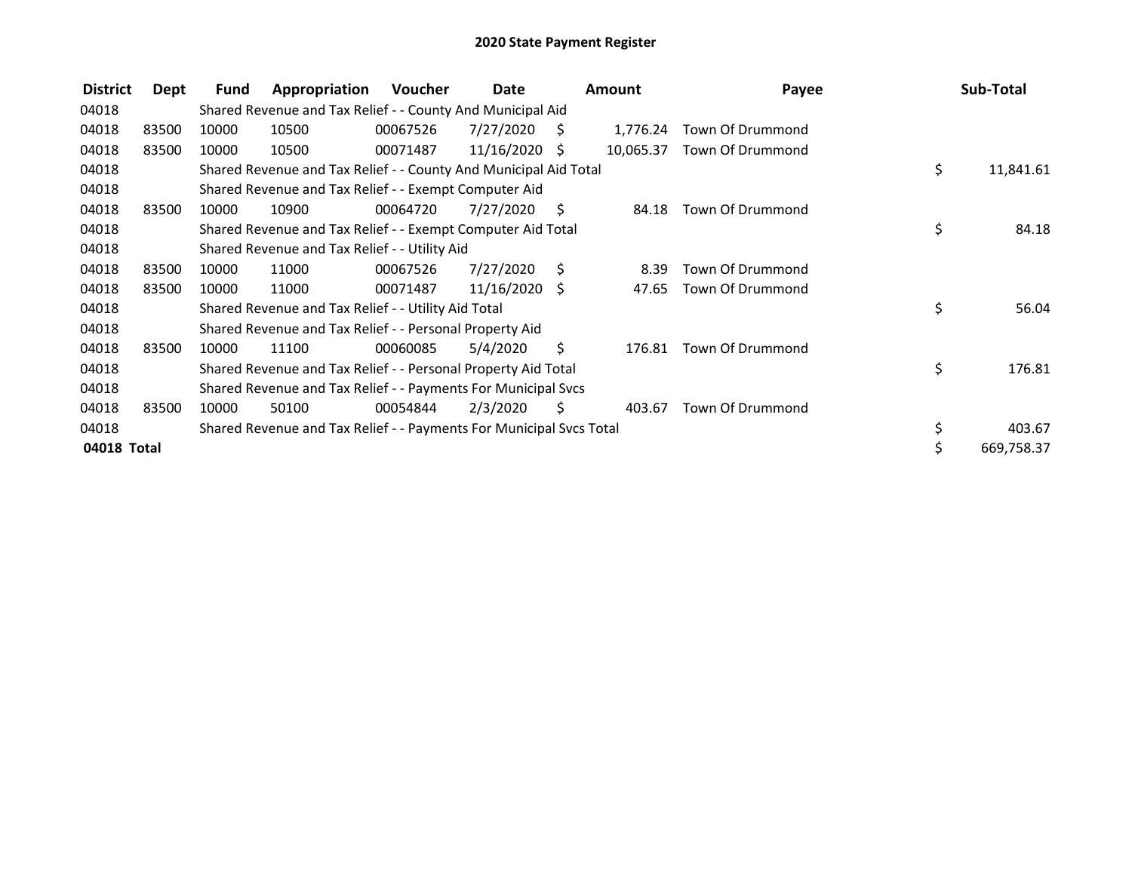| <b>District</b> | Dept  | Fund  | Appropriation                                                       | Voucher  | Date          |      | <b>Amount</b> | Payee            | Sub-Total        |
|-----------------|-------|-------|---------------------------------------------------------------------|----------|---------------|------|---------------|------------------|------------------|
| 04018           |       |       | Shared Revenue and Tax Relief - - County And Municipal Aid          |          |               |      |               |                  |                  |
| 04018           | 83500 | 10000 | 10500                                                               | 00067526 | 7/27/2020     | -S   | 1,776.24      | Town Of Drummond |                  |
| 04018           | 83500 | 10000 | 10500                                                               | 00071487 | 11/16/2020    | -S   | 10,065.37     | Town Of Drummond |                  |
| 04018           |       |       | Shared Revenue and Tax Relief - - County And Municipal Aid Total    |          |               |      |               |                  | \$<br>11,841.61  |
| 04018           |       |       | Shared Revenue and Tax Relief - - Exempt Computer Aid               |          |               |      |               |                  |                  |
| 04018           | 83500 | 10000 | 10900                                                               | 00064720 | 7/27/2020     | S    | 84.18         | Town Of Drummond |                  |
| 04018           |       |       | Shared Revenue and Tax Relief - - Exempt Computer Aid Total         |          |               |      |               |                  | \$<br>84.18      |
| 04018           |       |       | Shared Revenue and Tax Relief - - Utility Aid                       |          |               |      |               |                  |                  |
| 04018           | 83500 | 10000 | 11000                                                               | 00067526 | 7/27/2020     | - \$ | 8.39          | Town Of Drummond |                  |
| 04018           | 83500 | 10000 | 11000                                                               | 00071487 | 11/16/2020 \$ |      | 47.65         | Town Of Drummond |                  |
| 04018           |       |       | Shared Revenue and Tax Relief - - Utility Aid Total                 |          |               |      |               |                  | \$<br>56.04      |
| 04018           |       |       | Shared Revenue and Tax Relief - - Personal Property Aid             |          |               |      |               |                  |                  |
| 04018           | 83500 | 10000 | 11100                                                               | 00060085 | 5/4/2020      | S    | 176.81        | Town Of Drummond |                  |
| 04018           |       |       | Shared Revenue and Tax Relief - - Personal Property Aid Total       |          |               |      |               |                  | \$<br>176.81     |
| 04018           |       |       | Shared Revenue and Tax Relief - - Payments For Municipal Svcs       |          |               |      |               |                  |                  |
| 04018           | 83500 | 10000 | 50100                                                               | 00054844 | 2/3/2020      | S    | 403.67        | Town Of Drummond |                  |
| 04018           |       |       | Shared Revenue and Tax Relief - - Payments For Municipal Svcs Total |          |               |      |               |                  | 403.67           |
| 04018 Total     |       |       |                                                                     |          |               |      |               |                  | \$<br>669,758.37 |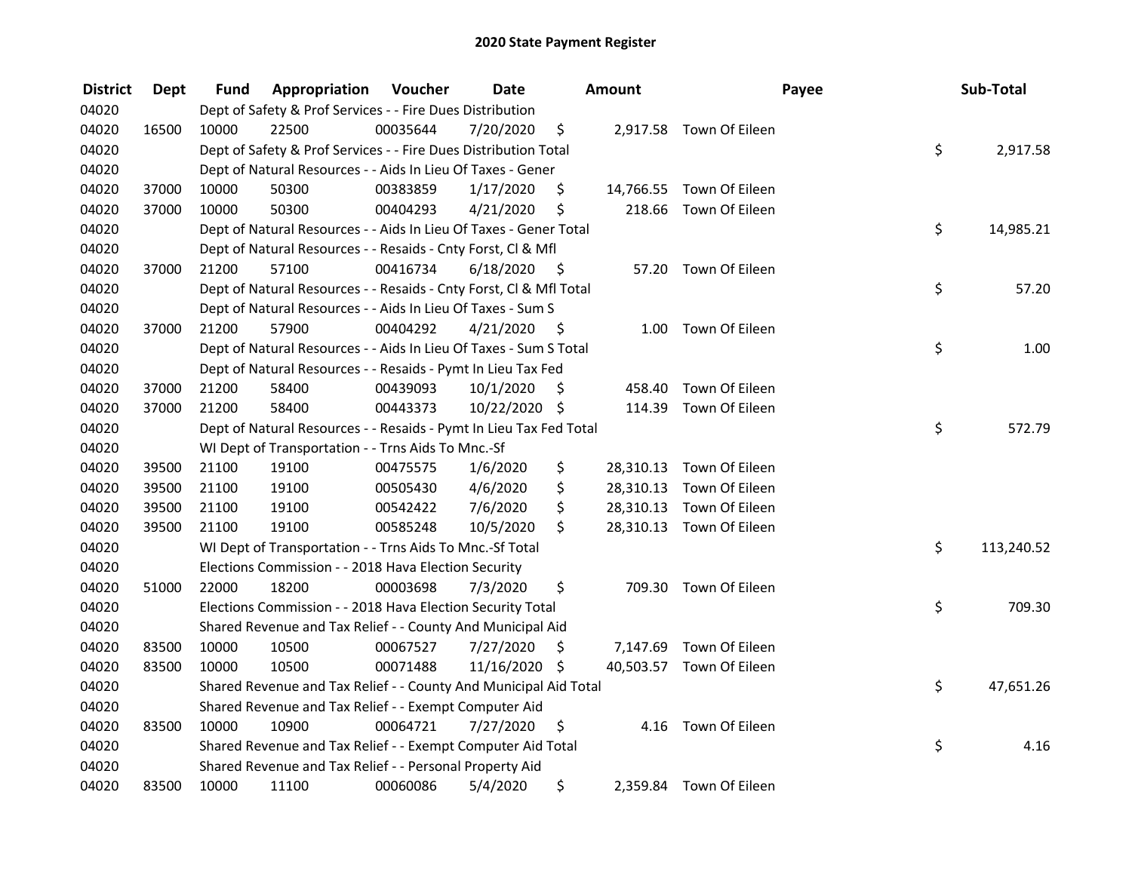| <b>District</b> | <b>Dept</b> | Fund  | Appropriation                                                      | Voucher  | <b>Date</b>   |      | Amount |                          | Payee | Sub-Total  |
|-----------------|-------------|-------|--------------------------------------------------------------------|----------|---------------|------|--------|--------------------------|-------|------------|
| 04020           |             |       | Dept of Safety & Prof Services - - Fire Dues Distribution          |          |               |      |        |                          |       |            |
| 04020           | 16500       | 10000 | 22500                                                              | 00035644 | 7/20/2020     | \$   |        | 2,917.58 Town Of Eileen  |       |            |
| 04020           |             |       | Dept of Safety & Prof Services - - Fire Dues Distribution Total    |          |               |      |        |                          | \$    | 2,917.58   |
| 04020           |             |       | Dept of Natural Resources - - Aids In Lieu Of Taxes - Gener        |          |               |      |        |                          |       |            |
| 04020           | 37000       | 10000 | 50300                                                              | 00383859 | 1/17/2020     | \$   |        | 14,766.55 Town Of Eileen |       |            |
| 04020           | 37000       | 10000 | 50300                                                              | 00404293 | 4/21/2020     | \$   | 218.66 | Town Of Eileen           |       |            |
| 04020           |             |       | Dept of Natural Resources - - Aids In Lieu Of Taxes - Gener Total  |          |               |      |        |                          | \$    | 14,985.21  |
| 04020           |             |       | Dept of Natural Resources - - Resaids - Cnty Forst, CI & Mfl       |          |               |      |        |                          |       |            |
| 04020           | 37000       | 21200 | 57100                                                              | 00416734 | 6/18/2020     | - \$ |        | 57.20 Town Of Eileen     |       |            |
| 04020           |             |       | Dept of Natural Resources - - Resaids - Cnty Forst, Cl & Mfl Total |          |               |      |        |                          | \$    | 57.20      |
| 04020           |             |       | Dept of Natural Resources - - Aids In Lieu Of Taxes - Sum S        |          |               |      |        |                          |       |            |
| 04020           | 37000       | 21200 | 57900                                                              | 00404292 | 4/21/2020     | - \$ | 1.00   | Town Of Eileen           |       |            |
| 04020           |             |       | Dept of Natural Resources - - Aids In Lieu Of Taxes - Sum S Total  |          |               |      |        |                          | \$    | 1.00       |
| 04020           |             |       | Dept of Natural Resources - - Resaids - Pymt In Lieu Tax Fed       |          |               |      |        |                          |       |            |
| 04020           | 37000       | 21200 | 58400                                                              | 00439093 | 10/1/2020     | -\$  | 458.40 | Town Of Eileen           |       |            |
| 04020           | 37000       | 21200 | 58400                                                              | 00443373 | 10/22/2020 \$ |      | 114.39 | Town Of Eileen           |       |            |
| 04020           |             |       | Dept of Natural Resources - - Resaids - Pymt In Lieu Tax Fed Total |          |               |      |        |                          | \$    | 572.79     |
| 04020           |             |       | WI Dept of Transportation - - Trns Aids To Mnc.-Sf                 |          |               |      |        |                          |       |            |
| 04020           | 39500       | 21100 | 19100                                                              | 00475575 | 1/6/2020      | \$   |        | 28,310.13 Town Of Eileen |       |            |
| 04020           | 39500       | 21100 | 19100                                                              | 00505430 | 4/6/2020      | \$   |        | 28,310.13 Town Of Eileen |       |            |
| 04020           | 39500       | 21100 | 19100                                                              | 00542422 | 7/6/2020      | \$   |        | 28,310.13 Town Of Eileen |       |            |
| 04020           | 39500       | 21100 | 19100                                                              | 00585248 | 10/5/2020     | \$   |        | 28,310.13 Town Of Eileen |       |            |
| 04020           |             |       | WI Dept of Transportation - - Trns Aids To Mnc.-Sf Total           |          |               |      |        |                          | \$    | 113,240.52 |
| 04020           |             |       | Elections Commission - - 2018 Hava Election Security               |          |               |      |        |                          |       |            |
| 04020           | 51000       | 22000 | 18200                                                              | 00003698 | 7/3/2020      | \$   |        | 709.30 Town Of Eileen    |       |            |
| 04020           |             |       | Elections Commission - - 2018 Hava Election Security Total         |          |               |      |        |                          | \$    | 709.30     |
| 04020           |             |       | Shared Revenue and Tax Relief - - County And Municipal Aid         |          |               |      |        |                          |       |            |
| 04020           | 83500       | 10000 | 10500                                                              | 00067527 | 7/27/2020     | \$   |        | 7,147.69 Town Of Eileen  |       |            |
| 04020           | 83500       | 10000 | 10500                                                              | 00071488 | 11/16/2020 \$ |      |        | 40,503.57 Town Of Eileen |       |            |
| 04020           |             |       | Shared Revenue and Tax Relief - - County And Municipal Aid Total   |          |               |      |        |                          | \$    | 47,651.26  |
| 04020           |             |       | Shared Revenue and Tax Relief - - Exempt Computer Aid              |          |               |      |        |                          |       |            |
| 04020           | 83500       | 10000 | 10900                                                              | 00064721 | 7/27/2020     | \$   |        | 4.16 Town Of Eileen      |       |            |
| 04020           |             |       | Shared Revenue and Tax Relief - - Exempt Computer Aid Total        |          |               |      |        |                          | \$    | 4.16       |
| 04020           |             |       | Shared Revenue and Tax Relief - - Personal Property Aid            |          |               |      |        |                          |       |            |
| 04020           | 83500       | 10000 | 11100                                                              | 00060086 | 5/4/2020      | \$   |        | 2,359.84 Town Of Eileen  |       |            |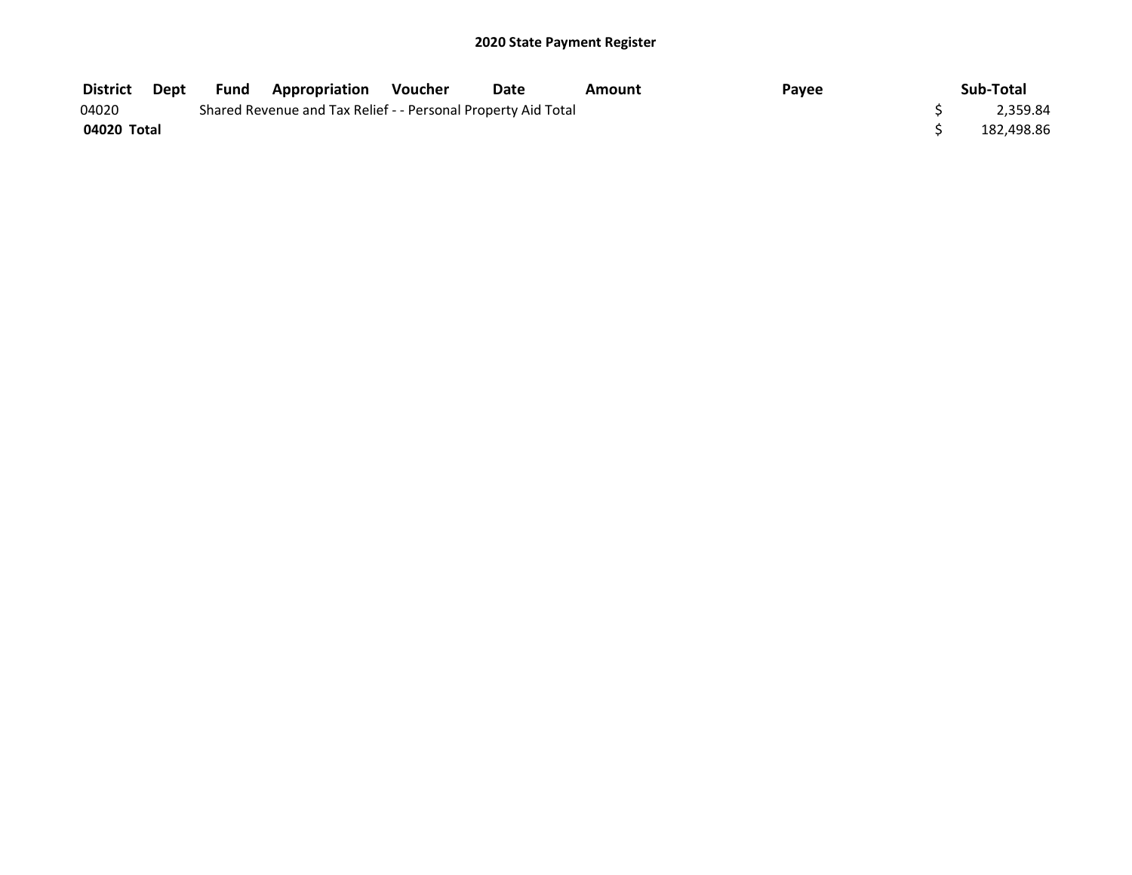| District    | Dept | <b>Fund</b> | <b>Appropriation</b>                                          | Voucher | Date | Amount | Payee | Sub-Total  |
|-------------|------|-------------|---------------------------------------------------------------|---------|------|--------|-------|------------|
| 04020       |      |             | Shared Revenue and Tax Relief - - Personal Property Aid Total |         |      |        |       | 2,359.84   |
| 04020 Total |      |             |                                                               |         |      |        |       | 182.498.86 |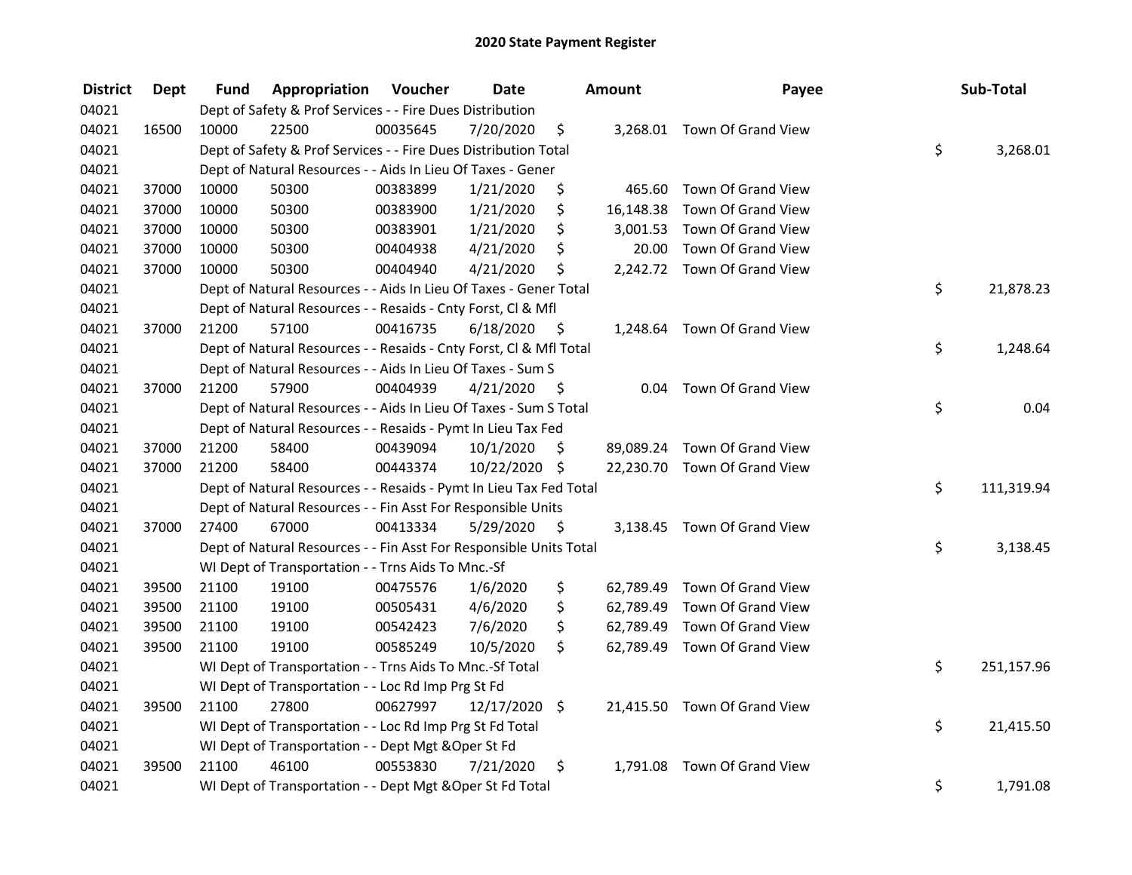| <b>District</b> | <b>Dept</b> | Fund  | Appropriation                                                      | Voucher  | <b>Date</b>   |      | Amount    | Payee                        | Sub-Total        |
|-----------------|-------------|-------|--------------------------------------------------------------------|----------|---------------|------|-----------|------------------------------|------------------|
| 04021           |             |       | Dept of Safety & Prof Services - - Fire Dues Distribution          |          |               |      |           |                              |                  |
| 04021           | 16500       | 10000 | 22500                                                              | 00035645 | 7/20/2020     | \$   |           | 3,268.01 Town Of Grand View  |                  |
| 04021           |             |       | Dept of Safety & Prof Services - - Fire Dues Distribution Total    |          |               |      |           |                              | \$<br>3,268.01   |
| 04021           |             |       | Dept of Natural Resources - - Aids In Lieu Of Taxes - Gener        |          |               |      |           |                              |                  |
| 04021           | 37000       | 10000 | 50300                                                              | 00383899 | 1/21/2020     | \$   | 465.60    | Town Of Grand View           |                  |
| 04021           | 37000       | 10000 | 50300                                                              | 00383900 | 1/21/2020     | \$   | 16,148.38 | Town Of Grand View           |                  |
| 04021           | 37000       | 10000 | 50300                                                              | 00383901 | 1/21/2020     | \$   |           | 3,001.53 Town Of Grand View  |                  |
| 04021           | 37000       | 10000 | 50300                                                              | 00404938 | 4/21/2020     | \$   | 20.00     | Town Of Grand View           |                  |
| 04021           | 37000       | 10000 | 50300                                                              | 00404940 | 4/21/2020     | \$   |           | 2,242.72 Town Of Grand View  |                  |
| 04021           |             |       | Dept of Natural Resources - - Aids In Lieu Of Taxes - Gener Total  |          |               |      |           |                              | \$<br>21,878.23  |
| 04021           |             |       | Dept of Natural Resources - - Resaids - Cnty Forst, Cl & Mfl       |          |               |      |           |                              |                  |
| 04021           | 37000       | 21200 | 57100                                                              | 00416735 | 6/18/2020     | - \$ |           | 1,248.64 Town Of Grand View  |                  |
| 04021           |             |       | Dept of Natural Resources - - Resaids - Cnty Forst, Cl & Mfl Total |          |               |      |           |                              | \$<br>1,248.64   |
| 04021           |             |       | Dept of Natural Resources - - Aids In Lieu Of Taxes - Sum S        |          |               |      |           |                              |                  |
| 04021           | 37000       | 21200 | 57900                                                              | 00404939 | 4/21/2020     | \$   | 0.04      | Town Of Grand View           |                  |
| 04021           |             |       | Dept of Natural Resources - - Aids In Lieu Of Taxes - Sum S Total  |          |               |      |           |                              | \$<br>0.04       |
| 04021           |             |       | Dept of Natural Resources - - Resaids - Pymt In Lieu Tax Fed       |          |               |      |           |                              |                  |
| 04021           | 37000       | 21200 | 58400                                                              | 00439094 | 10/1/2020     | \$   |           | 89,089.24 Town Of Grand View |                  |
| 04021           | 37000       | 21200 | 58400                                                              | 00443374 | 10/22/2020 \$ |      |           | 22,230.70 Town Of Grand View |                  |
| 04021           |             |       | Dept of Natural Resources - - Resaids - Pymt In Lieu Tax Fed Total |          |               |      |           |                              | \$<br>111,319.94 |
| 04021           |             |       | Dept of Natural Resources - - Fin Asst For Responsible Units       |          |               |      |           |                              |                  |
| 04021           | 37000       | 27400 | 67000                                                              | 00413334 | 5/29/2020     | - \$ |           | 3,138.45 Town Of Grand View  |                  |
| 04021           |             |       | Dept of Natural Resources - - Fin Asst For Responsible Units Total |          |               |      |           |                              | \$<br>3,138.45   |
| 04021           |             |       | WI Dept of Transportation - - Trns Aids To Mnc.-Sf                 |          |               |      |           |                              |                  |
| 04021           | 39500       | 21100 | 19100                                                              | 00475576 | 1/6/2020      | \$   |           | 62,789.49 Town Of Grand View |                  |
| 04021           | 39500       | 21100 | 19100                                                              | 00505431 | 4/6/2020      | \$   | 62,789.49 | Town Of Grand View           |                  |
| 04021           | 39500       | 21100 | 19100                                                              | 00542423 | 7/6/2020      | \$   | 62,789.49 | <b>Town Of Grand View</b>    |                  |
| 04021           | 39500       | 21100 | 19100                                                              | 00585249 | 10/5/2020     | \$   |           | 62,789.49 Town Of Grand View |                  |
| 04021           |             |       | WI Dept of Transportation - - Trns Aids To Mnc.-Sf Total           |          |               |      |           |                              | \$<br>251,157.96 |
| 04021           |             |       | WI Dept of Transportation - - Loc Rd Imp Prg St Fd                 |          |               |      |           |                              |                  |
| 04021           | 39500       | 21100 | 27800                                                              | 00627997 | 12/17/2020 \$ |      |           | 21,415.50 Town Of Grand View |                  |
| 04021           |             |       | WI Dept of Transportation - - Loc Rd Imp Prg St Fd Total           |          |               |      |           |                              | \$<br>21,415.50  |
| 04021           |             |       | WI Dept of Transportation - - Dept Mgt & Oper St Fd                |          |               |      |           |                              |                  |
| 04021           | 39500       | 21100 | 46100                                                              | 00553830 | 7/21/2020     | \$   |           | 1,791.08 Town Of Grand View  |                  |
| 04021           |             |       | WI Dept of Transportation - - Dept Mgt & Oper St Fd Total          |          |               |      |           |                              | \$<br>1,791.08   |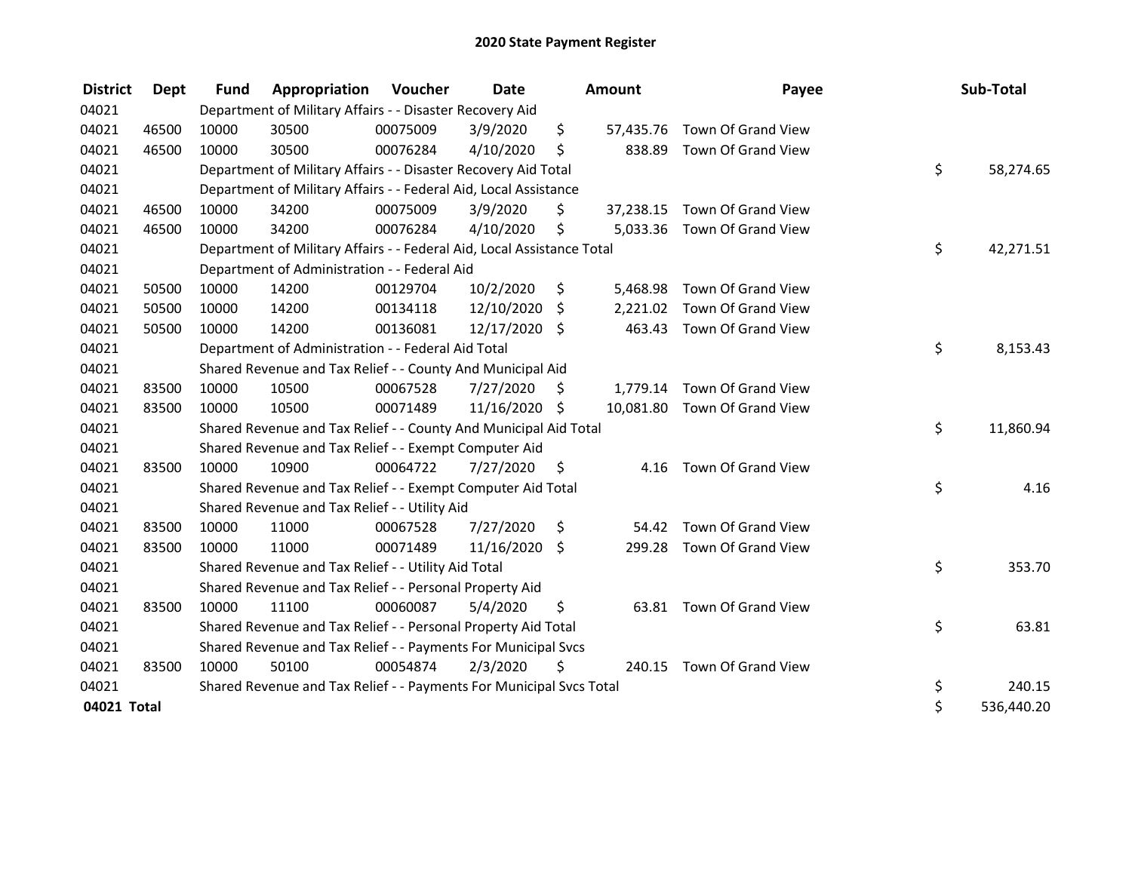| <b>District</b> | Dept  | <b>Fund</b> | Appropriation                                                          | Voucher  | <b>Date</b>   |    | Amount    | Payee                        | Sub-Total        |
|-----------------|-------|-------------|------------------------------------------------------------------------|----------|---------------|----|-----------|------------------------------|------------------|
| 04021           |       |             | Department of Military Affairs - - Disaster Recovery Aid               |          |               |    |           |                              |                  |
| 04021           | 46500 | 10000       | 30500                                                                  | 00075009 | 3/9/2020      | \$ | 57,435.76 | Town Of Grand View           |                  |
| 04021           | 46500 | 10000       | 30500                                                                  | 00076284 | 4/10/2020     | \$ | 838.89    | Town Of Grand View           |                  |
| 04021           |       |             | Department of Military Affairs - - Disaster Recovery Aid Total         |          |               |    |           |                              | \$<br>58,274.65  |
| 04021           |       |             | Department of Military Affairs - - Federal Aid, Local Assistance       |          |               |    |           |                              |                  |
| 04021           | 46500 | 10000       | 34200                                                                  | 00075009 | 3/9/2020      | S  | 37,238.15 | Town Of Grand View           |                  |
| 04021           | 46500 | 10000       | 34200                                                                  | 00076284 | 4/10/2020     | \$ |           | 5,033.36 Town Of Grand View  |                  |
| 04021           |       |             | Department of Military Affairs - - Federal Aid, Local Assistance Total |          |               |    |           |                              | \$<br>42,271.51  |
| 04021           |       |             | Department of Administration - - Federal Aid                           |          |               |    |           |                              |                  |
| 04021           | 50500 | 10000       | 14200                                                                  | 00129704 | 10/2/2020     | \$ | 5,468.98  | Town Of Grand View           |                  |
| 04021           | 50500 | 10000       | 14200                                                                  | 00134118 | 12/10/2020    | \$ | 2,221.02  | Town Of Grand View           |                  |
| 04021           | 50500 | 10000       | 14200                                                                  | 00136081 | 12/17/2020 \$ |    | 463.43    | Town Of Grand View           |                  |
| 04021           |       |             | Department of Administration - - Federal Aid Total                     |          |               |    |           |                              | \$<br>8,153.43   |
| 04021           |       |             | Shared Revenue and Tax Relief - - County And Municipal Aid             |          |               |    |           |                              |                  |
| 04021           | 83500 | 10000       | 10500                                                                  | 00067528 | 7/27/2020     | \$ | 1,779.14  | Town Of Grand View           |                  |
| 04021           | 83500 | 10000       | 10500                                                                  | 00071489 | 11/16/2020 \$ |    |           | 10,081.80 Town Of Grand View |                  |
| 04021           |       |             | Shared Revenue and Tax Relief - - County And Municipal Aid Total       |          |               |    |           |                              | \$<br>11,860.94  |
| 04021           |       |             | Shared Revenue and Tax Relief - - Exempt Computer Aid                  |          |               |    |           |                              |                  |
| 04021           | 83500 | 10000       | 10900                                                                  | 00064722 | 7/27/2020     | \$ | 4.16      | Town Of Grand View           |                  |
| 04021           |       |             | Shared Revenue and Tax Relief - - Exempt Computer Aid Total            |          |               |    |           |                              | \$<br>4.16       |
| 04021           |       |             | Shared Revenue and Tax Relief - - Utility Aid                          |          |               |    |           |                              |                  |
| 04021           | 83500 | 10000       | 11000                                                                  | 00067528 | 7/27/2020     | \$ | 54.42     | Town Of Grand View           |                  |
| 04021           | 83500 | 10000       | 11000                                                                  | 00071489 | 11/16/2020 \$ |    | 299.28    | Town Of Grand View           |                  |
| 04021           |       |             | Shared Revenue and Tax Relief - - Utility Aid Total                    |          |               |    |           |                              | \$<br>353.70     |
| 04021           |       |             | Shared Revenue and Tax Relief - - Personal Property Aid                |          |               |    |           |                              |                  |
| 04021           | 83500 | 10000       | 11100                                                                  | 00060087 | 5/4/2020      | \$ |           | 63.81 Town Of Grand View     |                  |
| 04021           |       |             | Shared Revenue and Tax Relief - - Personal Property Aid Total          |          |               |    |           |                              | \$<br>63.81      |
| 04021           |       |             | Shared Revenue and Tax Relief - - Payments For Municipal Svcs          |          |               |    |           |                              |                  |
| 04021           | 83500 | 10000       | 50100                                                                  | 00054874 | 2/3/2020      | \$ |           | 240.15 Town Of Grand View    |                  |
| 04021           |       |             | Shared Revenue and Tax Relief - - Payments For Municipal Svcs Total    |          |               |    |           |                              | \$<br>240.15     |
| 04021 Total     |       |             |                                                                        |          |               |    |           |                              | \$<br>536,440.20 |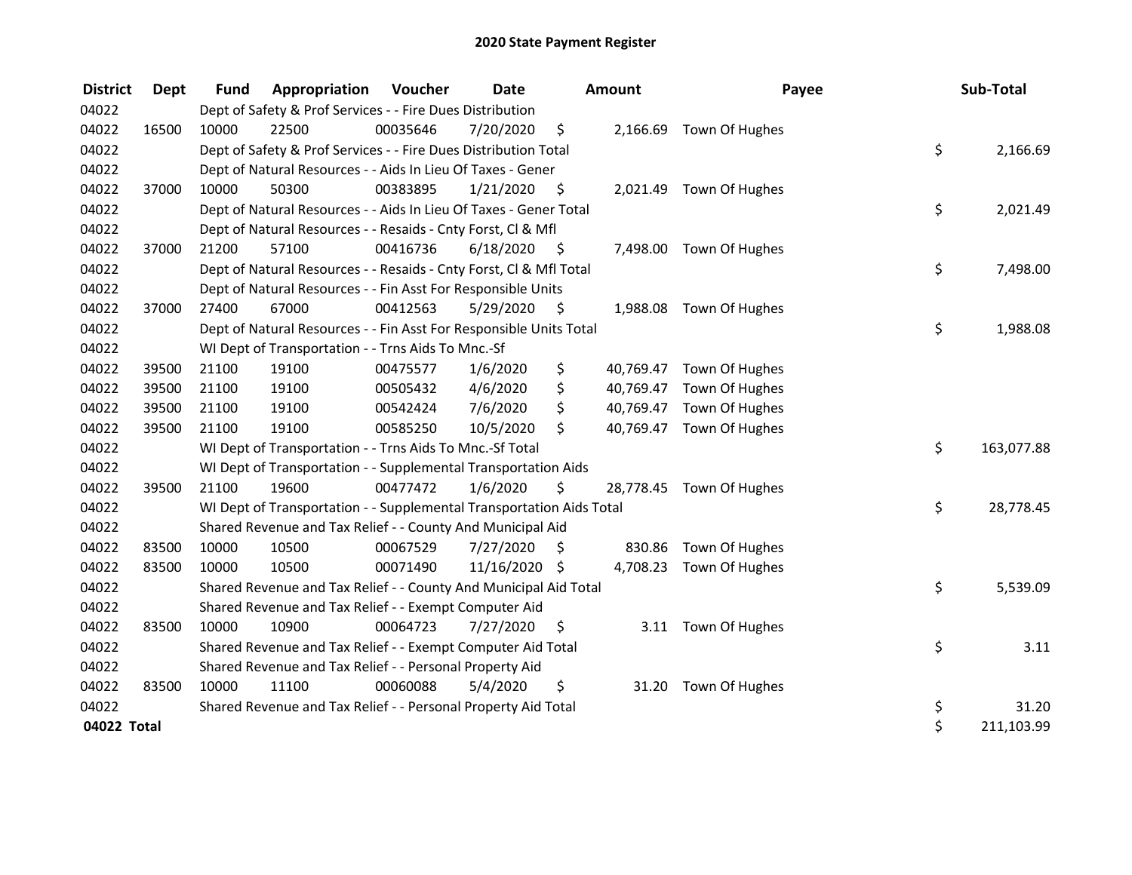| <b>District</b> | Dept  | <b>Fund</b> | Appropriation                                                        | Voucher  | <b>Date</b>   |      | <b>Amount</b> | Payee                    | Sub-Total        |
|-----------------|-------|-------------|----------------------------------------------------------------------|----------|---------------|------|---------------|--------------------------|------------------|
| 04022           |       |             | Dept of Safety & Prof Services - - Fire Dues Distribution            |          |               |      |               |                          |                  |
| 04022           | 16500 | 10000       | 22500                                                                | 00035646 | 7/20/2020     | \$   |               | 2,166.69 Town Of Hughes  |                  |
| 04022           |       |             | Dept of Safety & Prof Services - - Fire Dues Distribution Total      |          |               |      |               |                          | \$<br>2,166.69   |
| 04022           |       |             | Dept of Natural Resources - - Aids In Lieu Of Taxes - Gener          |          |               |      |               |                          |                  |
| 04022           | 37000 | 10000       | 50300                                                                | 00383895 | 1/21/2020     | \$   |               | 2,021.49 Town Of Hughes  |                  |
| 04022           |       |             | Dept of Natural Resources - - Aids In Lieu Of Taxes - Gener Total    |          |               |      |               |                          | \$<br>2,021.49   |
| 04022           |       |             | Dept of Natural Resources - - Resaids - Cnty Forst, Cl & Mfl         |          |               |      |               |                          |                  |
| 04022           | 37000 | 21200       | 57100                                                                | 00416736 | 6/18/2020     | - \$ |               | 7,498.00 Town Of Hughes  |                  |
| 04022           |       |             | Dept of Natural Resources - - Resaids - Cnty Forst, Cl & Mfl Total   |          |               |      |               |                          | \$<br>7,498.00   |
| 04022           |       |             | Dept of Natural Resources - - Fin Asst For Responsible Units         |          |               |      |               |                          |                  |
| 04022           | 37000 | 27400       | 67000                                                                | 00412563 | 5/29/2020     | \$   |               | 1,988.08 Town Of Hughes  |                  |
| 04022           |       |             | Dept of Natural Resources - - Fin Asst For Responsible Units Total   |          |               |      |               |                          | \$<br>1,988.08   |
| 04022           |       |             | WI Dept of Transportation - - Trns Aids To Mnc.-Sf                   |          |               |      |               |                          |                  |
| 04022           | 39500 | 21100       | 19100                                                                | 00475577 | 1/6/2020      | \$   |               | 40,769.47 Town Of Hughes |                  |
| 04022           | 39500 | 21100       | 19100                                                                | 00505432 | 4/6/2020      | \$   |               | 40,769.47 Town Of Hughes |                  |
| 04022           | 39500 | 21100       | 19100                                                                | 00542424 | 7/6/2020      | \$   |               | 40,769.47 Town Of Hughes |                  |
| 04022           | 39500 | 21100       | 19100                                                                | 00585250 | 10/5/2020     | \$   |               | 40,769.47 Town Of Hughes |                  |
| 04022           |       |             | WI Dept of Transportation - - Trns Aids To Mnc.-Sf Total             |          |               |      |               |                          | \$<br>163,077.88 |
| 04022           |       |             | WI Dept of Transportation - - Supplemental Transportation Aids       |          |               |      |               |                          |                  |
| 04022           | 39500 | 21100       | 19600                                                                | 00477472 | 1/6/2020      | \$   |               | 28,778.45 Town Of Hughes |                  |
| 04022           |       |             | WI Dept of Transportation - - Supplemental Transportation Aids Total |          |               |      |               |                          | \$<br>28,778.45  |
| 04022           |       |             | Shared Revenue and Tax Relief - - County And Municipal Aid           |          |               |      |               |                          |                  |
| 04022           | 83500 | 10000       | 10500                                                                | 00067529 | 7/27/2020     | \$   | 830.86        | Town Of Hughes           |                  |
| 04022           | 83500 | 10000       | 10500                                                                | 00071490 | 11/16/2020 \$ |      |               | 4,708.23 Town Of Hughes  |                  |
| 04022           |       |             | Shared Revenue and Tax Relief - - County And Municipal Aid Total     |          |               |      |               |                          | \$<br>5,539.09   |
| 04022           |       |             | Shared Revenue and Tax Relief - - Exempt Computer Aid                |          |               |      |               |                          |                  |
| 04022           | 83500 | 10000       | 10900                                                                | 00064723 | 7/27/2020     | \$.  |               | 3.11 Town Of Hughes      |                  |
| 04022           |       |             | Shared Revenue and Tax Relief - - Exempt Computer Aid Total          |          |               |      |               |                          | \$<br>3.11       |
| 04022           |       |             | Shared Revenue and Tax Relief - - Personal Property Aid              |          |               |      |               |                          |                  |
| 04022           | 83500 | 10000       | 11100                                                                | 00060088 | 5/4/2020      | \$   |               | 31.20 Town Of Hughes     |                  |
| 04022           |       |             | Shared Revenue and Tax Relief - - Personal Property Aid Total        |          |               |      |               |                          | \$<br>31.20      |
| 04022 Total     |       |             |                                                                      |          |               |      |               |                          | \$<br>211,103.99 |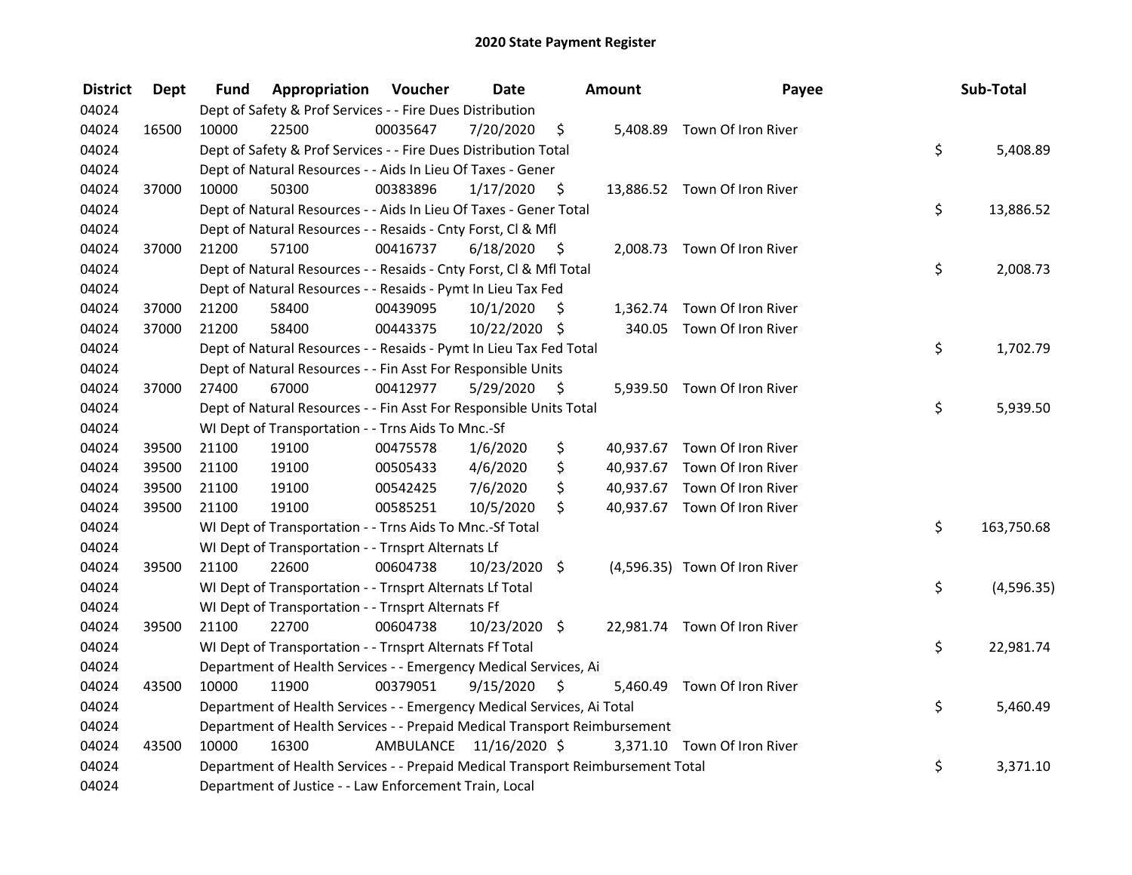| <b>District</b> | <b>Dept</b> | Fund  | Appropriation                                                                   | Voucher  | <b>Date</b>             |      | Amount | Payee                         | Sub-Total        |
|-----------------|-------------|-------|---------------------------------------------------------------------------------|----------|-------------------------|------|--------|-------------------------------|------------------|
| 04024           |             |       | Dept of Safety & Prof Services - - Fire Dues Distribution                       |          |                         |      |        |                               |                  |
| 04024           | 16500       | 10000 | 22500                                                                           | 00035647 | 7/20/2020               | \$   |        | 5,408.89 Town Of Iron River   |                  |
| 04024           |             |       | Dept of Safety & Prof Services - - Fire Dues Distribution Total                 |          |                         |      |        |                               | \$<br>5,408.89   |
| 04024           |             |       | Dept of Natural Resources - - Aids In Lieu Of Taxes - Gener                     |          |                         |      |        |                               |                  |
| 04024           | 37000       | 10000 | 50300                                                                           | 00383896 | 1/17/2020               | \$   |        | 13,886.52 Town Of Iron River  |                  |
| 04024           |             |       | Dept of Natural Resources - - Aids In Lieu Of Taxes - Gener Total               |          |                         |      |        |                               | \$<br>13,886.52  |
| 04024           |             |       | Dept of Natural Resources - - Resaids - Cnty Forst, Cl & Mfl                    |          |                         |      |        |                               |                  |
| 04024           | 37000       | 21200 | 57100                                                                           | 00416737 | 6/18/2020               | - \$ |        | 2,008.73 Town Of Iron River   |                  |
| 04024           |             |       | Dept of Natural Resources - - Resaids - Cnty Forst, Cl & Mfl Total              |          |                         |      |        |                               | \$<br>2,008.73   |
| 04024           |             |       | Dept of Natural Resources - - Resaids - Pymt In Lieu Tax Fed                    |          |                         |      |        |                               |                  |
| 04024           | 37000       | 21200 | 58400                                                                           | 00439095 | 10/1/2020               | \$   |        | 1,362.74 Town Of Iron River   |                  |
| 04024           | 37000       | 21200 | 58400                                                                           | 00443375 | 10/22/2020 \$           |      |        | 340.05 Town Of Iron River     |                  |
| 04024           |             |       | Dept of Natural Resources - - Resaids - Pymt In Lieu Tax Fed Total              |          |                         |      |        |                               | \$<br>1,702.79   |
| 04024           |             |       | Dept of Natural Resources - - Fin Asst For Responsible Units                    |          |                         |      |        |                               |                  |
| 04024           | 37000       | 27400 | 67000                                                                           | 00412977 | 5/29/2020               | \$   |        | 5,939.50 Town Of Iron River   |                  |
| 04024           |             |       | Dept of Natural Resources - - Fin Asst For Responsible Units Total              |          |                         |      |        |                               | \$<br>5,939.50   |
| 04024           |             |       | WI Dept of Transportation - - Trns Aids To Mnc.-Sf                              |          |                         |      |        |                               |                  |
| 04024           | 39500       | 21100 | 19100                                                                           | 00475578 | 1/6/2020                | \$   |        | 40,937.67 Town Of Iron River  |                  |
| 04024           | 39500       | 21100 | 19100                                                                           | 00505433 | 4/6/2020                | \$   |        | 40,937.67 Town Of Iron River  |                  |
| 04024           | 39500       | 21100 | 19100                                                                           | 00542425 | 7/6/2020                | \$   |        | 40,937.67 Town Of Iron River  |                  |
| 04024           | 39500       | 21100 | 19100                                                                           | 00585251 | 10/5/2020               | \$   |        | 40,937.67 Town Of Iron River  |                  |
| 04024           |             |       | WI Dept of Transportation - - Trns Aids To Mnc.-Sf Total                        |          |                         |      |        |                               | \$<br>163,750.68 |
| 04024           |             |       | WI Dept of Transportation - - Trnsprt Alternats Lf                              |          |                         |      |        |                               |                  |
| 04024           | 39500       | 21100 | 22600                                                                           | 00604738 | 10/23/2020 \$           |      |        | (4,596.35) Town Of Iron River |                  |
| 04024           |             |       | WI Dept of Transportation - - Trnsprt Alternats Lf Total                        |          |                         |      |        |                               | \$<br>(4,596.35) |
| 04024           |             |       | WI Dept of Transportation - - Trnsprt Alternats Ff                              |          |                         |      |        |                               |                  |
| 04024           | 39500       | 21100 | 22700                                                                           | 00604738 | 10/23/2020 \$           |      |        | 22,981.74 Town Of Iron River  |                  |
| 04024           |             |       | WI Dept of Transportation - - Trnsprt Alternats Ff Total                        |          |                         |      |        |                               | \$<br>22,981.74  |
| 04024           |             |       | Department of Health Services - - Emergency Medical Services, Ai                |          |                         |      |        |                               |                  |
| 04024           | 43500       | 10000 | 11900                                                                           | 00379051 | 9/15/2020               | \$   |        | 5,460.49 Town Of Iron River   |                  |
| 04024           |             |       | Department of Health Services - - Emergency Medical Services, Ai Total          |          |                         |      |        |                               | \$<br>5,460.49   |
| 04024           |             |       | Department of Health Services - - Prepaid Medical Transport Reimbursement       |          |                         |      |        |                               |                  |
| 04024           | 43500       | 10000 | 16300                                                                           |          | AMBULANCE 11/16/2020 \$ |      |        | 3,371.10 Town Of Iron River   |                  |
| 04024           |             |       | Department of Health Services - - Prepaid Medical Transport Reimbursement Total |          |                         |      |        |                               | \$<br>3,371.10   |
| 04024           |             |       | Department of Justice - - Law Enforcement Train, Local                          |          |                         |      |        |                               |                  |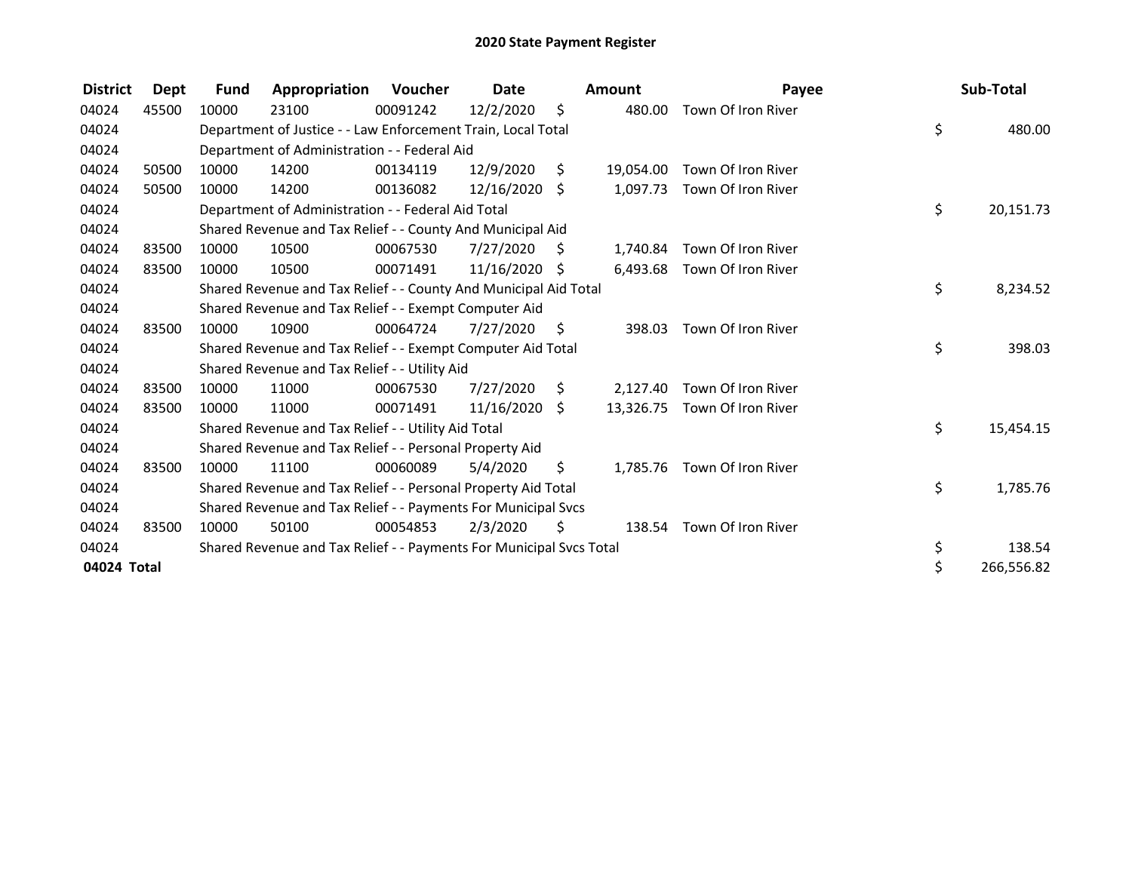| <b>District</b> | Dept  | <b>Fund</b> | Appropriation                                                       | <b>Voucher</b> | Date            |      | <b>Amount</b> | Payee                        | Sub-Total        |
|-----------------|-------|-------------|---------------------------------------------------------------------|----------------|-----------------|------|---------------|------------------------------|------------------|
| 04024           | 45500 | 10000       | 23100                                                               | 00091242       | 12/2/2020       | \$   | 480.00        | Town Of Iron River           |                  |
| 04024           |       |             | Department of Justice - - Law Enforcement Train, Local Total        |                |                 |      |               |                              | \$<br>480.00     |
| 04024           |       |             | Department of Administration - - Federal Aid                        |                |                 |      |               |                              |                  |
| 04024           | 50500 | 10000       | 14200                                                               | 00134119       | 12/9/2020       | \$   | 19.054.00     | Town Of Iron River           |                  |
| 04024           | 50500 | 10000       | 14200                                                               | 00136082       | $12/16/2020$ \$ |      |               | 1,097.73 Town Of Iron River  |                  |
| 04024           |       |             | Department of Administration - - Federal Aid Total                  |                |                 |      |               |                              | \$<br>20,151.73  |
| 04024           |       |             | Shared Revenue and Tax Relief - - County And Municipal Aid          |                |                 |      |               |                              |                  |
| 04024           | 83500 | 10000       | 10500                                                               | 00067530       | 7/27/2020       | - S  | 1,740.84      | Town Of Iron River           |                  |
| 04024           | 83500 | 10000       | 10500                                                               | 00071491       | 11/16/2020 \$   |      |               | 6,493.68 Town Of Iron River  |                  |
| 04024           |       |             | Shared Revenue and Tax Relief - - County And Municipal Aid Total    |                |                 |      |               |                              | \$<br>8,234.52   |
| 04024           |       |             | Shared Revenue and Tax Relief - - Exempt Computer Aid               |                |                 |      |               |                              |                  |
| 04024           | 83500 | 10000       | 10900                                                               | 00064724       | 7/27/2020       | - \$ | 398.03        | Town Of Iron River           |                  |
| 04024           |       |             | Shared Revenue and Tax Relief - - Exempt Computer Aid Total         |                |                 |      |               |                              | \$<br>398.03     |
| 04024           |       |             | Shared Revenue and Tax Relief - - Utility Aid                       |                |                 |      |               |                              |                  |
| 04024           | 83500 | 10000       | 11000                                                               | 00067530       | 7/27/2020       | S    | 2,127.40      | Town Of Iron River           |                  |
| 04024           | 83500 | 10000       | 11000                                                               | 00071491       | 11/16/2020      | \$   |               | 13,326.75 Town Of Iron River |                  |
| 04024           |       |             | Shared Revenue and Tax Relief - - Utility Aid Total                 |                |                 |      |               |                              | \$<br>15,454.15  |
| 04024           |       |             | Shared Revenue and Tax Relief - - Personal Property Aid             |                |                 |      |               |                              |                  |
| 04024           | 83500 | 10000       | 11100                                                               | 00060089       | 5/4/2020        | \$   | 1,785.76      | Town Of Iron River           |                  |
| 04024           |       |             | Shared Revenue and Tax Relief - - Personal Property Aid Total       |                |                 |      |               |                              | \$<br>1,785.76   |
| 04024           |       |             | Shared Revenue and Tax Relief - - Payments For Municipal Svcs       |                |                 |      |               |                              |                  |
| 04024           | 83500 | 10000       | 50100                                                               | 00054853       | 2/3/2020        | \$   |               | 138.54 Town Of Iron River    |                  |
| 04024           |       |             | Shared Revenue and Tax Relief - - Payments For Municipal Svcs Total |                |                 |      |               |                              | \$<br>138.54     |
| 04024 Total     |       |             |                                                                     |                |                 |      |               |                              | \$<br>266,556.82 |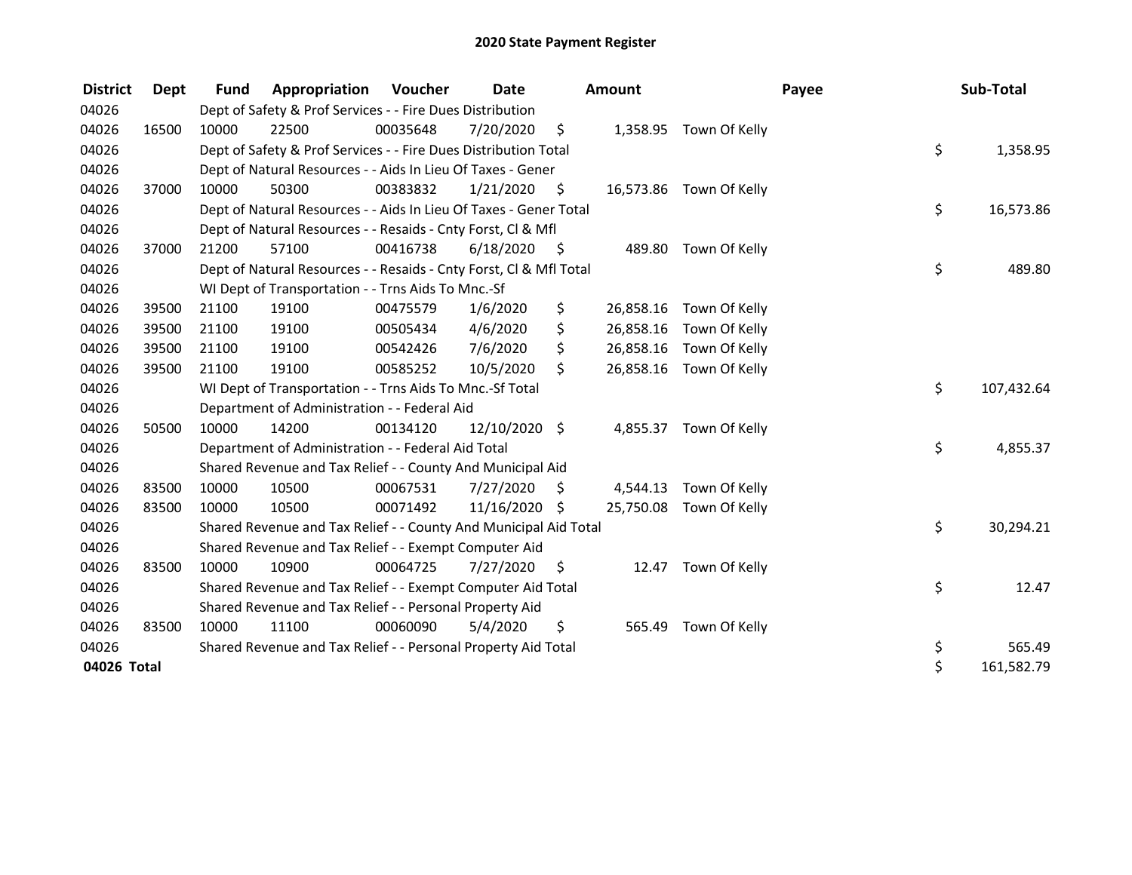| <b>District</b> | <b>Dept</b> | <b>Fund</b> | Appropriation                                                      | <b>Voucher</b> | <b>Date</b>   |      | Amount    |                         | Payee | Sub-Total        |
|-----------------|-------------|-------------|--------------------------------------------------------------------|----------------|---------------|------|-----------|-------------------------|-------|------------------|
| 04026           |             |             | Dept of Safety & Prof Services - - Fire Dues Distribution          |                |               |      |           |                         |       |                  |
| 04026           | 16500       | 10000       | 22500                                                              | 00035648       | 7/20/2020     | \$   | 1,358.95  | Town Of Kelly           |       |                  |
| 04026           |             |             | Dept of Safety & Prof Services - - Fire Dues Distribution Total    |                |               |      |           |                         |       | \$<br>1,358.95   |
| 04026           |             |             | Dept of Natural Resources - - Aids In Lieu Of Taxes - Gener        |                |               |      |           |                         |       |                  |
| 04026           | 37000       | 10000       | 50300                                                              | 00383832       | 1/21/2020     | - \$ |           | 16,573.86 Town Of Kelly |       |                  |
| 04026           |             |             | Dept of Natural Resources - - Aids In Lieu Of Taxes - Gener Total  |                |               |      |           |                         |       | \$<br>16,573.86  |
| 04026           |             |             | Dept of Natural Resources - - Resaids - Cnty Forst, CI & Mfl       |                |               |      |           |                         |       |                  |
| 04026           | 37000       | 21200       | 57100                                                              | 00416738       | 6/18/2020     | - \$ | 489.80    | Town Of Kelly           |       |                  |
| 04026           |             |             | Dept of Natural Resources - - Resaids - Cnty Forst, Cl & Mfl Total |                |               |      |           |                         |       | \$<br>489.80     |
| 04026           |             |             | WI Dept of Transportation - - Trns Aids To Mnc.-Sf                 |                |               |      |           |                         |       |                  |
| 04026           | 39500       | 21100       | 19100                                                              | 00475579       | 1/6/2020      | \$   | 26,858.16 | Town Of Kelly           |       |                  |
| 04026           | 39500       | 21100       | 19100                                                              | 00505434       | 4/6/2020      | \$   | 26,858.16 | Town Of Kelly           |       |                  |
| 04026           | 39500       | 21100       | 19100                                                              | 00542426       | 7/6/2020      | \$   | 26,858.16 | Town Of Kelly           |       |                  |
| 04026           | 39500       | 21100       | 19100                                                              | 00585252       | 10/5/2020     | \$   | 26,858.16 | Town Of Kelly           |       |                  |
| 04026           |             |             | WI Dept of Transportation - - Trns Aids To Mnc.-Sf Total           |                |               |      |           |                         |       | \$<br>107,432.64 |
| 04026           |             |             | Department of Administration - - Federal Aid                       |                |               |      |           |                         |       |                  |
| 04026           | 50500       | 10000       | 14200                                                              | 00134120       | 12/10/2020 \$ |      | 4,855.37  | Town Of Kelly           |       |                  |
| 04026           |             |             | Department of Administration - - Federal Aid Total                 |                |               |      |           |                         |       | \$<br>4,855.37   |
| 04026           |             |             | Shared Revenue and Tax Relief - - County And Municipal Aid         |                |               |      |           |                         |       |                  |
| 04026           | 83500       | 10000       | 10500                                                              | 00067531       | 7/27/2020     | S    | 4,544.13  | Town Of Kelly           |       |                  |
| 04026           | 83500       | 10000       | 10500                                                              | 00071492       | 11/16/2020 \$ |      | 25,750.08 | Town Of Kelly           |       |                  |
| 04026           |             |             | Shared Revenue and Tax Relief - - County And Municipal Aid Total   |                |               |      |           |                         |       | \$<br>30,294.21  |
| 04026           |             |             | Shared Revenue and Tax Relief - - Exempt Computer Aid              |                |               |      |           |                         |       |                  |
| 04026           | 83500       | 10000       | 10900                                                              | 00064725       | 7/27/2020     | S    |           | 12.47 Town Of Kelly     |       |                  |
| 04026           |             |             | Shared Revenue and Tax Relief - - Exempt Computer Aid Total        |                |               |      |           |                         |       | \$<br>12.47      |
| 04026           |             |             | Shared Revenue and Tax Relief - - Personal Property Aid            |                |               |      |           |                         |       |                  |
| 04026           | 83500       | 10000       | 11100                                                              | 00060090       | 5/4/2020      | \$   | 565.49    | Town Of Kelly           |       |                  |
| 04026           |             |             | Shared Revenue and Tax Relief - - Personal Property Aid Total      |                |               |      |           |                         |       | \$<br>565.49     |
| 04026 Total     |             |             |                                                                    |                |               |      |           |                         |       | \$<br>161,582.79 |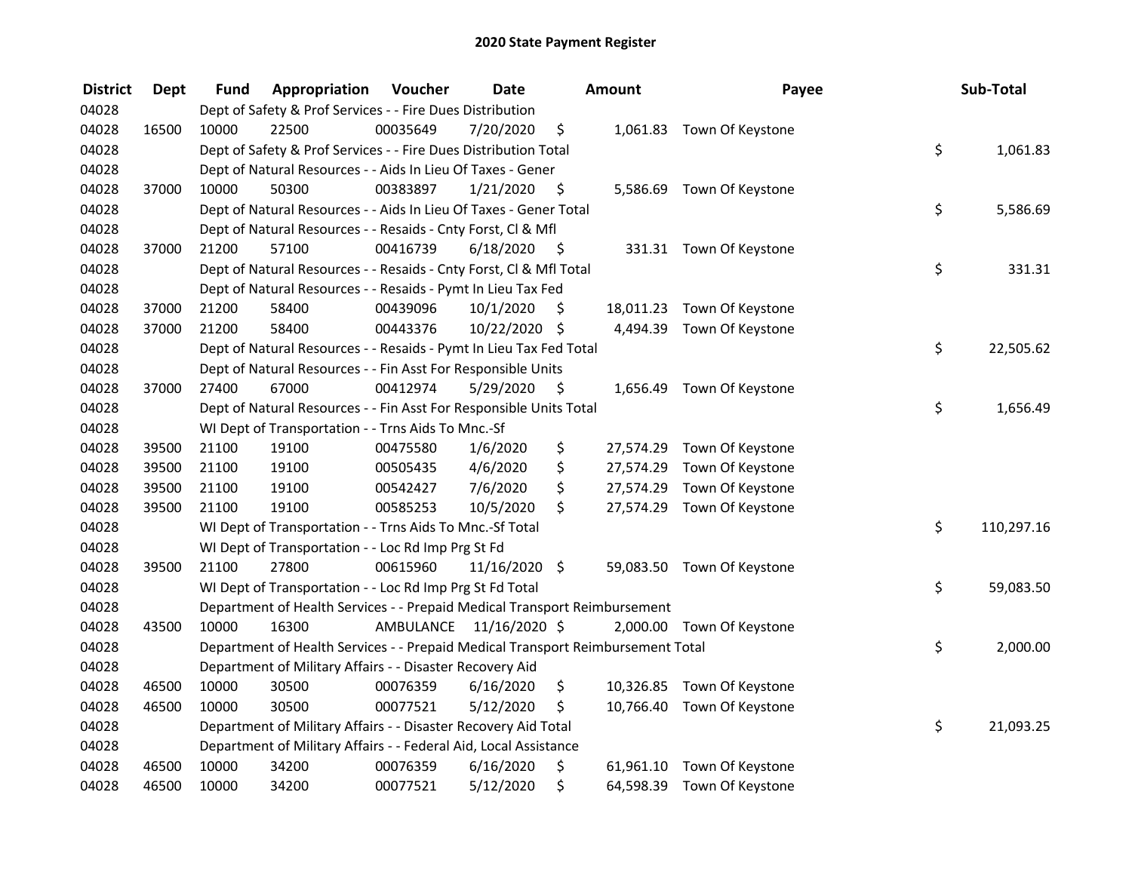| <b>District</b> | <b>Dept</b> | Fund  | Appropriation                                                                   | Voucher  | <b>Date</b>             |      | Amount    | Payee                      | Sub-Total        |
|-----------------|-------------|-------|---------------------------------------------------------------------------------|----------|-------------------------|------|-----------|----------------------------|------------------|
| 04028           |             |       | Dept of Safety & Prof Services - - Fire Dues Distribution                       |          |                         |      |           |                            |                  |
| 04028           | 16500       | 10000 | 22500                                                                           | 00035649 | 7/20/2020               | \$   |           | 1,061.83 Town Of Keystone  |                  |
| 04028           |             |       | Dept of Safety & Prof Services - - Fire Dues Distribution Total                 |          |                         |      |           |                            | \$<br>1,061.83   |
| 04028           |             |       | Dept of Natural Resources - - Aids In Lieu Of Taxes - Gener                     |          |                         |      |           |                            |                  |
| 04028           | 37000       | 10000 | 50300                                                                           | 00383897 | 1/21/2020               | \$   |           | 5,586.69 Town Of Keystone  |                  |
| 04028           |             |       | Dept of Natural Resources - - Aids In Lieu Of Taxes - Gener Total               |          |                         |      |           |                            | \$<br>5,586.69   |
| 04028           |             |       | Dept of Natural Resources - - Resaids - Cnty Forst, Cl & Mfl                    |          |                         |      |           |                            |                  |
| 04028           | 37000       | 21200 | 57100                                                                           | 00416739 | 6/18/2020               | - \$ |           | 331.31 Town Of Keystone    |                  |
| 04028           |             |       | Dept of Natural Resources - - Resaids - Cnty Forst, Cl & Mfl Total              |          |                         |      |           |                            | \$<br>331.31     |
| 04028           |             |       | Dept of Natural Resources - - Resaids - Pymt In Lieu Tax Fed                    |          |                         |      |           |                            |                  |
| 04028           | 37000       | 21200 | 58400                                                                           | 00439096 | 10/1/2020               | \$   |           | 18,011.23 Town Of Keystone |                  |
| 04028           | 37000       | 21200 | 58400                                                                           | 00443376 | 10/22/2020 \$           |      |           | 4,494.39 Town Of Keystone  |                  |
| 04028           |             |       | Dept of Natural Resources - - Resaids - Pymt In Lieu Tax Fed Total              |          |                         |      |           |                            | \$<br>22,505.62  |
| 04028           |             |       | Dept of Natural Resources - - Fin Asst For Responsible Units                    |          |                         |      |           |                            |                  |
| 04028           | 37000       | 27400 | 67000                                                                           | 00412974 | 5/29/2020               | \$   | 1,656.49  | Town Of Keystone           |                  |
| 04028           |             |       | Dept of Natural Resources - - Fin Asst For Responsible Units Total              |          |                         |      |           |                            | \$<br>1,656.49   |
| 04028           |             |       | WI Dept of Transportation - - Trns Aids To Mnc.-Sf                              |          |                         |      |           |                            |                  |
| 04028           | 39500       | 21100 | 19100                                                                           | 00475580 | 1/6/2020                | \$   | 27,574.29 | Town Of Keystone           |                  |
| 04028           | 39500       | 21100 | 19100                                                                           | 00505435 | 4/6/2020                | \$   | 27,574.29 | Town Of Keystone           |                  |
| 04028           | 39500       | 21100 | 19100                                                                           | 00542427 | 7/6/2020                | \$   | 27,574.29 | Town Of Keystone           |                  |
| 04028           | 39500       | 21100 | 19100                                                                           | 00585253 | 10/5/2020               | \$   | 27,574.29 | Town Of Keystone           |                  |
| 04028           |             |       | WI Dept of Transportation - - Trns Aids To Mnc.-Sf Total                        |          |                         |      |           |                            | \$<br>110,297.16 |
| 04028           |             |       | WI Dept of Transportation - - Loc Rd Imp Prg St Fd                              |          |                         |      |           |                            |                  |
| 04028           | 39500       | 21100 | 27800                                                                           | 00615960 | 11/16/2020 \$           |      |           | 59,083.50 Town Of Keystone |                  |
| 04028           |             |       | WI Dept of Transportation - - Loc Rd Imp Prg St Fd Total                        |          |                         |      |           |                            | \$<br>59,083.50  |
| 04028           |             |       | Department of Health Services - - Prepaid Medical Transport Reimbursement       |          |                         |      |           |                            |                  |
| 04028           | 43500       | 10000 | 16300                                                                           |          | AMBULANCE 11/16/2020 \$ |      |           | 2,000.00 Town Of Keystone  |                  |
| 04028           |             |       | Department of Health Services - - Prepaid Medical Transport Reimbursement Total |          |                         |      |           |                            | \$<br>2,000.00   |
| 04028           |             |       | Department of Military Affairs - - Disaster Recovery Aid                        |          |                         |      |           |                            |                  |
| 04028           | 46500       | 10000 | 30500                                                                           | 00076359 | 6/16/2020               | \$   |           | 10,326.85 Town Of Keystone |                  |
| 04028           | 46500       | 10000 | 30500                                                                           | 00077521 | 5/12/2020               | \$   |           | 10,766.40 Town Of Keystone |                  |
| 04028           |             |       | Department of Military Affairs - - Disaster Recovery Aid Total                  |          |                         |      |           |                            | \$<br>21,093.25  |
| 04028           |             |       | Department of Military Affairs - - Federal Aid, Local Assistance                |          |                         |      |           |                            |                  |
| 04028           | 46500       | 10000 | 34200                                                                           | 00076359 | 6/16/2020               | \$   |           | 61,961.10 Town Of Keystone |                  |
| 04028           | 46500       | 10000 | 34200                                                                           | 00077521 | 5/12/2020               | \$   | 64,598.39 | Town Of Keystone           |                  |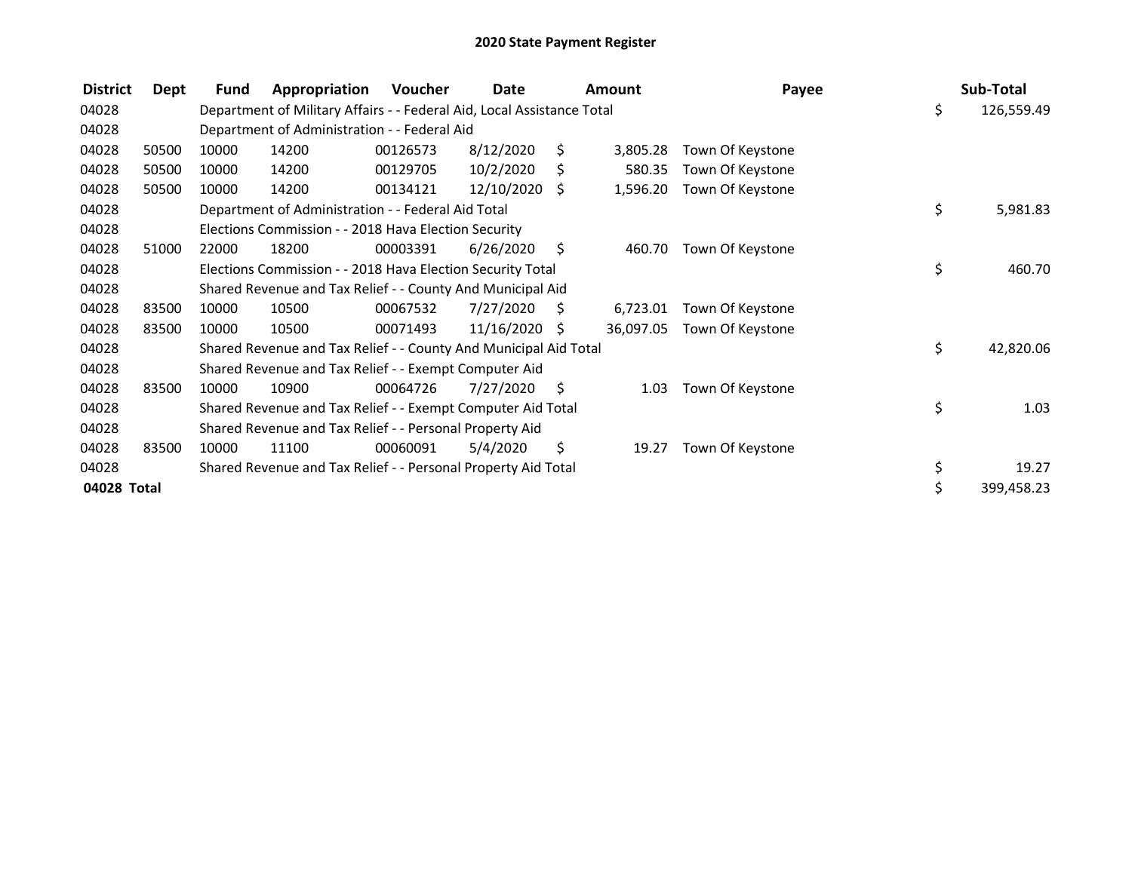| <b>District</b><br>Dept | <b>Fund</b> | Appropriation                                                          | Voucher  | Date          |      | Amount    | Payee            | Sub-Total        |
|-------------------------|-------------|------------------------------------------------------------------------|----------|---------------|------|-----------|------------------|------------------|
| 04028                   |             | Department of Military Affairs - - Federal Aid, Local Assistance Total |          |               |      |           |                  | \$<br>126,559.49 |
| 04028                   |             | Department of Administration - - Federal Aid                           |          |               |      |           |                  |                  |
| 04028<br>50500          | 10000       | 14200                                                                  | 00126573 | 8/12/2020     | S.   | 3,805.28  | Town Of Keystone |                  |
| 04028<br>50500          | 10000       | 14200                                                                  | 00129705 | 10/2/2020     | \$   | 580.35    | Town Of Keystone |                  |
| 04028<br>50500          | 10000       | 14200                                                                  | 00134121 | 12/10/2020 \$ |      | 1,596.20  | Town Of Keystone |                  |
| 04028                   |             | Department of Administration - - Federal Aid Total                     |          |               |      |           |                  | \$<br>5,981.83   |
| 04028                   |             | Elections Commission - - 2018 Hava Election Security                   |          |               |      |           |                  |                  |
| 04028<br>51000          | 22000       | 18200                                                                  | 00003391 | 6/26/2020     | \$   | 460.70    | Town Of Keystone |                  |
| 04028                   |             | Elections Commission - - 2018 Hava Election Security Total             |          |               |      |           |                  | \$<br>460.70     |
| 04028                   |             | Shared Revenue and Tax Relief - - County And Municipal Aid             |          |               |      |           |                  |                  |
| 04028<br>83500          | 10000       | 10500                                                                  | 00067532 | 7/27/2020     | S.   | 6,723.01  | Town Of Keystone |                  |
| 04028<br>83500          | 10000       | 10500                                                                  | 00071493 | 11/16/2020    | S    | 36,097.05 | Town Of Keystone |                  |
| 04028                   |             | Shared Revenue and Tax Relief - - County And Municipal Aid Total       |          |               |      |           |                  | \$<br>42,820.06  |
| 04028                   |             | Shared Revenue and Tax Relief - - Exempt Computer Aid                  |          |               |      |           |                  |                  |
| 04028<br>83500          | 10000       | 10900                                                                  | 00064726 | 7/27/2020     | - \$ | 1.03      | Town Of Keystone |                  |
| 04028                   |             | Shared Revenue and Tax Relief - - Exempt Computer Aid Total            |          |               |      |           |                  | \$<br>1.03       |
| 04028                   |             | Shared Revenue and Tax Relief - - Personal Property Aid                |          |               |      |           |                  |                  |
| 04028<br>83500          | 10000       | 11100                                                                  | 00060091 | 5/4/2020      | \$   | 19.27     | Town Of Keystone |                  |
| 04028                   |             | Shared Revenue and Tax Relief - - Personal Property Aid Total          |          |               |      |           |                  | \$<br>19.27      |
| 04028 Total             |             |                                                                        |          |               |      |           |                  | \$<br>399,458.23 |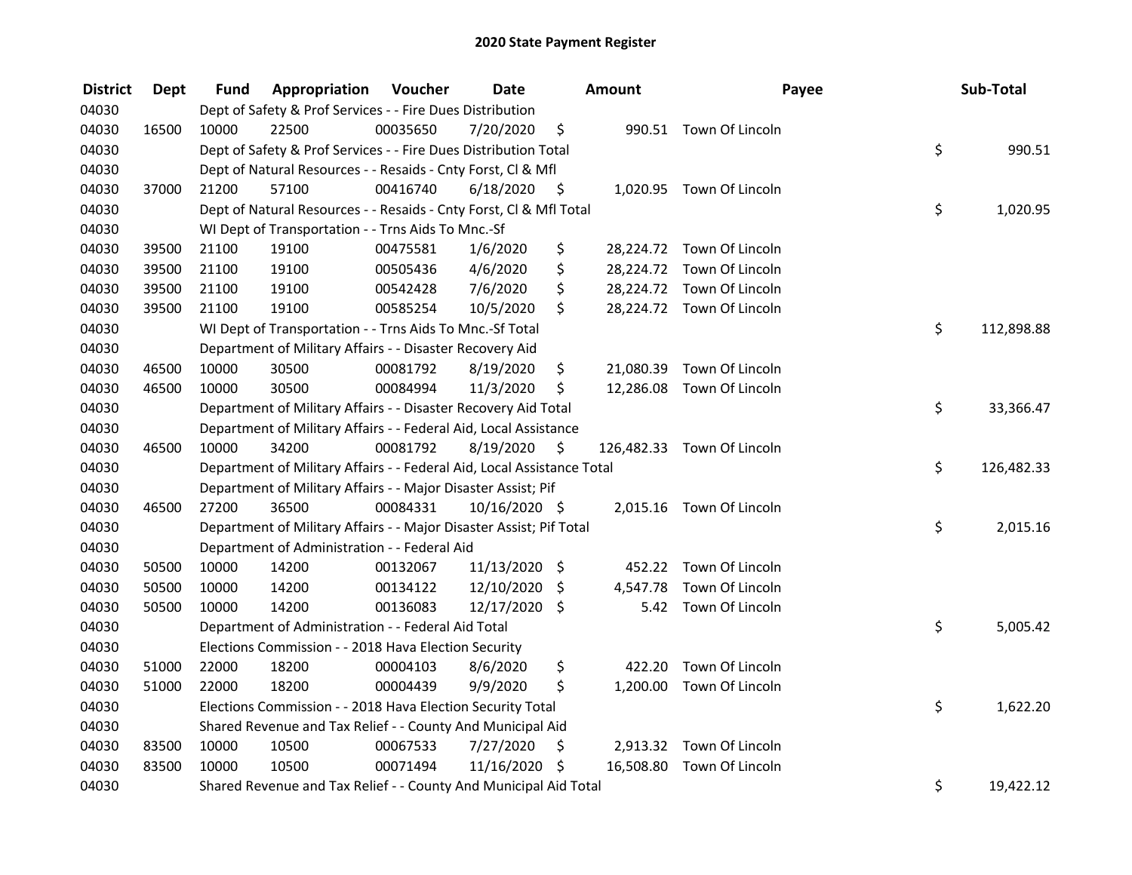| <b>District</b> | <b>Dept</b> | Fund  | Appropriation                                                          | Voucher  | <b>Date</b>     |      | Amount   | Payee                      | Sub-Total        |
|-----------------|-------------|-------|------------------------------------------------------------------------|----------|-----------------|------|----------|----------------------------|------------------|
| 04030           |             |       | Dept of Safety & Prof Services - - Fire Dues Distribution              |          |                 |      |          |                            |                  |
| 04030           | 16500       | 10000 | 22500                                                                  | 00035650 | 7/20/2020       | \$   |          | 990.51 Town Of Lincoln     |                  |
| 04030           |             |       | Dept of Safety & Prof Services - - Fire Dues Distribution Total        |          |                 |      |          |                            | \$<br>990.51     |
| 04030           |             |       | Dept of Natural Resources - - Resaids - Cnty Forst, Cl & Mfl           |          |                 |      |          |                            |                  |
| 04030           | 37000       | 21200 | 57100                                                                  | 00416740 | 6/18/2020       | - \$ |          | 1,020.95 Town Of Lincoln   |                  |
| 04030           |             |       | Dept of Natural Resources - - Resaids - Cnty Forst, Cl & Mfl Total     |          |                 |      |          |                            | \$<br>1,020.95   |
| 04030           |             |       | WI Dept of Transportation - - Trns Aids To Mnc.-Sf                     |          |                 |      |          |                            |                  |
| 04030           | 39500       | 21100 | 19100                                                                  | 00475581 | 1/6/2020        | \$   |          | 28,224.72 Town Of Lincoln  |                  |
| 04030           | 39500       | 21100 | 19100                                                                  | 00505436 | 4/6/2020        | \$   |          | 28,224.72 Town Of Lincoln  |                  |
| 04030           | 39500       | 21100 | 19100                                                                  | 00542428 | 7/6/2020        | \$   |          | 28,224.72 Town Of Lincoln  |                  |
| 04030           | 39500       | 21100 | 19100                                                                  | 00585254 | 10/5/2020       | \$   |          | 28,224.72 Town Of Lincoln  |                  |
| 04030           |             |       | WI Dept of Transportation - - Trns Aids To Mnc.-Sf Total               |          |                 |      |          |                            | \$<br>112,898.88 |
| 04030           |             |       | Department of Military Affairs - - Disaster Recovery Aid               |          |                 |      |          |                            |                  |
| 04030           | 46500       | 10000 | 30500                                                                  | 00081792 | 8/19/2020       | \$   |          | 21,080.39 Town Of Lincoln  |                  |
| 04030           | 46500       | 10000 | 30500                                                                  | 00084994 | 11/3/2020       | \$   |          | 12,286.08 Town Of Lincoln  |                  |
| 04030           |             |       | Department of Military Affairs - - Disaster Recovery Aid Total         |          |                 |      |          |                            | \$<br>33,366.47  |
| 04030           |             |       | Department of Military Affairs - - Federal Aid, Local Assistance       |          |                 |      |          |                            |                  |
| 04030           | 46500       | 10000 | 34200                                                                  | 00081792 | 8/19/2020       | \$   |          | 126,482.33 Town Of Lincoln |                  |
| 04030           |             |       | Department of Military Affairs - - Federal Aid, Local Assistance Total |          |                 |      |          |                            | \$<br>126,482.33 |
| 04030           |             |       | Department of Military Affairs - - Major Disaster Assist; Pif          |          |                 |      |          |                            |                  |
| 04030           | 46500       | 27200 | 36500                                                                  | 00084331 | 10/16/2020 \$   |      |          | 2,015.16 Town Of Lincoln   |                  |
| 04030           |             |       | Department of Military Affairs - - Major Disaster Assist; Pif Total    |          |                 |      |          |                            | \$<br>2,015.16   |
| 04030           |             |       | Department of Administration - - Federal Aid                           |          |                 |      |          |                            |                  |
| 04030           | 50500       | 10000 | 14200                                                                  | 00132067 | $11/13/2020$ \$ |      |          | 452.22 Town Of Lincoln     |                  |
| 04030           | 50500       | 10000 | 14200                                                                  | 00134122 | 12/10/2020      | \$   | 4,547.78 | Town Of Lincoln            |                  |
| 04030           | 50500       | 10000 | 14200                                                                  | 00136083 | 12/17/2020      | \$   |          | 5.42 Town Of Lincoln       |                  |
| 04030           |             |       | Department of Administration - - Federal Aid Total                     |          |                 |      |          |                            | \$<br>5,005.42   |
| 04030           |             |       | Elections Commission - - 2018 Hava Election Security                   |          |                 |      |          |                            |                  |
| 04030           | 51000       | 22000 | 18200                                                                  | 00004103 | 8/6/2020        | \$   |          | 422.20 Town Of Lincoln     |                  |
| 04030           | 51000       | 22000 | 18200                                                                  | 00004439 | 9/9/2020        | \$   |          | 1,200.00 Town Of Lincoln   |                  |
| 04030           |             |       | Elections Commission - - 2018 Hava Election Security Total             |          |                 |      |          |                            | \$<br>1,622.20   |
| 04030           |             |       | Shared Revenue and Tax Relief - - County And Municipal Aid             |          |                 |      |          |                            |                  |
| 04030           | 83500       | 10000 | 10500                                                                  | 00067533 | 7/27/2020       | \$   |          | 2,913.32 Town Of Lincoln   |                  |
| 04030           | 83500       | 10000 | 10500                                                                  | 00071494 | 11/16/2020      | - \$ |          | 16,508.80 Town Of Lincoln  |                  |
| 04030           |             |       | Shared Revenue and Tax Relief - - County And Municipal Aid Total       |          |                 |      |          |                            | \$<br>19,422.12  |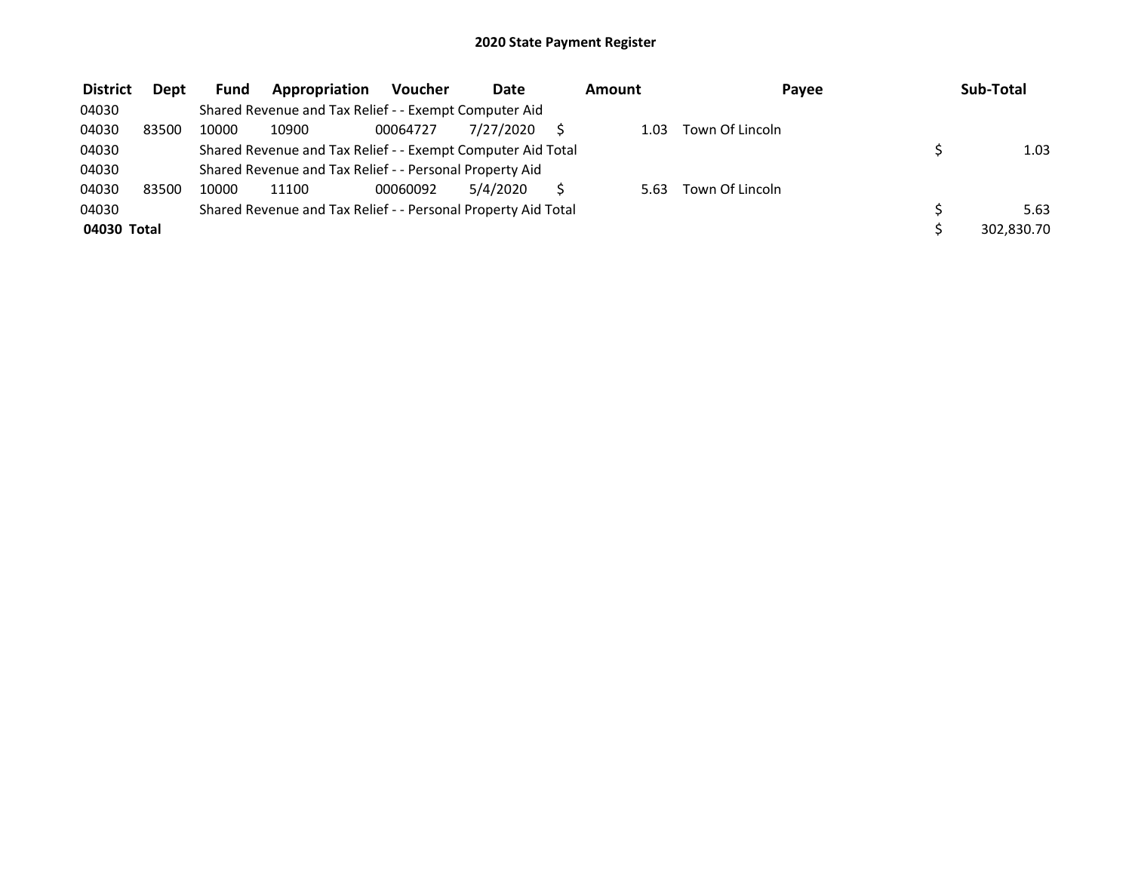| <b>District</b> | <b>Dept</b> | <b>Fund</b> | Appropriation                                                 | <b>Voucher</b> | <b>Date</b> | Amount | Payee           | Sub-Total  |
|-----------------|-------------|-------------|---------------------------------------------------------------|----------------|-------------|--------|-----------------|------------|
| 04030           |             |             | Shared Revenue and Tax Relief - - Exempt Computer Aid         |                |             |        |                 |            |
| 04030           | 83500       | 10000       | 10900                                                         | 00064727       | 7/27/2020   | 1.03   | Town Of Lincoln |            |
| 04030           |             |             | Shared Revenue and Tax Relief - - Exempt Computer Aid Total   |                |             |        |                 | 1.03       |
| 04030           |             |             | Shared Revenue and Tax Relief - - Personal Property Aid       |                |             |        |                 |            |
| 04030           | 83500       | 10000       | 11100                                                         | 00060092       | 5/4/2020    | 5.63   | Town Of Lincoln |            |
| 04030           |             |             | Shared Revenue and Tax Relief - - Personal Property Aid Total |                |             |        |                 | 5.63       |
| 04030 Total     |             |             |                                                               |                |             |        |                 | 302,830.70 |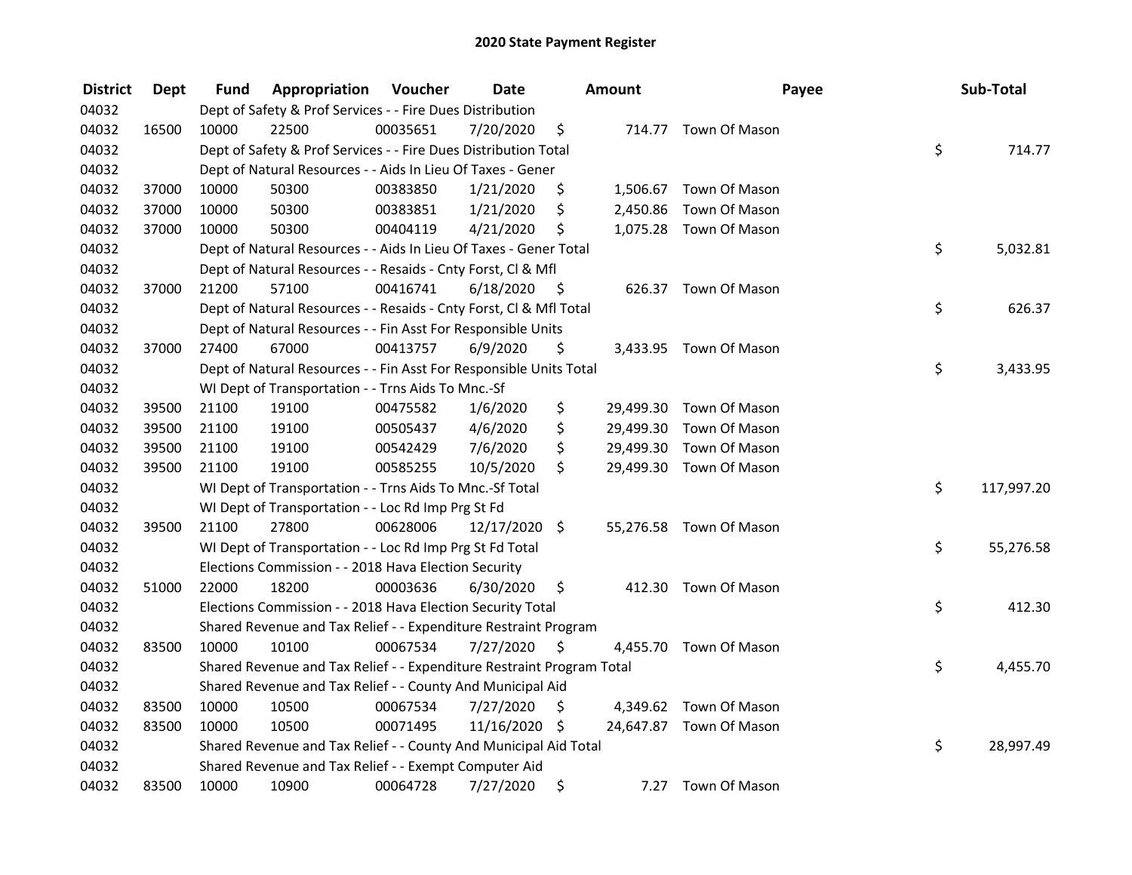| <b>District</b> | <b>Dept</b> | Fund  | Appropriation                                                         | Voucher  | <b>Date</b>     |         | <b>Amount</b> | Payee                   | Sub-Total        |
|-----------------|-------------|-------|-----------------------------------------------------------------------|----------|-----------------|---------|---------------|-------------------------|------------------|
| 04032           |             |       | Dept of Safety & Prof Services - - Fire Dues Distribution             |          |                 |         |               |                         |                  |
| 04032           | 16500       | 10000 | 22500                                                                 | 00035651 | 7/20/2020       | \$      |               | 714.77 Town Of Mason    |                  |
| 04032           |             |       | Dept of Safety & Prof Services - - Fire Dues Distribution Total       |          |                 |         |               |                         | \$<br>714.77     |
| 04032           |             |       | Dept of Natural Resources - - Aids In Lieu Of Taxes - Gener           |          |                 |         |               |                         |                  |
| 04032           | 37000       | 10000 | 50300                                                                 | 00383850 | 1/21/2020       | \$      |               | 1,506.67 Town Of Mason  |                  |
| 04032           | 37000       | 10000 | 50300                                                                 | 00383851 | 1/21/2020       | \$      | 2,450.86      | Town Of Mason           |                  |
| 04032           | 37000       | 10000 | 50300                                                                 | 00404119 | 4/21/2020       | \$      |               | 1,075.28 Town Of Mason  |                  |
| 04032           |             |       | Dept of Natural Resources - - Aids In Lieu Of Taxes - Gener Total     |          |                 |         |               |                         | \$<br>5,032.81   |
| 04032           |             |       | Dept of Natural Resources - - Resaids - Cnty Forst, Cl & Mfl          |          |                 |         |               |                         |                  |
| 04032           | 37000       | 21200 | 57100                                                                 | 00416741 | 6/18/2020       | - \$    |               | 626.37 Town Of Mason    |                  |
| 04032           |             |       | Dept of Natural Resources - - Resaids - Cnty Forst, Cl & Mfl Total    |          |                 |         |               |                         | \$<br>626.37     |
| 04032           |             |       | Dept of Natural Resources - - Fin Asst For Responsible Units          |          |                 |         |               |                         |                  |
| 04032           | 37000       | 27400 | 67000                                                                 | 00413757 | 6/9/2020        | \$      |               | 3,433.95 Town Of Mason  |                  |
| 04032           |             |       | Dept of Natural Resources - - Fin Asst For Responsible Units Total    |          |                 |         |               |                         | \$<br>3,433.95   |
| 04032           |             |       | WI Dept of Transportation - - Trns Aids To Mnc.-Sf                    |          |                 |         |               |                         |                  |
| 04032           | 39500       | 21100 | 19100                                                                 | 00475582 | 1/6/2020        | \$      |               | 29,499.30 Town Of Mason |                  |
| 04032           | 39500       | 21100 | 19100                                                                 | 00505437 | 4/6/2020        | \$      |               | 29,499.30 Town Of Mason |                  |
| 04032           | 39500       | 21100 | 19100                                                                 | 00542429 | 7/6/2020        | \$      | 29,499.30     | Town Of Mason           |                  |
| 04032           | 39500       | 21100 | 19100                                                                 | 00585255 | 10/5/2020       | \$.     |               | 29,499.30 Town Of Mason |                  |
| 04032           |             |       | WI Dept of Transportation - - Trns Aids To Mnc.-Sf Total              |          |                 |         |               |                         | \$<br>117,997.20 |
| 04032           |             |       | WI Dept of Transportation - - Loc Rd Imp Prg St Fd                    |          |                 |         |               |                         |                  |
| 04032           | 39500       | 21100 | 27800                                                                 | 00628006 | $12/17/2020$ \$ |         |               | 55,276.58 Town Of Mason |                  |
| 04032           |             |       | WI Dept of Transportation - - Loc Rd Imp Prg St Fd Total              |          |                 |         |               |                         | \$<br>55,276.58  |
| 04032           |             |       | Elections Commission - - 2018 Hava Election Security                  |          |                 |         |               |                         |                  |
| 04032           | 51000       | 22000 | 18200                                                                 | 00003636 | 6/30/2020       | $\zeta$ |               | 412.30 Town Of Mason    |                  |
| 04032           |             |       | Elections Commission - - 2018 Hava Election Security Total            |          |                 |         |               |                         | \$<br>412.30     |
| 04032           |             |       | Shared Revenue and Tax Relief - - Expenditure Restraint Program       |          |                 |         |               |                         |                  |
| 04032           | 83500       | 10000 | 10100                                                                 | 00067534 | 7/27/2020       | \$      |               | 4,455.70 Town Of Mason  |                  |
| 04032           |             |       | Shared Revenue and Tax Relief - - Expenditure Restraint Program Total |          |                 |         |               |                         | \$<br>4,455.70   |
| 04032           |             |       | Shared Revenue and Tax Relief - - County And Municipal Aid            |          |                 |         |               |                         |                  |
| 04032           | 83500       | 10000 | 10500                                                                 | 00067534 | 7/27/2020       | \$      |               | 4,349.62 Town Of Mason  |                  |
| 04032           | 83500       | 10000 | 10500                                                                 | 00071495 | 11/16/2020 \$   |         |               | 24,647.87 Town Of Mason |                  |
| 04032           |             |       | Shared Revenue and Tax Relief - - County And Municipal Aid Total      |          |                 |         |               |                         | \$<br>28,997.49  |
| 04032           |             |       | Shared Revenue and Tax Relief - - Exempt Computer Aid                 |          |                 |         |               |                         |                  |
| 04032           | 83500       | 10000 | 10900                                                                 | 00064728 | 7/27/2020       | \$      | 7.27          | Town Of Mason           |                  |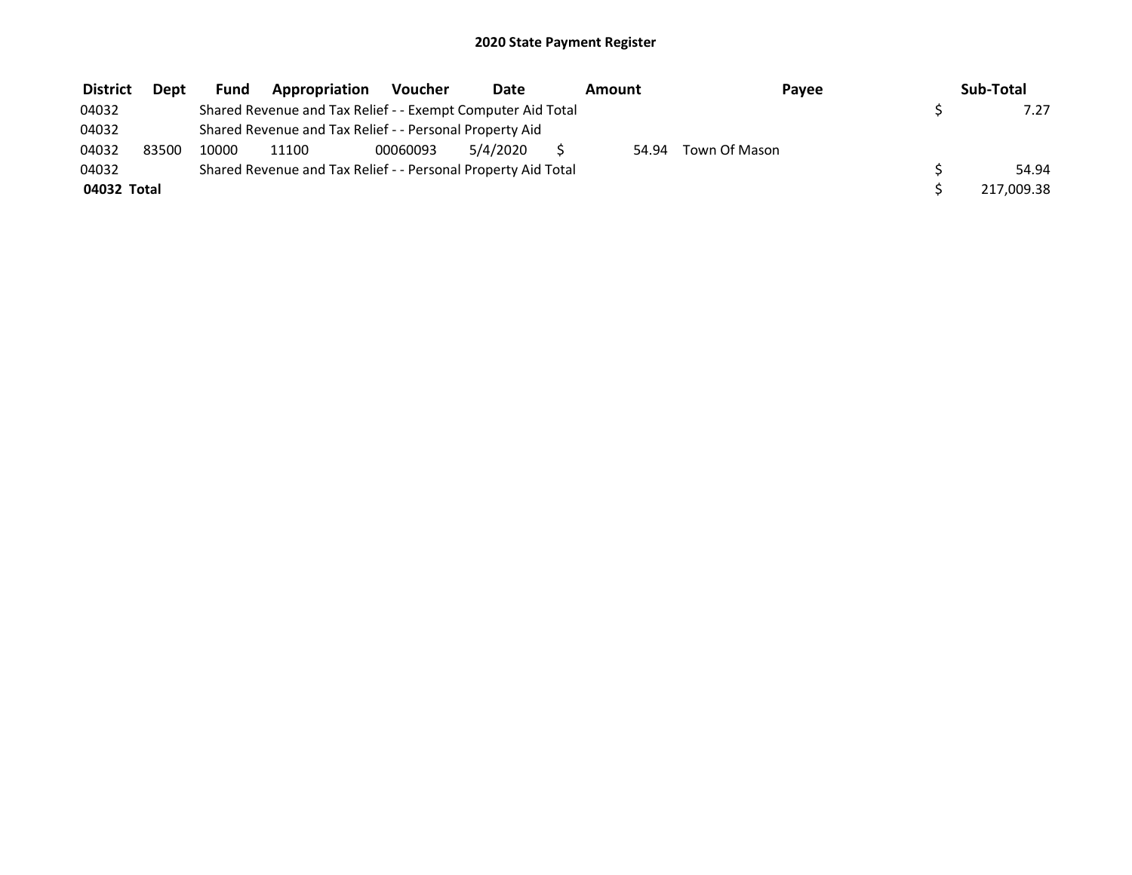| <b>District</b> | Dept  | <b>Fund</b> | Appropriation                                                 | Voucher  | <b>Date</b> | Amount | Payee         | Sub-Total  |
|-----------------|-------|-------------|---------------------------------------------------------------|----------|-------------|--------|---------------|------------|
| 04032           |       |             | Shared Revenue and Tax Relief - - Exempt Computer Aid Total   |          |             |        |               | 7.27       |
| 04032           |       |             | Shared Revenue and Tax Relief - - Personal Property Aid       |          |             |        |               |            |
| 04032           | 83500 | 10000       | 11100                                                         | 00060093 | 5/4/2020    | 54.94  | Town Of Mason |            |
| 04032           |       |             | Shared Revenue and Tax Relief - - Personal Property Aid Total |          |             |        |               | 54.94      |
| 04032 Total     |       |             |                                                               |          |             |        |               | 217,009.38 |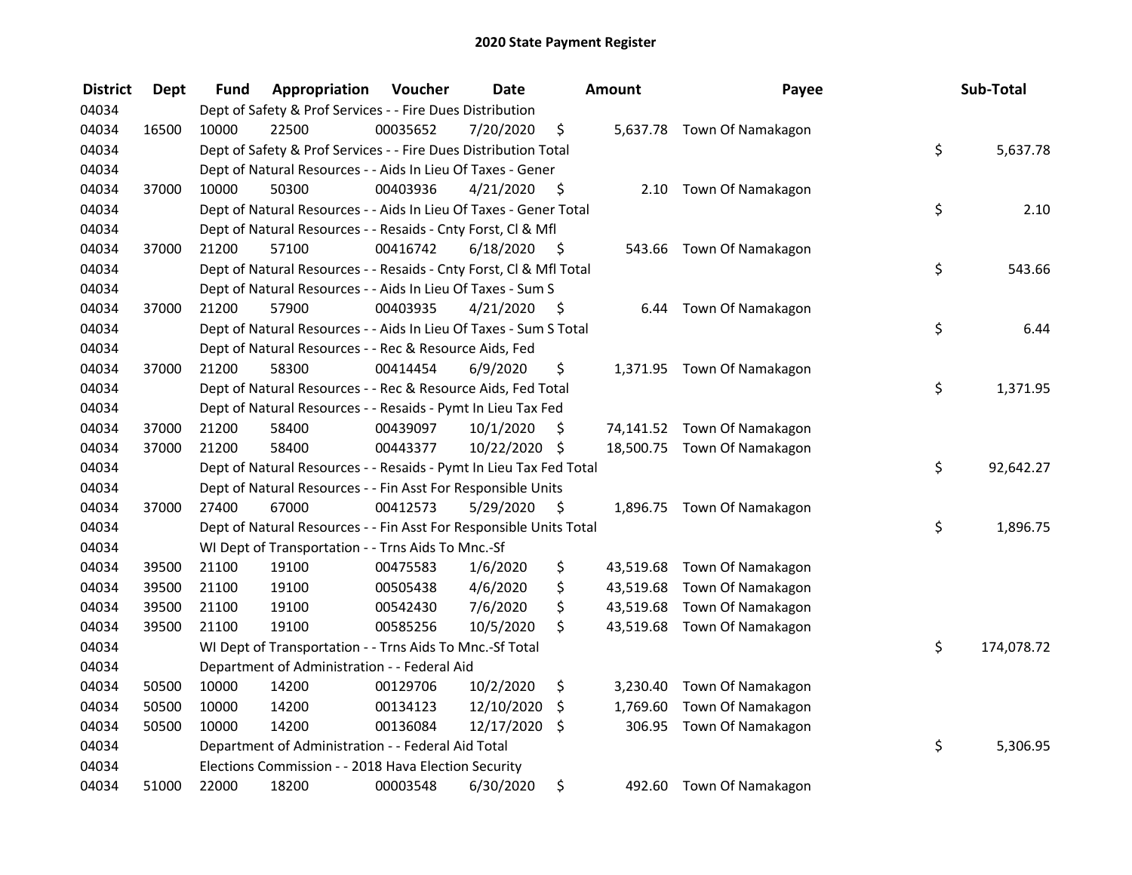| <b>District</b> | <b>Dept</b> | <b>Fund</b> | Appropriation                                                      | Voucher  | <b>Date</b>   |      | <b>Amount</b> | Payee                       | Sub-Total        |
|-----------------|-------------|-------------|--------------------------------------------------------------------|----------|---------------|------|---------------|-----------------------------|------------------|
| 04034           |             |             | Dept of Safety & Prof Services - - Fire Dues Distribution          |          |               |      |               |                             |                  |
| 04034           | 16500       | 10000       | 22500                                                              | 00035652 | 7/20/2020     | \$   |               | 5,637.78 Town Of Namakagon  |                  |
| 04034           |             |             | Dept of Safety & Prof Services - - Fire Dues Distribution Total    |          |               |      |               |                             | \$<br>5,637.78   |
| 04034           |             |             | Dept of Natural Resources - - Aids In Lieu Of Taxes - Gener        |          |               |      |               |                             |                  |
| 04034           | 37000       | 10000       | 50300                                                              | 00403936 | 4/21/2020     | \$   |               | 2.10 Town Of Namakagon      |                  |
| 04034           |             |             | Dept of Natural Resources - - Aids In Lieu Of Taxes - Gener Total  |          |               |      |               |                             | \$<br>2.10       |
| 04034           |             |             | Dept of Natural Resources - - Resaids - Cnty Forst, Cl & Mfl       |          |               |      |               |                             |                  |
| 04034           | 37000       | 21200       | 57100                                                              | 00416742 | 6/18/2020     | - \$ |               | 543.66 Town Of Namakagon    |                  |
| 04034           |             |             | Dept of Natural Resources - - Resaids - Cnty Forst, CI & Mfl Total |          |               |      |               |                             | \$<br>543.66     |
| 04034           |             |             | Dept of Natural Resources - - Aids In Lieu Of Taxes - Sum S        |          |               |      |               |                             |                  |
| 04034           | 37000       | 21200       | 57900                                                              | 00403935 | 4/21/2020     | - \$ |               | 6.44 Town Of Namakagon      |                  |
| 04034           |             |             | Dept of Natural Resources - - Aids In Lieu Of Taxes - Sum S Total  |          |               |      |               |                             | \$<br>6.44       |
| 04034           |             |             | Dept of Natural Resources - - Rec & Resource Aids, Fed             |          |               |      |               |                             |                  |
| 04034           | 37000       | 21200       | 58300                                                              | 00414454 | 6/9/2020      | \$   |               | 1,371.95 Town Of Namakagon  |                  |
| 04034           |             |             | Dept of Natural Resources - - Rec & Resource Aids, Fed Total       |          |               |      |               |                             | \$<br>1,371.95   |
| 04034           |             |             | Dept of Natural Resources - - Resaids - Pymt In Lieu Tax Fed       |          |               |      |               |                             |                  |
| 04034           | 37000       | 21200       | 58400                                                              | 00439097 | 10/1/2020     | \$   |               | 74,141.52 Town Of Namakagon |                  |
| 04034           | 37000       | 21200       | 58400                                                              | 00443377 | 10/22/2020 \$ |      |               | 18,500.75 Town Of Namakagon |                  |
| 04034           |             |             | Dept of Natural Resources - - Resaids - Pymt In Lieu Tax Fed Total |          |               |      |               |                             | \$<br>92,642.27  |
| 04034           |             |             | Dept of Natural Resources - - Fin Asst For Responsible Units       |          |               |      |               |                             |                  |
| 04034           | 37000       | 27400       | 67000                                                              | 00412573 | 5/29/2020     | \$   |               | 1,896.75 Town Of Namakagon  |                  |
| 04034           |             |             | Dept of Natural Resources - - Fin Asst For Responsible Units Total |          |               |      |               |                             | \$<br>1,896.75   |
| 04034           |             |             | WI Dept of Transportation - - Trns Aids To Mnc.-Sf                 |          |               |      |               |                             |                  |
| 04034           | 39500       | 21100       | 19100                                                              | 00475583 | 1/6/2020      | \$   |               | 43,519.68 Town Of Namakagon |                  |
| 04034           | 39500       | 21100       | 19100                                                              | 00505438 | 4/6/2020      | \$   |               | 43,519.68 Town Of Namakagon |                  |
| 04034           | 39500       | 21100       | 19100                                                              | 00542430 | 7/6/2020      | \$   | 43,519.68     | Town Of Namakagon           |                  |
| 04034           | 39500       | 21100       | 19100                                                              | 00585256 | 10/5/2020     | \$   |               | 43,519.68 Town Of Namakagon |                  |
| 04034           |             |             | WI Dept of Transportation - - Trns Aids To Mnc.-Sf Total           |          |               |      |               |                             | \$<br>174,078.72 |
| 04034           |             |             | Department of Administration - - Federal Aid                       |          |               |      |               |                             |                  |
| 04034           | 50500       | 10000       | 14200                                                              | 00129706 | 10/2/2020     | \$   | 3,230.40      | Town Of Namakagon           |                  |
| 04034           | 50500       | 10000       | 14200                                                              | 00134123 | 12/10/2020    | \$   | 1,769.60      | Town Of Namakagon           |                  |
| 04034           | 50500       | 10000       | 14200                                                              | 00136084 | 12/17/2020    | \$   | 306.95        | Town Of Namakagon           |                  |
| 04034           |             |             | Department of Administration - - Federal Aid Total                 |          |               |      |               |                             | \$<br>5,306.95   |
| 04034           |             |             | Elections Commission - - 2018 Hava Election Security               |          |               |      |               |                             |                  |
| 04034           | 51000       | 22000       | 18200                                                              | 00003548 | 6/30/2020     | \$   |               | 492.60 Town Of Namakagon    |                  |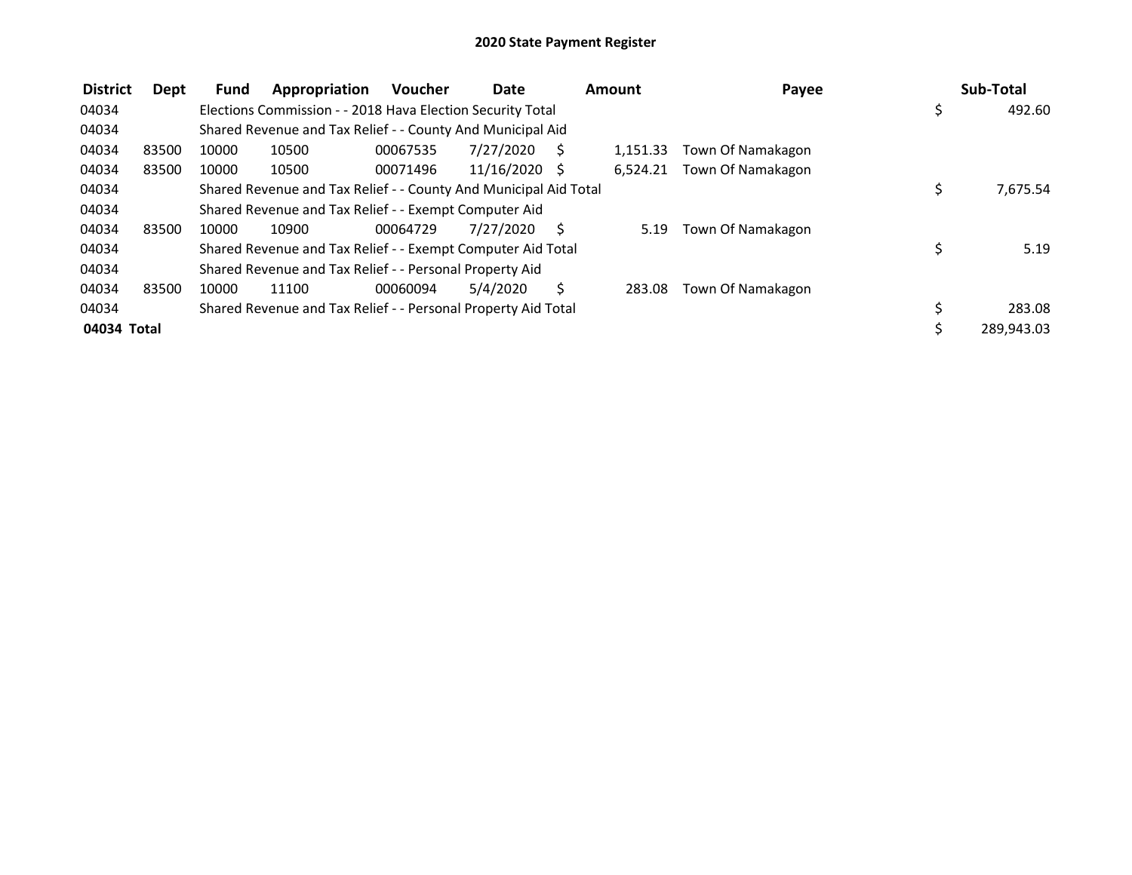| <b>District</b> | Dept  | Fund  | Appropriation                                                    | <b>Voucher</b> | Date            |    | Amount   | Payee             |     | Sub-Total  |
|-----------------|-------|-------|------------------------------------------------------------------|----------------|-----------------|----|----------|-------------------|-----|------------|
| 04034           |       |       | Elections Commission - - 2018 Hava Election Security Total       |                |                 |    |          |                   | \$. | 492.60     |
| 04034           |       |       | Shared Revenue and Tax Relief - - County And Municipal Aid       |                |                 |    |          |                   |     |            |
| 04034           | 83500 | 10000 | 10500                                                            | 00067535       | 7/27/2020       |    | 1.151.33 | Town Of Namakagon |     |            |
| 04034           | 83500 | 10000 | 10500                                                            | 00071496       | $11/16/2020$ \$ |    | 6.524.21 | Town Of Namakagon |     |            |
| 04034           |       |       | Shared Revenue and Tax Relief - - County And Municipal Aid Total |                |                 |    |          |                   | \$  | 7,675.54   |
| 04034           |       |       | Shared Revenue and Tax Relief - - Exempt Computer Aid            |                |                 |    |          |                   |     |            |
| 04034           | 83500 | 10000 | 10900                                                            | 00064729       | 7/27/2020       | -S | 5.19     | Town Of Namakagon |     |            |
| 04034           |       |       | Shared Revenue and Tax Relief - - Exempt Computer Aid Total      |                |                 |    |          |                   |     | 5.19       |
| 04034           |       |       | Shared Revenue and Tax Relief - - Personal Property Aid          |                |                 |    |          |                   |     |            |
| 04034           | 83500 | 10000 | 11100                                                            | 00060094       | 5/4/2020        |    | 283.08   | Town Of Namakagon |     |            |
| 04034           |       |       | Shared Revenue and Tax Relief - - Personal Property Aid Total    |                |                 |    |          |                   |     | 283.08     |
| 04034 Total     |       |       |                                                                  |                |                 |    |          |                   |     | 289,943.03 |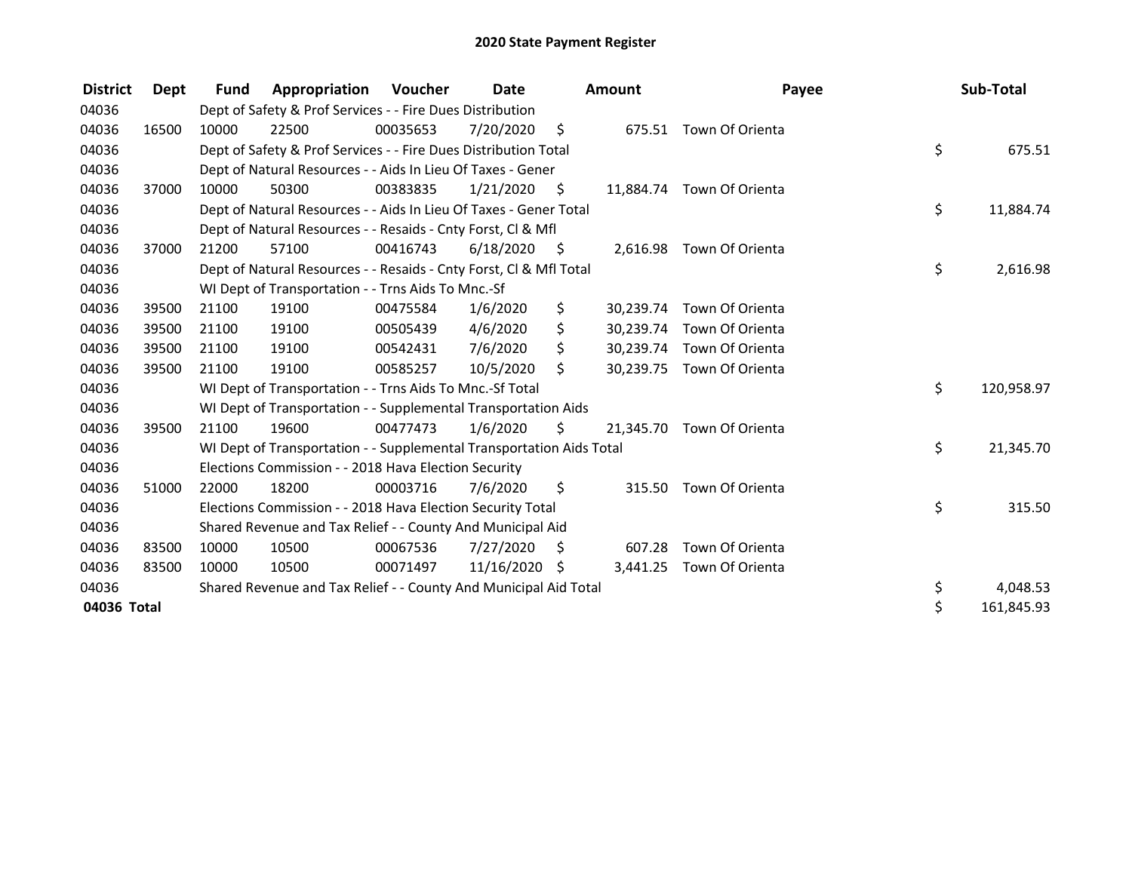| <b>District</b> | <b>Dept</b> | <b>Fund</b> | Appropriation                                                        | Voucher  | Date<br><b>Amount</b> |      |           | Payee                     | Sub-Total        |
|-----------------|-------------|-------------|----------------------------------------------------------------------|----------|-----------------------|------|-----------|---------------------------|------------------|
| 04036           |             |             | Dept of Safety & Prof Services - - Fire Dues Distribution            |          |                       |      |           |                           |                  |
| 04036           | 16500       | 10000       | 22500                                                                | 00035653 | 7/20/2020             | \$   |           | 675.51 Town Of Orienta    |                  |
| 04036           |             |             | Dept of Safety & Prof Services - - Fire Dues Distribution Total      |          |                       |      |           |                           | \$<br>675.51     |
| 04036           |             |             | Dept of Natural Resources - - Aids In Lieu Of Taxes - Gener          |          |                       |      |           |                           |                  |
| 04036           | 37000       | 10000       | 50300                                                                | 00383835 | 1/21/2020             | S.   |           | 11,884.74 Town Of Orienta |                  |
| 04036           |             |             | Dept of Natural Resources - - Aids In Lieu Of Taxes - Gener Total    |          |                       |      |           |                           | \$<br>11,884.74  |
| 04036           |             |             | Dept of Natural Resources - - Resaids - Cnty Forst, CI & Mfl         |          |                       |      |           |                           |                  |
| 04036           | 37000       | 21200       | 57100                                                                | 00416743 | 6/18/2020             | - \$ |           | 2,616.98 Town Of Orienta  |                  |
| 04036           |             |             | Dept of Natural Resources - - Resaids - Cnty Forst, Cl & Mfl Total   |          |                       |      |           |                           | \$<br>2,616.98   |
| 04036           |             |             | WI Dept of Transportation - - Trns Aids To Mnc.-Sf                   |          |                       |      |           |                           |                  |
| 04036           | 39500       | 21100       | 19100                                                                | 00475584 | 1/6/2020              | \$   | 30,239.74 | Town Of Orienta           |                  |
| 04036           | 39500       | 21100       | 19100                                                                | 00505439 | 4/6/2020              | \$   | 30,239.74 | Town Of Orienta           |                  |
| 04036           | 39500       | 21100       | 19100                                                                | 00542431 | 7/6/2020              | \$   | 30,239.74 | Town Of Orienta           |                  |
| 04036           | 39500       | 21100       | 19100                                                                | 00585257 | 10/5/2020             | \$   | 30,239.75 | Town Of Orienta           |                  |
| 04036           |             |             | WI Dept of Transportation - - Trns Aids To Mnc.-Sf Total             |          |                       |      |           |                           | \$<br>120,958.97 |
| 04036           |             |             | WI Dept of Transportation - - Supplemental Transportation Aids       |          |                       |      |           |                           |                  |
| 04036           | 39500       | 21100       | 19600                                                                | 00477473 | 1/6/2020              | \$   |           | 21,345.70 Town Of Orienta |                  |
| 04036           |             |             | WI Dept of Transportation - - Supplemental Transportation Aids Total |          |                       |      |           |                           | \$<br>21,345.70  |
| 04036           |             |             | Elections Commission - - 2018 Hava Election Security                 |          |                       |      |           |                           |                  |
| 04036           | 51000       | 22000       | 18200                                                                | 00003716 | 7/6/2020              | \$   | 315.50    | Town Of Orienta           |                  |
| 04036           |             |             | Elections Commission - - 2018 Hava Election Security Total           |          |                       |      |           |                           | \$<br>315.50     |
| 04036           |             |             | Shared Revenue and Tax Relief - - County And Municipal Aid           |          |                       |      |           |                           |                  |
| 04036           | 83500       | 10000       | 10500                                                                | 00067536 | 7/27/2020             | S    | 607.28    | Town Of Orienta           |                  |
| 04036           | 83500       | 10000       | 10500                                                                | 00071497 | 11/16/2020 \$         |      | 3,441.25  | Town Of Orienta           |                  |
| 04036           |             |             | Shared Revenue and Tax Relief - - County And Municipal Aid Total     |          |                       |      |           |                           | \$<br>4,048.53   |
| 04036 Total     |             |             |                                                                      |          |                       |      |           |                           | \$<br>161,845.93 |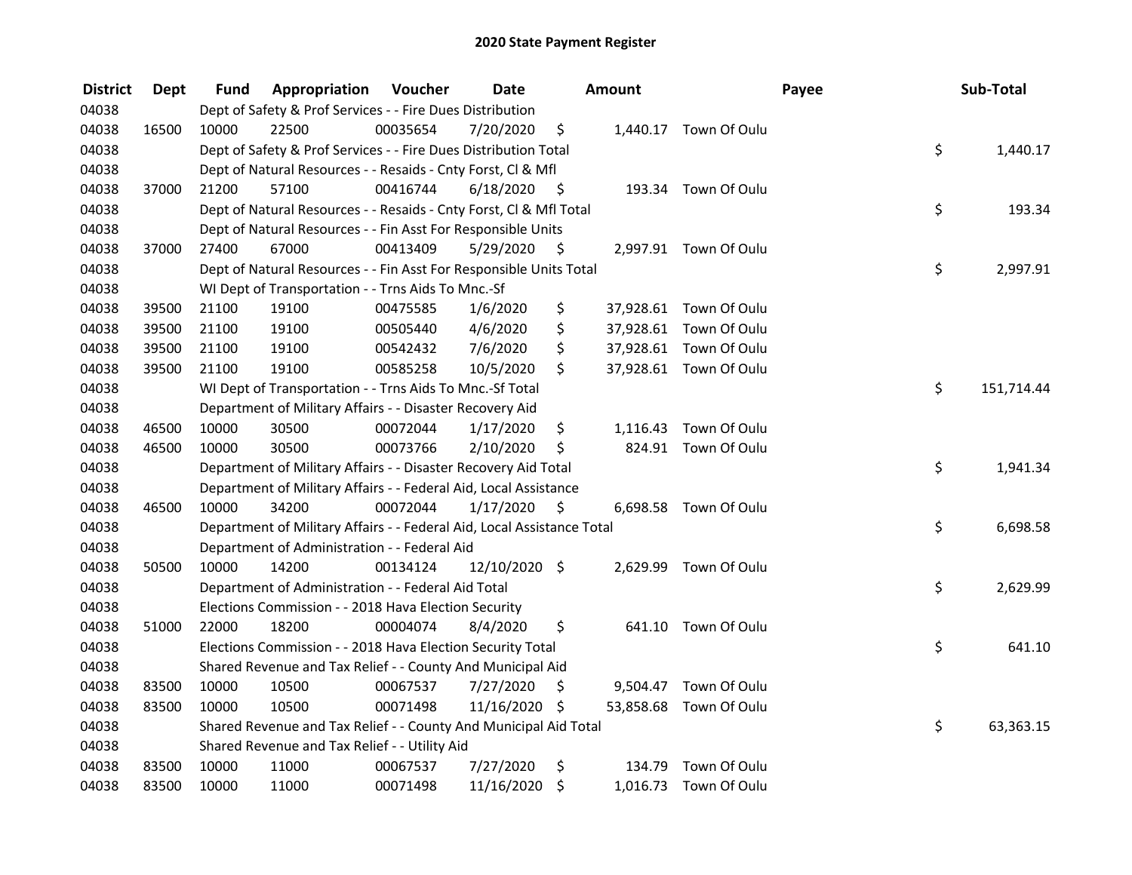| <b>District</b> | <b>Dept</b> | Fund  | Appropriation                                                          | Voucher  | <b>Date</b>   |      | <b>Amount</b> |                        | Payee | Sub-Total  |
|-----------------|-------------|-------|------------------------------------------------------------------------|----------|---------------|------|---------------|------------------------|-------|------------|
| 04038           |             |       | Dept of Safety & Prof Services - - Fire Dues Distribution              |          |               |      |               |                        |       |            |
| 04038           | 16500       | 10000 | 22500                                                                  | 00035654 | 7/20/2020     | \$   |               | 1,440.17 Town Of Oulu  |       |            |
| 04038           |             |       | Dept of Safety & Prof Services - - Fire Dues Distribution Total        |          |               |      |               |                        | \$    | 1,440.17   |
| 04038           |             |       | Dept of Natural Resources - - Resaids - Cnty Forst, Cl & Mfl           |          |               |      |               |                        |       |            |
| 04038           | 37000       | 21200 | 57100                                                                  | 00416744 | 6/18/2020     | - \$ |               | 193.34 Town Of Oulu    |       |            |
| 04038           |             |       | Dept of Natural Resources - - Resaids - Cnty Forst, Cl & Mfl Total     |          |               |      |               |                        | \$    | 193.34     |
| 04038           |             |       | Dept of Natural Resources - - Fin Asst For Responsible Units           |          |               |      |               |                        |       |            |
| 04038           | 37000       | 27400 | 67000                                                                  | 00413409 | 5/29/2020     | - \$ |               | 2,997.91 Town Of Oulu  |       |            |
| 04038           |             |       | Dept of Natural Resources - - Fin Asst For Responsible Units Total     |          |               |      |               |                        | \$    | 2,997.91   |
| 04038           |             |       | WI Dept of Transportation - - Trns Aids To Mnc.-Sf                     |          |               |      |               |                        |       |            |
| 04038           | 39500       | 21100 | 19100                                                                  | 00475585 | 1/6/2020      | \$   |               | 37,928.61 Town Of Oulu |       |            |
| 04038           | 39500       | 21100 | 19100                                                                  | 00505440 | 4/6/2020      | \$   |               | 37,928.61 Town Of Oulu |       |            |
| 04038           | 39500       | 21100 | 19100                                                                  | 00542432 | 7/6/2020      | \$   |               | 37,928.61 Town Of Oulu |       |            |
| 04038           | 39500       | 21100 | 19100                                                                  | 00585258 | 10/5/2020     | \$.  |               | 37,928.61 Town Of Oulu |       |            |
| 04038           |             |       | WI Dept of Transportation - - Trns Aids To Mnc.-Sf Total               |          |               |      |               |                        | \$    | 151,714.44 |
| 04038           |             |       | Department of Military Affairs - - Disaster Recovery Aid               |          |               |      |               |                        |       |            |
| 04038           | 46500       | 10000 | 30500                                                                  | 00072044 | 1/17/2020     | \$   | 1,116.43      | Town Of Oulu           |       |            |
| 04038           | 46500       | 10000 | 30500                                                                  | 00073766 | 2/10/2020     | \$   | 824.91        | Town Of Oulu           |       |            |
| 04038           |             |       | Department of Military Affairs - - Disaster Recovery Aid Total         |          |               |      |               |                        | \$    | 1,941.34   |
| 04038           |             |       | Department of Military Affairs - - Federal Aid, Local Assistance       |          |               |      |               |                        |       |            |
| 04038           | 46500       | 10000 | 34200                                                                  | 00072044 | 1/17/2020     | - \$ |               | 6,698.58 Town Of Oulu  |       |            |
| 04038           |             |       | Department of Military Affairs - - Federal Aid, Local Assistance Total |          |               |      |               |                        | \$    | 6,698.58   |
| 04038           |             |       | Department of Administration - - Federal Aid                           |          |               |      |               |                        |       |            |
| 04038           | 50500       | 10000 | 14200                                                                  | 00134124 | 12/10/2020 \$ |      | 2,629.99      | Town Of Oulu           |       |            |
| 04038           |             |       | Department of Administration - - Federal Aid Total                     |          |               |      |               |                        | \$    | 2,629.99   |
| 04038           |             |       | Elections Commission - - 2018 Hava Election Security                   |          |               |      |               |                        |       |            |
| 04038           | 51000       | 22000 | 18200                                                                  | 00004074 | 8/4/2020      | \$   |               | 641.10 Town Of Oulu    |       |            |
| 04038           |             |       | Elections Commission - - 2018 Hava Election Security Total             |          |               |      |               |                        | \$    | 641.10     |
| 04038           |             |       | Shared Revenue and Tax Relief - - County And Municipal Aid             |          |               |      |               |                        |       |            |
| 04038           | 83500       | 10000 | 10500                                                                  | 00067537 | 7/27/2020     | \$   | 9,504.47      | Town Of Oulu           |       |            |
| 04038           | 83500       | 10000 | 10500                                                                  | 00071498 | 11/16/2020 \$ |      | 53,858.68     | Town Of Oulu           |       |            |
| 04038           |             |       | Shared Revenue and Tax Relief - - County And Municipal Aid Total       |          |               |      |               |                        | \$    | 63,363.15  |
| 04038           |             |       | Shared Revenue and Tax Relief - - Utility Aid                          |          |               |      |               |                        |       |            |
| 04038           | 83500       | 10000 | 11000                                                                  | 00067537 | 7/27/2020     | \$   | 134.79        | Town Of Oulu           |       |            |
| 04038           | 83500       | 10000 | 11000                                                                  | 00071498 | 11/16/2020    | \$   |               | 1,016.73 Town Of Oulu  |       |            |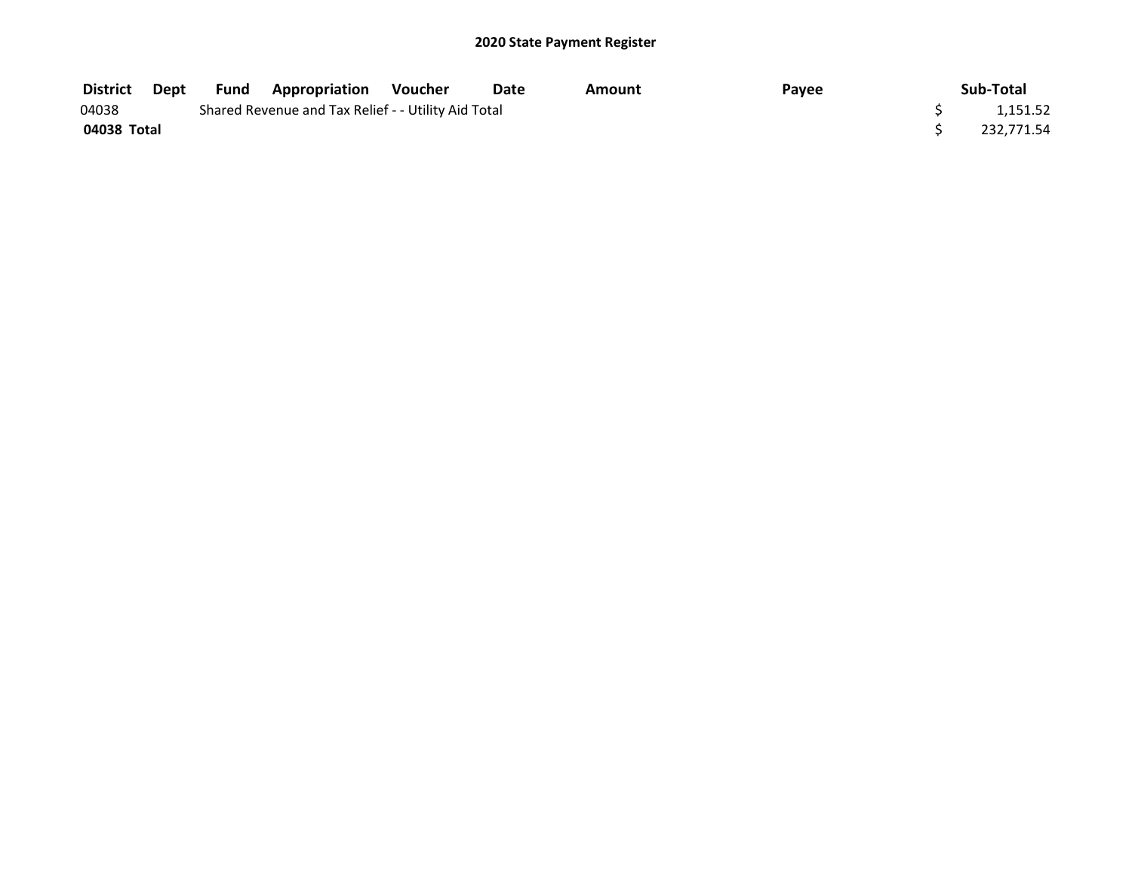| <b>District Dept</b> |  | <b>Fund Appropriation Voucher</b>                   | Date | Amount | Payee | Sub-Total  |
|----------------------|--|-----------------------------------------------------|------|--------|-------|------------|
| 04038                |  | Shared Revenue and Tax Relief - - Utility Aid Total |      |        |       | 1,151.52   |
| 04038 Total          |  |                                                     |      |        |       | 232.771.54 |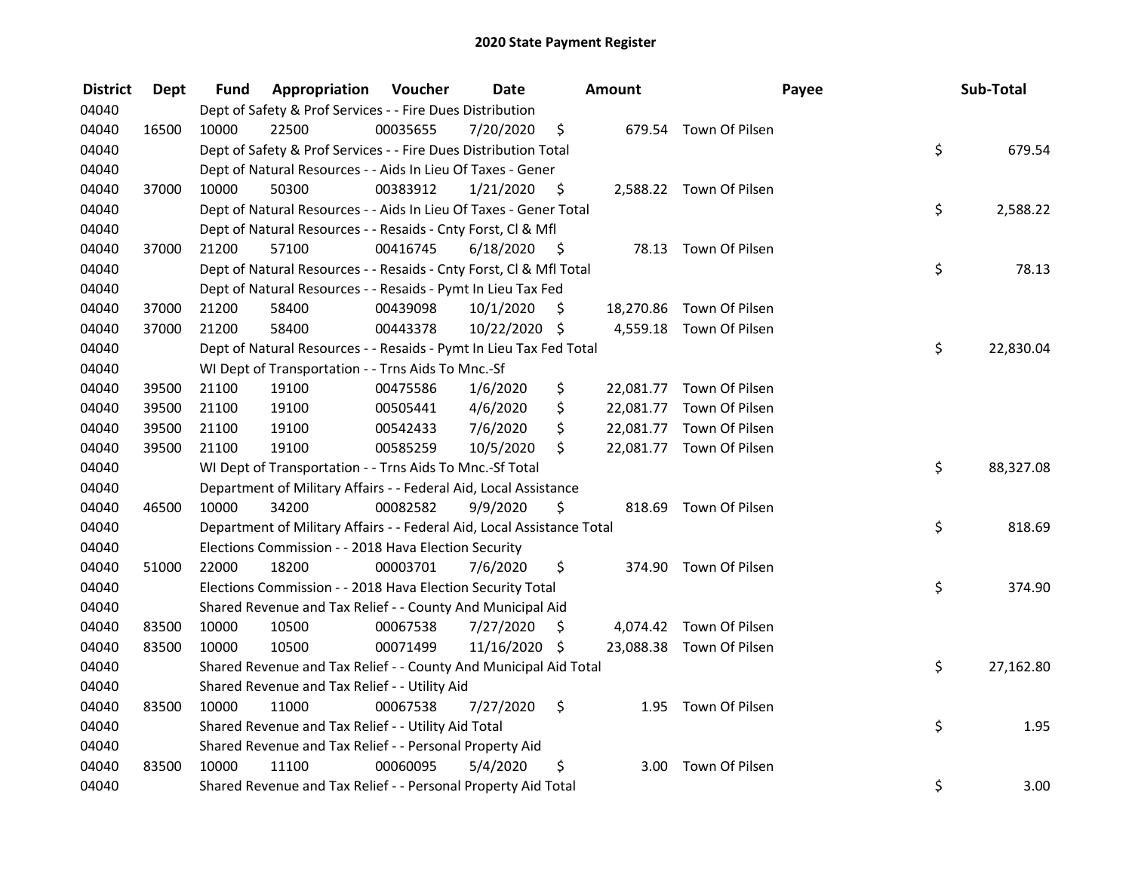| <b>District</b> | <b>Dept</b> | Fund  | Appropriation                                                          | Voucher  | <b>Date</b>   |      | <b>Amount</b>     |                          | Payee | Sub-Total |
|-----------------|-------------|-------|------------------------------------------------------------------------|----------|---------------|------|-------------------|--------------------------|-------|-----------|
| 04040           |             |       | Dept of Safety & Prof Services - - Fire Dues Distribution              |          |               |      |                   |                          |       |           |
| 04040           | 16500       | 10000 | 22500                                                                  | 00035655 | 7/20/2020     | \$   |                   | 679.54 Town Of Pilsen    |       |           |
| 04040           |             |       | Dept of Safety & Prof Services - - Fire Dues Distribution Total        |          |               |      |                   |                          | \$    | 679.54    |
| 04040           |             |       | Dept of Natural Resources - - Aids In Lieu Of Taxes - Gener            |          |               |      |                   |                          |       |           |
| 04040           | 37000       | 10000 | 50300                                                                  | 00383912 | 1/21/2020     | - \$ |                   | 2,588.22 Town Of Pilsen  |       |           |
| 04040           |             |       | Dept of Natural Resources - - Aids In Lieu Of Taxes - Gener Total      |          |               |      |                   |                          | \$    | 2,588.22  |
| 04040           |             |       | Dept of Natural Resources - - Resaids - Cnty Forst, Cl & Mfl           |          |               |      |                   |                          |       |           |
| 04040           | 37000       | 21200 | 57100                                                                  | 00416745 | 6/18/2020     | - \$ |                   | 78.13 Town Of Pilsen     |       |           |
| 04040           |             |       | Dept of Natural Resources - - Resaids - Cnty Forst, Cl & Mfl Total     |          |               |      |                   |                          | \$    | 78.13     |
| 04040           |             |       | Dept of Natural Resources - - Resaids - Pymt In Lieu Tax Fed           |          |               |      |                   |                          |       |           |
| 04040           | 37000       | 21200 | 58400                                                                  | 00439098 | 10/1/2020     | \$   |                   | 18,270.86 Town Of Pilsen |       |           |
| 04040           | 37000       | 21200 | 58400                                                                  | 00443378 | 10/22/2020 \$ |      |                   | 4,559.18 Town Of Pilsen  |       |           |
| 04040           |             |       | Dept of Natural Resources - - Resaids - Pymt In Lieu Tax Fed Total     |          |               |      |                   |                          | \$    | 22,830.04 |
| 04040           |             |       | WI Dept of Transportation - - Trns Aids To Mnc.-Sf                     |          |               |      |                   |                          |       |           |
| 04040           | 39500       | 21100 | 19100                                                                  | 00475586 | 1/6/2020      | \$   |                   | 22,081.77 Town Of Pilsen |       |           |
| 04040           | 39500       | 21100 | 19100                                                                  | 00505441 | 4/6/2020      | \$   |                   | 22,081.77 Town Of Pilsen |       |           |
| 04040           | 39500       | 21100 | 19100                                                                  | 00542433 | 7/6/2020      | \$   |                   | 22,081.77 Town Of Pilsen |       |           |
| 04040           | 39500       | 21100 | 19100                                                                  | 00585259 | 10/5/2020     | \$   |                   | 22,081.77 Town Of Pilsen |       |           |
| 04040           |             |       | WI Dept of Transportation - - Trns Aids To Mnc.-Sf Total               |          |               |      |                   |                          | \$    | 88,327.08 |
| 04040           |             |       | Department of Military Affairs - - Federal Aid, Local Assistance       |          |               |      |                   |                          |       |           |
| 04040           | 46500       | 10000 | 34200                                                                  | 00082582 | 9/9/2020      | \$   |                   | 818.69 Town Of Pilsen    |       |           |
| 04040           |             |       | Department of Military Affairs - - Federal Aid, Local Assistance Total |          |               |      |                   |                          | \$    | 818.69    |
| 04040           |             |       | Elections Commission - - 2018 Hava Election Security                   |          |               |      |                   |                          |       |           |
| 04040           | 51000       | 22000 | 18200                                                                  | 00003701 | 7/6/2020      | \$   |                   | 374.90 Town Of Pilsen    |       |           |
| 04040           |             |       | Elections Commission - - 2018 Hava Election Security Total             |          |               |      |                   |                          | \$    | 374.90    |
| 04040           |             |       | Shared Revenue and Tax Relief - - County And Municipal Aid             |          |               |      |                   |                          |       |           |
| 04040           | 83500       | 10000 | 10500                                                                  | 00067538 | 7/27/2020     | Ŝ.   |                   | 4,074.42 Town Of Pilsen  |       |           |
| 04040           | 83500       | 10000 | 10500                                                                  | 00071499 | 11/16/2020 \$ |      |                   | 23,088.38 Town Of Pilsen |       |           |
| 04040           |             |       | Shared Revenue and Tax Relief - - County And Municipal Aid Total       |          |               |      |                   |                          | \$    | 27,162.80 |
| 04040           |             |       | Shared Revenue and Tax Relief - - Utility Aid                          |          |               |      |                   |                          |       |           |
| 04040           | 83500       | 10000 | 11000                                                                  | 00067538 | 7/27/2020     | \$   |                   | 1.95 Town Of Pilsen      |       |           |
| 04040           |             |       | Shared Revenue and Tax Relief - - Utility Aid Total                    |          |               |      |                   |                          | \$    | 1.95      |
| 04040           |             |       | Shared Revenue and Tax Relief - - Personal Property Aid                |          |               |      |                   |                          |       |           |
| 04040           | 83500       | 10000 | 11100                                                                  | 00060095 | 5/4/2020      | \$   | 3.00 <sub>1</sub> | Town Of Pilsen           |       |           |
| 04040           |             |       | Shared Revenue and Tax Relief - - Personal Property Aid Total          |          |               |      |                   |                          | \$    | 3.00      |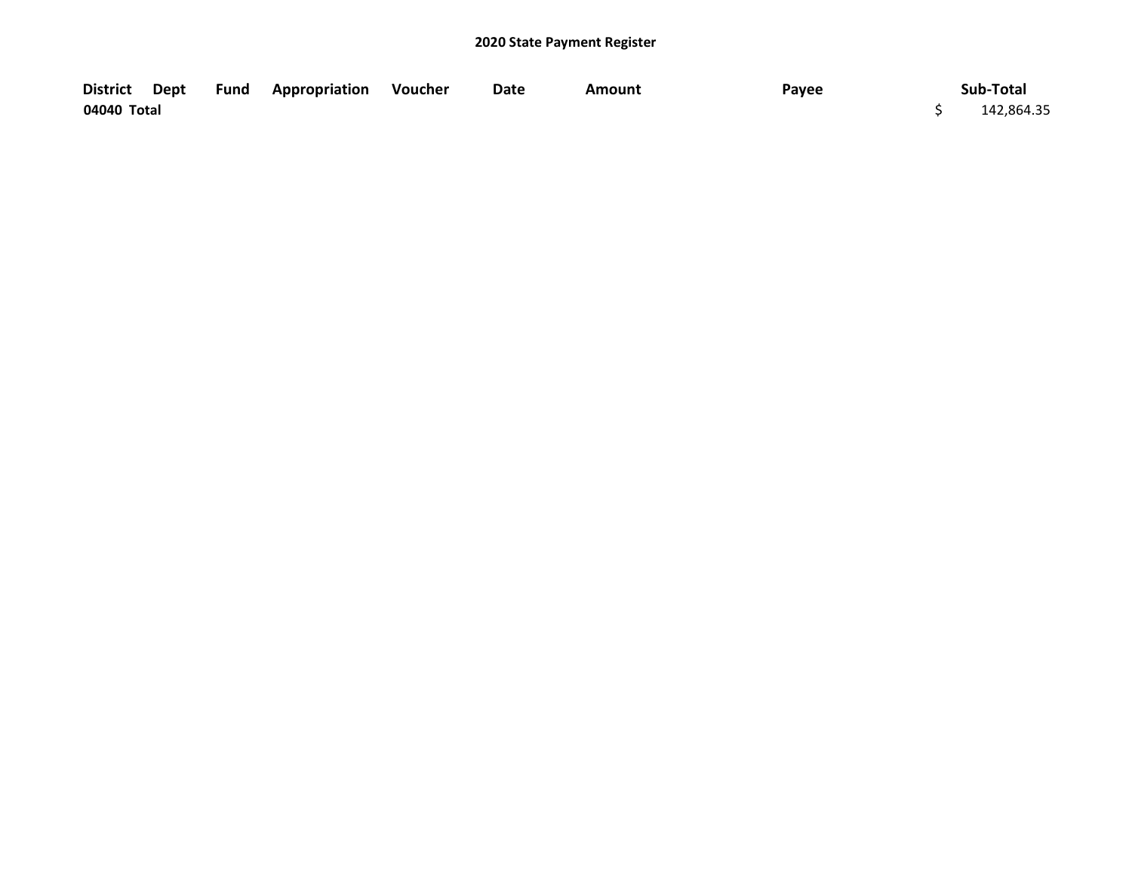|             |  | District Dept Fund Appropriation Voucher | Date | Amount | Payee | Sub-Total  |
|-------------|--|------------------------------------------|------|--------|-------|------------|
| 04040 Total |  |                                          |      |        |       | 142,864.35 |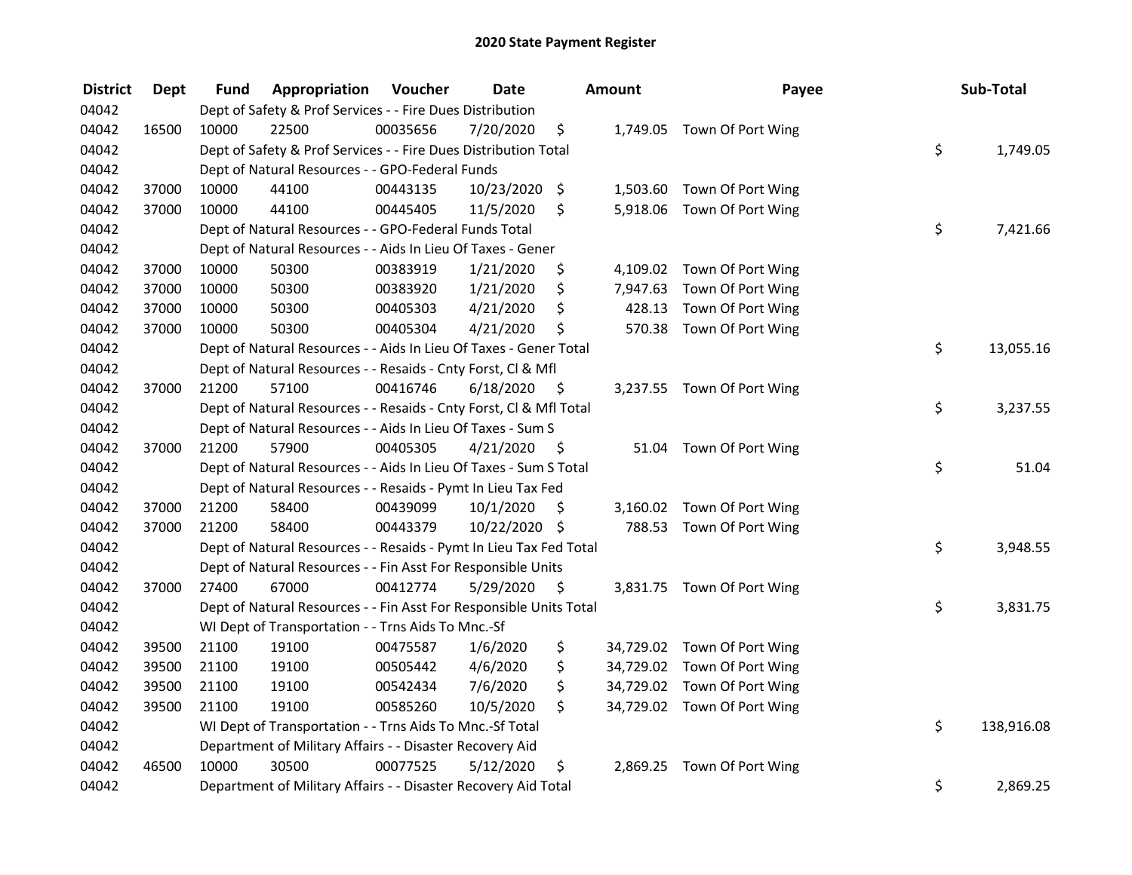| <b>District</b> | <b>Dept</b> | Fund  | Appropriation                                                      | Voucher  | <b>Date</b><br>Amount |      | Payee    | Sub-Total                   |                  |
|-----------------|-------------|-------|--------------------------------------------------------------------|----------|-----------------------|------|----------|-----------------------------|------------------|
| 04042           |             |       | Dept of Safety & Prof Services - - Fire Dues Distribution          |          |                       |      |          |                             |                  |
| 04042           | 16500       | 10000 | 22500                                                              | 00035656 | 7/20/2020             | \$   |          | 1,749.05 Town Of Port Wing  |                  |
| 04042           |             |       | Dept of Safety & Prof Services - - Fire Dues Distribution Total    |          |                       |      |          |                             | \$<br>1,749.05   |
| 04042           |             |       | Dept of Natural Resources - - GPO-Federal Funds                    |          |                       |      |          |                             |                  |
| 04042           | 37000       | 10000 | 44100                                                              | 00443135 | 10/23/2020 \$         |      |          | 1,503.60 Town Of Port Wing  |                  |
| 04042           | 37000       | 10000 | 44100                                                              | 00445405 | 11/5/2020             | \$   |          | 5,918.06 Town Of Port Wing  |                  |
| 04042           |             |       | Dept of Natural Resources - - GPO-Federal Funds Total              |          |                       |      |          |                             | \$<br>7,421.66   |
| 04042           |             |       | Dept of Natural Resources - - Aids In Lieu Of Taxes - Gener        |          |                       |      |          |                             |                  |
| 04042           | 37000       | 10000 | 50300                                                              | 00383919 | 1/21/2020             | \$   |          | 4,109.02 Town Of Port Wing  |                  |
| 04042           | 37000       | 10000 | 50300                                                              | 00383920 | 1/21/2020             | \$   |          | 7,947.63 Town Of Port Wing  |                  |
| 04042           | 37000       | 10000 | 50300                                                              | 00405303 | 4/21/2020             | \$   |          | 428.13 Town Of Port Wing    |                  |
| 04042           | 37000       | 10000 | 50300                                                              | 00405304 | 4/21/2020             | \$   |          | 570.38 Town Of Port Wing    |                  |
| 04042           |             |       | Dept of Natural Resources - - Aids In Lieu Of Taxes - Gener Total  |          |                       |      |          |                             | \$<br>13,055.16  |
| 04042           |             |       | Dept of Natural Resources - - Resaids - Cnty Forst, Cl & Mfl       |          |                       |      |          |                             |                  |
| 04042           | 37000       | 21200 | 57100                                                              | 00416746 | 6/18/2020             | - \$ |          | 3,237.55 Town Of Port Wing  |                  |
| 04042           |             |       | Dept of Natural Resources - - Resaids - Cnty Forst, Cl & Mfl Total |          |                       |      |          |                             | \$<br>3,237.55   |
| 04042           |             |       | Dept of Natural Resources - - Aids In Lieu Of Taxes - Sum S        |          |                       |      |          |                             |                  |
| 04042           | 37000       | 21200 | 57900                                                              | 00405305 | 4/21/2020             | - \$ |          | 51.04 Town Of Port Wing     |                  |
| 04042           |             |       | Dept of Natural Resources - - Aids In Lieu Of Taxes - Sum S Total  |          |                       |      |          |                             | \$<br>51.04      |
| 04042           |             |       | Dept of Natural Resources - - Resaids - Pymt In Lieu Tax Fed       |          |                       |      |          |                             |                  |
| 04042           | 37000       | 21200 | 58400                                                              | 00439099 | 10/1/2020             | \$   |          | 3,160.02 Town Of Port Wing  |                  |
| 04042           | 37000       | 21200 | 58400                                                              | 00443379 | 10/22/2020 \$         |      |          | 788.53 Town Of Port Wing    |                  |
| 04042           |             |       | Dept of Natural Resources - - Resaids - Pymt In Lieu Tax Fed Total |          |                       |      |          |                             | \$<br>3,948.55   |
| 04042           |             |       | Dept of Natural Resources - - Fin Asst For Responsible Units       |          |                       |      |          |                             |                  |
| 04042           | 37000       | 27400 | 67000                                                              | 00412774 | 5/29/2020             | - S  |          | 3,831.75 Town Of Port Wing  |                  |
| 04042           |             |       | Dept of Natural Resources - - Fin Asst For Responsible Units Total |          |                       |      |          |                             | \$<br>3,831.75   |
| 04042           |             |       | WI Dept of Transportation - - Trns Aids To Mnc.-Sf                 |          |                       |      |          |                             |                  |
| 04042           | 39500       | 21100 | 19100                                                              | 00475587 | 1/6/2020              | \$   |          | 34,729.02 Town Of Port Wing |                  |
| 04042           | 39500       | 21100 | 19100                                                              | 00505442 | 4/6/2020              | \$   |          | 34,729.02 Town Of Port Wing |                  |
| 04042           | 39500       | 21100 | 19100                                                              | 00542434 | 7/6/2020              | \$   |          | 34,729.02 Town Of Port Wing |                  |
| 04042           | 39500       | 21100 | 19100                                                              | 00585260 | 10/5/2020             | \$   |          | 34,729.02 Town Of Port Wing |                  |
| 04042           |             |       | WI Dept of Transportation - - Trns Aids To Mnc.-Sf Total           |          |                       |      |          |                             | \$<br>138,916.08 |
| 04042           |             |       | Department of Military Affairs - - Disaster Recovery Aid           |          |                       |      |          |                             |                  |
| 04042           | 46500       | 10000 | 30500                                                              | 00077525 | 5/12/2020             | \$   | 2,869.25 | Town Of Port Wing           |                  |
| 04042           |             |       | Department of Military Affairs - - Disaster Recovery Aid Total     |          |                       |      |          |                             | \$<br>2,869.25   |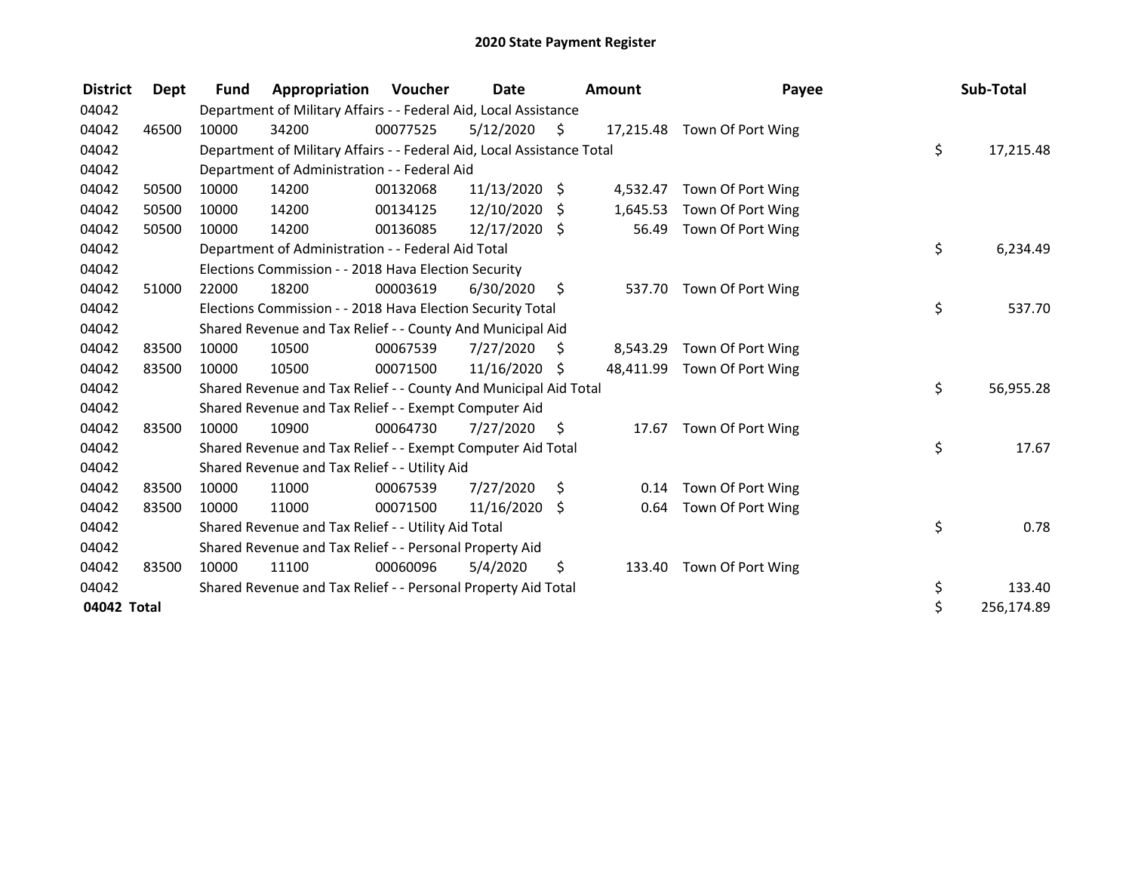| <b>District</b> | Dept  | <b>Fund</b> | Appropriation                                                          | Voucher  | <b>Date</b>     |    | <b>Amount</b> | Payee                       | Sub-Total        |
|-----------------|-------|-------------|------------------------------------------------------------------------|----------|-----------------|----|---------------|-----------------------------|------------------|
| 04042           |       |             | Department of Military Affairs - - Federal Aid, Local Assistance       |          |                 |    |               |                             |                  |
| 04042           | 46500 | 10000       | 34200                                                                  | 00077525 | 5/12/2020       | \$ |               | 17,215.48 Town Of Port Wing |                  |
| 04042           |       |             | Department of Military Affairs - - Federal Aid, Local Assistance Total |          |                 |    |               |                             | \$<br>17,215.48  |
| 04042           |       |             | Department of Administration - - Federal Aid                           |          |                 |    |               |                             |                  |
| 04042           | 50500 | 10000       | 14200                                                                  | 00132068 | $11/13/2020$ \$ |    | 4,532.47      | Town Of Port Wing           |                  |
| 04042           | 50500 | 10000       | 14200                                                                  | 00134125 | 12/10/2020      | Ŝ. | 1,645.53      | Town Of Port Wing           |                  |
| 04042           | 50500 | 10000       | 14200                                                                  | 00136085 | $12/17/2020$ \$ |    | 56.49         | Town Of Port Wing           |                  |
| 04042           |       |             | Department of Administration - - Federal Aid Total                     |          |                 |    |               |                             | \$<br>6,234.49   |
| 04042           |       |             | Elections Commission - - 2018 Hava Election Security                   |          |                 |    |               |                             |                  |
| 04042           | 51000 | 22000       | 18200                                                                  | 00003619 | 6/30/2020       | \$ | 537.70        | Town Of Port Wing           |                  |
| 04042           |       |             | Elections Commission - - 2018 Hava Election Security Total             |          |                 |    |               |                             | \$<br>537.70     |
| 04042           |       |             | Shared Revenue and Tax Relief - - County And Municipal Aid             |          |                 |    |               |                             |                  |
| 04042           | 83500 | 10000       | 10500                                                                  | 00067539 | 7/27/2020       | S  | 8,543.29      | Town Of Port Wing           |                  |
| 04042           | 83500 | 10000       | 10500                                                                  | 00071500 | 11/16/2020      | \$ | 48,411.99     | Town Of Port Wing           |                  |
| 04042           |       |             | Shared Revenue and Tax Relief - - County And Municipal Aid Total       |          |                 |    |               |                             | \$<br>56,955.28  |
| 04042           |       |             | Shared Revenue and Tax Relief - - Exempt Computer Aid                  |          |                 |    |               |                             |                  |
| 04042           | 83500 | 10000       | 10900                                                                  | 00064730 | 7/27/2020       | \$ | 17.67         | Town Of Port Wing           |                  |
| 04042           |       |             | Shared Revenue and Tax Relief - - Exempt Computer Aid Total            |          |                 |    |               |                             | \$<br>17.67      |
| 04042           |       |             | Shared Revenue and Tax Relief - - Utility Aid                          |          |                 |    |               |                             |                  |
| 04042           | 83500 | 10000       | 11000                                                                  | 00067539 | 7/27/2020       | \$ | 0.14          | Town Of Port Wing           |                  |
| 04042           | 83500 | 10000       | 11000                                                                  | 00071500 | 11/16/2020      | \$ | 0.64          | Town Of Port Wing           |                  |
| 04042           |       |             | Shared Revenue and Tax Relief - - Utility Aid Total                    |          |                 |    |               |                             | \$<br>0.78       |
| 04042           |       |             | Shared Revenue and Tax Relief - - Personal Property Aid                |          |                 |    |               |                             |                  |
| 04042           | 83500 | 10000       | 11100                                                                  | 00060096 | 5/4/2020        | \$ | 133.40        | Town Of Port Wing           |                  |
| 04042           |       |             | Shared Revenue and Tax Relief - - Personal Property Aid Total          |          |                 |    |               |                             | \$<br>133.40     |
| 04042 Total     |       |             |                                                                        |          |                 |    |               |                             | \$<br>256,174.89 |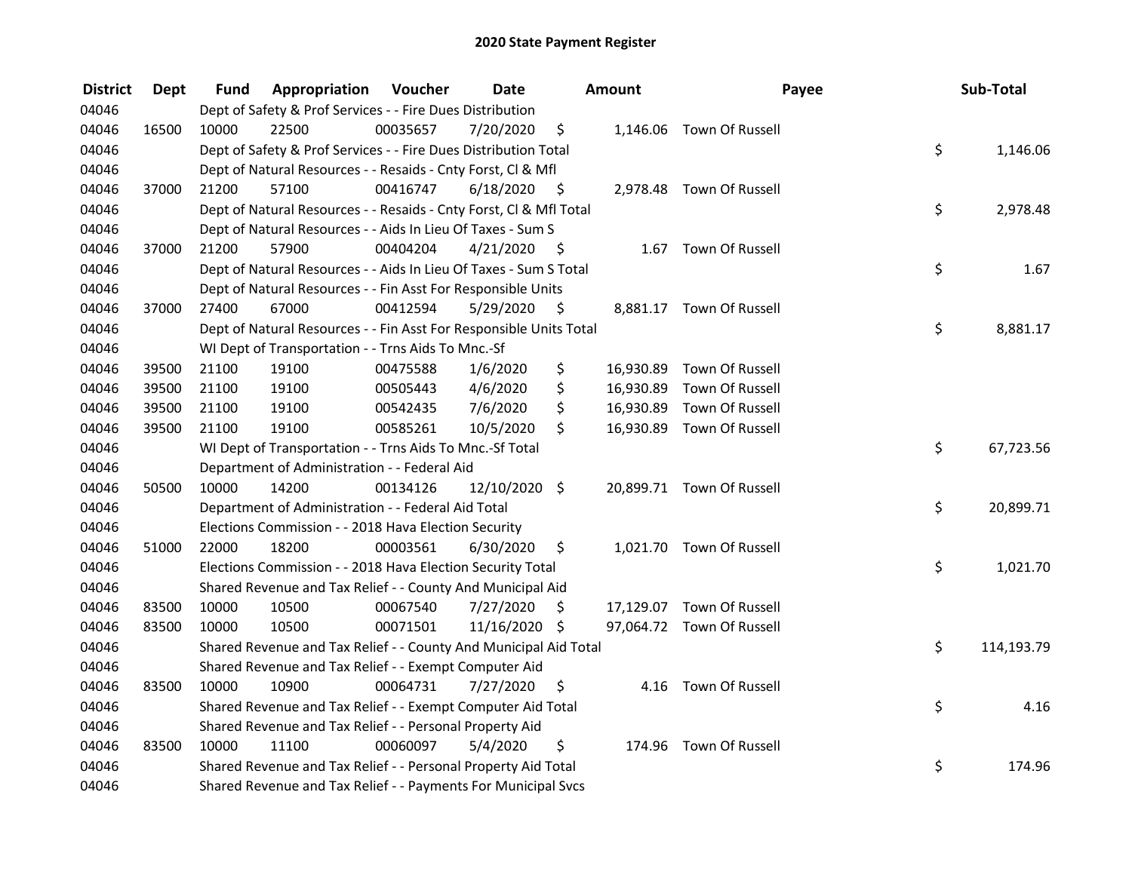| <b>District</b> | <b>Dept</b> | Fund  | <b>Appropriation Voucher</b>                                       |          | <b>Date</b>    |                     | Amount    | Payee                     | Sub-Total        |
|-----------------|-------------|-------|--------------------------------------------------------------------|----------|----------------|---------------------|-----------|---------------------------|------------------|
| 04046           |             |       | Dept of Safety & Prof Services - - Fire Dues Distribution          |          |                |                     |           |                           |                  |
| 04046           | 16500       | 10000 | 22500                                                              | 00035657 | 7/20/2020      | \$                  |           | 1,146.06 Town Of Russell  |                  |
| 04046           |             |       | Dept of Safety & Prof Services - - Fire Dues Distribution Total    |          |                |                     |           |                           | \$<br>1,146.06   |
| 04046           |             |       | Dept of Natural Resources - - Resaids - Cnty Forst, Cl & Mfl       |          |                |                     |           |                           |                  |
| 04046           | 37000       | 21200 | 57100                                                              | 00416747 | $6/18/2020$ \$ |                     |           | 2,978.48 Town Of Russell  |                  |
| 04046           |             |       | Dept of Natural Resources - - Resaids - Cnty Forst, CI & Mfl Total |          |                |                     |           |                           | \$<br>2,978.48   |
| 04046           |             |       | Dept of Natural Resources - - Aids In Lieu Of Taxes - Sum S        |          |                |                     |           |                           |                  |
| 04046           | 37000       | 21200 | 57900                                                              | 00404204 | 4/21/2020      | $\ddot{\mathsf{s}}$ |           | 1.67 Town Of Russell      |                  |
| 04046           |             |       | Dept of Natural Resources - - Aids In Lieu Of Taxes - Sum S Total  |          |                |                     |           |                           | \$<br>1.67       |
| 04046           |             |       | Dept of Natural Resources - - Fin Asst For Responsible Units       |          |                |                     |           |                           |                  |
| 04046           | 37000       | 27400 | 67000                                                              | 00412594 | 5/29/2020      | - \$                |           | 8,881.17 Town Of Russell  |                  |
| 04046           |             |       | Dept of Natural Resources - - Fin Asst For Responsible Units Total |          |                |                     |           |                           | \$<br>8,881.17   |
| 04046           |             |       | WI Dept of Transportation - - Trns Aids To Mnc.-Sf                 |          |                |                     |           |                           |                  |
| 04046           | 39500       | 21100 | 19100                                                              | 00475588 | 1/6/2020       | \$                  | 16,930.89 | Town Of Russell           |                  |
| 04046           | 39500       | 21100 | 19100                                                              | 00505443 | 4/6/2020       | \$                  | 16,930.89 | Town Of Russell           |                  |
| 04046           | 39500       | 21100 | 19100                                                              | 00542435 | 7/6/2020       | \$                  | 16,930.89 | Town Of Russell           |                  |
| 04046           | 39500       | 21100 | 19100                                                              | 00585261 | 10/5/2020      | \$                  |           | 16,930.89 Town Of Russell |                  |
| 04046           |             |       | WI Dept of Transportation - - Trns Aids To Mnc.-Sf Total           |          |                |                     |           |                           | \$<br>67,723.56  |
| 04046           |             |       | Department of Administration - - Federal Aid                       |          |                |                     |           |                           |                  |
| 04046           | 50500       | 10000 | 14200                                                              | 00134126 | 12/10/2020     | \$                  |           | 20,899.71 Town Of Russell |                  |
| 04046           |             |       | Department of Administration - - Federal Aid Total                 |          |                |                     |           |                           | \$<br>20,899.71  |
| 04046           |             |       | Elections Commission - - 2018 Hava Election Security               |          |                |                     |           |                           |                  |
| 04046           | 51000       | 22000 | 18200                                                              | 00003561 | 6/30/2020      | \$                  |           | 1,021.70 Town Of Russell  |                  |
| 04046           |             |       | Elections Commission - - 2018 Hava Election Security Total         |          |                |                     |           |                           | \$<br>1,021.70   |
| 04046           |             |       | Shared Revenue and Tax Relief - - County And Municipal Aid         |          |                |                     |           |                           |                  |
| 04046           | 83500       | 10000 | 10500                                                              | 00067540 | 7/27/2020      | \$.                 |           | 17,129.07 Town Of Russell |                  |
| 04046           | 83500       | 10000 | 10500                                                              | 00071501 | 11/16/2020 \$  |                     |           | 97,064.72 Town Of Russell |                  |
| 04046           |             |       | Shared Revenue and Tax Relief - - County And Municipal Aid Total   |          |                |                     |           |                           | \$<br>114,193.79 |
| 04046           |             |       | Shared Revenue and Tax Relief - - Exempt Computer Aid              |          |                |                     |           |                           |                  |
| 04046           | 83500       | 10000 | 10900                                                              | 00064731 | 7/27/2020      | \$.                 |           | 4.16 Town Of Russell      |                  |
| 04046           |             |       | Shared Revenue and Tax Relief - - Exempt Computer Aid Total        |          |                |                     |           |                           | \$<br>4.16       |
| 04046           |             |       | Shared Revenue and Tax Relief - - Personal Property Aid            |          |                |                     |           |                           |                  |
| 04046           | 83500       | 10000 | 11100                                                              | 00060097 | 5/4/2020       | \$                  |           | 174.96 Town Of Russell    |                  |
| 04046           |             |       | Shared Revenue and Tax Relief - - Personal Property Aid Total      |          |                |                     |           |                           | \$<br>174.96     |
| 04046           |             |       | Shared Revenue and Tax Relief - - Payments For Municipal Svcs      |          |                |                     |           |                           |                  |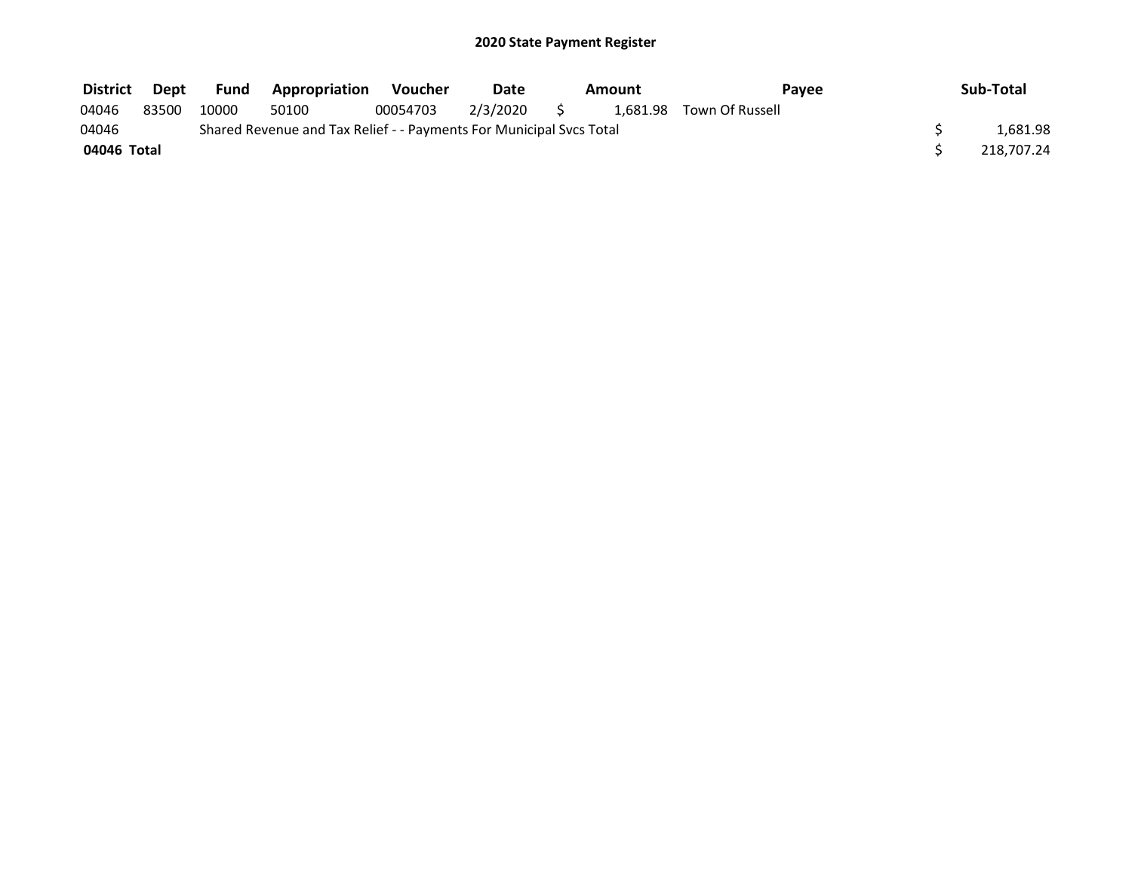| District    | Dept  | Fund  | <b>Appropriation</b>                                                | Voucher  | Date<br>Amount |  |  | Pavee                    | Sub-Total |            |
|-------------|-------|-------|---------------------------------------------------------------------|----------|----------------|--|--|--------------------------|-----------|------------|
| 04046       | 83500 | 10000 | 50100                                                               | 00054703 | 2/3/2020       |  |  | 1,681.98 Town Of Russell |           |            |
| 04046       |       |       | Shared Revenue and Tax Relief - - Payments For Municipal Svcs Total |          |                |  |  |                          |           | 1.681.98   |
| 04046 Total |       |       |                                                                     |          |                |  |  |                          |           | 218.707.24 |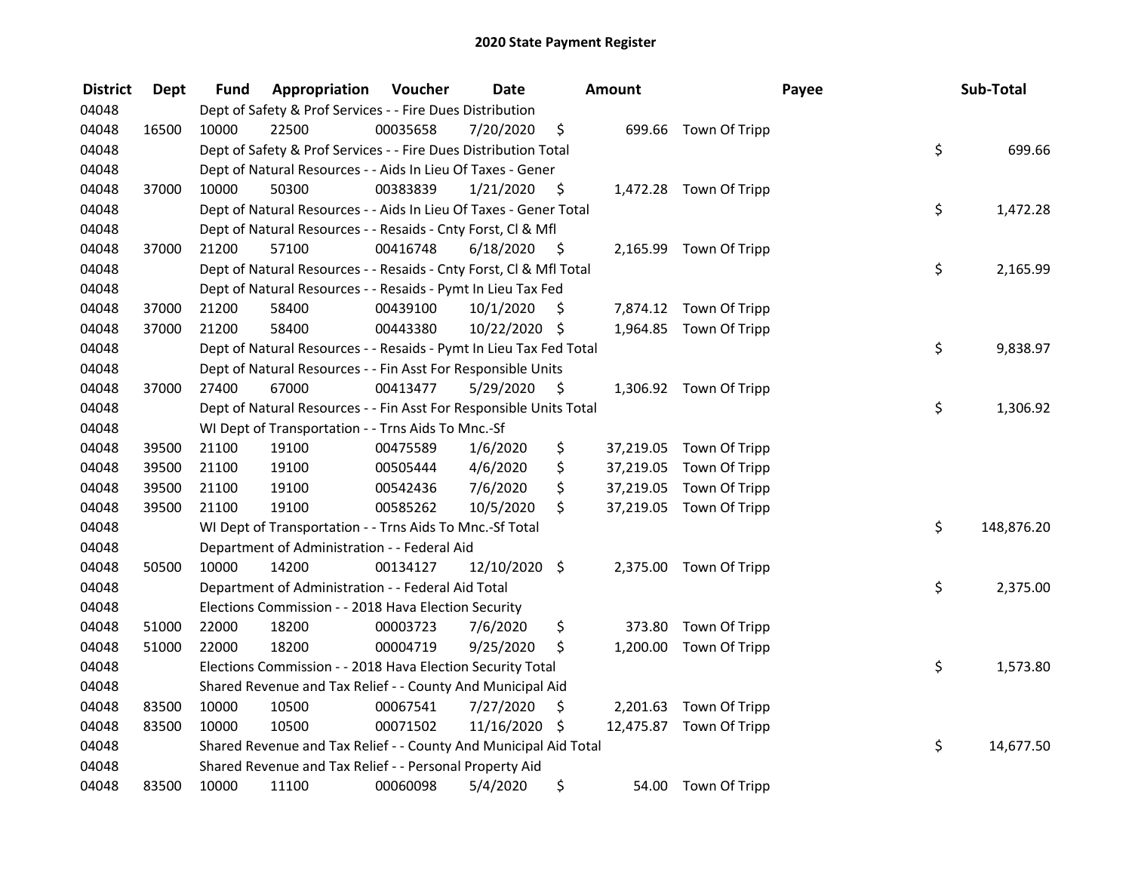| <b>District</b> | <b>Dept</b> | Fund  | Appropriation                                                      | Voucher  | <b>Date</b>   |      | <b>Amount</b> |                         | Payee | Sub-Total  |
|-----------------|-------------|-------|--------------------------------------------------------------------|----------|---------------|------|---------------|-------------------------|-------|------------|
| 04048           |             |       | Dept of Safety & Prof Services - - Fire Dues Distribution          |          |               |      |               |                         |       |            |
| 04048           | 16500       | 10000 | 22500                                                              | 00035658 | 7/20/2020     | \$   |               | 699.66 Town Of Tripp    |       |            |
| 04048           |             |       | Dept of Safety & Prof Services - - Fire Dues Distribution Total    |          |               |      |               |                         | \$    | 699.66     |
| 04048           |             |       | Dept of Natural Resources - - Aids In Lieu Of Taxes - Gener        |          |               |      |               |                         |       |            |
| 04048           | 37000       | 10000 | 50300                                                              | 00383839 | 1/21/2020     | \$   |               | 1,472.28 Town Of Tripp  |       |            |
| 04048           |             |       | Dept of Natural Resources - - Aids In Lieu Of Taxes - Gener Total  |          |               |      |               |                         | \$    | 1,472.28   |
| 04048           |             |       | Dept of Natural Resources - - Resaids - Cnty Forst, Cl & Mfl       |          |               |      |               |                         |       |            |
| 04048           | 37000       | 21200 | 57100                                                              | 00416748 | 6/18/2020     | - \$ |               | 2,165.99 Town Of Tripp  |       |            |
| 04048           |             |       | Dept of Natural Resources - - Resaids - Cnty Forst, Cl & Mfl Total |          |               |      |               |                         | \$    | 2,165.99   |
| 04048           |             |       | Dept of Natural Resources - - Resaids - Pymt In Lieu Tax Fed       |          |               |      |               |                         |       |            |
| 04048           | 37000       | 21200 | 58400                                                              | 00439100 | 10/1/2020     | \$   |               | 7,874.12 Town Of Tripp  |       |            |
| 04048           | 37000       | 21200 | 58400                                                              | 00443380 | 10/22/2020 \$ |      |               | 1,964.85 Town Of Tripp  |       |            |
| 04048           |             |       | Dept of Natural Resources - - Resaids - Pymt In Lieu Tax Fed Total |          |               |      |               |                         | \$    | 9,838.97   |
| 04048           |             |       | Dept of Natural Resources - - Fin Asst For Responsible Units       |          |               |      |               |                         |       |            |
| 04048           | 37000       | 27400 | 67000                                                              | 00413477 | 5/29/2020     | \$   |               | 1,306.92 Town Of Tripp  |       |            |
| 04048           |             |       | Dept of Natural Resources - - Fin Asst For Responsible Units Total |          |               |      |               |                         | \$    | 1,306.92   |
| 04048           |             |       | WI Dept of Transportation - - Trns Aids To Mnc.-Sf                 |          |               |      |               |                         |       |            |
| 04048           | 39500       | 21100 | 19100                                                              | 00475589 | 1/6/2020      | \$   |               | 37,219.05 Town Of Tripp |       |            |
| 04048           | 39500       | 21100 | 19100                                                              | 00505444 | 4/6/2020      | \$   | 37,219.05     | Town Of Tripp           |       |            |
| 04048           | 39500       | 21100 | 19100                                                              | 00542436 | 7/6/2020      | \$   | 37,219.05     | Town Of Tripp           |       |            |
| 04048           | 39500       | 21100 | 19100                                                              | 00585262 | 10/5/2020     | \$   |               | 37,219.05 Town Of Tripp |       |            |
| 04048           |             |       | WI Dept of Transportation - - Trns Aids To Mnc.-Sf Total           |          |               |      |               |                         | \$    | 148,876.20 |
| 04048           |             |       | Department of Administration - - Federal Aid                       |          |               |      |               |                         |       |            |
| 04048           | 50500       | 10000 | 14200                                                              | 00134127 | 12/10/2020    | \$   |               | 2,375.00 Town Of Tripp  |       |            |
| 04048           |             |       | Department of Administration - - Federal Aid Total                 |          |               |      |               |                         | \$    | 2,375.00   |
| 04048           |             |       | Elections Commission - - 2018 Hava Election Security               |          |               |      |               |                         |       |            |
| 04048           | 51000       | 22000 | 18200                                                              | 00003723 | 7/6/2020      | \$   | 373.80        | Town Of Tripp           |       |            |
| 04048           | 51000       | 22000 | 18200                                                              | 00004719 | 9/25/2020     | \$   |               | 1,200.00 Town Of Tripp  |       |            |
| 04048           |             |       | Elections Commission - - 2018 Hava Election Security Total         |          |               |      |               |                         | \$    | 1,573.80   |
| 04048           |             |       | Shared Revenue and Tax Relief - - County And Municipal Aid         |          |               |      |               |                         |       |            |
| 04048           | 83500       | 10000 | 10500                                                              | 00067541 | 7/27/2020     | \$   |               | 2,201.63 Town Of Tripp  |       |            |
| 04048           | 83500       | 10000 | 10500                                                              | 00071502 | 11/16/2020 \$ |      |               | 12,475.87 Town Of Tripp |       |            |
| 04048           |             |       | Shared Revenue and Tax Relief - - County And Municipal Aid Total   |          |               |      |               |                         | \$    | 14,677.50  |
| 04048           |             |       | Shared Revenue and Tax Relief - - Personal Property Aid            |          |               |      |               |                         |       |            |
| 04048           | 83500       | 10000 | 11100                                                              | 00060098 | 5/4/2020      | \$   | 54.00         | Town Of Tripp           |       |            |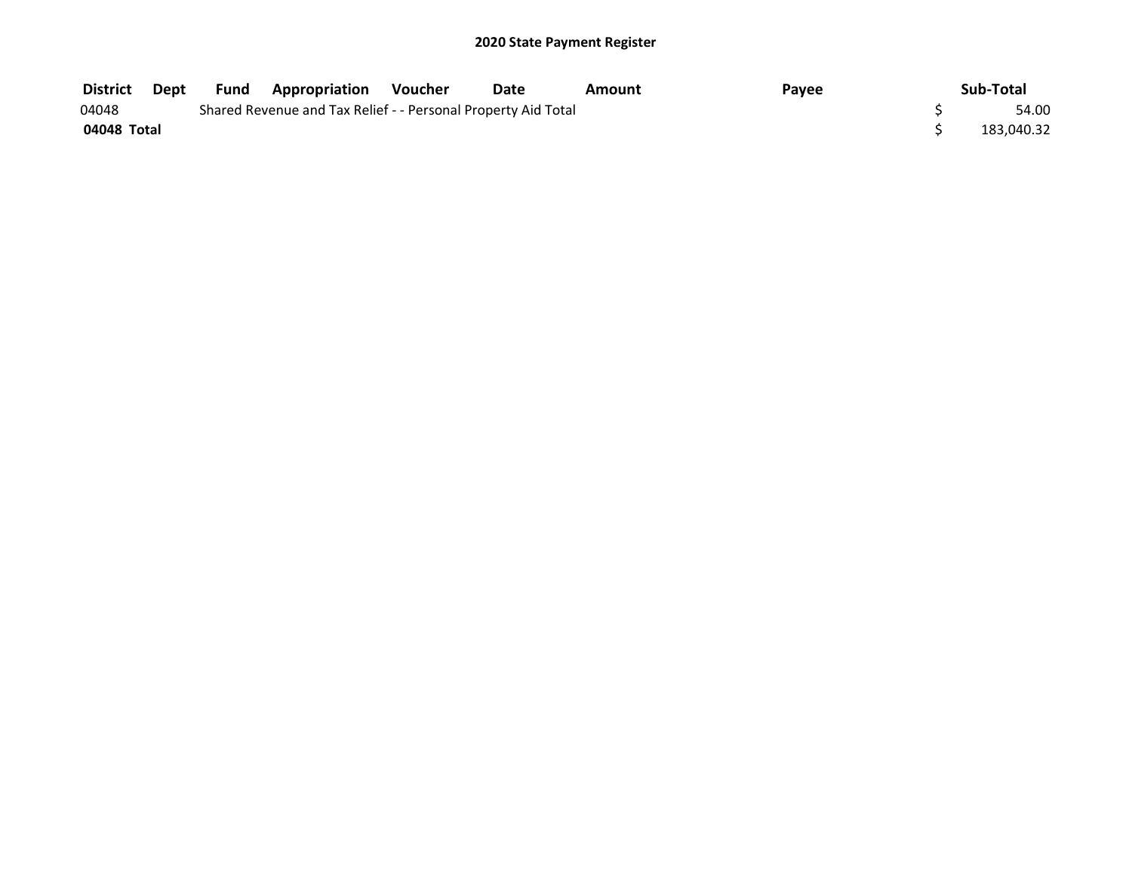| District    | Dept | <b>Fund</b> | <b>Appropriation Voucher</b>                                  | Date | Amount | Payee | Sub-Total  |
|-------------|------|-------------|---------------------------------------------------------------|------|--------|-------|------------|
| 04048       |      |             | Shared Revenue and Tax Relief - - Personal Property Aid Total |      |        |       | 54.00      |
| 04048 Total |      |             |                                                               |      |        |       | 183.040.32 |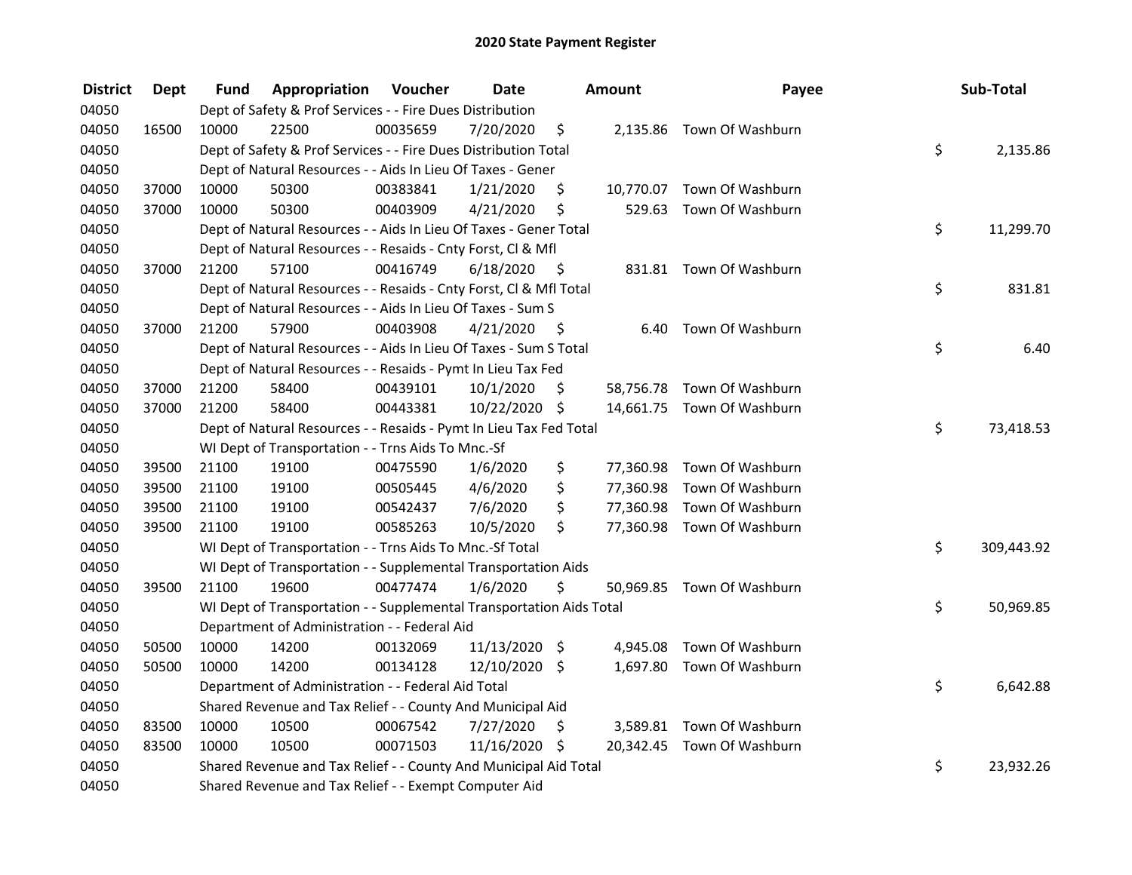| <b>District</b> | <b>Dept</b> | Fund  | Appropriation                                                        | Voucher  | <b>Date</b>   | Amount |      | Payee                      | Sub-Total |            |
|-----------------|-------------|-------|----------------------------------------------------------------------|----------|---------------|--------|------|----------------------------|-----------|------------|
| 04050           |             |       | Dept of Safety & Prof Services - - Fire Dues Distribution            |          |               |        |      |                            |           |            |
| 04050           | 16500       | 10000 | 22500                                                                | 00035659 | 7/20/2020     | \$     |      | 2,135.86 Town Of Washburn  |           |            |
| 04050           |             |       | Dept of Safety & Prof Services - - Fire Dues Distribution Total      |          |               |        |      |                            | \$        | 2,135.86   |
| 04050           |             |       | Dept of Natural Resources - - Aids In Lieu Of Taxes - Gener          |          |               |        |      |                            |           |            |
| 04050           | 37000       | 10000 | 50300                                                                | 00383841 | 1/21/2020     | \$     |      | 10,770.07 Town Of Washburn |           |            |
| 04050           | 37000       | 10000 | 50300                                                                | 00403909 | 4/21/2020     | \$     |      | 529.63 Town Of Washburn    |           |            |
| 04050           |             |       | Dept of Natural Resources - - Aids In Lieu Of Taxes - Gener Total    |          |               |        |      |                            | \$        | 11,299.70  |
| 04050           |             |       | Dept of Natural Resources - - Resaids - Cnty Forst, Cl & Mfl         |          |               |        |      |                            |           |            |
| 04050           | 37000       | 21200 | 57100                                                                | 00416749 | 6/18/2020     | - \$   |      | 831.81 Town Of Washburn    |           |            |
| 04050           |             |       | Dept of Natural Resources - - Resaids - Cnty Forst, CI & Mfl Total   |          |               |        |      |                            | \$        | 831.81     |
| 04050           |             |       | Dept of Natural Resources - - Aids In Lieu Of Taxes - Sum S          |          |               |        |      |                            |           |            |
| 04050           | 37000       | 21200 | 57900                                                                | 00403908 | 4/21/2020     | - \$   | 6.40 | Town Of Washburn           |           |            |
| 04050           |             |       | Dept of Natural Resources - - Aids In Lieu Of Taxes - Sum S Total    |          |               |        |      |                            | \$        | 6.40       |
| 04050           |             |       | Dept of Natural Resources - - Resaids - Pymt In Lieu Tax Fed         |          |               |        |      |                            |           |            |
| 04050           | 37000       | 21200 | 58400                                                                | 00439101 | 10/1/2020     | \$     |      | 58,756.78 Town Of Washburn |           |            |
| 04050           | 37000       | 21200 | 58400                                                                | 00443381 | 10/22/2020 \$ |        |      | 14,661.75 Town Of Washburn |           |            |
| 04050           |             |       | Dept of Natural Resources - - Resaids - Pymt In Lieu Tax Fed Total   |          |               |        |      |                            | \$        | 73,418.53  |
| 04050           |             |       | WI Dept of Transportation - - Trns Aids To Mnc.-Sf                   |          |               |        |      |                            |           |            |
| 04050           | 39500       | 21100 | 19100                                                                | 00475590 | 1/6/2020      | \$     |      | 77,360.98 Town Of Washburn |           |            |
| 04050           | 39500       | 21100 | 19100                                                                | 00505445 | 4/6/2020      | \$     |      | 77,360.98 Town Of Washburn |           |            |
| 04050           | 39500       | 21100 | 19100                                                                | 00542437 | 7/6/2020      | \$     |      | 77,360.98 Town Of Washburn |           |            |
| 04050           | 39500       | 21100 | 19100                                                                | 00585263 | 10/5/2020     | \$     |      | 77,360.98 Town Of Washburn |           |            |
| 04050           |             |       | WI Dept of Transportation - - Trns Aids To Mnc.-Sf Total             |          |               |        |      |                            | \$        | 309,443.92 |
| 04050           |             |       | WI Dept of Transportation - - Supplemental Transportation Aids       |          |               |        |      |                            |           |            |
| 04050           | 39500       | 21100 | 19600                                                                | 00477474 | 1/6/2020      | \$.    |      | 50,969.85 Town Of Washburn |           |            |
| 04050           |             |       | WI Dept of Transportation - - Supplemental Transportation Aids Total |          |               |        |      |                            | \$        | 50,969.85  |
| 04050           |             |       | Department of Administration - - Federal Aid                         |          |               |        |      |                            |           |            |
| 04050           | 50500       | 10000 | 14200                                                                | 00132069 | 11/13/2020 \$ |        |      | 4,945.08 Town Of Washburn  |           |            |
| 04050           | 50500       | 10000 | 14200                                                                | 00134128 | 12/10/2020 \$ |        |      | 1,697.80 Town Of Washburn  |           |            |
| 04050           |             |       | Department of Administration - - Federal Aid Total                   |          |               |        |      |                            | \$        | 6,642.88   |
| 04050           |             |       | Shared Revenue and Tax Relief - - County And Municipal Aid           |          |               |        |      |                            |           |            |
| 04050           | 83500       | 10000 | 10500                                                                | 00067542 | 7/27/2020     | \$     |      | 3,589.81 Town Of Washburn  |           |            |
| 04050           | 83500       | 10000 | 10500                                                                | 00071503 | 11/16/2020 \$ |        |      | 20,342.45 Town Of Washburn |           |            |
| 04050           |             |       | Shared Revenue and Tax Relief - - County And Municipal Aid Total     |          |               |        |      |                            | \$        | 23,932.26  |
| 04050           |             |       | Shared Revenue and Tax Relief - - Exempt Computer Aid                |          |               |        |      |                            |           |            |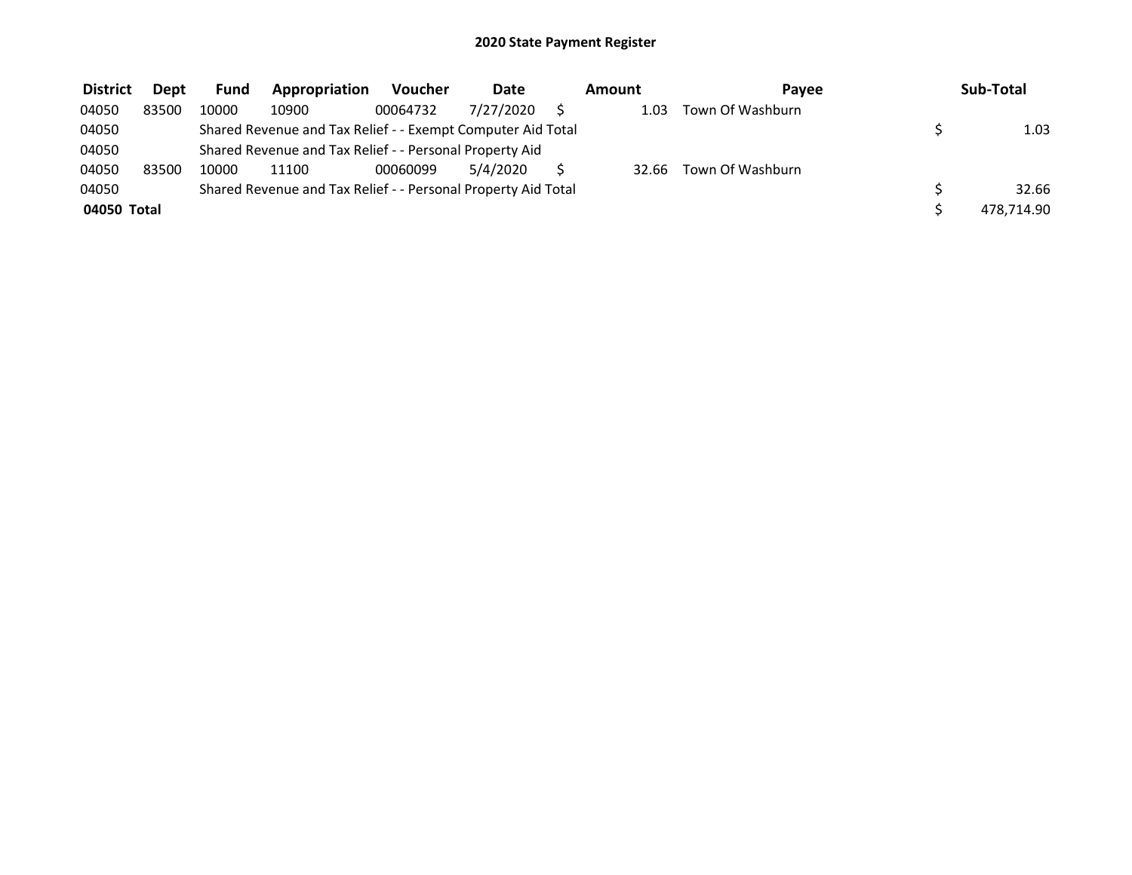| <b>District</b> | <b>Dept</b> | <b>Fund</b>                                                   | Appropriation                                               | <b>Voucher</b> | Date      | Amount | Pavee            | Sub-Total |            |
|-----------------|-------------|---------------------------------------------------------------|-------------------------------------------------------------|----------------|-----------|--------|------------------|-----------|------------|
| 04050           | 83500       | 10000                                                         | 10900                                                       | 00064732       | 7/27/2020 | 1.03   | Town Of Washburn |           |            |
| 04050           |             |                                                               | Shared Revenue and Tax Relief - - Exempt Computer Aid Total |                |           | 1.03   |                  |           |            |
| 04050           |             |                                                               | Shared Revenue and Tax Relief - - Personal Property Aid     |                |           |        |                  |           |            |
| 04050           | 83500       | 10000                                                         | 11100                                                       | 00060099       | 5/4/2020  | 32.66  | Town Of Washburn |           |            |
| 04050           |             | Shared Revenue and Tax Relief - - Personal Property Aid Total |                                                             |                | 32.66     |        |                  |           |            |
| 04050 Total     |             |                                                               |                                                             |                |           |        |                  |           | 478,714.90 |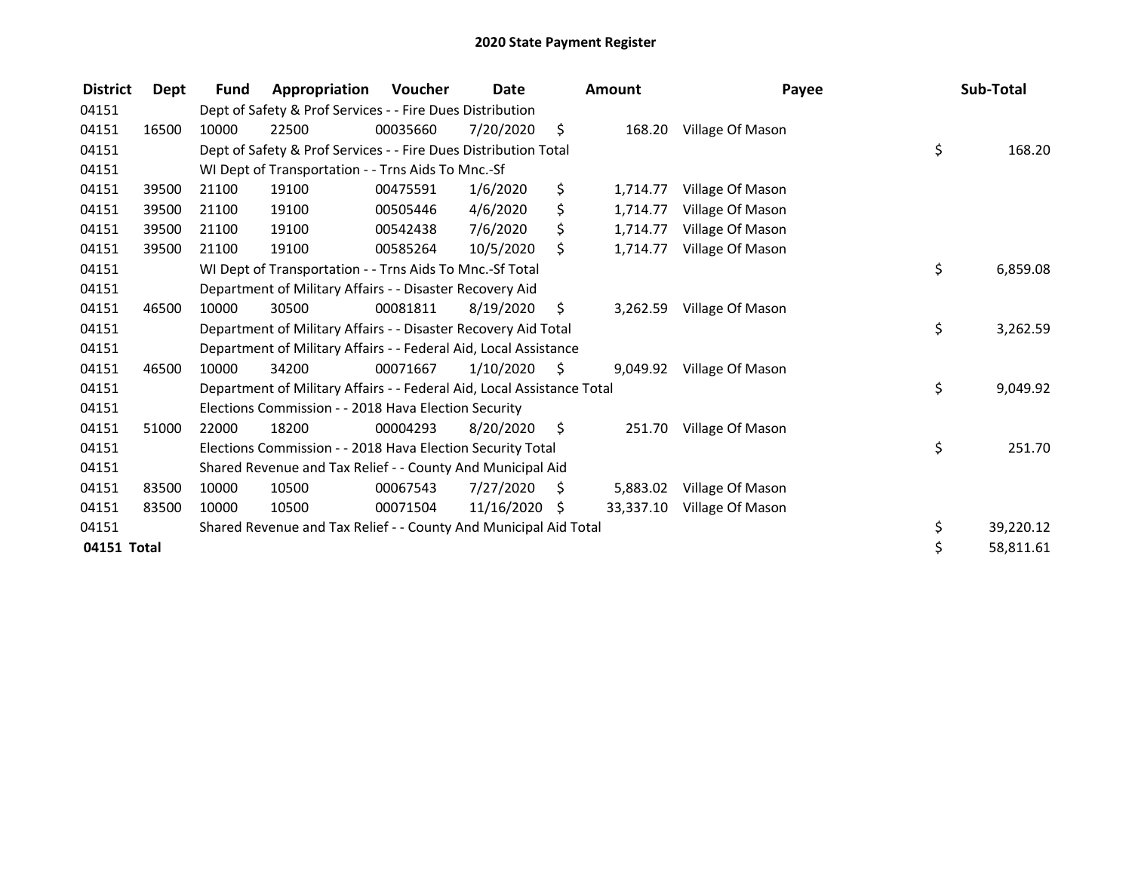| <b>District</b> | Dept  | <b>Fund</b>                                                    | Appropriation                                                          | <b>Voucher</b> | <b>Date</b> |          | Amount    | Payee            |    | Sub-Total |
|-----------------|-------|----------------------------------------------------------------|------------------------------------------------------------------------|----------------|-------------|----------|-----------|------------------|----|-----------|
| 04151           |       |                                                                | Dept of Safety & Prof Services - - Fire Dues Distribution              |                |             |          |           |                  |    |           |
| 04151           | 16500 | 10000                                                          | 22500                                                                  | 00035660       | 7/20/2020   | \$       | 168.20    | Village Of Mason |    |           |
| 04151           |       |                                                                | Dept of Safety & Prof Services - - Fire Dues Distribution Total        |                |             |          |           |                  | \$ | 168.20    |
| 04151           |       |                                                                | WI Dept of Transportation - - Trns Aids To Mnc.-Sf                     |                |             |          |           |                  |    |           |
| 04151           | 39500 | 21100                                                          | 19100                                                                  | 00475591       | 1/6/2020    | \$       | 1,714.77  | Village Of Mason |    |           |
| 04151           | 39500 | 21100                                                          | 19100                                                                  | 00505446       | 4/6/2020    | \$       | 1,714.77  | Village Of Mason |    |           |
| 04151           | 39500 | 21100                                                          | 19100                                                                  | 00542438       | 7/6/2020    | \$       | 1,714.77  | Village Of Mason |    |           |
| 04151           | 39500 | 21100                                                          | 19100                                                                  | 00585264       | 10/5/2020   | \$       | 1,714.77  | Village Of Mason |    |           |
| 04151           |       |                                                                | WI Dept of Transportation - - Trns Aids To Mnc.-Sf Total               |                | \$          | 6,859.08 |           |                  |    |           |
| 04151           |       | Department of Military Affairs - - Disaster Recovery Aid       |                                                                        |                |             |          |           |                  |    |           |
| 04151           | 46500 | 10000                                                          | 30500                                                                  | 00081811       | 8/19/2020   | \$       | 3,262.59  | Village Of Mason |    |           |
| 04151           |       | Department of Military Affairs - - Disaster Recovery Aid Total |                                                                        |                |             |          |           |                  | \$ | 3,262.59  |
| 04151           |       |                                                                | Department of Military Affairs - - Federal Aid, Local Assistance       |                |             |          |           |                  |    |           |
| 04151           | 46500 | 10000                                                          | 34200                                                                  | 00071667       | 1/10/2020   | - \$     | 9,049.92  | Village Of Mason |    |           |
| 04151           |       |                                                                | Department of Military Affairs - - Federal Aid, Local Assistance Total |                |             |          |           |                  | \$ | 9,049.92  |
| 04151           |       |                                                                | Elections Commission - - 2018 Hava Election Security                   |                |             |          |           |                  |    |           |
| 04151           | 51000 | 22000                                                          | 18200                                                                  | 00004293       | 8/20/2020   | - \$     | 251.70    | Village Of Mason |    |           |
| 04151           |       |                                                                | Elections Commission - - 2018 Hava Election Security Total             |                |             |          |           |                  | \$ | 251.70    |
| 04151           |       |                                                                | Shared Revenue and Tax Relief - - County And Municipal Aid             |                |             |          |           |                  |    |           |
| 04151           | 83500 | 10000                                                          | 10500                                                                  | 00067543       | 7/27/2020   | \$       | 5,883.02  | Village Of Mason |    |           |
| 04151           | 83500 | 10000                                                          | 10500                                                                  | 00071504       | 11/16/2020  | S        | 33,337.10 | Village Of Mason |    |           |
| 04151           |       |                                                                | Shared Revenue and Tax Relief - - County And Municipal Aid Total       |                |             |          |           |                  | \$ | 39,220.12 |
| 04151 Total     |       |                                                                |                                                                        |                |             |          |           |                  | \$ | 58,811.61 |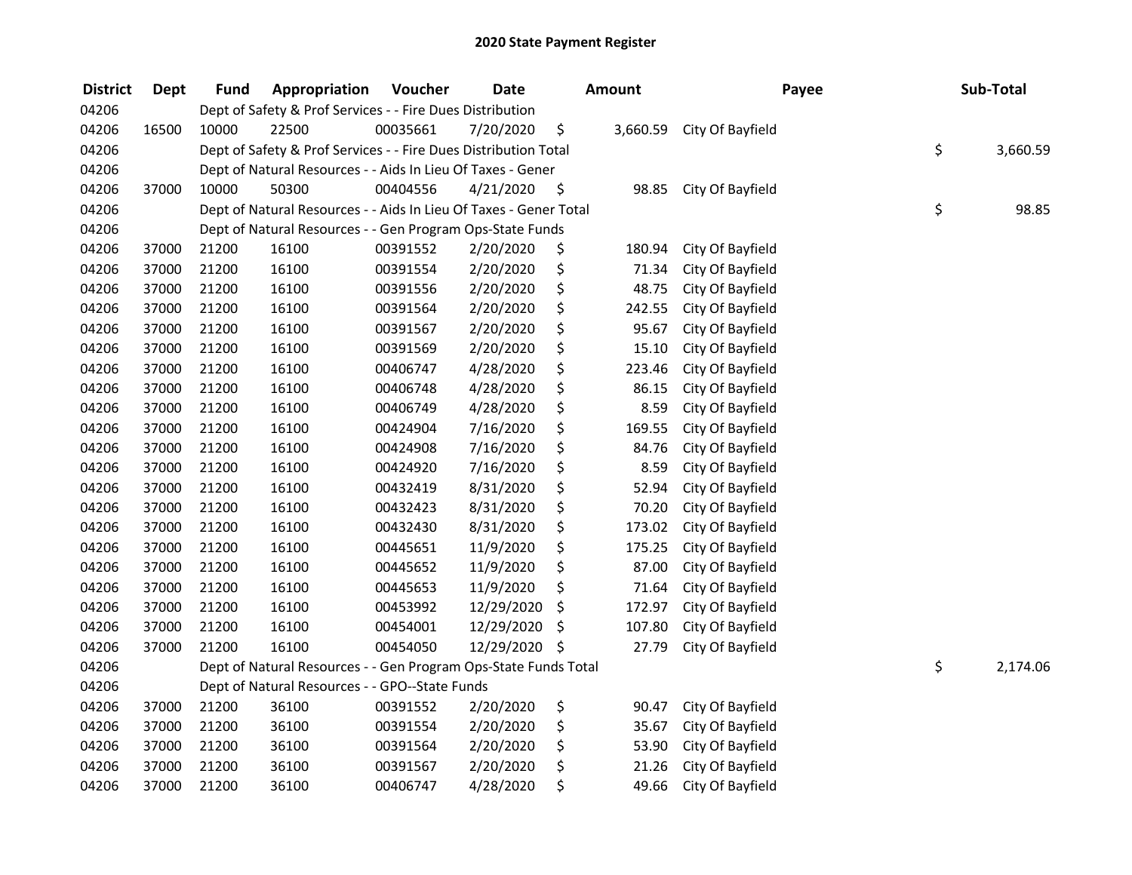| <b>District</b> | <b>Dept</b> | Fund  | Appropriation                                                     | Voucher  | <b>Date</b> |    | <b>Amount</b> | Payee            |    | Sub-Total |  |
|-----------------|-------------|-------|-------------------------------------------------------------------|----------|-------------|----|---------------|------------------|----|-----------|--|
| 04206           |             |       | Dept of Safety & Prof Services - - Fire Dues Distribution         |          |             |    |               |                  |    |           |  |
| 04206           | 16500       | 10000 | 22500                                                             | 00035661 | 7/20/2020   | \$ | 3,660.59      | City Of Bayfield |    |           |  |
| 04206           |             |       | Dept of Safety & Prof Services - - Fire Dues Distribution Total   |          |             |    |               |                  | \$ | 3,660.59  |  |
| 04206           |             |       | Dept of Natural Resources - - Aids In Lieu Of Taxes - Gener       |          |             |    |               |                  |    |           |  |
| 04206           | 37000       | 10000 | 50300                                                             | 00404556 | 4/21/2020   | \$ | 98.85         | City Of Bayfield |    |           |  |
| 04206           |             |       | Dept of Natural Resources - - Aids In Lieu Of Taxes - Gener Total |          |             |    |               |                  | \$ | 98.85     |  |
| 04206           |             |       | Dept of Natural Resources - - Gen Program Ops-State Funds         |          |             |    |               |                  |    |           |  |
| 04206           | 37000       | 21200 | 16100                                                             | 00391552 | 2/20/2020   | \$ | 180.94        | City Of Bayfield |    |           |  |
| 04206           | 37000       | 21200 | 16100                                                             | 00391554 | 2/20/2020   | \$ | 71.34         | City Of Bayfield |    |           |  |
| 04206           | 37000       | 21200 | 16100                                                             | 00391556 | 2/20/2020   | \$ | 48.75         | City Of Bayfield |    |           |  |
| 04206           | 37000       | 21200 | 16100                                                             | 00391564 | 2/20/2020   | \$ | 242.55        | City Of Bayfield |    |           |  |
| 04206           | 37000       | 21200 | 16100                                                             | 00391567 | 2/20/2020   | \$ | 95.67         | City Of Bayfield |    |           |  |
| 04206           | 37000       | 21200 | 16100                                                             | 00391569 | 2/20/2020   | \$ | 15.10         | City Of Bayfield |    |           |  |
| 04206           | 37000       | 21200 | 16100                                                             | 00406747 | 4/28/2020   | \$ | 223.46        | City Of Bayfield |    |           |  |
| 04206           | 37000       | 21200 | 16100                                                             | 00406748 | 4/28/2020   | \$ | 86.15         | City Of Bayfield |    |           |  |
| 04206           | 37000       | 21200 | 16100                                                             | 00406749 | 4/28/2020   | \$ | 8.59          | City Of Bayfield |    |           |  |
| 04206           | 37000       | 21200 | 16100                                                             | 00424904 | 7/16/2020   | \$ | 169.55        | City Of Bayfield |    |           |  |
| 04206           | 37000       | 21200 | 16100                                                             | 00424908 | 7/16/2020   | \$ | 84.76         | City Of Bayfield |    |           |  |
| 04206           | 37000       | 21200 | 16100                                                             | 00424920 | 7/16/2020   | \$ | 8.59          | City Of Bayfield |    |           |  |
| 04206           | 37000       | 21200 | 16100                                                             | 00432419 | 8/31/2020   | \$ | 52.94         | City Of Bayfield |    |           |  |
| 04206           | 37000       | 21200 | 16100                                                             | 00432423 | 8/31/2020   | \$ | 70.20         | City Of Bayfield |    |           |  |
| 04206           | 37000       | 21200 | 16100                                                             | 00432430 | 8/31/2020   | \$ | 173.02        | City Of Bayfield |    |           |  |
| 04206           | 37000       | 21200 | 16100                                                             | 00445651 | 11/9/2020   | \$ | 175.25        | City Of Bayfield |    |           |  |
| 04206           | 37000       | 21200 | 16100                                                             | 00445652 | 11/9/2020   | \$ | 87.00         | City Of Bayfield |    |           |  |
| 04206           | 37000       | 21200 | 16100                                                             | 00445653 | 11/9/2020   | \$ | 71.64         | City Of Bayfield |    |           |  |
| 04206           | 37000       | 21200 | 16100                                                             | 00453992 | 12/29/2020  | \$ | 172.97        | City Of Bayfield |    |           |  |
| 04206           | 37000       | 21200 | 16100                                                             | 00454001 | 12/29/2020  | \$ | 107.80        | City Of Bayfield |    |           |  |
| 04206           | 37000       | 21200 | 16100                                                             | 00454050 | 12/29/2020  | \$ | 27.79         | City Of Bayfield |    |           |  |
| 04206           |             |       | Dept of Natural Resources - - Gen Program Ops-State Funds Total   |          |             |    |               |                  | \$ | 2,174.06  |  |
| 04206           |             |       | Dept of Natural Resources - - GPO--State Funds                    |          |             |    |               |                  |    |           |  |
| 04206           | 37000       | 21200 | 36100                                                             | 00391552 | 2/20/2020   | \$ | 90.47         | City Of Bayfield |    |           |  |
| 04206           | 37000       | 21200 | 36100                                                             | 00391554 | 2/20/2020   | \$ | 35.67         | City Of Bayfield |    |           |  |
| 04206           | 37000       | 21200 | 36100                                                             | 00391564 | 2/20/2020   | \$ | 53.90         | City Of Bayfield |    |           |  |
| 04206           | 37000       | 21200 | 36100                                                             | 00391567 | 2/20/2020   | \$ | 21.26         | City Of Bayfield |    |           |  |
| 04206           | 37000       | 21200 | 36100                                                             | 00406747 | 4/28/2020   | \$ | 49.66         | City Of Bayfield |    |           |  |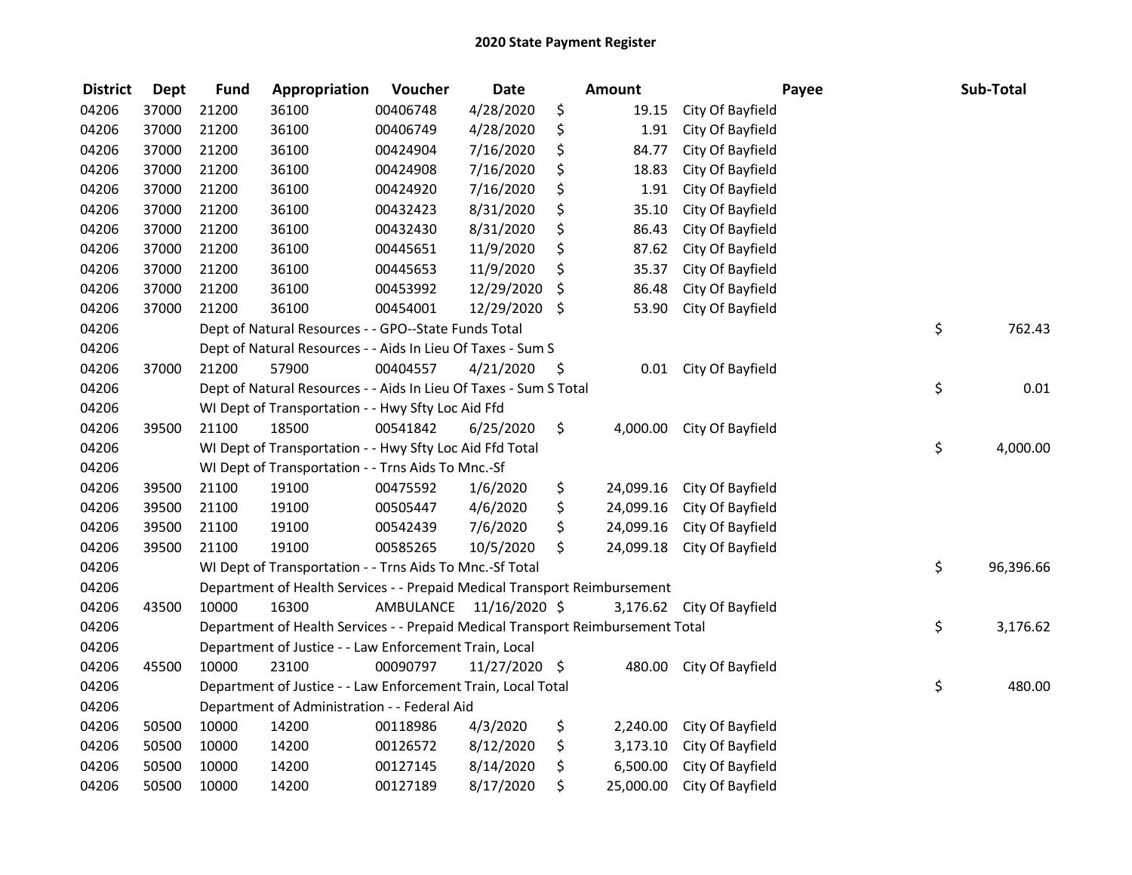| <b>District</b> | <b>Dept</b> | <b>Fund</b> | Appropriation                                                                   | Voucher                 | <b>Date</b>     | <b>Amount</b>   |                           | Payee | Sub-Total |
|-----------------|-------------|-------------|---------------------------------------------------------------------------------|-------------------------|-----------------|-----------------|---------------------------|-------|-----------|
| 04206           | 37000       | 21200       | 36100                                                                           | 00406748                | 4/28/2020       | \$<br>19.15     | City Of Bayfield          |       |           |
| 04206           | 37000       | 21200       | 36100                                                                           | 00406749                | 4/28/2020       | \$<br>1.91      | City Of Bayfield          |       |           |
| 04206           | 37000       | 21200       | 36100                                                                           | 00424904                | 7/16/2020       | \$<br>84.77     | City Of Bayfield          |       |           |
| 04206           | 37000       | 21200       | 36100                                                                           | 00424908                | 7/16/2020       | \$<br>18.83     | City Of Bayfield          |       |           |
| 04206           | 37000       | 21200       | 36100                                                                           | 00424920                | 7/16/2020       | \$<br>1.91      | City Of Bayfield          |       |           |
| 04206           | 37000       | 21200       | 36100                                                                           | 00432423                | 8/31/2020       | \$<br>35.10     | City Of Bayfield          |       |           |
| 04206           | 37000       | 21200       | 36100                                                                           | 00432430                | 8/31/2020       | \$<br>86.43     | City Of Bayfield          |       |           |
| 04206           | 37000       | 21200       | 36100                                                                           | 00445651                | 11/9/2020       | \$<br>87.62     | City Of Bayfield          |       |           |
| 04206           | 37000       | 21200       | 36100                                                                           | 00445653                | 11/9/2020       | \$<br>35.37     | City Of Bayfield          |       |           |
| 04206           | 37000       | 21200       | 36100                                                                           | 00453992                | 12/29/2020      | \$<br>86.48     | City Of Bayfield          |       |           |
| 04206           | 37000       | 21200       | 36100                                                                           | 00454001                | 12/29/2020      | \$<br>53.90     | City Of Bayfield          |       |           |
| 04206           |             |             | Dept of Natural Resources - - GPO--State Funds Total                            |                         |                 |                 |                           | \$    | 762.43    |
| 04206           |             |             | Dept of Natural Resources - - Aids In Lieu Of Taxes - Sum S                     |                         |                 |                 |                           |       |           |
| 04206           | 37000       | 21200       | 57900                                                                           | 00404557                | 4/21/2020       | \$<br>0.01      | City Of Bayfield          |       |           |
| 04206           |             |             | Dept of Natural Resources - - Aids In Lieu Of Taxes - Sum S Total               |                         |                 |                 |                           | \$    | 0.01      |
| 04206           |             |             | WI Dept of Transportation - - Hwy Sfty Loc Aid Ffd                              |                         |                 |                 |                           |       |           |
| 04206           | 39500       | 21100       | 18500                                                                           | 00541842                | 6/25/2020       | \$<br>4,000.00  | City Of Bayfield          |       |           |
| 04206           |             |             | WI Dept of Transportation - - Hwy Sfty Loc Aid Ffd Total                        |                         |                 |                 |                           | \$    | 4,000.00  |
| 04206           |             |             | WI Dept of Transportation - - Trns Aids To Mnc.-Sf                              |                         |                 |                 |                           |       |           |
| 04206           | 39500       | 21100       | 19100                                                                           | 00475592                | 1/6/2020        | \$<br>24,099.16 | City Of Bayfield          |       |           |
| 04206           | 39500       | 21100       | 19100                                                                           | 00505447                | 4/6/2020        | \$<br>24,099.16 | City Of Bayfield          |       |           |
| 04206           | 39500       | 21100       | 19100                                                                           | 00542439                | 7/6/2020        | \$<br>24,099.16 | City Of Bayfield          |       |           |
| 04206           | 39500       | 21100       | 19100                                                                           | 00585265                | 10/5/2020       | \$<br>24,099.18 | City Of Bayfield          |       |           |
| 04206           |             |             | WI Dept of Transportation - - Trns Aids To Mnc.-Sf Total                        |                         |                 |                 |                           | \$    | 96,396.66 |
| 04206           |             |             | Department of Health Services - - Prepaid Medical Transport Reimbursement       |                         |                 |                 |                           |       |           |
| 04206           | 43500       | 10000       | 16300                                                                           | AMBULANCE 11/16/2020 \$ |                 |                 | 3,176.62 City Of Bayfield |       |           |
| 04206           |             |             | Department of Health Services - - Prepaid Medical Transport Reimbursement Total |                         |                 |                 |                           | \$    | 3,176.62  |
| 04206           |             |             | Department of Justice - - Law Enforcement Train, Local                          |                         |                 |                 |                           |       |           |
| 04206           | 45500       | 10000       | 23100                                                                           | 00090797                | $11/27/2020$ \$ | 480.00          | City Of Bayfield          |       |           |
| 04206           |             |             | Department of Justice - - Law Enforcement Train, Local Total                    |                         |                 |                 |                           | \$    | 480.00    |
| 04206           |             |             | Department of Administration - - Federal Aid                                    |                         |                 |                 |                           |       |           |
| 04206           | 50500       | 10000       | 14200                                                                           | 00118986                | 4/3/2020        | \$<br>2,240.00  | City Of Bayfield          |       |           |
| 04206           | 50500       | 10000       | 14200                                                                           | 00126572                | 8/12/2020       | \$<br>3,173.10  | City Of Bayfield          |       |           |
| 04206           | 50500       | 10000       | 14200                                                                           | 00127145                | 8/14/2020       | \$<br>6,500.00  | City Of Bayfield          |       |           |
| 04206           | 50500       | 10000       | 14200                                                                           | 00127189                | 8/17/2020       | \$<br>25,000.00 | City Of Bayfield          |       |           |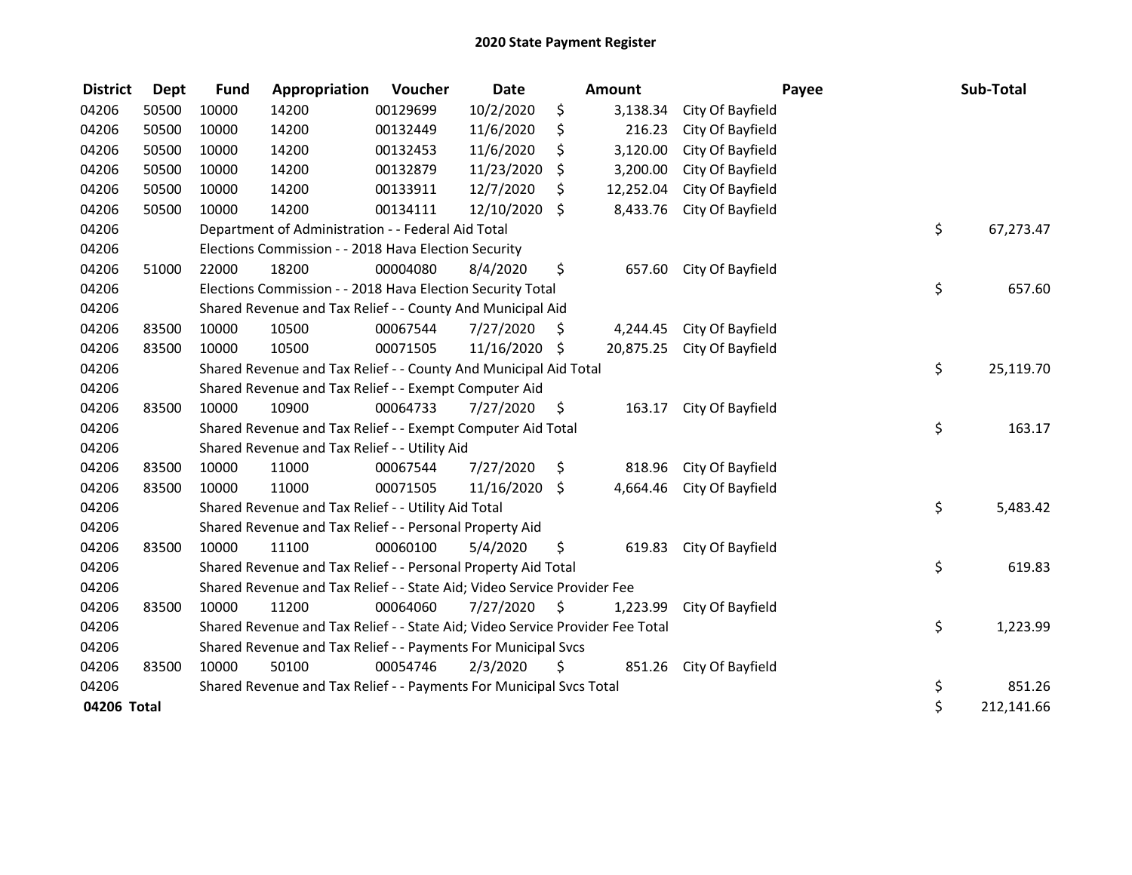| <b>District</b> | <b>Dept</b> | <b>Fund</b> | Appropriation                                                                 | Voucher  | <b>Date</b> | <b>Amount</b> |           |                  | Payee | Sub-Total  |  |
|-----------------|-------------|-------------|-------------------------------------------------------------------------------|----------|-------------|---------------|-----------|------------------|-------|------------|--|
| 04206           | 50500       | 10000       | 14200                                                                         | 00129699 | 10/2/2020   | \$            | 3,138.34  | City Of Bayfield |       |            |  |
| 04206           | 50500       | 10000       | 14200                                                                         | 00132449 | 11/6/2020   | \$            | 216.23    | City Of Bayfield |       |            |  |
| 04206           | 50500       | 10000       | 14200                                                                         | 00132453 | 11/6/2020   | \$            | 3,120.00  | City Of Bayfield |       |            |  |
| 04206           | 50500       | 10000       | 14200                                                                         | 00132879 | 11/23/2020  | \$            | 3,200.00  | City Of Bayfield |       |            |  |
| 04206           | 50500       | 10000       | 14200                                                                         | 00133911 | 12/7/2020   | \$            | 12,252.04 | City Of Bayfield |       |            |  |
| 04206           | 50500       | 10000       | 14200                                                                         | 00134111 | 12/10/2020  | \$            | 8,433.76  | City Of Bayfield |       |            |  |
| 04206           |             |             | Department of Administration - - Federal Aid Total                            |          |             |               |           |                  | \$    | 67,273.47  |  |
| 04206           |             |             | Elections Commission - - 2018 Hava Election Security                          |          |             |               |           |                  |       |            |  |
| 04206           | 51000       | 22000       | 18200                                                                         | 00004080 | 8/4/2020    | \$            | 657.60    | City Of Bayfield |       |            |  |
| 04206           |             |             | Elections Commission - - 2018 Hava Election Security Total                    |          |             |               |           |                  | \$    | 657.60     |  |
| 04206           |             |             | Shared Revenue and Tax Relief - - County And Municipal Aid                    |          |             |               |           |                  |       |            |  |
| 04206           | 83500       | 10000       | 10500                                                                         | 00067544 | 7/27/2020   | S             | 4,244.45  | City Of Bayfield |       |            |  |
| 04206           | 83500       | 10000       | 10500                                                                         | 00071505 | 11/16/2020  | \$            | 20,875.25 | City Of Bayfield |       |            |  |
| 04206           |             |             | Shared Revenue and Tax Relief - - County And Municipal Aid Total              |          |             |               |           |                  |       |            |  |
| 04206           |             |             | Shared Revenue and Tax Relief - - Exempt Computer Aid                         |          |             |               |           |                  |       |            |  |
| 04206           | 83500       | 10000       | 10900                                                                         | 00064733 | 7/27/2020   | \$            | 163.17    | City Of Bayfield |       |            |  |
| 04206           |             |             | Shared Revenue and Tax Relief - - Exempt Computer Aid Total                   |          |             |               |           |                  | \$    | 163.17     |  |
| 04206           |             |             | Shared Revenue and Tax Relief - - Utility Aid                                 |          |             |               |           |                  |       |            |  |
| 04206           | 83500       | 10000       | 11000                                                                         | 00067544 | 7/27/2020   | \$            | 818.96    | City Of Bayfield |       |            |  |
| 04206           | 83500       | 10000       | 11000                                                                         | 00071505 | 11/16/2020  | \$            | 4,664.46  | City Of Bayfield |       |            |  |
| 04206           |             |             | Shared Revenue and Tax Relief - - Utility Aid Total                           |          |             |               |           |                  | \$    | 5,483.42   |  |
| 04206           |             |             | Shared Revenue and Tax Relief - - Personal Property Aid                       |          |             |               |           |                  |       |            |  |
| 04206           | 83500       | 10000       | 11100                                                                         | 00060100 | 5/4/2020    | \$            | 619.83    | City Of Bayfield |       |            |  |
| 04206           |             |             | Shared Revenue and Tax Relief - - Personal Property Aid Total                 |          |             |               |           |                  | \$    | 619.83     |  |
| 04206           |             |             | Shared Revenue and Tax Relief - - State Aid; Video Service Provider Fee       |          |             |               |           |                  |       |            |  |
| 04206           | 83500       | 10000       | 11200                                                                         | 00064060 | 7/27/2020   | \$            | 1,223.99  | City Of Bayfield |       |            |  |
| 04206           |             |             | Shared Revenue and Tax Relief - - State Aid; Video Service Provider Fee Total |          |             |               |           |                  | \$    | 1,223.99   |  |
| 04206           |             |             | Shared Revenue and Tax Relief - - Payments For Municipal Svcs                 |          |             |               |           |                  |       |            |  |
| 04206           | 83500       | 10000       | 50100                                                                         | 00054746 | 2/3/2020    | \$            | 851.26    | City Of Bayfield |       |            |  |
| 04206           |             |             | Shared Revenue and Tax Relief - - Payments For Municipal Svcs Total           |          |             |               |           |                  | \$    | 851.26     |  |
| 04206 Total     |             |             |                                                                               |          |             |               |           |                  | \$    | 212,141.66 |  |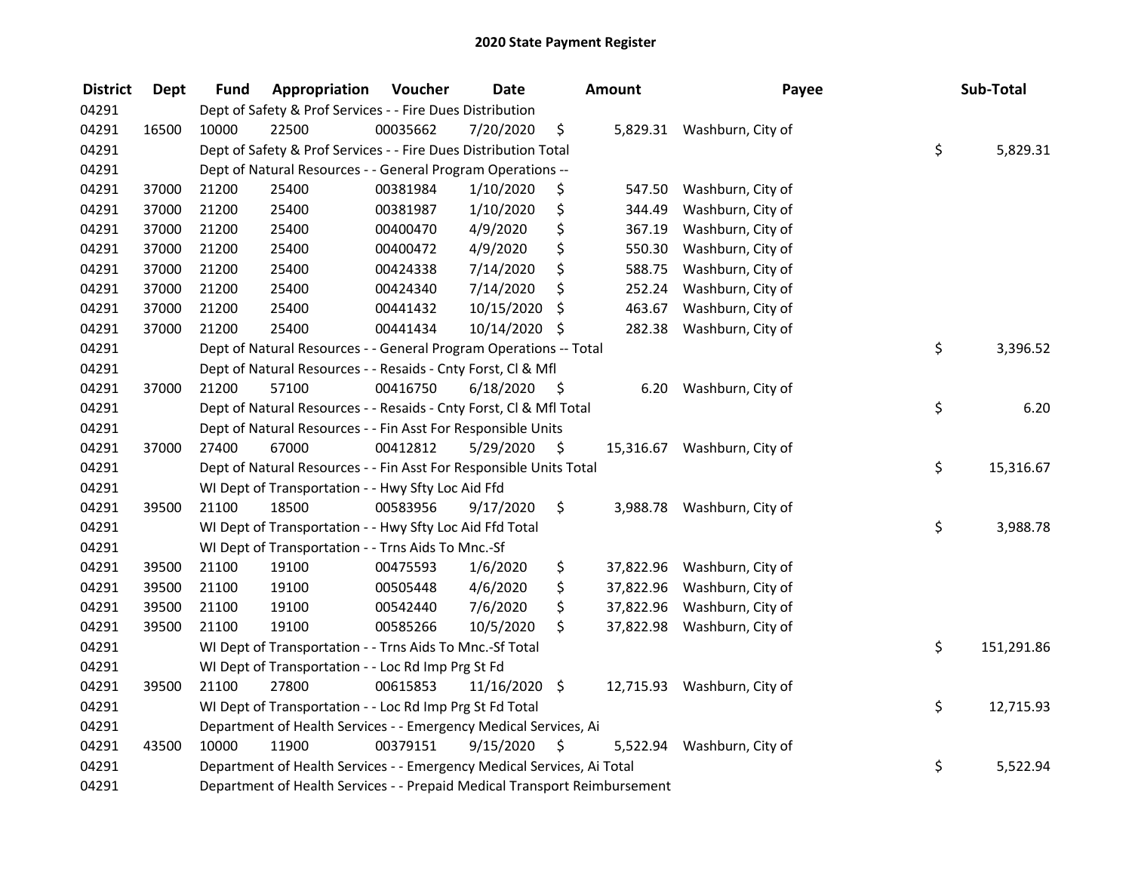| <b>District</b> | <b>Dept</b> | Fund                                                               | Appropriation                                                             | Voucher  | <b>Date</b>   |      | <b>Amount</b> | Payee                       |    | Sub-Total  |
|-----------------|-------------|--------------------------------------------------------------------|---------------------------------------------------------------------------|----------|---------------|------|---------------|-----------------------------|----|------------|
| 04291           |             |                                                                    | Dept of Safety & Prof Services - - Fire Dues Distribution                 |          |               |      |               |                             |    |            |
| 04291           | 16500       | 10000                                                              | 22500                                                                     | 00035662 | 7/20/2020     | \$   |               | 5,829.31 Washburn, City of  |    |            |
| 04291           |             |                                                                    | Dept of Safety & Prof Services - - Fire Dues Distribution Total           |          |               |      |               |                             | \$ | 5,829.31   |
| 04291           |             |                                                                    | Dept of Natural Resources - - General Program Operations --               |          |               |      |               |                             |    |            |
| 04291           | 37000       | 21200                                                              | 25400                                                                     | 00381984 | 1/10/2020     | \$   | 547.50        | Washburn, City of           |    |            |
| 04291           | 37000       | 21200                                                              | 25400                                                                     | 00381987 | 1/10/2020     | \$   | 344.49        | Washburn, City of           |    |            |
| 04291           | 37000       | 21200                                                              | 25400                                                                     | 00400470 | 4/9/2020      | \$   | 367.19        | Washburn, City of           |    |            |
| 04291           | 37000       | 21200                                                              | 25400                                                                     | 00400472 | 4/9/2020      | \$   | 550.30        | Washburn, City of           |    |            |
| 04291           | 37000       | 21200                                                              | 25400                                                                     | 00424338 | 7/14/2020     | \$   | 588.75        | Washburn, City of           |    |            |
| 04291           | 37000       | 21200                                                              | 25400                                                                     | 00424340 | 7/14/2020     | \$   | 252.24        | Washburn, City of           |    |            |
| 04291           | 37000       | 21200                                                              | 25400                                                                     | 00441432 | 10/15/2020    | \$   | 463.67        | Washburn, City of           |    |            |
| 04291           | 37000       | 21200                                                              | 25400                                                                     | 00441434 | 10/14/2020 \$ |      | 282.38        | Washburn, City of           |    |            |
| 04291           |             |                                                                    | Dept of Natural Resources - - General Program Operations -- Total         |          |               |      |               |                             | \$ | 3,396.52   |
| 04291           |             |                                                                    | Dept of Natural Resources - - Resaids - Cnty Forst, CI & Mfl              |          |               |      |               |                             |    |            |
| 04291           | 37000       | 21200                                                              | 57100                                                                     | 00416750 | 6/18/2020     | - \$ | 6.20          | Washburn, City of           |    |            |
| 04291           |             |                                                                    | Dept of Natural Resources - - Resaids - Cnty Forst, Cl & Mfl Total        |          |               |      |               |                             | \$ | 6.20       |
| 04291           |             | Dept of Natural Resources - - Fin Asst For Responsible Units       |                                                                           |          |               |      |               |                             |    |            |
| 04291           | 37000       | 27400                                                              | 67000                                                                     | 00412812 | 5/29/2020     | \$   | 15,316.67     | Washburn, City of           |    |            |
| 04291           |             | Dept of Natural Resources - - Fin Asst For Responsible Units Total |                                                                           |          |               |      |               |                             |    | 15,316.67  |
| 04291           |             |                                                                    | WI Dept of Transportation - - Hwy Sfty Loc Aid Ffd                        |          |               |      |               |                             |    |            |
| 04291           | 39500       | 21100                                                              | 18500                                                                     | 00583956 | 9/17/2020     | \$   | 3,988.78      | Washburn, City of           |    |            |
| 04291           |             |                                                                    | WI Dept of Transportation - - Hwy Sfty Loc Aid Ffd Total                  |          |               |      |               |                             | \$ | 3,988.78   |
| 04291           |             |                                                                    | WI Dept of Transportation - - Trns Aids To Mnc.-Sf                        |          |               |      |               |                             |    |            |
| 04291           | 39500       | 21100                                                              | 19100                                                                     | 00475593 | 1/6/2020      | \$   | 37,822.96     | Washburn, City of           |    |            |
| 04291           | 39500       | 21100                                                              | 19100                                                                     | 00505448 | 4/6/2020      | \$   | 37,822.96     | Washburn, City of           |    |            |
| 04291           | 39500       | 21100                                                              | 19100                                                                     | 00542440 | 7/6/2020      | \$   | 37,822.96     | Washburn, City of           |    |            |
| 04291           | 39500       | 21100                                                              | 19100                                                                     | 00585266 | 10/5/2020     | \$   | 37,822.98     | Washburn, City of           |    |            |
| 04291           |             |                                                                    | WI Dept of Transportation - - Trns Aids To Mnc.-Sf Total                  |          |               |      |               |                             | \$ | 151,291.86 |
| 04291           |             |                                                                    | WI Dept of Transportation - - Loc Rd Imp Prg St Fd                        |          |               |      |               |                             |    |            |
| 04291           | 39500       | 21100                                                              | 27800                                                                     | 00615853 | 11/16/2020 \$ |      |               | 12,715.93 Washburn, City of |    |            |
| 04291           |             |                                                                    | WI Dept of Transportation - - Loc Rd Imp Prg St Fd Total                  |          |               |      |               |                             | \$ | 12,715.93  |
| 04291           |             |                                                                    | Department of Health Services - - Emergency Medical Services, Ai          |          |               |      |               |                             |    |            |
| 04291           | 43500       | 10000                                                              | 11900                                                                     | 00379151 | 9/15/2020     | -\$  | 5,522.94      | Washburn, City of           |    |            |
| 04291           |             |                                                                    | Department of Health Services - - Emergency Medical Services, Ai Total    |          |               |      |               |                             | \$ | 5,522.94   |
| 04291           |             |                                                                    | Department of Health Services - - Prepaid Medical Transport Reimbursement |          |               |      |               |                             |    |            |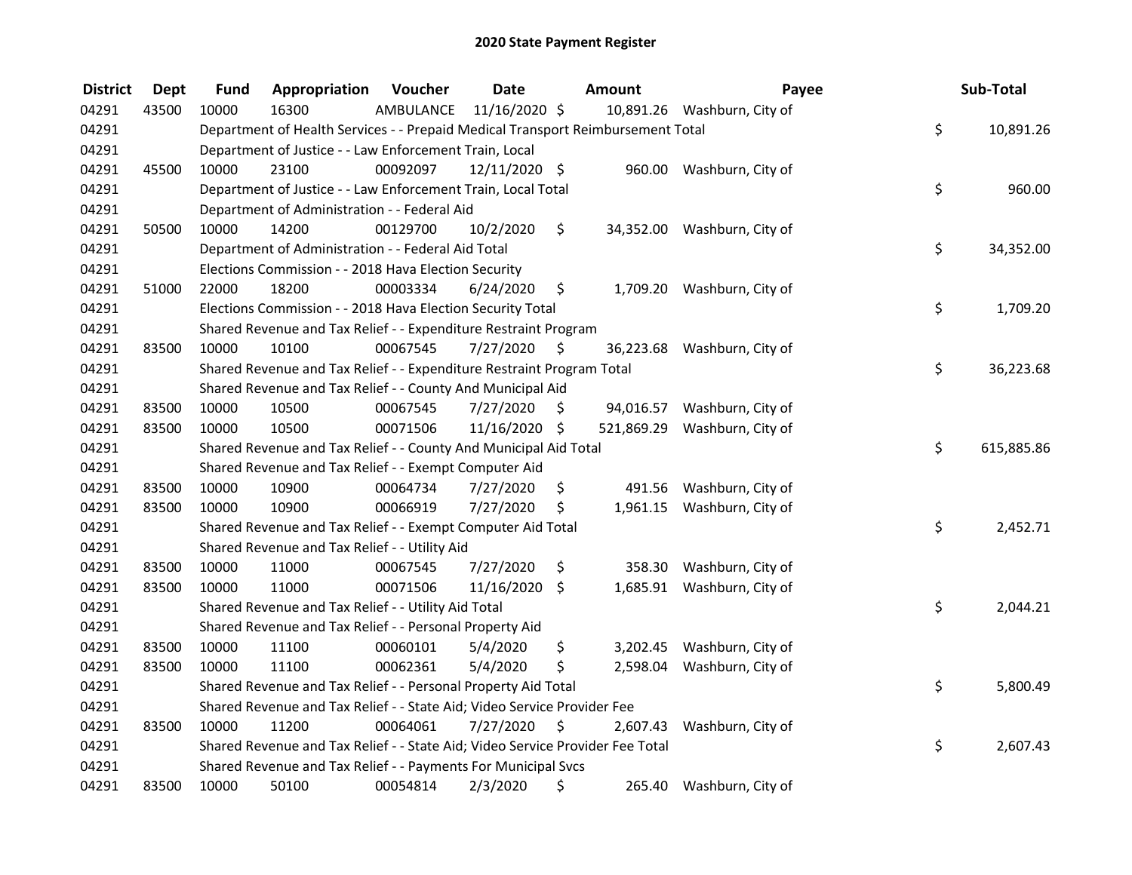| <b>District</b> | <b>Dept</b> | <b>Fund</b>                                                      | Appropriation                                                                   | Voucher   | <b>Date</b>   |    | Amount     | Payee                       |    | Sub-Total  |
|-----------------|-------------|------------------------------------------------------------------|---------------------------------------------------------------------------------|-----------|---------------|----|------------|-----------------------------|----|------------|
| 04291           | 43500       | 10000                                                            | 16300                                                                           | AMBULANCE | 11/16/2020 \$ |    |            | 10,891.26 Washburn, City of |    |            |
| 04291           |             |                                                                  | Department of Health Services - - Prepaid Medical Transport Reimbursement Total |           |               |    |            |                             | \$ | 10,891.26  |
| 04291           |             |                                                                  | Department of Justice - - Law Enforcement Train, Local                          |           |               |    |            |                             |    |            |
| 04291           | 45500       | 10000                                                            | 23100                                                                           | 00092097  | 12/11/2020 \$ |    |            | 960.00 Washburn, City of    |    |            |
| 04291           |             |                                                                  | Department of Justice - - Law Enforcement Train, Local Total                    |           |               |    |            |                             | \$ | 960.00     |
| 04291           |             |                                                                  | Department of Administration - - Federal Aid                                    |           |               |    |            |                             |    |            |
| 04291           | 50500       | 10000                                                            | 14200                                                                           | 00129700  | 10/2/2020     | \$ |            | 34,352.00 Washburn, City of |    |            |
| 04291           |             |                                                                  | Department of Administration - - Federal Aid Total                              |           |               |    |            |                             | \$ | 34,352.00  |
| 04291           |             |                                                                  | Elections Commission - - 2018 Hava Election Security                            |           |               |    |            |                             |    |            |
| 04291           | 51000       | 22000                                                            | 18200                                                                           | 00003334  | 6/24/2020     | \$ |            | 1,709.20 Washburn, City of  |    |            |
| 04291           |             |                                                                  | Elections Commission - - 2018 Hava Election Security Total                      |           |               |    |            |                             | \$ | 1,709.20   |
| 04291           |             |                                                                  | Shared Revenue and Tax Relief - - Expenditure Restraint Program                 |           |               |    |            |                             |    |            |
| 04291           | 83500       | 10000                                                            | 10100                                                                           | 00067545  | 7/27/2020     | \$ |            | 36,223.68 Washburn, City of |    |            |
| 04291           |             |                                                                  | Shared Revenue and Tax Relief - - Expenditure Restraint Program Total           |           |               |    |            |                             | \$ | 36,223.68  |
| 04291           |             |                                                                  | Shared Revenue and Tax Relief - - County And Municipal Aid                      |           |               |    |            |                             |    |            |
| 04291           | 83500       | 10000                                                            | 10500                                                                           | 00067545  | 7/27/2020     | \$ |            | 94,016.57 Washburn, City of |    |            |
| 04291           | 83500       | 10000                                                            | 10500                                                                           | 00071506  | 11/16/2020 \$ |    | 521,869.29 | Washburn, City of           |    |            |
| 04291           |             | Shared Revenue and Tax Relief - - County And Municipal Aid Total |                                                                                 |           |               |    |            |                             | \$ | 615,885.86 |
| 04291           |             |                                                                  | Shared Revenue and Tax Relief - - Exempt Computer Aid                           |           |               |    |            |                             |    |            |
| 04291           | 83500       | 10000                                                            | 10900                                                                           | 00064734  | 7/27/2020     | \$ | 491.56     | Washburn, City of           |    |            |
| 04291           | 83500       | 10000                                                            | 10900                                                                           | 00066919  | 7/27/2020     | \$ |            | 1,961.15 Washburn, City of  |    |            |
| 04291           |             |                                                                  | Shared Revenue and Tax Relief - - Exempt Computer Aid Total                     |           |               |    |            |                             | \$ | 2,452.71   |
| 04291           |             |                                                                  | Shared Revenue and Tax Relief - - Utility Aid                                   |           |               |    |            |                             |    |            |
| 04291           | 83500       | 10000                                                            | 11000                                                                           | 00067545  | 7/27/2020     | \$ | 358.30     | Washburn, City of           |    |            |
| 04291           | 83500       | 10000                                                            | 11000                                                                           | 00071506  | 11/16/2020    | \$ | 1,685.91   | Washburn, City of           |    |            |
| 04291           |             |                                                                  | Shared Revenue and Tax Relief - - Utility Aid Total                             |           |               |    |            |                             | \$ | 2,044.21   |
| 04291           |             |                                                                  | Shared Revenue and Tax Relief - - Personal Property Aid                         |           |               |    |            |                             |    |            |
| 04291           | 83500       | 10000                                                            | 11100                                                                           | 00060101  | 5/4/2020      | \$ |            | 3,202.45 Washburn, City of  |    |            |
| 04291           | 83500       | 10000                                                            | 11100                                                                           | 00062361  | 5/4/2020      | \$ | 2,598.04   | Washburn, City of           |    |            |
| 04291           |             |                                                                  | Shared Revenue and Tax Relief - - Personal Property Aid Total                   |           |               |    |            |                             | \$ | 5,800.49   |
| 04291           |             |                                                                  | Shared Revenue and Tax Relief - - State Aid; Video Service Provider Fee         |           |               |    |            |                             |    |            |
| 04291           | 83500       | 10000                                                            | 11200                                                                           | 00064061  | 7/27/2020     | \$ | 2,607.43   | Washburn, City of           |    |            |
| 04291           |             |                                                                  | Shared Revenue and Tax Relief - - State Aid; Video Service Provider Fee Total   |           |               |    |            |                             | \$ | 2,607.43   |
| 04291           |             |                                                                  | Shared Revenue and Tax Relief - - Payments For Municipal Svcs                   |           |               |    |            |                             |    |            |
| 04291           | 83500       | 10000                                                            | 50100                                                                           | 00054814  | 2/3/2020      | \$ | 265.40     | Washburn, City of           |    |            |